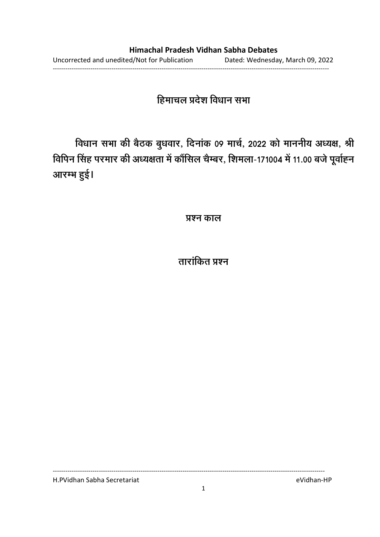# हिमाचल प्रदेश विधान सभा

विधान सभा की बैठक बुधवार, दिनाक 09 मार्च, 2022 को माननीय अध्यक्ष, श्री विपिन सिंह परमार की अध्यक्षता में कौंसिल चैम्बर, शिमला-171004 में 11.00 बजे पूर्वाह्न आरम्भ हुई।

**प्रश्न काल** 

<u>ताराकित प्रश्न</u>

H.PVidhan Sabha Secretariat eVidhan-HP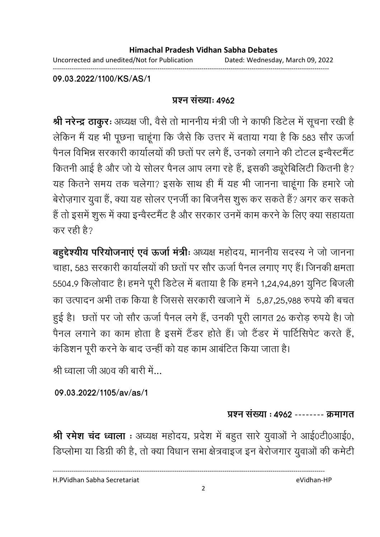Uncorrected and unedited/Not for Publication Dated: Wednesday, March 09, 2022 ------------------------------------------------------------------------------------------------------------------------------------

**09.03.2022/1100/KS/AS/1**

### <u>प्रश्न संख्याः ४९६२</u>

**श्री नरेन्द्र ठाकुरः** अध्यक्ष जी, वैसे तो माननीय मंत्री जी ने काफी डिटेल में सूचना रखी हैं | लेकिन में यह भी पूछना चाहूंगा कि जैसे कि उत्तर में बताया गया है कि 583 सौर ऊर्जा पैनल विभिन्न सरकारी कार्यालयों की छतों पर लगे हैं, उनको लगाने की टोटल इन्वैस्टमैंट कितनी आई है और जो ये सोलर पैनल आप लगा रहे हैं, इसकी ड्यूरेबिलिटी कितनी हैं? यह कितने समय तक चलेगा? इसके साथ ही मैं यह भी जानना चाहूंगा कि हमारे जो बेरोज़गार युवा है, क्या यह सोलर एनजी का बिजनैस शुरू कर सकते हैं? अगर कर सकते है तो इसमें शुरू में क्या इन्वैस्टमैंट है और सरकार उनमें काम करने के लिए क्या सहायता कर रही है?

**बहुद्देश्यीय परियोजनाएं एवं ऊर्जा मंत्रीः** अध्यक्ष महोदय, माननीय सदस्य ने जो जानना चाहा, 583 सरकारी कार्यालयों की छतों पर सौर ऊर्जा पैनल लगाए गए हैं। जिनकी क्षमता 5504.9 किलोवाट है। हमने पूरी डिटेल में बताया है कि हमने 1,24,94,891 युनिट बिजली का उत्पादन अभी तक किया है जिससे सरकारी खजाने में -5,87,25,988 रुपये की बचत हुई है। छतो पर जो सौर ऊर्जा पैनल लगे हैं, उनकी पूरी लागत 26 करोड़ रुपये हैं। जो पैनल लगाने का काम होता है इसमें टैंडर होते हैं। जो टैंडर में पार्टिसिपेंट करते हैं, कडिशन पूरी करने के बाद उन्हीं को यह काम आंबटित किया जाता है।

श्री ध्वाला जी अ0व की बारी में...

**09.03.2022/1105/av/as/1**

## प्रश्न संख्या : **4962 -------- क्रमाग**त

**श्री रमेश चंद ध्वाला** : अध्यक्ष महोदय, प्रदेश में बहुत सारे युवाओं ने आई0टी0आई0, डिप्लोमा या डिग्री की है, तो क्या विधान सभा क्षेत्रवाइज इन बेरोजगार युवाओं की कमेटी

H.PVidhan Sabha Secretariat eVidhan-HP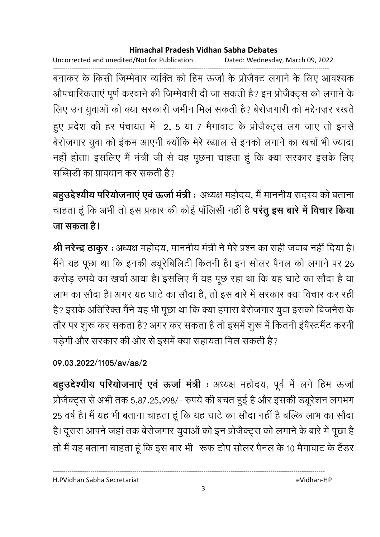Uncorrected and unedited/Not for Publication Dated: Wednesday, March 09, 2022

------------------------------------------------------------------------------------------------------------------------------------ बनाकर के किसी जिम्मेवार व्यक्ति को हिम ऊर्जा के प्रजिक्ट लगाने के लिए आवश्यक औपचारिकताएं पूर्ण करवाने की जिम्मेवारी दी जा सकती है? इन प्रजिक्ट्स को लगाने के लिए उन युवाओं को क्या सरकारी जमीन मिल सकती है? बेरोजगारी को मद्देनज़र रखते हुए प्रदेश की हर पंचायत में -2, 5 या 7 मैगावाट के प्रजिक्ट्स लग जाए तो इनसे बेरोजगार युवा को इंकम आएगी क्योंकि मेरे ख्याल से इनको लगाने का खर्चा भी ज्यादा नहीं होता। इसलिए मैं मंत्री जी से यह पूछना चाहता हूं कि क्या सरकार इसके लिए सब्सिडी का प्रावधान कर सकती है?

**बहुउद्देश्यीय परियोजनाएं एवं ऊर्जा मंत्री** ः अध्यक्ष महोदय, मैं माननीय सदस्य को बताना चाहता हूं कि अभी तो इस प्रकार की कोई पॉलिसी नहीं है **परंतु इस बारे में विचार किया जा सकता है।** 

**श्री नरेन्द्र ठाकुर** : अध्यक्ष महोदय, माननीय मंत्री ने मेरे प्रश्न का सही जवाब नहीं दिया है। मैंने यह पूछा था कि इनकी ड्यूरीबेलिटी कितनी है। इन सोलर पैनल को लगाने पर 26 करोड़ रुपये का खर्चा आया है। इसलिए मैं यह पूछ रहा था कि यह घाटे का सौंदा है या लाभ का सौंदा है। अगर यह घाटे का सौंदा है, तो इस बारे में सरकार क्या विचार कर रहीं। है? इसके अतिरिक्त मैंने यह भी पूछा था कि क्या हमारा बेरोजगार युवा इसको बिजनैस के तौर पर शुरू कर सकता है? अगर कर सकता है तो इसमें शुरू में कितनी इवैस्टमेंट करनी पड़ेगी और सरकार की ओर से इसमें क्या सहायता मिल सकती है?

# **09.03.2022/1105/av/as/2**

**बहुउद्देश्यीय परियोजनाए एव ऊर्जा मंत्री** : अध्यक्ष महोदय, पूर्व में लगे हिम ऊर्जा प्रजिक्ट्स से अभी तक 5,87,25,998/- रुपये की बचत हुई है और इसकी ड्यूरेशन लगभग 25 वर्ष है। मैं यह भी बताना चाहता हूँ कि यह घाटे का सौंदा नहीं है बल्कि लाभ का सौंदा हैं। दूसरा आपने जहां तक बेरोजगार युवाओं को इन प्रजिक्ट्स को लगाने के बारे में पूछा है ह '
 ह
 ह 0 ' ! ? " "  10 \$ 

H.PVidhan Sabha Secretariat eVidhan-HP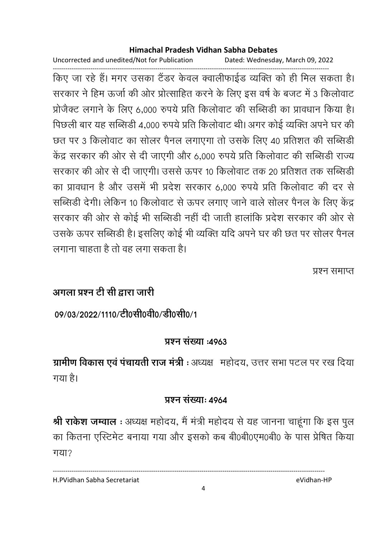Uncorrected and unedited/Not for Publication Dated: Wednesday, March 09, 2022

------------------------------------------------------------------------------------------------------------------------------------ किए जा रहे हैं। मगर उसका टैंडर केवल क्वालीफाईड व्यक्ति को ही मिल सकता है। सरकार ने हिम ऊर्जा की ओर प्रोत्साहित करने के लिए इस वर्ष के बजट में 3 किलोवाट प्रजिक्ट लगाने के लिए 6,000 रुपये प्रति किलोवाट की सब्सिडी का प्रावधान किया है। पिछली बार यह सब्सिडी 4,000 रुपये प्रति किलोवाट थी। अगर कोई व्यक्ति अपने घर की छत पर 3 किलोवाट का सोलर पैनल लगाएगा तो उसके लिए 40 प्रतिशत की सब्सिडी केंद्र सरकार की ओर से दी जाएगी और 6,000 रुपये प्रति किलोवाट की सब्सिडी राज्य सरकार की ओर से दी जाएगी। उससे ऊपर 10 किलोवाट तक 20 प्रतिशत तक सब्सिडी का प्रावधान है और उसमें भी प्रदेश सरकार 6,000 रुपये प्रति किलोवाट की दर से सर्बिडी देंगी। लेकिन 10 किलोवाट से ऊपर लगाए जाने वाले सोलर पैनल के लिए केंद्र सरकार की ओर से कोई भी सब्सिडी नहीं दी जाती हालांकि प्रदेश सरकार की ओर से उसके ऊपर सब्सिडी है। इसलिए कोई भी व्यक्ति यदि अपने घर की छत पर सोलर पैनल लगाना चाहता है तो वह लगा सकता है।

प्रश्न समाप्त

# <u> अगला प्रश्न टी सी द्वारा जारी</u>

09/03/2022/1110/टी0सी0वी0/डी0सी0/1

# **प्रश्न संख्या: 4963**

**PQ - B \$& / D :** - ह@, %& ! " " @ गया है।

## **प्र**ष्ट्या: ४९६४

**श्री राकेश जम्वाल** : अध्यक्ष महोदय, मैं मंत्री महोदय से यह जानना चाहूंगा कि इस पुल का कितना एस्टिमेट बनाया गया और इसको कब बी0बी0एम0बी0 के पास प्रेषित किया गया?

H.PVidhan Sabha Secretariat eVidhan-HP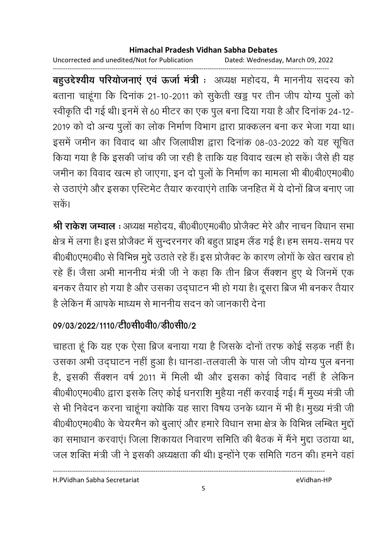Uncorrected and unedited/Not for Publication Dated: Wednesday, March 09, 2022

------------------------------------------------------------------------------------------------------------------------------------ **बहुउद्देश्यीय परियोजनाए एव ऊर्जा मंत्री** ः अध्यक्ष महोदय, मैं माननीय सदस्य को बताना चाहूंगा कि दिनांक 21-10-2011 को सुकेती खड्ड पर तीन जीप योग्य पुलों को स्वीकृति दी गई थी। इनमें से 60 मीटर का एक पुल बना दिया गया है और दिनाक 24-12-2019 को दो अन्य पुलों का लोक निर्माण विभाग द्वारा प्राक्कलन बना कर भेजा गया था। इसमें जमीन का विवाद था और जिलाधीश द्वारा दिनांक 08-03-2022 को यह सूचित किया गया है कि इसकी जांच की जा रही है ताकि यह विवाद खत्म हो सके। जैसे ही यह जमीन का विवाद खत्म हो जाएगा, इन दो पुलों के निर्माण का मामला भी बी0बी0एम0बी0 से उठाएंगे और इसका एस्टिमेंट तैयार करवाएंगे ताकि जनहित में ये दोनों ब्रिज बनाएं जा सकें।

**श्री राकेश जम्वाल** : अध्यक्ष महोदय, बेoिबेoिएमoबेoि प्रजिक्ट मेरे और नाचन विधान सभा क्षेत्र में लगा है। इस प्रजिक्ट में सुन्दरनगर की बहुत प्राइम लैंड गई है। हम समय-समय पर बी0बी0एम0बी0 से विभिन्न मुद्दे उठातें रहे हैं। इस प्रजिक्ट के कारण लोगों के खेत खराब हो रहे हैं। जैसा अभी माननीय मंत्री जी ने कहा कि तीन ब्रिज सैक्शन हुए थे जिनमें एक बनकर तैयार हो गया है और उसका उद्घाटन भी हो गया है। दूसरा ब्रिज भी बनकर तैयार है लेकिन मैं आपके माध्यम से माननीय सदन को जानकारी देना

# 09/03/2022/1110/<u>टी</u>0सी0वी0/डी0सी0/2

चाहता हूँ कि यह एक ऐसा ब्रिज बनाया गया है जिसके दोनों तरफ कोई सड़क नहीं हैं। उसका अभी उद्घाटन नहीं हुआ है। धानडा-तलवाली के पास जो जीप योग्य पुल बनना हैं, इसकी सैक्शन वर्ष 2011 में मिली थी और इसका कोई विवाद नहीं हैं लेकिन बी0बी0एम0बी0 द्वारा इसके लिए कोई धनराशि मुहैया नहीं करवाई गई। मैं मुख्य मंत्री जी से भी निवेदन करना चाहूँगा क्योंकि यह सारा विषय उनके ध्यान में भी है। मुख्य मंत्री जी बी0बी0एम0बी0 के चेयरमैन को बुलाए और हमारे विधान सभा क्षेत्र के विभिन्न लम्बित मुद्दो का समाधान करवाए। जिला शिकायत निवारण समिति की बैठक में मैंने मुद्दा उठाया था, जल शक्ति मंत्री जी ने इसकी अध्यक्षता की थी। इन्होंने एक समिति गठन की। हमने वहां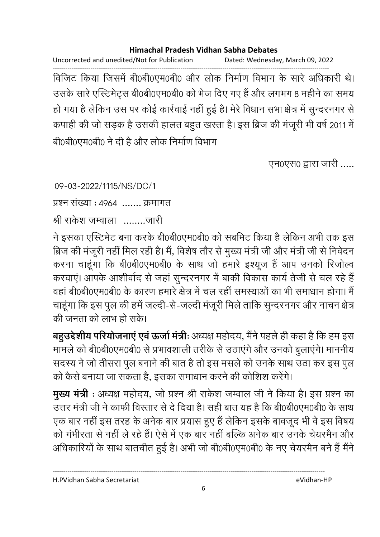Uncorrected and unedited/Not for Publication Dated: Wednesday, March 09, 2022

------------------------------------------------------------------------------------------------------------------------------------ विजिट किया जिसमें बें0बें10एम0बी0 और लोक निर्माण विभाग के सारे अधिकारी थे। उसके सारे एस्टिमेट्स बी0बी0एम0बी0 को भेज दिए गए हैं और लगभग 8 महीने का समय हो गया है लेकिन उस पर कोई कार्रवाई नहीं हुई है। मेरे विधान सभा क्षेत्र में सुन्दरनगर से कपाही की जो सड़क है उसकी हालत बहुत खस्ता है। इस ब्रिज की मजूरी भी वर्ष 2011 में बी0बी0एम0बी0 ने दी है और लोक निर्माण विभाग

एन0एस0 द्वारा जारी .....

09-03-2022/1115/NS/DC/1

प्रश्न संख्या : 4964 ....... क्रमागत

O  > U ........

ने इसका एस्टिमेंट बना करके बी0बी0एम0बी0 को संबमिट किया है लेकिन अभी तक इस ब्रिज की मजूरी नहीं मिल रही है। मैं, विशेष तौर से मुख्य मंत्री जी और मंत्री जी से निर्वेदन करना चाहूंगा कि बी0बी0एम0बी0 के साथ जो हमारे इश्यूज हैं आप उनको रिजोल्व करवाएं। आपके आशीर्वाद से जहां सुन्दरनगर में बाकी विकास कार्य तेजी से चल रहे हैं वहां बी0बी0एम0बी0 के कारण हमारे क्षेत्र में चल रहीं समस्याओं का भी समाधान होगा। मैं चाहूंगा कि इस पुल की हमें जल्दी-से-जल्दी मंजूरी मिले ताकि सुन्दरनगर और नाचन क्षेत्र की जनता को लाभ हो सके।

**बहुउद्देशीय परियोजनाए एवं ऊर्जा मंत्रीः** अध्यक्ष महोदय, मैंने पहले ही कहा है कि हम इस मामले को बी0बी0एम0बी0 से प्रभावशाली तरीके से उठाएंगे और उनको बुलाएंगे। माननीय सदस्य ने जो तीसरा पुल बनाने की बात है तो इस मसले को उनके साथ उठा कर इस पुल को कैसे बनाया जा सकता है, इसका समाधान करने की कोशिश करेंगे।

**मुख्य मंत्री** : अध्यक्ष महोदय, जो प्रश्न श्री राकेश जम्वाल जी ने किया है। इस प्रश्न का उत्तर मंत्री जी ने काफी विस्तार से दें दिया है। सही बात यह है कि बी0बी0एम0बी0 के साथ एक बार नहीं इस तरह के अनेक बार प्रयास हुए हैं लेकिन इसके बावजूद भी वे इस विषय को गर्भीरता से नहीं ले रहे हैं। ऐसे में एक बार नहीं बल्कि अनेक बार उनके चेयरमैन और आंधकारियों के साथ बातचीत हुई है। अभी जो बेoिबीoएम0बी0 के नए चेयरमैन बने हैं मैंने

H.PVidhan Sabha Secretariat eVidhan-HP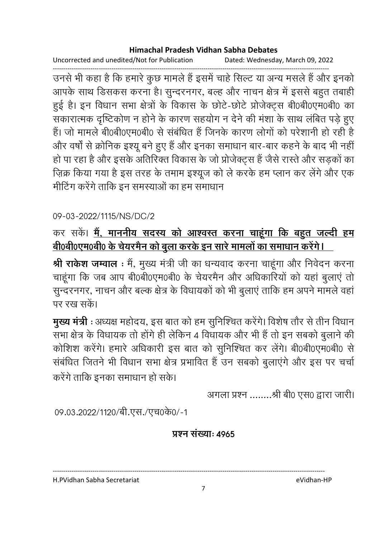Uncorrected and unedited/Not for Publication Dated: Wednesday, March 09, 2022

------------------------------------------------------------------------------------------------------------------------------------ उनसे भी कहा है कि हमारे कुछ मामले हैं इसमें चाहे सिल्ट या अन्य मसले हैं और इनको आपके साथ डिसकस करना है। सुन्दरनगर, बल्ह और नाचन क्षेत्र में इससे बहुत तबाही हुई है। इन विधान सभा क्षेत्रों के विकास के छोटे-छोटे प्रजिक्ट्स बें0बी0एम0बी0 का सकारात्मक दृष्टिकोण न होने के कारण सहयोग न देने की मंशा के साथ लंबित पड़े हुए हैं। जो मामले बी0बी0एम0बी0 से संबंधित है जिनके कारण लोगों को परेशानी हो रही हैं-और वर्षों से क्रोनिक इश्यू बने हुए हैं और इनका समाधान बार-बार कहने के बाद भी नहीं हों पा रहा है और इसके अतिरिक्त विकास के जो प्रजिक्ट्स है जैसे रास्तें और सड़कों का ज़िक्र किया गया है इस तरह के तमाम इश्यूज को ले करके हम प्लान कर लेगे और एक मीटिंग करेंगे ताकि इन समस्याओं का हम समाधान

## 09-03-2022/1115/NS/DC/2

# कर सके। <u>मैं, माननीय सदस्य को आश्वस्त करना चाहूगा कि बहुत जल्दी हम</u> <u>बी0बी0एम0बी0 के चेयरमैन को बुला करके इन सारे मामलों का समाधान करेंगे। </u>

**श्री राकेश जम्वाल** : मैं, मुख्य मंत्री जी का धन्यवाद करना चाहूगा और निर्वेदन करना चाहूंगा कि जब आप बी0बी0एम0बी0 के चेयरमैन और अधिकारियों को यहां बुलाए तो सुन्दरनगर, नाचन और बल्क क्षेत्र के विधायकों को भी बुलाएं ताकि हम अपने मामले वहां पर रख सकें।

**मुख्य मंत्री** : अध्यक्ष महोदय, इस बात को हम सुनिश्चित करेंगे। विशेष तौर से तीन विधान .<br>सभा क्षेत्र के विधायक तो होंगे ही लेकिन 4 विधायक और भी हैं तो इन सबको बुलाने की कोशिश करेंगे। हमारे अधिकारी इस बात को सुनिश्चित कर लेंगे। बी0बी0एम0बी0 से संबंधित जितने भी विधान सभा क्षेत्र प्रभावित हैं उन सबको बुलाएंगे और इस पर चर्चा करेंगे ताकि इनका समाधान हो सके।

अगला प्रश्न ........श्री बी0 एस0 द्वारा जारी।

09.03.2022/1120/बी.एस./एच0के0/-1

### <u>प्रश्न संख्याः ४९६५</u>

H.PVidhan Sabha Secretariat eVidhan-HP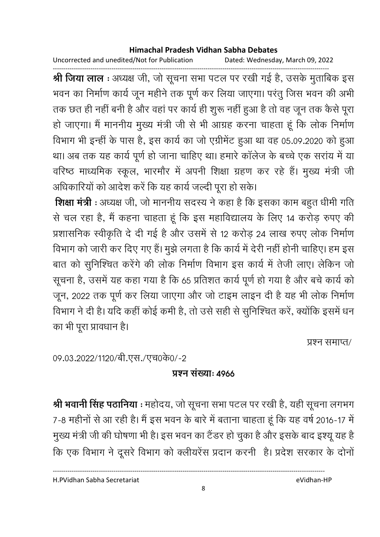Uncorrected and unedited/Not for Publication Dated: Wednesday, March 09, 2022

------------------------------------------------------------------------------------------------------------------------------------ **श्री जिया लाल** : अध्यक्ष जी, जो सूचना सभा पटल पर रखी गई है, उसके मुताबिक इस भवन का निर्माण कार्य जून महीने तक पूर्ण कर लिया जाएगा। परंतु जिस भवन की अभी तक छत ही नहीं बनी है और वहां पर कार्य ही शुरू नहीं हुआ है तो वह जून तक कैसे पूरा हो जाएगा। मैं माननीय मुख्य मंत्री जी से भी आग्रह करना चाहता हूं कि लोक निर्माण विभाग भी इन्हीं के पास है, इस कार्य का जो एंग्रेमिट हुआ था वह 05.09.2020 को हुआ था। अब तक यह कार्य पूर्ण हो जाना चाहिए था। हमारे कॉलेज के बच्चे एक सरांय में या वरिष्ठ माध्यमिक स्कूल, भारमौर में अपनी शिक्षा ग्रहण कर रहे हैं। मुख्य मंत्री जी अधिकारियों को आदेश करें कि यह कार्य जल्दी पूरा हो सके।

**शिक्षा मंत्री** : अध्यक्ष जी, जो माननीय सदस्य ने कहा है कि इसका काम बहुत धीमी गति | से चल रहा है, मैं कहना चाहता हूं कि इस महाविद्यालय के लिए 14 करोड़ रुपए की प्रशासनिक स्वीकृति दे दी गई है और उसमें से 12 करोड़ 24 लाख रुपए लोक निर्माण विभाग को जारी कर दिए गए है। मुझे लगता है कि कार्य में देरी नहीं होनी चाहिए। हम इस बात को सुनिश्चित करेंगे की लोक निर्माण विभाग इस कार्य में तेजी लाए। लेकिन जो सूचना है, उसमें यह कहा गया है कि 65 प्रतिशत कार्य पूर्ण हो गया है और बचे कार्य को जून, 2022 तक पूर्ण कर लिया जाएगा और जो टाइम लाइन दी है यह भी लोक निर्माण विभाग ने दी है। यदि कहीं कोई कमी है, तो उसे सहीं से सुनिश्चित करें, क्योंकि इसमें धन का भी पूरा प्रावधान है।

प्रश्न समाप्त/

09.03.2022/1120/बी.एस./एच0के0/-2

# **प्रश्न संख्याः ४९६६**

**श्री भवानी सिंह पठानिया** : महोदय, जो सूचना सभा पटल पर रखी है, यही सूचना लगभग 7-8 महीनों से आ रही हैं। मैं इस भवन के बारे में बताना चाहता हूं कि यह वर्ष 2016-17 में मुख्य मंत्री जी की घोषणा भी है। इस भवन का टैंडर हो चुका है और इसके बाद इश्यू यह हैं-कि एक विभाग ने दूसरे विभाग को क्लीयरेस प्रदान करनी ।है। प्रदेश सरकार के दोनो

H.PVidhan Sabha Secretariat eVidhan-HP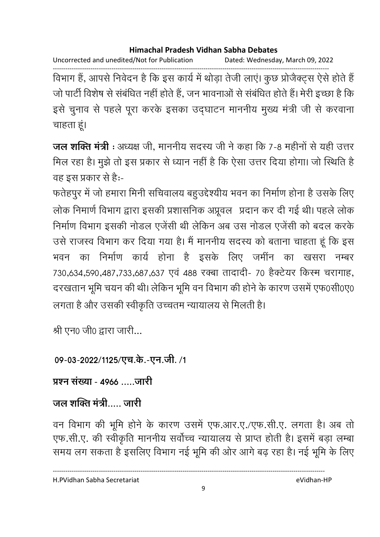Uncorrected and unedited/Not for Publication Dated: Wednesday, March 09, 2022

------------------------------------------------------------------------------------------------------------------------------------ विभाग है, आपसे निवेदन है कि इस कार्य में थोड़ा तेजी लाए। कुछ प्रोजैक्ट्स ऐसे होते हैं जो पार्टी विशेष से संबंधित नहीं होते हैं, जन भावनाओं से संबंधित होते हैं। मेरी इच्छा है कि इसे चुनाव से पहले पूरा करके इसका उद्घाटन माननीय मुख्य मंत्री जी से करवाना चाहता हूं।

**जल शक्ति मंत्री** : अध्यक्ष जी, माननीय सदस्य जी ने कहा कि 7-8 महीनों से यही उत्तर मिल रहा है। मुझे तो इस प्रकार से ध्यान नहीं है कि ऐसा उत्तर दिया होगा। जो स्थिति हैं वह इस प्रकार से हैं:-

फतेहपुर में जो हमारा मिनी सचिवालय बहुउद्देश्यीय भवन का निर्माण होना है उसके लिए लोक निमार्ण विभाग द्वारा इसकी प्रशासनिक अप्रूवल प्रदान कर दी गई थी। पहले लोक निर्माण विभाग इसकी नोडल एजेंसी थी लेकिन अब उस नोडल एजेंसी को बदल करके उसे राजस्व विभाग कर दिया गया है। मैं माननीय सदस्य को बताना चाहता हूं कि इस भवन का निर्माण कार्य होना है इसके लिए जमीन का खसरा नम्बर 730,634,590,487,733,687,637 एवं 488 रक्बा तादादी- 70 हैक्टेयर किस्म चरागाह, दरखतान भूमि चयन की थी। लेकिन भूमि वन विभाग की होने के कारण उसमें एफ0सी0ए0 लगता है और उसकी स्वीकृति उच्चतम न्यायालय से मिलती है।

श्री एन0 जी0 द्वारा जारी...

09-03-2022/1125/एच.के.-एन.जी. /1

प्रश्न संख्या - 4966 <u>......जारी</u>

# जल शक्ति मंत्री..... जारी

वन विभाग की भूमि होने के कारण उसमें एफ.आर.ए./एफ.सी.ए. लगता है। अब तो एफ.सी.ए. की स्वीकृति माननीय सर्वोच्च न्यायालय से प्राप्त होती है। इसमें बड़ा लम्बा समय लग सकता है इसलिए विभाग नई भूमि की ओर आगे बढ़ रहा है। नई भूमि के लिए

H.PVidhan Sabha Secretariat eVidhan-HP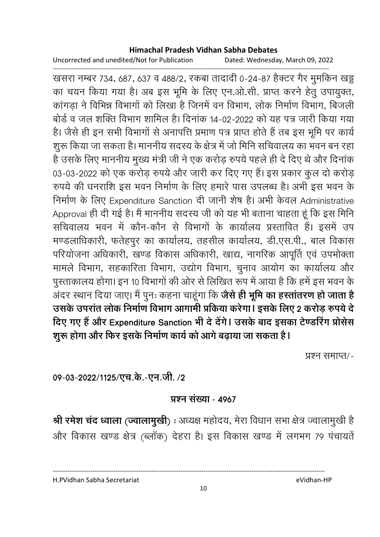Uncorrected and unedited/Not for Publication Dated: Wednesday, March 09, 2022

------------------------------------------------------------------------------------------------------------------------------------ खसरा नम्बर 734, 687, 637 व 488/2, रकबा तादादी 0-24-87 हैक्टर गैर मुमोर्कन खड्ड का चयन किया गया है। अब इस भूमि के लिए एन.ओ.सी. प्राप्त करने हेतु उपायुक्त, कांगड़ा ने विभिन्न विभागों को लिखा है जिनमें वन विभाग, लोक निर्माण विभाग, बिजली बोर्ड व जल शक्ति विभाग शामिल है। दिनाक 14-02-2022 को यह पत्र जारी किया गया हैं। जैसे ही इन सभी विभागों से अनापत्ति प्रमाण पत्र प्राप्त होते हैं तब इस भूमि पर कार्य शुरू किया जा सकता है। माननीय सदस्य के क्षेत्र में जो मिनि सचिवालय का भवन बन रहा है उसके लिए माननीय मुख्य मंत्री जी ने एक करोड़ रुपये पहले ही दे दिए थे और दिनाक 03-03-2022 को एक करोड़ रुपये और जारी कर दिए गए हैं। इस प्रकार कुल दो करोड़ रुपर्य की धनराशि इस भवन निर्माण के लिए हमारे पास उपलब्ध है। अभी इस भवन के निर्माण के लिए Expenditure Sanction दी जानी शेष है। अभी केवल Administrative Approval ही दी गई है। मैं माननीय सदस्य जी को यह भी बताना चाहता हूं कि इस मिनि सचिवालय भवन में कौन-कौन से विभागों के कार्यालय प्रस्तावित हैं। इसमें उप मण्डलाधिकारी, फतेहपुर का कार्यालय, तहसील कार्यालय, डी.एस.पी., बाल विकास परियोजना अधिकारी, खण्ड विकास अधिकारी, खाद्य, नागरिक आपूर्ति एवं उपभोक्ता मामले विभाग, सहकारिता विभाग, उद्योग विभाग, चुनाव आयोग का कार्यालय और पुस्ताकालय होगा। इन 10 विभागों की ओर से लिखित रूप में आया है कि हमें इस भवन के अंदर स्थान दिया जाए। मैं पुनः कहना चाहूंगा कि **जैसे ही भूमि का हस्तातरण हो जाता है** उसके उपरांत लोक निर्माण विभाग आगामी प्रकिया करेगा। इसके लिए 2 करोड़ रुपये दे दिए गए हैं और Expenditure Sanction भी दे देंगे। उसके बाद इसका टेण्डरिंग प्रोसेस शुरू होगा और फिर इसके निर्माण कार्य को आगे बढ़ाया जा सकता है।

प्रश्न समाप्त/-

09-03-2022/1125/एच.के.-एन.जी. **/2** 

### <u> प्रश्न संख्या - 4967</u>

**श्री रमेश चंद ध्वाला (ज्वालामुखी**) : अध्यक्ष महोदय, मेरा विधान सभा क्षेत्र ज्वालामुखी हैं | और विकास खण्ड क्षेत्र (ब्लाक) देहरा है। इस विकास खण्ड में लगभग 79 पंचायतें

H.PVidhan Sabha Secretariat eVidhan-HP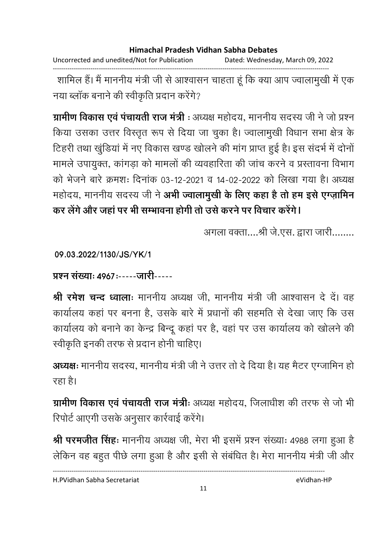Uncorrected and unedited/Not for Publication Dated: Wednesday, March 09, 2022 ------------------------------------------------------------------------------------------------------------------------------------

शामिल हैं। मैं माननीय मंत्री जी से आश्वासन चाहता हूं कि क्या आप ज्वालामुखी में एक नया ब्लॉक बनाने की स्वीकृति प्रदान करेंगे?

**ग्रामीण विकास एवं पचायती राज मंत्री** : अध्यक्ष महोदय, माननीय सदस्य जी ने जो प्रश्न किया उसका उत्तर विस्तृत रूप से दिया जा चुका है। ज्वालामुखी विधान सभा क्षेत्र के टिहरी तथा खुडिया में नए विकास खण्ड खोलने की मांग प्राप्त हुई है। इस सदर्भ में दोनों मामले उपायुक्त, कांगड़ा को मामलों की व्यवहारिता की जांच करने व प्रस्तावना विभाग को भेजने बारे क्रमशः दिनाक 03-12-2021 व 14-02-2022 को लिखा गया है। अध्यक्ष महोदय, माननीय सदस्य जी ने **अभी ज्वालामुखी के लिए कहा है तो हम इसे एग्ज़ामिन** कर लेंगे और जहां पर भी सम्भावना होगी तो उसे करने पर विचार करेंगे।

अगला वक्ता....श्री जे.एस. द्वारा जारी........

**09.03.2022/1130/JS/YK/1**

<u> प्रश्न संख्याः ४९६७:-----जारी-----</u>

**श्री रमेश चन्द ध्वालाः** माननीय अध्यक्ष जी, माननीय मंत्री जी आश्वासन दे दें। वह कार्यालय कहा पर बनना है, उसके बारे में प्रधानों की सहमति से देखा जाए कि उस कार्यालय को बनाने का केन्द्र बिन्दू कहा पर है, वहां पर उस कार्यालय को खोलने की स्वीकृति इनकी तरफ से प्रदान होनी चाहिए।

**अध्यक्षः** माननीय सदस्य, माननीय मंत्री जी ने उत्तर तो दे दिया है। यह मैटर एग्जामिन हो रहा है।

**ग्रामीण विकास एवं पंचायती राज मंत्रीः** अध्यक्ष महोदय, जिलाधीश की तरफ से जो भी रिपोर्ट आएगी उसके अनुसार कार्रवाई करेंगे।

**श्री परमजीत सिंहः** माननीय अध्यक्ष जी, मेरा भी इसमें प्रश्न संख्याः 4988 लगा हुआ हैं | लेकिन वह बहुत पीछे लगा हुआ है और इसी से संबंधित है। मेरा माननीय मंत्री जी और

H.PVidhan Sabha Secretariat eVidhan-HP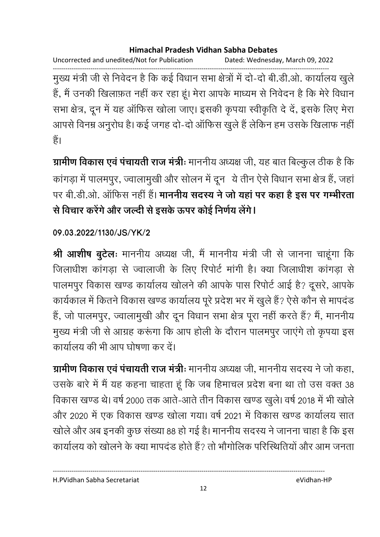Uncorrected and unedited/Not for Publication Dated: Wednesday, March 09, 2022

------------------------------------------------------------------------------------------------------------------------------------ मुख्य मंत्री जी से निवेदन हैं कि कई विधान सभा क्षेत्रों में दो-दो बी.डी.ओ. कार्यालय खुले हैं, मैं उनकी खिलाफ़त नहीं कर रहा हूं। मेरा आपके माध्यम से निवेदन है कि मेरे विधान सभा क्षेत्र, दून में यह ऑफिस खोला जाए। इसकी कृपया स्वीकृति दे दें, इसके लिए मेरा आपर्स विनम्र अनुरोध है। कई जगह दो-दो आफिस खुले हैं लेकिन हम उसके खिलाफ नहीं। हैं।

**ग्रामीण विकास एवं पंचायती राज मंत्रीः** माननीय अध्यक्ष जी, यह बात बिल्कुल ठीक है कि कांगड़ा में पालमपूर, ज्वालामूखी और सोलन में दून) ये तीन ऐसे विधान सभा क्षेत्र हैं, जहां पर बी.डी.ओ. आफिस नहीं हैं। **माननीय सदस्य ने जो यहां पर कहा है इस पर गम्भीरता** से विचार करेंगे और जल्दी से इसके ऊपर कोई निर्णय लेंगे।

## **09.03.2022/1130/JS/YK/2**

**श्री आशीष बुटेलः** माननीय अध्यक्ष जी, मैं माननीय मंत्री जी से जानना चाहूंगा कि जिलाधीश कांगड़ा से ज्वालाजी के लिए रिपोर्ट मांगी है। क्या जिलाधीश कांगड़ा से पालमपुर विकास खण्ड कार्यालय खोलने की आपके पास रिपोर्ट आई है? दूसरे, आपके कार्यकाल में कितने विकास खण्ड कार्यालय पूरे प्रदेश भर में खुले हैं? ऐसे कौन से मापदंड हैं, जो पालमपुर, ज्वालामुखी और दून विधान सभा क्षेत्र पूरा नहीं करते हैं? मैं, माननीय मुख्य मंत्री जी से आग्रह करूंगा कि आप होली के दौरान पालमपुर जाएंगे तो कृपया इस कार्यालय की भी आप घोषणा कर दें।

**ग्रामीण विकास एवं पचायती राज मंत्रीः** माननीय अध्यक्ष जी, माननीय सदस्य ने जो कहा, उसके बारे में मैं यह कहना चाहता हूं कि जब हिमाचल प्रदेश बना था तो उस वक्त 38 विकास खण्ड थे। वर्ष 2000 तक आते-आते तीन विकास खण्ड खुले। वर्ष 2018 में भी खोले और 2020 में एक विकास खण्ड खोला गया। वर्ष 2021 में विकास खण्ड कार्यालय सात खोले और अब इनकी कुछ संख्या 88 हो गई है। माननीय सदस्य ने जानना चाहा है कि इस कार्यालय को खोलने के क्या मापदंड होते हैं? तो भौगोलिक परिस्थितियों और आम जनता

H.PVidhan Sabha Secretariat eVidhan-HP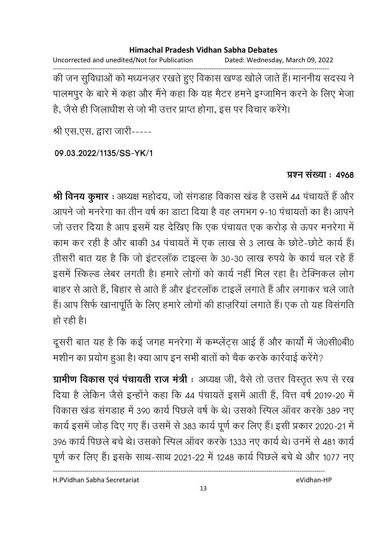Uncorrected and unedited/Not for Publication Dated: Wednesday, March 09, 2022 ------------------------------------------------------------------------------------------------------------------------------------ की जन सुविधाओं को मध्यनज़र रखते हुए विकास खण्ड खोले जाते हैं। माननीय सदस्य ने पालमपुर के बारे में कहा और मैंने कहा कि यह मैंटर हमने इंग्जामिन करने के लिए भेजा है, जैसे ही जिलाधीश से जो भी उत्तर प्राप्त होगा, इस पर विचार करेंगे।

श्री एस.एस. द्वारा जारी-----

### **09.03.2022/1135/SS-YK/1**

## **प्रश्न संख्या: 4968**

**श्री विनय कुमार** : अध्यक्ष महोदय, जो सगडाह विकास खंड है उसमें 44 पंचायते हैं और आपने जो मनरेगा का तीन वर्ष का डाटा दिया है वह लगभग 9-10 पचायतों का है। आपने जो उत्तर दिया है आप इसमें यह देखिए कि एक पंचायत एक करोड़ से ऊपर मनरेगा में काम कर रही है और बाकी 34 पंचायते में एक लाख से 3 लाख के छोटे-छोटे कार्य है। तीसरी बात यह है कि जो इंटरलाक टाइल्स के 30-30 लाख रुपये के कार्य चल रहे हैं | इसमें स्किल्ड लेबर लगती है। हमारे लोगों को कार्य नहीं मिल रहा है। टेक्निकल लोग बाहर से आते हैं, बिहार से आते हैं और इंटरलॉक टाइलें लगाते हैं और लगाकर चले जाते हैं। आप सिर्फ खानापूर्ति के लिए हमारे लोगों की हाज़रियां लगाते हैं। एक तो यह विसंगति हो रही है।

दूसरी बात यह है कि कई जगह मनरेगा में कम्प्लेट्स आई है और कार्यों में जे0सी0बी0 मशीन का प्रयोग हुआ है। क्या आप इन सभी बातों को चैक करके कार्रवाई करेंगे?

**ग्रामीण विकास एवं पचायती राज मंत्री** : अध्यक्ष जी, वैसे तो उत्तर विस्तृत रूप से रख दिया है लेकिन जैसे इन्होंने कहा कि 44 पंचायतें इसमें आती हैं, वित्त वर्ष 2019-20 में विकास खंड संगडाह में 390 कार्य पिछले वर्ष के थे। उसको स्पिल ऑवर करके 389 नए कार्य इसमें जोड़ दिए गए हैं। उसमें से 383 कार्य पूर्ण कर लिए हैं। इसी प्रकार 2020-21 में 396 कार्य पिछले बचे थे। उसको स्पिल ऑवर करके 1333 नए कार्य थे। उनमें से 481 कार्य पूर्ण कर लिए हैं। इसके साथ-साथ 2021-22 में 1248 कार्य पिछले बचे थे और 1077 नए

H.PVidhan Sabha Secretariat eVidhan-HP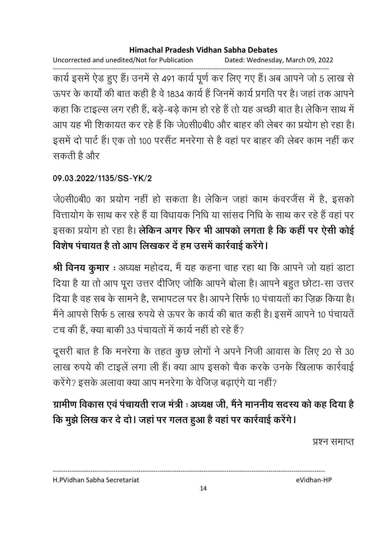Uncorrected and unedited/Not for Publication Dated: Wednesday, March 09, 2022

------------------------------------------------------------------------------------------------------------------------------------ कार्य इसमें ऐंड हुए हैं। उनमें से 491 कार्य पूर्ण कर लिए गए हैं। अब आपने जो 5 लाख से ऊपर के कार्यों की बात कहीं है वे 1834 कार्य है जिनमें कार्य प्रगति पर है। जहां तक आपने कहा कि टाइल्स लग रही है, बड़े-बड़े काम हो रहे हैं तो यह अच्छी बात है। लेकिन साथ में आप यह भी शिकायत कर रहे हैं कि जे0सी0बी0 और बाहर की लेंबर का प्रयोग हो रहा है। इसमें दो पार्ट है। एक तो 100 परसैट मनरेगा से हैं वहां पर बाहर की लेंबर काम नहीं कर सकती हैं और

## **09.03.2022/1135/SS-YK/2**

जे0सी0बी0 का प्रयोग नहीं हो सकता है। लेकिन जहां काम कवरजैस में हैं, इसको वित्तायोग के साथ कर रहे हैं या विधायक निधि या सांसद निधि के साथ कर रहे हैं वहां पर इसका प्रयोग हो रहा है। **लेकिन अगर फिर भी आपको लगता है कि कही पर ऐसी कोई** <u>विशेष पंचायत है तो आप लिखकर दें हम उसमें कार्रवाई करेंगे।</u>

**श्री विनय कुमार** : अध्यक्ष महोदय, मैं यह कहना चाह रहा था कि आपने जो यहां डाटा दिया है या तो आप पूरा उत्तर दीजिए जोकि आपने बोला है। आपने बहुत छोटा-सा उत्तर | दिया है वह सब के सामने हैं, सभापटल पर है। आपने सिर्फ 10 पंचायतों का ज़िक्र किया है। मैंने आपर्स सिर्फ 5 लाख रुपये से ऊपर के कार्य की बात कही है। इसमें आपने 10 पंचायते | टच की हैं, क्या बाकी 33 पंचायतों में कार्य नहीं हो रहे हैं?

दूसरी बात है कि मनरेगा के तहत कुछ लोगों ने अपने निजी आवास के लिए 20 से 30  $\,$ लाख रुपये की टाइले लगा ली है। क्या आप इसको चैक करके उनके खिलाफ कार्रवाई करेंगे? इसके अलावा क्या आप मनरेगा के वेजिज बढाएंगे या नहीं?

# ग्रामीण विकास एवं पंचायती राज मंत्री : अध्यक्ष जी, मैंने माननीय सदस्य को कह दिया है कि मुझे लिख कर दे दो। जहां पर गलत हुआ है वहां पर कार्रवाई करेंगे।

प्रश्न समाप्त

H.PVidhan Sabha Secretariat eVidhan-HP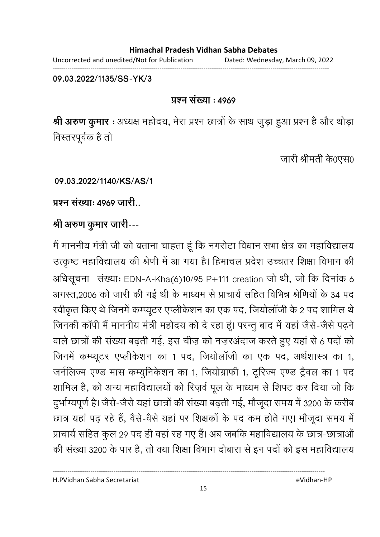Uncorrected and unedited/Not for Publication Dated: Wednesday, March 09, 2022 ------------------------------------------------------------------------------------------------------------------------------------

**09.03.2022/1135/SS-YK/3**

### <u>प्रश्न संख्या : ४९४९</u>

**श्री अरुण कुमार** : अध्यक्ष महोदय, मेरा प्रश्न छात्रों के साथ जुड़ा हुआ प्रश्न है और थोड़ा विस्तरपूर्वक है तो

जारी श्रीमती के0एस0

**09.03.2022/1140/KS/AS/1**

प्रश्न संख्या: 4969 जारी

श्री अरुण कुमार जारी---

मैं माननीय मंत्री जी को बताना चाहता हूं कि नगरोटा विधान सभा क्षेत्र का महाविद्यालय उत्कृष्ट महाविद्यालय की श्रेणी में आ गया है। हिमाचल प्रदेश उच्चतर शिक्षा विभाग की अधिसूचना संख्या: EDN-A-Kha(6)10/95 P+111 creation जो थी, जो कि दिनांक 6 अगस्त,2006 को जारी की गई थी के माध्यम से प्राचार्य सहित विभिन्न श्रीणेयों के 34 पद स्वीकृत किए थे जिनमें कम्प्यूटर एप्लीकेशन का एक पद, जियोलॉजी के 2 पद शामिल थे जिनकी कापी मैं माननीय मंत्री महोदय को दे रहा हूं। परन्तु बाद में यहां जैसे-जैसे पढ़ने वाले छात्रों की संख्या बढ़ती गई, इस चीज़ को नज़रअंदाज करते हुए यहां से 6 पदों को जिनमें कम्प्यूटर एप्लीकेशन का 1 पद, जियोलॉजी का एक पद, अर्थशास्त्र का 1, जनैलिज्म एण्ड मास कम्युनिकेशन का १, जियोग्राफी १, टूरिज्म एण्ड ट्रैवल का १ पद शामिल हैं, को अन्य महाविद्यालयों को रिज़र्व पूल के माध्यम से शिफ्ट कर दिया जो कि दुर्भाग्यपूर्ण है। जैसे-जैसे यहां छात्रों की संख्या बढ़ती गई, मौजूदा समय में 3200 के करीब छात्र यहां पढ़ रहे हैं, वैसे-वैसे यहां पर शिक्षकों के पद कम होते गए। मौजूदा समय में प्राचार्य सहित कुल 29 पद ही वहां रह गए हैं। अब जबकि महाविद्यालय के छात्र-छात्राओं की संख्या 3200 के पार है, तो क्या शिक्षा विभाग दोबारा से इन पर्दों को इस महाविद्यालय

H.PVidhan Sabha Secretariat eVidhan-HP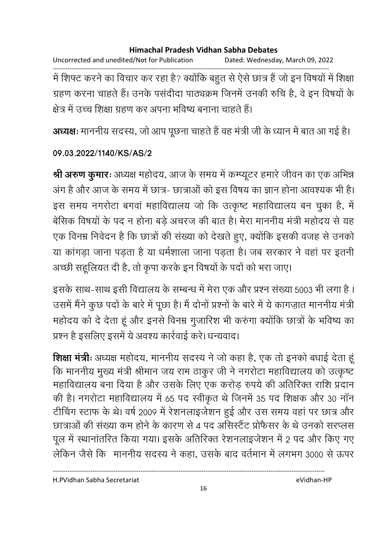Uncorrected and unedited/Not for Publication Dated: Wednesday, March 09, 2022 ------------------------------------------------------------------------------------------------------------------------------------ में शिफ्ट करने का विचार कर रहा है? क्योंकि बहुत से ऐसे छात्र है जो इन विषयों में शिक्षा ग्रहण करना चाहते हैं। उनके पसदीदा पाठ्यक्रम जिनमें उनकी रुचि हैं, वे इन विषयों के क्षेत्र में उच्च शिक्षा ग्रहण कर अपना भविष्य बनाना चाहते हैं।

**अध्यक्षः** माननीय सदस्य, जो आप पूछना चाहते हैं वह मंत्री जी के ध्यान में बात आ गई हैं।

### **09.03.2022/1140/KS/AS/2**

**श्री अरुण कुमारः** अध्यक्ष महोदय, आज के समय में कम्प्यूटर हमारे जीवन का एक अभिन्न अंग हैं और आज के समय में छात्र- छात्राओं को इस विषय का ज्ञान होना आवश्यक भी है। इस समय नगरोटा बगवा महाविद्यालय जो कि उत्कृष्ट महाविद्यालय बन चुका है, में बेसिक विषयों के पद न होना बड़े अचरज की बात है। मेरा माननीय मंत्री महोदय से यह एक विनम्र निर्वेदन है कि छात्रों की संख्या को देखते हुए, क्योंकि इसकी वजह से उनको या कांगड़ा जाना पड़ता है या धर्मशाला जाना पड़ता है। जब सरकार ने वहां पर इतनी अच्छी सहूलियत दी है, तो कृपा करके इन विषयों के पदों को भरा जाए।

इसके साथ-साथ इसी विद्यालय के सम्बन्ध में मेरा एक और प्रश्न संख्या 5003 भी लगा है । उसमें मैंने कुछ पदों के बारे में पूछा है। मैं दोनों प्रश्नों के बारे में ये कागज़ात माननीय मंत्री महोदय को दे देता हूं और इनसे विनम्र गुजारिश भी करुंगा क्योंकि छात्रों के भविष्य का प्रश्न है इसलिए इसमें ये अवश्य कार्रवाई करें। धन्यवाद।

**शिक्षा मंत्रीः** अध्यक्ष महोदय, माननीय सदस्य ने जो कहा है, एक तो इनको बधाई देता हू कि माननीय मुख्य मंत्री श्रीमान जय राम ठाकुर जी ने नगरोटा महाविद्यालय को उत्कृष्ट महाविद्यालय बना दिया है और उसके लिए एक करोड़ रुपये की अतिरिक्त राशि प्रदान की है। नगरोटा महाविद्यालय में 65 पद स्वीकृत थे जिनमें 35 पद शिक्षक और 30 नान टीचिंग स्टाफ के थे। वर्ष 2009 में रेशनलाइजेशन हुई और उस समय वहां पर छात्र और छात्राओं की संख्या कम होने के कारण से 4 पद असिस्टैट प्रोफैसर के थे उनको सरप्लस पूल में स्थानांतरित किया गया। इसके अतिरिक्त रेशनलाइजेशन में 2 पद और किए गए लेकिन जैसे कि -माननीय सदस्य ने कहा, उसके बाद वर्तमान में लगभग 3000 से ऊपर

H.PVidhan Sabha Secretariat eVidhan-HP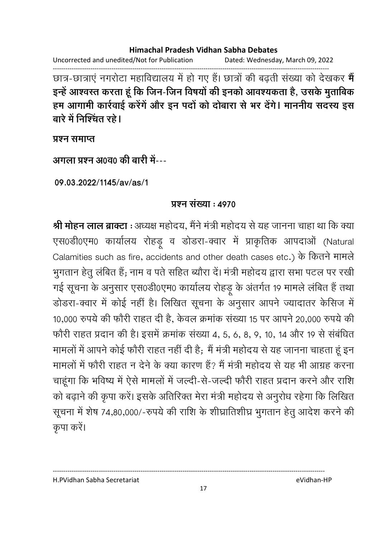Uncorrected and unedited/Not for Publication Dated: Wednesday, March 09, 2022

------------------------------------------------------------------------------------------------------------------------------------ छात्र-छात्राए नगरोटा महाविद्यालय में हो गए हैं। छात्रों की बढ़ती संख्या को देखकर **में** इन्हें आश्वस्त करता हूं कि जिन-जिन विषयों की इनको आवश्यकता है, उसके मुताबिक हम आगामी कार्रवाई करेंगें और इन पदों को दोबारा से भर देंगे। माननीय सदस्य इस बारे में निश्चिंत रहे।

**yaxa** समाप्त

<u> अगला प्रश्न अ0व0 की बारी में---</u>

**09.03.2022/1145/av/as/1**

## **9 प्रश्न संख्या : 4970**

**श्री मोहन लाल ब्राक्टा** : अध्यक्ष महोदय, मैंने मंत्री महोदय से यह जानना चाहा था कि क्या एस0डी0एम0 कार्यालय रोहड़ू व डोडरा-क्वार में प्राकृतिक आपदाओं (Natural) Calamities such as fire, accidents and other death cases etc.)  
  भुगतान हेतु लंबित हैं; नाम व पते सहित ब्यौरा दें। मंत्री महोदय द्वारा सभा पटल पर रखी गई सूचना के अनुसार एस0डी0एम0 कार्यालय रोहंडू के अंतर्गत 19 मामले लंबित हैं तथा डोंडरा-क्वार में कोई नहीं हैं। लिखित सूचना के अनुसार आपने ज्यादांतर केंसिज में 10,000 रुपये की फौरी राहत दी है, केवल क्रमांक संख्या 15 पर आपने 20,000 रुपये की फौरी राहत प्रदान की है। इसमें क्रमांक संख्या 4, 5, 6, 8, 9, 10, 14 और 19 से संबंधित मामलों में आपने कोई फौरी राहत नहीं दी हैं; मैं मंत्री महोदय से यह जानना चाहता हूं इन मामलों में फौरी राहत न देने के क्या कारण हैं? मैं मंत्री महोदय से यह भी आग्रह करना चाहूंगा कि भविष्य में ऐसे मामलों में जल्दी-से-जल्दी फौरी राहत प्रदान करने और राशि को बढ़ाने की कृपा करें। इसके अतिरिक्त मेरा मंत्री महोदय से अनुरोध रहेगा कि लिखित सूचना में शेष 74,80,000/-रुपये की राशि के शीघ्रातिशीघ्र भुगतान हेतु आदेश करने की कुपा करें।

H.PVidhan Sabha Secretariat eVidhan-HP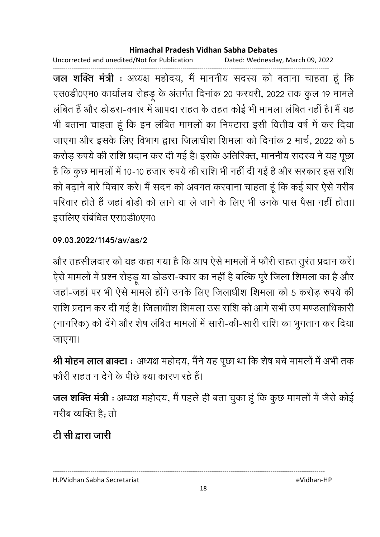Uncorrected and unedited/Not for Publication Dated: Wednesday, March 09, 2022

------------------------------------------------------------------------------------------------------------------------------------ **जल शक्ति मंत्री** : अध्यक्ष महोदय, मैं माननीय सदस्य को बताना चाहता हूं कि एस0डी0एम0 कार्यालय रोहडू के अंतर्गत दिनाक 20 फरवरी, 2022 तक कुल 19 मामले लंबित है और डोंडरा-क्वार में आपदा राहत के तहत कोई भी मामला लंबित नहीं है। मैं यह भी बताना चाहता हूं कि इन लंबित मामलों का निपटारा इसी वित्तीय वर्ष में कर दिया जाएगा और इसके लिए विभाग द्वारा जिलाधीश शिमला को दिनांक 2 मार्च, 2022 को 5 करोड़ रुपये की राशि प्रदान कर दी गई है। इसके अतिरिक्त, माननीय सदस्य ने यह पूछा है कि कुछ मामलों में 10-10 हजार रुपये की राशि भी नहीं दी गई है और सरकार इस राशि को बढ़ाने बारे विचार करे। मैं सदन को अवगत करवाना चाहता हूं कि कई बार ऐसे गरीब परिवार होते हैं जहाँ बोडी को लाने या ले जाने के लिए भी उनके पास पैसा नहीं होता। इसलिए संबंधित एस0डी0एम0

## **09.03.2022/1145/av/as/2**

और तहसीलदार को यह कहा गया है कि आप ऐसे मामलों में फौरी राहत तुरंत प्रदान करें। ऐसे मामलों में प्रश्न रोहड़ू या डोंडरा-क्वार का नहीं है बल्कि पूरे जिला शिमला का है और जहां-जहां पर भी ऐसे मामले होंगे उनके लिए जिलाधीश शिमला को 5 करोड़ रुपये की राशि प्रदान कर दी गई है। जिलाधीश शिमला उस राशि को आगे सभी उप मण्डलाधिकारी (नागरिक) को देंगे और शेष लंबित मामलों में सारी-की-सारी राशि का भुगतान कर दिया जाएगा।

**श्री मोहन लाल ब्राक्टा** : अध्यक्ष महोदय, मैंने यह पूछा था कि शेष बचे मामलों में अभी तक फौरी राहत न देने के पीछे क्या कारण रहे हैं।

**जल शक्ति मंत्री** : अध्यक्ष महोदय, मैं पहले ही बता चुका हूँ कि कुछ मामलों में जैसे कोई गरीब व्यक्ति हैं; तो

# टी सी द्वारा जारी

---------------------------------------------------------------------------------------------------------------------------------- H.PVidhan Sabha Secretariat eVidhan-HP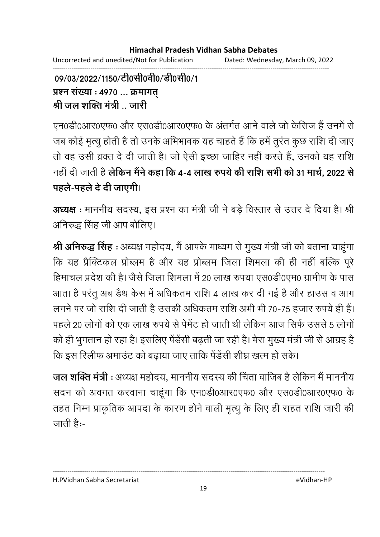------------------------------------------------------------------------------------------------------------------------------------

09/03/2022/1150/टी0सी0वी0/डी0सी0/1 प्रश्न संख्या : 4970 ... क्रमागत <u>श्री जल शक्ति मंत्री .. जारी</u>

एन0डी0आर0एफ0 और एस0डी0आर0एफ0 के अंतर्गत आने वाले जो केसिज हैं उनमें से जब कोई मृत्यु होती है तो उनके अभिभावक यह चाहते हैं कि हमें तुरत कुछ राशि दी जाए तों वह उसी व़क्त दें दी जाती है। जो ऐसी इच्छा जाहिर नहीं करते हैं, उनको यह राशि नहीं दी जाती हैं **लेकिन मैने कहा कि 4-4 लाख रुपये की राशि सभी को 31 <b>मार्च, 2022 से** पहले-पहले दे दी जाएगी।

**अध्यक्ष** : माननीय सदस्य, इस प्रश्न का मंत्री जी ने बड़े विस्तार से उत्तर दें दिया है। श्री अनिरुद्ध सिंह जी आप बोलिए।

**श्री अनिरुद्ध सिंह** : अध्यक्ष महोदय, मैं आपके माध्यम से मुख्य मंत्री जी को बताना चाहूंगा कि यह प्रैक्टिकल प्रोब्लम है और यह प्रोब्लम जिला शिमला की ही नहीं बल्कि पूरे हिमाचल प्रदेश की है। जैसे जिला शिमला में 20 लाख रुपया एस0डी0एम0 ग्रामीण के पास आता है परंतु अब ंडथ केस में अधिकतम राशि 4 लाख कर दी गई है और हाउस व आग लगने पर जो राशि दी जाती है उसकी अधिकतम राशि अभी भी 70-75 हजार रुपये ही है। पहले 20 लोगों को एक लाख रुपये से पेमेंट हो जाती थी लेकिन आज सिर्फ उससे 5 लोगों को ही भुगतान हो रहा है। इसलिए पेंडेंसी बढ़ती जा रही है। मेरा मुख्य मंत्री जी से आग्रह हैं | कि इस रिलीफ अमाउंट को बढाया जाए ताकि पेंडेंसी शीघ्र खत्म हो सके।

**जल शक्ति मंत्री** : अध्यक्ष महोदय, माननीय सदस्य की चिंता वाजिब है लेकिन मैं माननीय सदन को अवगत करवाना चाहूंगा कि एन0डी0आर0एफ0 और एस0डी0आर0एफ0 के तहत निम्न प्राकृतिक आपदा के कारण होने वाली मृत्यू के लिए ही राहत राशि जारी की जाती हैं:-

H.PVidhan Sabha Secretariat eVidhan-HP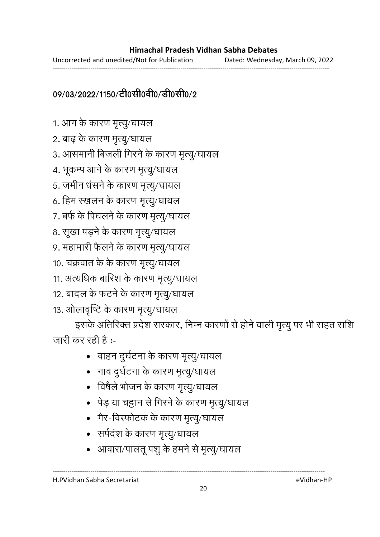Uncorrected and unedited/Not for Publication Dated: Wednesday, March 09, 2022 ------------------------------------------------------------------------------------------------------------------------------------

# 09/03/2022/1150/टी0सी0वी0/डी0सी0/2

- 1. आग के कारण मृत्यू/घायल
- 2. बाढ़ के कारण मृत्यू/घायल
- 3. आसमानी बिजली गिरने के कारण मृत्यू/घायल
- 4. भूकम्प आने के कारण मृत्यू/घायल
- 5. जमीन धंसने के कारण मृत्यू/घायल
- 6. हिम स्खलन के कारण मृत्यू/घायल
- 7. बर्फ के पिघलने के कारण मृत्यु/घायल
- 8. सूखा पड़ने के कारण मृत्यु/घायल
- 9. महामारी फैलने के कारण मृत्यु/घायल
- 10. चक्रवात के के कारण मृत्यू/घायल
- 11. अत्यधिक बारिश के कारण मृत्यू/घायल
- 12. बादल के फटने के कारण मृत्यू/घायल
- 13. ओलावृष्टि के कारण मृत्यू/घायल

इसके अतिरिक्त प्रदेश सरकार, निम्न कारणों से होने वाली मृत्यु पर भी राहत राशि जारी कर रही है :-

- वाहन दुर्घटना के कारण मृत्यु/घायल
- नाव दुर्घटना के कारण मृत्यु/घायल
- विषैले भोजन के कारण मृत्यु/घायल
- पेड़ या चट्टान से गिरने के कारण मृत्यू/घायल
- 
- 
- 
- 
- 
- 
- 
- 
- 
- 
- गैर-विस्फोटक के कारण मृत्यु/घायल
- सर्पदंश के कारण मृत्यू/घायल
- आवारा/पालतू पशु के हमने से मृत्यु/घायल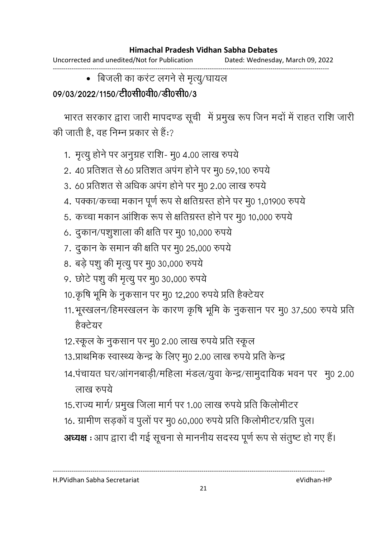Uncorrected and unedited/Not for Publication Dated: Wednesday, March 09, 2022

------------------------------------------------------------------------------------------------------------------------------------ • बिजली का करंट लगने से मृत्यु/घायल

# 09/03/2022/1150/टी0सी0वी0/डी0सी0/3

भारत सरकार द्वारा जारी मापदण्ड सूची में प्रमुख रूप जिन मदों में राहत राशि जारी की जाती है, वह निम्न प्रकार से हैं:?

- 1. मृत्यु होने पर अनुग्रह राशि- मु0 4.00 लाख रुपये
- 2. 40 प्रतिशत से 60 प्रतिशत अपंग होने पर मू0 59,100 रुपये
- 3. 60 प्रतिशत से अधिक अपंग होने पर मु0 2.00 लाख रुपये
- 4. पक्का/कच्चा मकान पूर्ण रूप से क्षतिग्रस्त होने पर मु0 1,01900 रुपये
- 5. कच्चा मकान आंशिक रूप से क्षतिग्रस्त होने पर मु0 10,000 रुपये
- 6. दुकान/पशुशाला की क्षति पर मु0 10,000 रुपये
- 7. दुकान के समान की क्षति पर मु0 25,000 रुपये
- 8. बड़े पशु की मृत्यु पर मु0 30,000 रुपये
- 9. छोटे पशु की मृत्यु पर मु0 30,000 रुपये
- 10.कृषि भूमि के नुकसान पर मु0 12,200 रुपये प्रति हैक्टेयर
- 11. भूस्खलन/हिमस्खलन के कारण कृषि भूमि के नुकसान पर मू0 37,500 रुपये प्रति हैक्टेयर
- 12.स्कूल के नुकसान पर मु0 2.00 लाख रुपये प्रति स्कूल
- 13.प्राथमिक स्वास्थ्य केन्द्र के लिए मु0 2.00 लाख रुपये प्रति केन्द्र
- 14.पंचायत घर/आंगनबाड़ी/महिला मंडल/युवा केन्द्र/सामुदायिक भवन पर मु0 2.00 लाख रुपये
- 15.राज्य मार्ग/ प्रमुख जिला मार्ग पर 1.00 लाख रुपये प्रति किलोमीटर
- 16. ग्रामीण सड़कों व पुलों पर मु0 60,000 रुपये प्रति किलोमीटर/प्रति पुल।

----------------------------------------------------------------------------------------------------------------------------------

अध्यक्ष : आप द्वारा दी गई सूचना से माननीय सदस्य पूर्ण रूप से संतुष्ट हो गए हैं।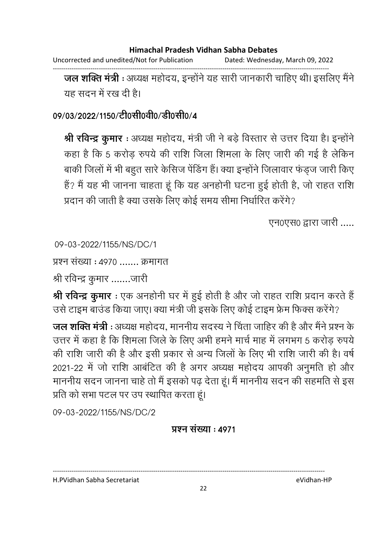Uncorrected and unedited/Not for Publication Dated: Wednesday, March 09, 2022

------------------------------------------------------------------------------------------------------------------------------------

**जल शक्ति मंत्री** : अध्यक्ष महोदय, इन्होंने यह सारी जानकारी चाहिए थी। इसलिए मैंने यह सदन में रख दी है।

## 09/03/2022/1150/टी0सी0वी0/डी0सी0/4

**श्री रविन्द्र कुमार** : अध्यक्ष महोदय, मंत्री जी ने बड़े विस्तार से उत्तर दिया है। इन्होंने कहा है कि 5 करोड़ रुपये की राशि जिला शिमला के लिए जारी की गई है लेकिन बाकी जिलों में भी बहुत सारे केसिज पेंडिंग हैं। क्या इन्होंने जिलावार फंड़ज जारी किए है? मैं यह भी जानना चाहता हूं कि यह अनहोंनी घटना हुई होती है, जो राहत राशि प्रदान की जाती है क्या उसके लिए कोई समय सीमा निर्धारित करेंगे?

एन0एस0 द्वारा जारी .....

09-03-2022/1155/NS/DC/1

प्रश्न संख्या : ४९७० ....... क्रमागत

श्री रविन्द्र कुमार .......जारी

**श्री रविन्द्र कुमार** : एक अनहोंनी घर में हुई होती है और जो राहत राशि प्रदान करते हैं | उसे टाइम बाउंड किया जाए। क्या मंत्री जी इसके लिए कोई टाइम फ्रेम फिक्स करेंगे?

**जल शक्ति मंत्री** : अध्यक्ष महोदय, माननीय सदस्य ने चिंता जाहिर की है और मैंने प्रश्न के उत्तर में कहा है कि शिमला जिले के लिए अभी हमने मार्च माह में लगभग 5 करोड़ रुपयें की राशि जारी की है और इसी प्रकार से अन्य जिलों के लिए भी राशि जारी की है। वर्ष 2021-22 में जो राशि आंबेटित की है अगर अध्यक्ष महोदय आपकी अनुमति हो और माननीय सदन जानना चाहे तो मैं इसको पढ़ देता हूं। मैं माननीय सदन की सहमति से इस प्रति को सभा पटल पर उप स्थापित करता हूं।

09-03-2022/1155/NS/DC/2

### <u> प्रश्न संख्या : 4971</u>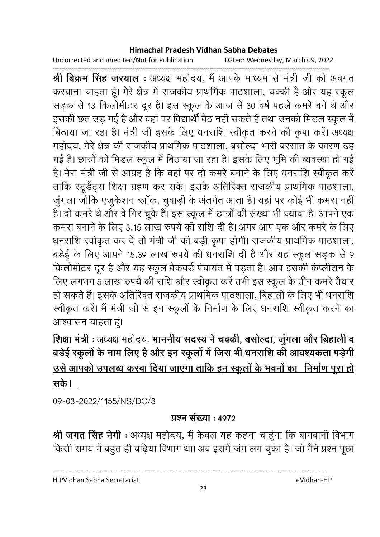Uncorrected and unedited/Not for Publication Dated: Wednesday, March 09, 2022

------------------------------------------------------------------------------------------------------------------------------------ **श्री बिक्रम सिंह जरयाल** : अध्यक्ष महोदय, मैं आपके माध्यम से मंत्री जी को अवगत करवाना चाहता हूं। मेरे क्षेत्र में राजकीय प्राथमिक पाठशाला, चक्की है और यह स्कूल सड़क से 13 किलोमीटर दूर है। इस स्कूल के आज से 30 वर्ष पहले कमरे बने थे और इसकी छत उड़ गई है और वहां पर विद्यार्थी बैठ नहीं सकते हैं तथा उनको मिंडल स्कूल में बिठाया जा रहा है। मंत्री जी इसके लिए धनराशि स्वीकृत करने की कृपा करें। अध्यक्ष महोदय, मेरे क्षेत्र की राजकीय प्राथमिक पाठशाला, बसोल्दा भारी बरसात के कारण ढह गई है। छात्रों को मिंडल स्कूल में बिठाया जा रहा है। इसके लिए भूमि की व्यवस्था हो गई हैं। मेरा मंत्री जी से आग्रह है कि वहां पर दो कमरें बनाने के लिए धनराशि स्वीकृत करें ताकि स्टूडैंट्स शिक्षा ग्रहण कर सकें। इसके अतिरिक्त राजकीय प्राथमिक पाठशाला, जुगला जोकि एजुकेशन ब्लाक, चुवाड़ी के अंतर्गत आता है। यहां पर कोई भी कमरा नहीं | हैं। दो कमरे थे और वे गिर चुके हैं। इस स्कूल में छात्रों की संख्या भी ज्यादा है। आपने एक कमरा बनाने के लिए 3.15 लाख रुपये की राशि दी है। अगर आप एक और कमरे के लिए धनराशि स्वीकृत कर दें तो मंत्री जी की बड़ी कृपा होगी। राजकीय प्राथमिक पाठशाला, बर्डई के लिए आपने 15.39 लाख रुपये की धनराशि दी है और यह स्कूल सड़क से 9 किलोमीटर दूर है और यह स्कूल बेकवर्ड पंचायत में पड़ता है। आप इसकी कप्लीशन के लिए लगभग 5 लाख रुपये की राशि और स्वीकृत करें तभी इस स्कूल के तीन कमरें तैयार हो सकते हैं। इसके अतिरिक्त राजकीय प्राथमिक पाठशाला, बिहाली के लिए भी धनराशि स्वीकृत करें। मैं मंत्री जी से इन स्कूलों के निर्माण के लिए धनराशि स्वीकृत करने का आश्वासन चाहता हूं।

# **शिक्षा मंत्री** : अध्यक्ष महोदय, <u>माननीय सदस्य ने चक्की, बर्साल्दा, जुगला और बिहाली व</u> <u>बडेई स्कूलों के नाम लिए है और इन स्कूलों में जिस भी धनराशि की आवश्यकता पड़ेगी</u> <u>उसे आपको उपलब्ध करवा दिया जाएगा ताकि इन स्कूलों के भवनों का निर्माण पूरा हो </u> <u>सके।</u>

09-03-2022/1155/NS/DC/3

### <u>प्रश्न संख्या : ४९७२</u>

**श्री जगत सिंह नेगी** : अध्यक्ष महोदय, मैं केवल यह कहना चाहूंगा कि बागवानी विभाग किसी समय में बहुत ही बढ़िया विभाग था। अब इसमें जंग लग चुका है। जो मैंने प्रश्न पूछा

H.PVidhan Sabha Secretariat eVidhan-HP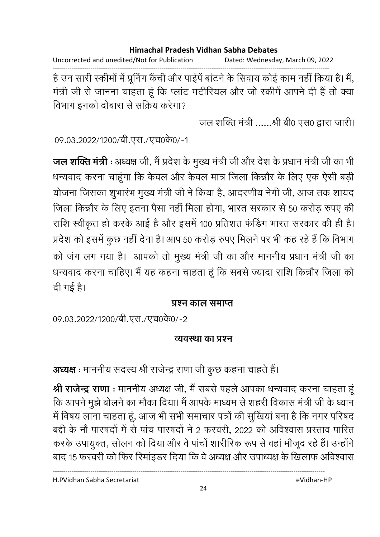Uncorrected and unedited/Not for Publication Dated: Wednesday, March 09, 2022

------------------------------------------------------------------------------------------------------------------------------------ है उन सारी स्कीमों में प्रूनिंग कैची और पाईपे बाटने के सिवाय कोई काम नहीं किया है। मैं, मंत्री जी से जानना चाहता हूं कि प्लांट मटीरियल और जो स्कीमें आपने दी हैं तो क्या विभाग इनको दोबारा से सक्रिय करेगा?

जल शक्ति मंत्री ......श्री बी0 एस0 द्वारा जारी।

09.03.2022/1200/बी.एस./एच0के0/-1

**जल शक्ति मंत्री** : अध्यक्ष जी, मैं प्रदेश के मुख्य मंत्री जी और देश के प्रधान मंत्री जी का भी धन्यवाद करना चाहूंगा कि केवल और केवल मात्र जिला किन्नौर के लिए एक ऐसी बड़ी योजना जिसका शुभारभ मुख्य मंत्री जी ने किया है, आंदरणीय नेगी जी, आज तक शायद जिला किन्नौर के लिए इतना पैसा नहीं मिला होगा, भारत सरकार से 50 करोड़ रुपए की राशि स्वीकृत हो करके आई है और इसमें 100 प्रतिशत फंडिंग भारत सरकार की ही है। प्रदेश को इसमें कुछ नहीं देना है। आप 50 करोड़ रुपए मिलने पर भी कह रहे हैं कि विभाग को जग लग गया है। आपको तो मुख्य मंत्री जी का और माननीय प्रधान मंत्री जी का धन्यवाद करना चाहिए। मैं यह कहना चाहता हूं कि सबसे ज्यादा राशि किन्नौर जिला को दी गई है।

### <u>प्रश्न काल समाप्त</u>

09.03.2022/1200/बी.एस./एच0के0/-2

### <u>व्यवस्था का प्रश्न</u>

अध्यक्ष : माननीय सदस्य श्री राजेन्द्र राणा जी कुछ कहना चाहते हैं।

**श्री राजेन्द्र राणा** : माननीय अध्यक्ष जी, मैं सबसे पहले आपका धन्यवाद करना चाहता हू कि आपने मुझे बोलने का मौका दिया। मैं आपके माध्यम से शहरी विकास मंत्री जी के ध्यान-में विषय लाना चाहता हूं, आज भी सभी समाचार पत्रों की सुखिया बना है कि नगर परिषद बद्दी के नौ पारषदों में से पांच पारषदों ने 2 फरवरी, 2022 को अविश्वास प्रस्ताव पारित करके उपायुक्त, सोलन को दिया और वे पांचों शारीरिक रूप से वहां मौजूद रहे हैं। उन्होंने बाद 15 फरवरी को फिर रिमाइंडर दिया कि वे अध्यक्ष और उपाध्यक्ष के खिलाफ अविश्वास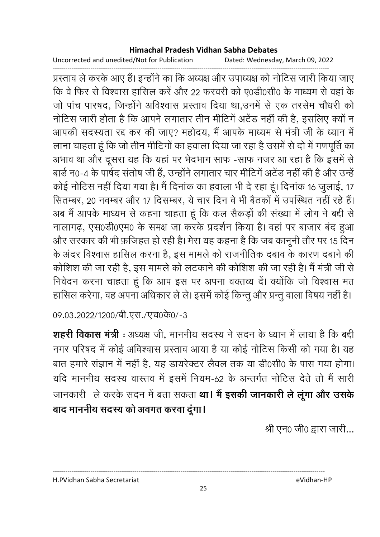Uncorrected and unedited/Not for Publication Dated: Wednesday, March 09, 2022

------------------------------------------------------------------------------------------------------------------------------------ प्रस्ताव ले करके आए हैं। इन्होंने का कि अध्यक्ष और उपाध्यक्ष को नोटिस जारी किया जाए कि वे फिर से विश्वास हासिल करें और 22 फरवरी को ए0डी0सी0 के माध्यम से वहां के जो पांच पारषद, जिन्होंने अविश्वास प्रस्ताव दिया था,उनमें से एक तरसेम चौधरी को नोटिस जारी होता है कि आपने लगातार तीन मीटिंग अटेंड नहीं की हैं, इसलिए क्यों न आपकी सदस्यता रद्द कर की जाए? महोदय, मैं आपके माध्यम से मंत्री जी के ध्यान में लाना चाहता हूँ कि जो तीन मीटिंगों का हवाला दिया जा रहा है उसमें से दो में गणपूर्ति का अभाव था और दूसरा यह कि यहां पर भेदभाग साफ -साफ नजर आ रहा है कि इसमें से बार्ड न0-4 के पार्षद सतोष जी है, उन्होंने लगातार चार मीटिंग अटेंड नहीं की हैं और उन्हें कोई नोटिस नहीं दिया गया है। मैं दिनाक का हवाला भी दे रहा हूं। दिनाक 16 जुलाई, 17 सितम्बर, 20 नवम्बर और 17 दिसम्बर, ये चार दिन वे भी बैठकों में उपस्थित नहीं रहे हैं। अब मैं आपके माध्यम से कहना चाहता हूं कि कल सैकड़ों की संख्या में लोग ने बंदी से नालागढ़, एस0डी0एम0 के समक्ष जा करके प्रदर्शन किया है। वहां पर बाजार बंद हुआ और सरकार की भी फ़र्जिहत हो रही है। मेरा यह कहना है कि जब कानूनी तौर पर 15 दिन के अंदर विश्वास हासिल करना है, इस मामले को राजनीतिक दबाव के कारण दबाने की कोशिश की जा रही है, इस मामले को लटकाने की कोशिश की जा रही है। मैं मंत्री जी से निवेदन करना चाहता हूं कि आप इस पर अपना वक्तव्य दें। क्योंकि जो विश्वास मत हासिल करेगा, वह अपना अधिकार ले ले। इसमें कोई किन्तु और प्रन्तु वाला विषय नहीं हैं।

09.03.2022/1200/बी.एस./एच0के0/-3

**शहरी विकास मंत्री** : अध्यक्ष जी, माननीय सदस्य ने सदन के ध्यान में लाया है कि बंदी नगर परिषद में कोई अविश्वास प्रस्ताव आया है या कोई नोटिस किसी को गया है। यह बात हमारे सज्ञान में नहीं हैं, यह डायरेक्टर लैवल तक या डी0सी0 के पास गया होगा। यदि माननीय सदस्य वास्तव में इसमें नियम-62 के अन्तर्गत नोटिस देते तो मैं सारी   @ '

 **5 R L / 0J Z K**  बाद माननीय सदस्य को अवगत करवा दूंगा।

श्री एन0 जी0 द्वारा जारी...

H.PVidhan Sabha Secretariat eVidhan-HP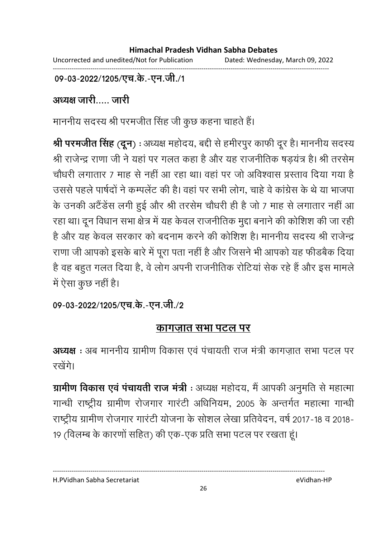09-03-2022/1205/एच.के.-एन.जी./1

अध्यक्ष जारी..... जारी

माननीय सदस्य श्री परमजीत सिंह जी कुछ कहना चाहते हैं।

**श्री परमजीत सिंह (दून)** : अध्यक्ष महोदय, बद्दी से हमीरपुर काफी दूर है। माननीय सदस्य श्री राजेन्द्र राणा जी ने यहां पर गलत कहा है और यह राजनीतिक षड़यत्र है। श्री तरसेम चौंधरी लगातार 7 माह से नहीं आ रहा था। वहां पर जो अविश्वास प्रस्ताव दिया गया हैं | उससे पहले पार्षदों ने कम्पलेट की है। वहां पर सभी लोग, चाहे वे कांग्रेस के थे या भाजपा के उनकी अटैंडेस लगी हुई और श्री तरसेम चौधरी ही है जो 7 माह से लगातार नहीं आ रहा था। दून विधान सभा क्षेत्र में यह केवल राजनीतिक मुद्दा बनाने की कोशिश की जा रही है और यह केवल सरकार को बदनाम करने की कोशिश है। माननीय सदस्य श्री राजेन्द्र राणा जी आपको इसके बारे में पूरा पता नहीं है और जिसने भी आपको यह फीडबैंक दिया। है वह बहुत गलत दिया है, वे लोग अपनी राजनीतिक रोटिया सेक रहे हैं और इस मामलें में ऐसा कुछ नहीं है।

09-03-2022/1205/एच.के.-एन.जी./2

# <u>कागज़ात सभा पटल पर</u>

अध्यक्ष : अब माननीय ग्रामीण विकास एवं पंचायती राज मंत्री कागज़ात सभा पटल पर रखेंगे।

**ग्रामीण विकास एवं पचायती राज मंत्री** : अध्यक्ष महोदय, मैं आपकी अनुमति से महात्मा गान्धी राष्ट्रीय ग्रामीण रोजगार गारंटी अधिनियम, 2005 के अन्तर्गत महात्मा गान्धी राष्ट्रीय ग्रामीण रोजगार गारंटी योजना के सोशल लेखा प्रतिवेदन, वर्ष 2017-18 व 2018-19 (विलम्ब के कारणों सहित) की एक-एक प्रति सभा पटल पर रखता हूं।

H.PVidhan Sabha Secretariat eVidhan-HP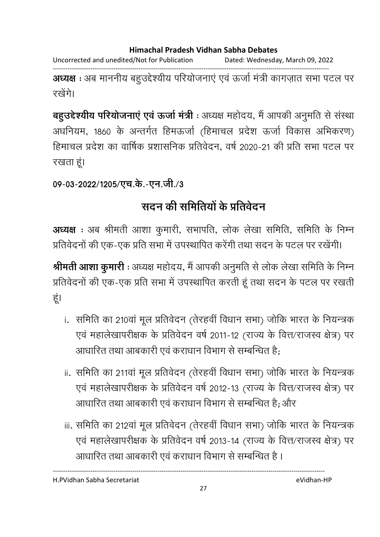Uncorrected and unedited/Not for Publication Dated: Wednesday, March 09, 2022

------------------------------------------------------------------------------------------------------------------------------------ अध्यक्ष : अब माननीय बहुउद्देश्यीय परियोजनाएं एवं ऊर्जा मंत्री कागज़ात सभा पटल पर रखेंगे।

**बहुउद्देश्यीय परियोजनाएं एवं ऊर्जा मंत्री** : अध्यक्ष महोदय, मैं आपकी अनुमति से संस्था अधनियम, 1860 के अन्तर्गत हिमऊर्जा (हिमाचल प्रदेश ऊर्जा विकास अभिकरण) हिमाचल प्रदेश का वार्षिक प्रशासनिक प्रतिवेदन, वर्ष 2020-21 की प्रति सभा पटल पर रखता हूं।

# 09-03-2022/1205/एच.के.-एन.जी./3

# सदन की समितियों के प्रतिवेदन

अध्यक्ष : अब श्रीमती आशा कुमारी, सभापति, लोक लेखा समिति, समिति के निम्न प्रतिवेदनों की एक-एक प्रति सभा में उपस्थापित करेंगी तथा सदन के पटल पर रखेंगी।

**श्रीमती आशा कुमारी** : अध्यक्ष महोदय, मैं आपकी अनुमति से लोक लेखा समिति के निम्न प्रतिवेदनों की एक-एक प्रति सभा में उपस्थापित करती हूं तथा सदन के पटल पर रखती हूं।

- i. समिति का 210वां मूल प्रतिवेदन (तेरहवीं विधान सभा) जोकि भारत के नियन्त्रक एवं महालेखापरीक्षक के प्रतिवेदन वर्ष 2011-12 (राज्य के वित्त/राजस्व क्षेत्र) पर आधारित तथा आबकारी एवं कराधान विभाग से सम्बन्धित है;
- ii. समिति का 211वां मूल प्रतिवेदन (तेरहवीं विधान सभा) जोकि भारत के नियन्त्रक एवं महालेखापरीक्षक के प्रतिवेदन वर्ष 2012-13 (राज्य के वित्त/राजस्व क्षेत्र) पर आधारित तथा आबकारी एवं कराधान विभाग से सम्बन्धित है; और
- iii. समिति का 212वां मूल प्रतिवेदन (तेरहवीं विधान सभा) जोकि भारत के नियन्त्रक एवं महालेखापरीक्षक के प्रतिवेदन वर्ष 2013-14 (राज्य के वित्त/राजस्व क्षेत्र) पर आधारित तथा आबकारी एवं कराधान विभाग से सम्बन्धित हैं ।

H.PVidhan Sabha Secretariat eVidhan-HP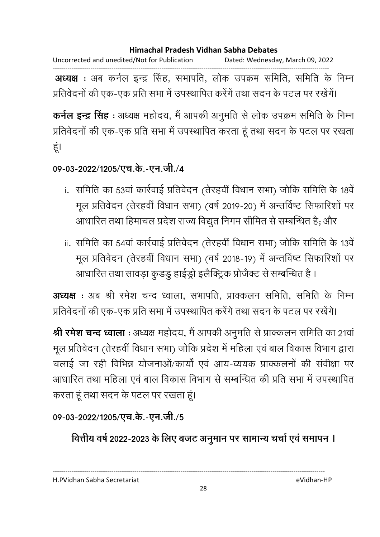Uncorrected and unedited/Not for Publication Dated: Wednesday, March 09, 2022

------------------------------------------------------------------------------------------------------------------------------------ **अध्यक्ष** : अब कर्नल इन्द्र सिंह, सभापति, लोक उपक्रम समिति, समिति के निम्न प्रतिवेदनों की एक-एक प्रति सभा में उपस्थापित करेंगें तथा सदन के पटल पर रखेंगें।

**कर्नल इन्द्र सिंह** : अध्यक्ष महोदय, मैं आपकी अनुमति से लोक उपक्रम समिति के निम्न प्रतिवेदनों की एक-एक प्रति सभा में उपस्थापित करता हूं तथा सदन के पटल पर रखता हूं।

09-03-2022/1205/एच.के.-एन.जी./4

- i. समिति का 53वां कार्रवाई प्रतिवेदन (तेरहवीं विधान सभा) जोकि समिति के 18वें मूल प्रतिवेदन (तेरहवीं विधान सभा) (वर्ष 2019-20) में अन्तर्विष्ट सिफारिशों पर आधारित तथा हिमाचल प्रदेश राज्य विद्युत निगम सीमित से सम्बन्धित है; और
- ii. समिति का 54वां कार्रवाई प्रतिवेदन (तेरहवीं विधान सभा) जोकि समिति के 13वें मूल प्रतिवेदन (तेरहवीं विधान सभा) (वर्ष 2018-19) में अन्तर्विष्ट सिफारिशों पर आधारित तथा सावड़ा कुँडडु हाईड्रो इलैक्ट्रिक प्रजिक्ट से सम्बन्धित है ।

**अध्यक्ष** : अब श्री रमेश चन्द ध्वाला, सभापति, प्राक्कलन समिति, समिति के निम्न प्रतिवेदनों की एक-एक प्रति सभा में उपस्थापित करेंगे तथा सदन के पटल पर रखेंगे।

**श्री रमेश चन्द ध्वाला** : अध्यक्ष महोदय, मैं आपकी अनुमति से प्राक्कलन समिति का 21वां मूल प्रतिवेदन (तेरहवीं विधान सभा) जोकि प्रदेश में महिला एवं बाल विकास विभाग द्वारा चलाई जा रही विभिन्न योजनाओं/कार्यों एवं आय-व्ययक प्राक्कलनों की संवीक्षा पर आधारित तथा महिला एवं बाल विकास विभाग से सम्बन्धित की प्रति सभा में उपस्थापित करता हूं तथा सदन के पटल पर रखता हूं।

09-03-2022/1205/एच.के.-एन.जी./5

वित्तीय वर्ष 2022-2023 के लिए बजट अनुमान पर सामान्य चर्चा एवं समापन ।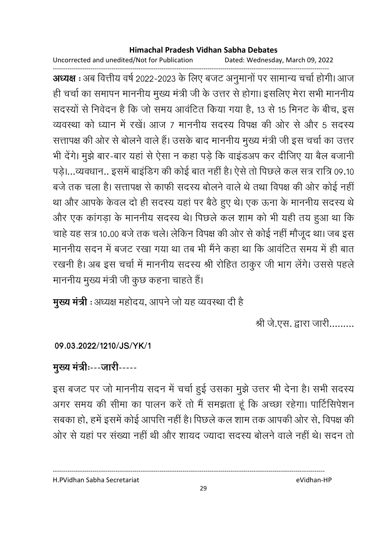Uncorrected and unedited/Not for Publication Dated: Wednesday, March 09, 2022

------------------------------------------------------------------------------------------------------------------------------------ **अध्यक्ष** : अब वित्तीय वर्ष 2022-2023 के लिए बजट अनुमानों पर सामान्य चर्चा होगी। आज ही चर्चा का समापन माननीय मुख्य मंत्री जी के उत्तर से होगा। इसलिए मेरा सभी माननीय सदस्यों से निर्वेदन हैं कि जो समय आवर्टित किया गया है, 13 से 15 मिनट के बीच, इस व्यवस्था को ध्यान में रखे। आज 7 माननीय सदस्य विपक्ष की ओर से और 5 सदस्य सत्तापक्ष की ओर से बोलने वाले हैं। उसके बाद माननीय मुख्य मंत्री जी इस चर्चा का उत्तर भी देंगे। मुझे बार-बार यहां से ऐसा न कहा पड़े कि वाइंडअप कर दीजिए या बैल बजानी पड़े।…व्यवधान.. इसमें बाइंडिंग की कोई बात नहीं है। ऐसे तो पिछले कल सत्र रात्रि 09.10 | बर्ज तक चला है। सत्तापक्ष से काफी सदस्य बोलने वाले थे तथा विपक्ष की ओर कोई नहीं। था और आपके केवल दो ही सदस्य यहां पर बैठे हुए थे। एक ऊना के माननीय सदस्य थे और एक कांगड़ा के माननीय सदस्य थे। पिछले कल शाम को भी यही तय हुआ था कि चाहे यह सत्र 10.00 बजे तक चले। लेकिन विपक्ष की ओर से कोई नहीं मौजूद था। जब इस माननीय सदन में बजट रखा गया था तब भी मैंने कहा था कि आवंटित समय में ही बात रखनी है। अब इस चर्चा में माननीय सदस्य श्री रोहित ठाकुर जी भाग लेगे। उससे पहले माननीय मुख्य मंत्री जी कुछ कहना चाहते हैं।

**मुख्य मंत्री** : अध्यक्ष महोदय, आपने जो यह व्यवस्था दी है

श्री जे.एस. द्वारा जारी.........

**09.03.2022/1210/JS/YK/1**

# मुख्य मंत्रीः---जारी-----

इस बजट पर जो माननीय सदन में चर्चा हुई उसका मुझे उत्तर भी देना है। सभी सदस्य अगर समय की सीमा का पालन करें तो मैं समझता हूं कि अच्छा रहेगा। पार्टिसिपेशन सबका हो, हमें इसमें कोई आपत्ति नहीं है। पिछले कल शाम तक आपकी ओर से, विपक्ष की ओर से यहां पर संख्या नहीं थी और शायद ज्यादा सदस्य बोलने वाले नहीं थे। सदन तो

H.PVidhan Sabha Secretariat eVidhan-HP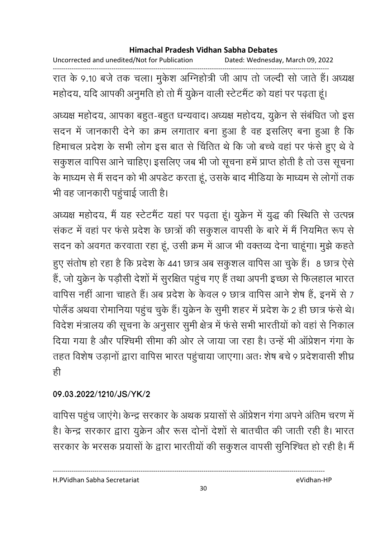Uncorrected and unedited/Not for Publication Dated: Wednesday, March 09, 2022 ------------------------------------------------------------------------------------------------------------------------------------ रात के 9.10 बर्ज तक चला। मुकेश अग्निहोत्री जी आप तो जल्दी सो जाते हैं। अध्यक्ष महोदय, यदि आपकी अनुमति हो तो मैं युक्रेन वाली स्टेटमैंट को यहां पर पढ़ता हूं।

अध्यक्ष महोदय, आपका बहुत-बहुत धन्यवाद। अध्यक्ष महोदय, युक्रेन से संबंधित जो इस सदन में जानकारी देने का क्रम लगातार बना हुआ है वह इसलिए बना हुआ है कि हिमाचल प्रदेश के सभी लोग इस बात से चिंतित थे कि जो बच्चे वहां पर फंसे हुए थे वे संकुशल वापिस आने चाहिए। इसलिए जब भी जो सूचना हमें प्राप्त होती हैं तो उस सूचना के माध्यम से मैं सदन को भी अपर्डट करता हूं, उसके बाद मीडिया के माध्यम से लोगों तक भी वह जानकारी पहुचाई जाती है।

अध्यक्ष महोदय, मैं यह स्टेटमैंट यहां पर पढ़ता हूं। युक्रेन में युद्ध की स्थिति से उत्पन्न संकट में वहां पर फंसे प्रदेश के छात्रों की सकुशल वापसी के बारे में मैं नियमित रूप से सदन को अवगत करवाता रहा हूं, उसी क्रम में आज भी वक्तव्य देना चाहूंगा। मुझे कहते हुए सतोष हो रहा है कि प्रदेश के 441 छात्र अब सकुशल वापिस आ चुके हैं। 8 छात्र ऐसे हैं, जो युक्रेन के पड़ौसी देशों में सुरक्षित पहुंच गए हैं तथा अपनी इच्छा से फिलहाल भारत वापिस नहीं आना चाहते हैं। अब प्रदेश के केवल 9 छात्र वापिस आने शेष हैं, इनमें से 7 पोलैंड अथवा रोमानिया पहुंच चुके हैं। यूक्रेन के सुमी शहर में प्रदेश के 2 ही छात्र फंसे थे। विदेश मंत्रालय की सूचना के अनुसार सुमी क्षेत्र में फंसे सभी भारतीयों को वहां से निकाल दिया गया है और पश्चिमी सीमा की ओर ले जाया जा रहा है। उन्हें भी आप्रेशन गंगा के तहत विशेष उड़ानों द्वारा वापिस भारत पहुंचाया जाएगा। अतः शेष बचे 9 प्रदेशवासी शीघ्र ही

## **09.03.2022/1210/JS/YK/2**

वापिस पहुंच जाएंगे। केन्द्र सरकार के अथक प्रयासों से ऑप्रेशन गंगा अपने अंतिम चरण में हैं। केन्द्र सरकार द्वारा युक्रेन और रूस दोनों देशों से बातचीत की जाती रही हैं। भारत सरकार के भरसक प्रयासों के द्वारा भारतीयों की संकुशल वापसी सुनिश्चित हो रही है। मैं

H.PVidhan Sabha Secretariat eVidhan-HP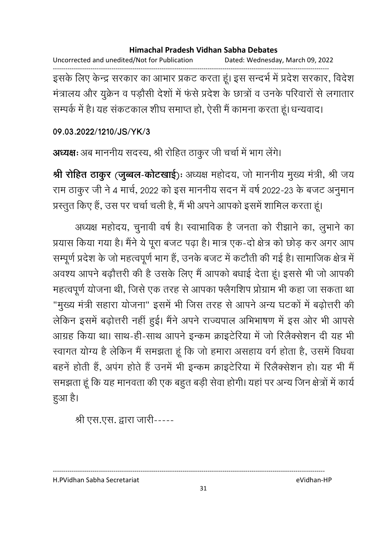Uncorrected and unedited/Not for Publication Dated: Wednesday, March 09, 2022 ------------------------------------------------------------------------------------------------------------------------------------

इसके लिए केन्द्र सरकार का आभार प्रकट करता हूं। इस सन्दर्भ में प्रदेश सरकार, विदेश मंत्रालय और युक्रेन व पड़ौसी देशों में फंसे प्रदेश के छात्रों व उनके परिवारों से लगातार सम्पर्क में हैं। यह सकटकाल शीघ समाप्त हो, ऐसी मैं कामना करता हूं। धन्यवाद।

### **09.03.2022/1210/JS/YK/3**

अध्यक्षः अब माननीय सदस्य, श्री रोहित ठाकुर जी चर्चा में भाग लेंगे।

**श्री रोहित ठाकुर (जुब्बल-कोटखाई**)ः अध्यक्ष महोदय, जो माननीय मुख्य मंत्री, श्री जय राम ठाकुर जी ने 4 मार्च, 2022 को इस माननीय सदन में वर्ष 2022-23 के बजट अनुमान

प्रस्तुत किए हैं, उस पर चर्चा चली है, मैं भी अपने आपको इसमें शामिल करता हूं।

अध्यक्ष महोदय, चुनावी वर्ष है। स्वाभाविक है जनता को रीझाने का, लुभाने का प्रयास किया गया है। मैंने ये पूरा बजट पढ़ा है। मात्र एक-दो क्षेत्र को छोड़ कर अगर आप सम्पूर्ण प्रदेश के जो महत्वपूर्ण भाग है, उनके बजट में कटौती की गई है। सामाजिक क्षेत्र में अवश्य आपने बढ़ौत्तरी की है उसके लिए मैं आपको बधाई देता हूं। इससे भी जो आपकी महत्वपूर्ण योजना थी, जिसे एक तरह से आपका फ्लैगोशैप प्रोग्राम भी कहा जा सकता था "मुख्य मंत्री सहारा योजना" इसमें भी जिस तरह से आपने अन्य घटकों में बढ़ोत्तरी की लेकिन इसमें बढ़ोत्तरी नहीं हुई। मैंने अपने राज्यपाल अभिभाषण में इस ओर भी आपसे आग्रह किया था। साथ-ही-साथ आपने इन्कम क्राइटेरिया में जो रिलैक्सेशन दी यह भी स्वागत योग्य है लेकिन मैं समझता हूँ कि जो हमारा असहाय वर्ग होता है, उसमें विधवा बहने होती हैं, अपंग होते हैं उनमें भी इन्कम क्राइटेरिया में रिलैक्सेशन हो। यह भी मैं समझता हूं कि यह मानवता की एक बहुत बड़ी सेवा होगी। यहां पर अन्य जिन क्षेत्रों में कार्य हुआ है।

श्री एस.एस. द्वारा जारी-----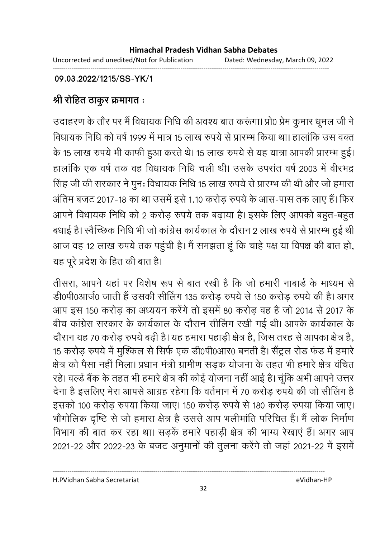**09.03.2022/1215/SS-YK/1**

# श्री रोहित ठाकुर क्रमागत ः

उदाहरण के तौर पर मैं विधायक निधि की अवश्य बात करूंगा। प्रो0 प्रेम कुमार धूमल जी ने विधायक निधि को वर्ष 1999 में मात्र 15 लाख रुपये से प्रारम्भ किया था। हालांकि उस वक्त के 15 लाख रुपये भी काफी हुआ करते थे। 15 लाख रुपये से यह यात्रा आपकी प्रारम्भ हुई। हालांकि एक वर्ष तक वह विधायक निधि चली थी। उसके उपरांत वर्ष 2003 में वीरभद्र सिंह जी की सरकार ने पून: विधायक निधि 15 लाख रुपये से प्रारम्भ की थी और जो हमारा अंतिम बजट 2017-18 का था उसमें इसे 1.10 करोड़ रुपये के आस-पास तक लाए हैं। फिर आपने विधायक निधि को 2 करोड़ रुपये तक बढ़ाया है। इसके लिए आपको बहुत-बहुत बधाई है। स्वैच्छिक निधि भी जो कांग्रेस कार्यकाल के दौरान 2 लाख रुपये से प्रारम्भ हुई थी आज वह 12 लाख रुपये तक पहुंची है। मैं समझता हूं कि चाहे पक्ष या विपक्ष की बात हो, यह पूरे प्रदेश के हित की बात है।

तीसरा, आपने यहां पर विशेष रूप से बात रखी है कि जो हमारी नाबांडे के माध्यम से डी0पी0आजे0 जाती है उसकी सीलिंग 135 करोड़ रुपये से 150 करोड़ रुपये की है। अगर आप इस 150 करोड़ का अध्ययन करेंगे तो इसमें 80 करोड़ वह है जो 2014 से 2017 के बीच कांग्रेस सरकार के कार्यकाल के दौरान सीलिंग रखी गई थी। आपके कार्यकाल के दौरान यह 70 करोड़ रुपये बढ़ी है। यह हमारा पहाड़ी क्षेत्र है, जिस तरह से आपका क्षेत्र है, 15 करोड़ रुपये में मुश्किल से सिर्फ एक डी0पी0आर0 बनती है। सैंट्रल रोड फंड में हमारे | क्षेत्र को पैसा नहीं मिला। प्रधान मंत्री ग्रामीण संड़क योजना के तहत भी हमारे क्षेत्र वर्चित रहे। वर्ल्ड बैंक के तहत भी हमारे क्षेत्र की कोई योजना नहीं आई है। चूंकि अभी आपने उत्तर-देना है इसलिए मेरा आपसे आग्रह रहेगा कि वर्तमान में 70 करोड़ रुपये की जो सीलिंग हैं-इसको 100 करोड़ रुपया किया जाए। 150 करोड़ रुपये से 180 करोड़ रुपया किया जाए। भौगोलिक दृष्टि से जो हमारा क्षेत्र है उससे आप भलीभाति परिचित है। मैं लोक निर्माण विभाग की बात कर रहा था। सड़कें हमारे पहाड़ी क्षेत्र की भाग्य रेखाएं हैं। अगर आप 2021-22 और 2022-23 के बजट अनुमानों की तुलना करेंगे तो जहां 2021-22 में इसमें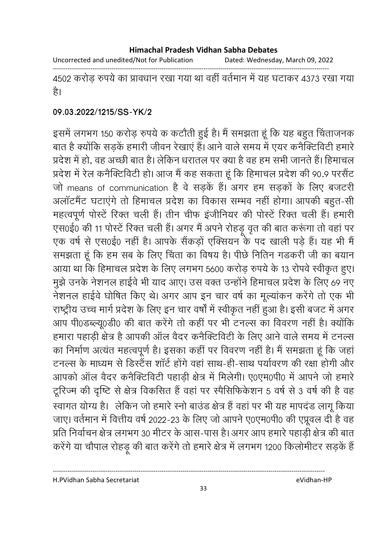Uncorrected and unedited/Not for Publication Dated: Wednesday, March 09, 2022

------------------------------------------------------------------------------------------------------------------------------------

4502 करोड़ रुपर्य का प्रावधान रखा गया था वहीं वर्तमान में यह घटाकर 4373 रखा गया है।

### **09.03.2022/1215/SS-YK/2**

इसमें लगभग 150 करोड़ रुपये क कटौती हुई है। मैं समझता हूं कि यह बहुत चिंताजनक बात है क्योंकि सड़के हमारी जीवन रेखाए हैं। आने वाले समय में एयर कनैक्टिविटी हमारे | प्रदेश में हो, वह अच्छी बात है। लेकिन धरातल पर क्या है वह हम सभी जानते हैं। हिमाचल प्रदेश में रेल कनैक्टिविटी हो। आज मैं कह सकता हूं कि हिमाचल प्रदेश की 90.9 परसैंट जो means of communication है वे सड़के हैं। अगर हम सड़कों के लिए बजटरी अलॉटमैंट घटाएंगे तो हिमाचल प्रदेश का विकास सम्भव नहीं होगा। आपकी बहुत-सी महत्वपूर्ण पोस्टें रिक्त चली हैं। तीन चीफ इंजीनियर की पोस्टें रिक्त चली हैं। हमारी एस0ई0 की 11 पोस्टे रिक्त चली है। अगर मैं अपने रोहंडू वृत की बात करूंगा तो वहां पर एक वर्ष से एस0ई0 नहीं हैं। आपके सैकड़ों एक्सियन के पद खाली पड़े हैं। यह भी मैं समझता हूँ कि हम सब के लिए चिंता का विषय है। पीछे निर्तिन गडकरी जी का बयान आया था कि हिमाचल प्रदेश के लिए लगभग 5600 करोड़ रुपये के 13 रोपवे स्वीकृत हुए। .<br>मुझे उनके नेशनल हाईवे भी याद आए। उस वक्त उन्होंने हिमाचल प्रदेश के लिए 69 नए नेशनल हाईवे घोषित किए थे। अगर आप इन चार वर्ष का मूल्यांकन करेंगे तो एक भी राष्ट्रीय उच्च मार्ग प्रदेश के लिए इन चार वर्षों में स्वीकृत नहीं हुआ है। इसी बजट में अगर आप पी0ंडब्ल्यू0डी0 की बात करेंगे तो कही पर भी टनल्स का विवरण नहीं है। क्योंकि हमारा पहाड़ी क्षेत्र है आपकी आल वैदर कनैक्टिविटी के लिए आने वाले समय में टनल्स का निर्माण अत्यत महत्वपूर्ण है। इसका कही पर विवरण नहीं है। मैं समझता हूं कि जहां टनल्स के माध्यम से डिस्टैंस शार्ट होंगे वहां साथ-ही-साथ पर्यावरण की रक्षा होंगी और आपको आल वैदर कनैक्टिविटी पहाड़ी क्षेत्र में मिलेगी। ए0एम0पी0 में आपने जो हमारे टूरिज्म की दृष्टि से क्षेत्र विकसित है वहां पर स्पैसिफिकेशन 5 वर्ष से 3 वर्ष की है वह स्वागत योग्य है। लेकिन जो हमारे स्नो बाउंड क्षेत्र है वहां पर भी यह मापदंड लागू किया जाए। वर्तमान में वित्तीय वर्ष 2022-23 के लिए जो आपने ए0एम0पी0 की एप्रूवल दी है वह प्रति निर्वाचन क्षेत्र लगभग 30 मीटर के आस-पास है। अगर आप हमारे पहाड़ी क्षेत्र की बात करेंगे या चौपाल रहिड़ू की बात करेंगे तो हमारे क्षेत्र में लगभग 1200 किलोमीटर सड़के हैं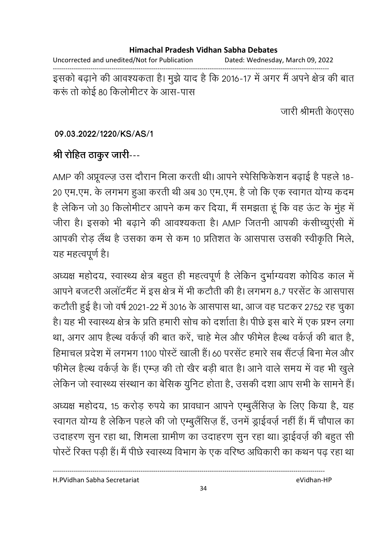#### **Himachal Pradesh Vidhan Sabha Debates**  Uncorrected and unedited/Not for Publication Dated: Wednesday, March 09, 2022 ------------------------------------------------------------------------------------------------------------------------------------ इसको बढ़ाने की आवश्यकता है। मुझे याद है कि 2016-17 में अगर मैं अपने क्षेत्र की बात करूं तो कोई 80 किलोमीटर के आस-पास

जारी श्रीमती के0एस0

### **09.03.2022/1220/KS/AS/1**

# <u>श्री रोहित ठाकुर जारी---</u>

AMP की अप्रूवल्ज़ उस दौरान मिला करती थी। आपने स्पेसिफिकेशन बढ़ाई है पहले 18-20 एम.एम. के लगभग हुआ करती थी अब 30 एम.एम. है जो कि एक स्वागत योग्य कदम है लेकिन जो 30 किलोमीटर आपने कम कर दिया, मैं समझता हूं कि वह ऊंट के मुंह में जीरा है। इसको भी बढ़ाने की आवश्यकता है। AMP जितनी आपकी कसीच्युएसी में आपकी रोड़ लैथ है उसका कम से कम 10 प्रतिशत के आसपास उसकी स्वीकृति मिले, यह महत्वपूर्ण है।

अध्यक्ष महोदय, स्वास्थ्य क्षेत्र बहुत ही महत्वपूर्ण है लेकिन दुर्भाग्यवंश कोविंड काल में आपने बजटरी अलाटमैंट में इस क्षेत्र में भी कटौती की है। लगभग 8.7 परसेट के आसपास कटौती हुई है। जो वर्ष 2021-22 में 3016 के आसपास था, आज वह घटकर 2752 रह चुका हैं। यह भी स्वास्थ्य क्षेत्र के प्रति हमारी सोच को दर्शाता है। पीछे इस बारे में एक प्रश्न लगा था, अगर आप हैल्थ वर्कज़े की बात करे, चाहे मेल और फीमेल हैल्थ वर्कज़े की बात है, हिमाचल प्रदेश में लगभग 1100 पोस्टें खाली हैं। 60 परसेंट हमारे सब सैंटर्ज बिना मेल और फीमेल हैल्थ वर्कज़े के हैं। एम्ज़ की तो खैर बड़ी बात है। आने वाले समय में वह भी खुले लेकिन जो स्वास्थ्य संस्थान का बेसिक युनिट होता है, उसकी दशा आप सभी के सामने हैं।

अध्यक्ष महोदय, 15 करोड़ रुपये का प्रावधान आपने एम्बुलैसिज़ के लिए किया है, यह स्वागत योग्य है लेकिन पहले की जो एम्बुलैसिज़ है, उनमें ड्राईवर्ज़ नहीं हैं। मैं चौपाल का उदाहरण सुन रहा था, शिमला ग्रामीण का उदाहरण सुन रहा था। ड्राईवर्ज़ की बहुत सी पोर्स्टें रिक्त पड़ी हैं। मैं पीछे स्वास्थ्य विभाग के एक वरिष्ठ अधिकारी का कथन पढ़ रहा था

H.PVidhan Sabha Secretariat eVidhan-HP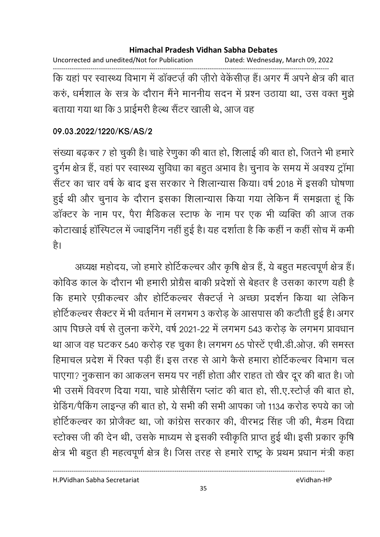Uncorrected and unedited/Not for Publication Dated: Wednesday, March 09, 2022 ------------------------------------------------------------------------------------------------------------------------------------ कि यहां पर स्वास्थ्य विभाग में डाक्टज़े की ज़ीरों वेकैसीज़ है। अगर मैं अपने क्षेत्र की बात करुं, धर्मशाल के सत्र के दौरान मैंने माननीय सदन में प्रश्न उठाया था, उस वक्त मूझे बताया गया था कि 3 प्राईमरी हैल्थ सैंटर खाली थे, आज वह

### **09.03.2022/1220/KS/AS/2**

संख्या बढ़कर 7 हो चुकी है। चाहे रेणुका की बात हो, शिलाई की बात हो, जितने भी हमारे | दुर्गम क्षेत्र है, वहां पर स्वास्थ्य सुविधा का बहुत अभाव है। चुनाव के समय में अवश्य ट्रामा सैंटर का चार वर्ष के बाद इस सरकार ने शिलान्यास किया। वर्ष 2018 में इसकी घोषणा हुई थी और चुनाव के दौरान इसका शिलान्यास किया गया लेकिन मैं समझता हूं कि डाक्टर के नाम पर, पैरा मैडिकल स्टाफ के नाम पर एक भी व्यक्ति की आज तक कोटाखाई हास्पिटल में ज्वाइनिंग नहीं हुई है। यह दर्शाता है कि कहीं न कहीं सोच में कमी है।

अध्यक्ष महोदय, जो हमारे होटिकल्चर और कृषि क्षेत्र है, ये बहुत महत्वपूर्ण क्षेत्र है। कोविड काल के दौरान भी हमारी प्रोग्रेस बाकी प्रदेशों से बेहतर हैं उसका कारण यही हैं | कि हमारे एंग्रीकल्चर और होटिकल्चर सैक्टज़े ने अच्छा प्रदर्शन किया था लेकिन होटिकल्चर सैक्टर में भी वर्तमान में लगभग 3 करोड़ के आसपास की कटौती हुई है। अगर आप पिछले वर्ष से तुलना करेंगे, वर्ष 2021-22 में लगभग 543 करोड़ के लगभग प्रावधान था आज वह घटकर 540 करोड़ रह चुका है। लगभग 65 पोस्टे एची.डी.ओज़. की समस्त हिमाचल प्रदेश में रिक्त पड़ी है। इस तरह से आगे कैसे हमारा होटिकल्चर विभाग चल पाएगा? नुकसान का आकलन समय पर नहीं होता और राहत तो खैर दूर की बात है। जो भी उसमें विवरण दिया गया, चाहे प्रसिसिंग प्लाट की बात हो, सी.ए.स्टोज़े की बात हो, ग्रेडिंग/पैकिंग लाइन्ज़ की बात हो, ये सभी की सभी आपका जो 1134 करोड़ रुपये का जो होटिकल्चर का प्रजिक्ट था, जो कांग्रेस सरकार की, वेरिभंद्र सिंह जी की, मैंडम विद्या स्टोक्स जी की देन थी, उसके माध्यम से इसकी स्वीकृति प्राप्त हुई थी। इसी प्रकार कृषि क्षेत्र भी बहुत ही महत्वपूर्ण क्षेत्र है। जिस तरह से हमारे राष्ट्र के प्रथम प्रधान मंत्री कहा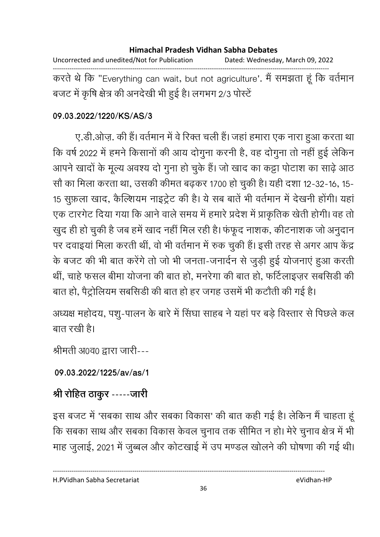Uncorrected and unedited/Not for Publication Dated: Wednesday, March 09, 2022 ------------------------------------------------------------------------------------------------------------------------------------ करते थे कि "Everything can wait, but not agriculture'. मैं समझता हूं कि वर्तमान बजट में कृषि क्षेत्र की अनदेखी भी हुई है। लगभग 2/3 परिटें

### **09.03.2022/1220/KS/AS/3**

ए.डी.ओज़. की हैं। वर्तमान में वे रिक्त चली हैं। जहां हमारा एक नारा हुआ करता था कि वर्ष 2022 में हमने किसानों की आय दोगुना करनी हैं, वह दोगुना तो नहीं हुई लेकिन आपने खादों के मूल्य अवश्य दो गुना हो चुके हैं। जो खाद का कट्टा पोटाश का साढ़े आठ सों का मिला करता था, उसकी कीमत बढ़कर 1700 हो चुकी है। यही दशा 12-32-16, 15-15 सुफ़ला खाद, कैल्शियम नाइट्रेंट की है। ये सब बातें भी वर्तमान में देखनी होगी। यहां एक टारगेट दिया गया कि आने वाले समय में हमारे प्रदेश में प्राकृतिक खेती होगी। वह तो खुद ही हो चुकी है जब हमें खाद नहीं मिल रही है। फफूद नाशक, कीटनाशक जो अनुदान पर दवाइयां मिला करती थीं, वो भी वर्तमान में रुक चुकी हैं। इसी तरह से अगर आप केंद्र के बजट की भी बात करेंगे तो जो भी जनता-जनार्दन से जुड़ी हुई योजनाएं हुआ करती थीं, चाहे फसल बीमा योजना की बात हो, मनरेगा की बात हो, फर्टिलाइजुर सबसिडी की बात हो, पैट्रोलियम संबसिडी की बात हो हर जगह उसमें भी कटौती की गई है।

अध्यक्ष महोदय, पशु-पालन के बारे में सिंघा साहब ने यहां पर बड़े विस्तार से पिछले कल बात रखी है।

श्रीमती अ0व0 द्वारा जारी---

**09.03.2022/1225/av/as/1**

# <u>श्री रोहित ठाकुर -----जारी</u>

इस बजट में 'सबका साथ और सबका विकास' की बात कहीं गई है। लेकिन मैं चाहता हू कि सबका साथ और सबका विकास केवल चुनाव तक सीमित न हो। मेरे चुनाव क्षेत्र में भी माह जुलाई, 2021 में जुब्बल और कोटखाई में उप मण्डल खोलने की घोषणा की गई थी।

H.PVidhan Sabha Secretariat eVidhan-HP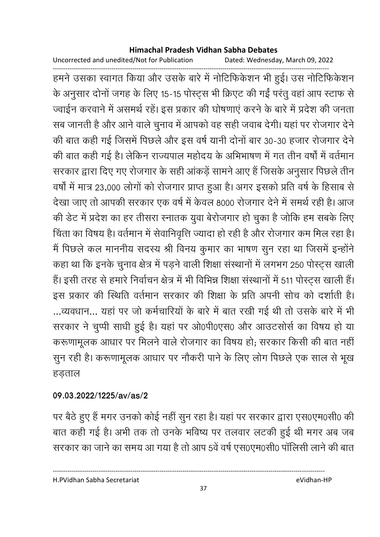Uncorrected and unedited/Not for Publication Dated: Wednesday, March 09, 2022

------------------------------------------------------------------------------------------------------------------------------------ हमने उसका स्वागत किया और उसके बारे में नोटिफिकेशन भी हुई। उस नोटिफिकेशन के अनुसार दोनों जगह के लिए 15-15 पोस्ट्स भी क्रिएट की गईं परंतु वहां आप स्टाफ से ज्वाईन करवाने में असमर्थ रहें। इस प्रकार की घोषणाएं करने के बारे में प्रदेश की जनता सब जानती है और आने वाले चुनाव में आपको वह सही जवाब देंगी। यहां पर रोजगार देने | की बात कही गई जिसमें पिछले और इस वर्ष यानी दोनों बार 30-30 हजार रोजगार देने की बात कहीं गई है। लेकिन राज्यपाल महोदय के अभिभाषण में गत तीन वर्षों में वर्तमान सरकार द्वारा दिए गए रोजगार के सही आंकड़ें सामने आए हैं जिसके अनुसार पिछले तीन वर्षा में मात्र 23,000 लोगों को रोजगार प्राप्त हुआ है। अगर इसको प्रति वर्ष के हिसाब से देखा जाए तो आपकी सरकार एक वर्ष में केवल 8000 रोजगार देने में समर्थ रही हैं। आज की डेट में प्रदेश का हर तीसरा स्नातक युवा बेरोजगार हो चुका है जोकि हम सबके लिए चिंता का विषय है। वर्तमान में सेवानिवृत्ति ज्यादा हो रही है और रोजगार कम मिल रहा है। मैं पिछले कल माननीय सदस्य श्री विनय कुमार का भाषण सुन रहा था जिसमें इन्होंने कहा था कि इनके चुनाव क्षेत्र में पड़ने वाली शिक्षा संस्थानों में लगभग 250 पोस्ट्स खाली हैं। इसी तरह से हमारे निर्वाचन क्षेत्र में भी विभिन्न शिक्षा संस्थानों में 511 पोस्ट्स खाली हैं। इस प्रकार की स्थिति वर्तमान सरकार की शिक्षा के प्रति अपनी सोच को दर्शाती है। ...व्यवधान... यहां पर जो कर्मचारियों के बारे में बात रखी गई थी तो उसके बारे में भी सरकार ने चुप्पी सांधी हुई है। यहां पर ओ0पी0एस0 और आउटसोर्स का विषय हो या करूणामूलक आधार पर मिलने वाले रोजगार का विषय हो; सरकार किसी की बात नहीं सुन रही है। करूणामूलक आधार पर नौकरी पाने के लिए लोग पिछले एक साल से भूख हडताल

### **09.03.2022/1225/av/as/2**

पर बैठे हुए हैं मगर उनको कोई नहीं सुन रहा है। यहां पर सरकार द्वारा एस0एम0सी0 की बात कही गई है। अभी तक तो उनके भविष्य पर तलवार लटकी हुई थी मगर अब जब सरकार का जाने का समय आ गया है तो आप 5वें वर्ष एस0एम0सी0 पालिसी लाने की बात

H.PVidhan Sabha Secretariat eVidhan-HP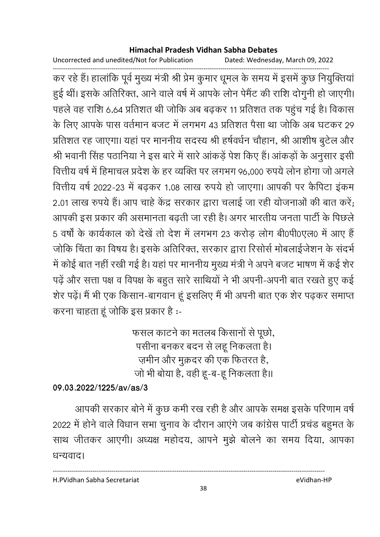Uncorrected and unedited/Not for Publication Dated: Wednesday, March 09, 2022

------------------------------------------------------------------------------------------------------------------------------------ कर रहे हैं। हालांकि पूर्व मुख्य मंत्री श्री प्रेम कुमार धूमल के समय में इसमें कुछ नियुक्तिया हुई थीं। इसके अतिरिक्त, आने वाले वर्ष में आपके लोन पेमैंट की राशि दोगुनी हो जाएगी। पहले वह राशि 6.64 प्रतिशत थी जोकि अब बढ़कर 11 प्रतिशत तक पहुंच गई है। विकास के लिए आपके पास वर्तमान बजट में लगभग 43 प्रतिशत पैसा था जोकि अब घटकर 29 | प्रतिशत रह जाएगा। यहां पर माननीय सदस्य श्री हर्षवर्धन चौहान, श्री आशीष बुटेल और श्री भवानी सिंह पठानिया ने इस बारे में सारे आंकड़ें पेश किए हैं। आंकड़ों के अनुसार इसी वित्तीय वर्ष में हिमाचल प्रदेश के हर व्यक्ति पर लगभग 96,000 रुपये लोन होगा जो अगले वित्तीय वर्ष 2022-23 में बढ़कर 1.08 लाख रुपये हो जाएगा। आपकी पर कैंपिटा इकम 2.01 लाख रुपये हैं। आप चाहे केंद्र सरकार द्वारा चलाई जा रही योजनाओं की बात करें; आपकी इस प्रकार की असमानता बढ़ती जा रही है। अगर भारतीय जनता पार्टी के पिछले 5 वर्षों के कार्यकाल को देखें तो देश में लगभग 23 करोड़ लोग बी0पी0एल0 में आए हैं जोंकि चिंता का विषय है। इसके अतिरिक्त, सरकार द्वारा रिसोर्स मोबलाईजेशन के सदर्भ में कोई बात नहीं रखी गई है। यहां पर माननीय मुख्य मंत्री ने अपने बजट भाषण में कई शेर पढ़ें और सत्ता पक्ष व विपक्ष के बहुत सारे साथियों ने भी अपनी-अपनी बात रखते हुए कई शेर पढ़ें। मैं भी एक किसान-बागवान हूं इसलिए मैं भी अपनी बात एक शेर पढ़कर समाप्त करना चाहता हू जोकि इस प्रकार है :-

> फसल काटने का मतलब किसानों से पूछो, पर्सीना बनकर बंदन से लहू निकलता है। ज़मीन और मुक़दर की एक फितरत है, जों भी बोया है, वहीं हूं-ब-हूं निकलता है।।

### **09.03.2022/1225/av/as/3**

आपकी सरकार बोने में कुछ कमी रख रही है और आपके समक्ष इसके परिणाम वर्षे 2022 में होने वाले विधान सभा चुनाव के दौरान आएंगे जब कांग्रेस पार्टी प्रचंड बहुमत के साथ जीतकर आएगी। अध्यक्ष महोदय, आपने मुझे बोलने का समय दिया, आपका धन्यवाद।

----------------------------------------------------------------------------------------------------------------------------------

H.PVidhan Sabha Secretariat eVidhan-HP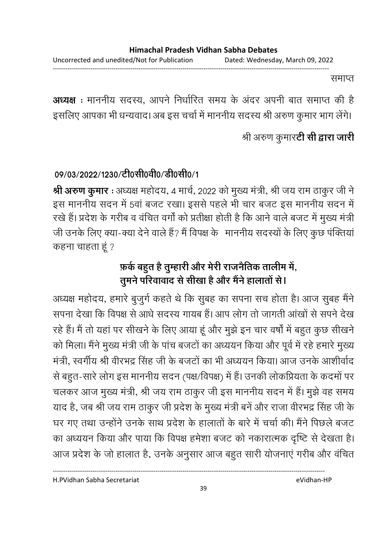समाप्त

**अध्यक्ष** : माननीय सदस्य, आपने निर्धारित समय के अदर अपनी बात समाप्त की है इसलिए आपका भी धन्यवाद। अब इस चर्चा में माननीय सदस्य श्री अरुण कुमार भाग लेंगे।

## श्री अरुण कुमार**टी सी द्वारा जारी**

## 09/03/2022/1230/टी0सी0वी0/डी0सी0/1

**श्री अरुण कुमार** : अध्यक्ष महोदय, 4 मार्च, 2022 को मुख्य मंत्री, श्री जय राम ठाकुर जी ने इस माननीय सदन में 5वां बजट रखा। इससे पहले भी चार बजट इस माननीय सदन में रखे हैं। प्रदेश के गरीब व वर्चित वर्गा को प्रतीक्षा होती है कि आने वाले बजट में मुख्य मंत्री जी उनके लिए क्या-क्या देने वाले हैं? मैं विपक्ष के माननीय सदस्यों के लिए कुछ पंक्तियां कहना चाहता हूं ?

# <u>फ़र्क बहु</u>त है तुम्हारी और मेरी राजनैतिक तालीम में, तुमने परिवावाद से सीखा है और मैने हालातों से।

अध्यक्ष महोदय, हमारे बुजुर्ग कहते थे कि सुबह का सपना सच होता है। आज सुबह मैंने सपना देखा कि विपक्ष से आधे सदस्य गायब हैं। आप लोग तो जागती आंखों से सपने देख रहे हैं। मैं तो यहां पर सीखने के लिए आया हूं और मुझे इन चार वर्षों में बहुत कुछ सीखने को मिला। मैंने मुख्य मंत्री जी के पांच बजटों का अध्ययन किया और पूर्व में रहे हमारे मुख्य मंत्री, स्वर्गीय श्री वीरभंद्र सिंह जी के बजटों का भी अध्ययन किया। आज उनके आशीर्वाद से बहुत-सारे लोग इस माननीय सदन (पक्ष/विपक्ष) में हैं। उनकी लोकप्रियता के कदमों पर चलकर आज मुख्य मंत्री, श्री जय राम ठाकुर जी इस माननीय सदन में हैं। मुझे वह समय याद है, जब श्री जय राम ठाकुर जी प्रदेश के मुख्य मंत्री बने और राजा वीरभंद्र सिंह जी के घर गए तथा उन्होंने उनके साथ प्रदेश के हालातों के बारे में चर्चा की। मैंने पिछले बजट का अध्ययन किया और पाया कि विपक्ष हमेशा बजट को नकारात्मक दृष्टि से देखता है। आज प्रदेश के जो हालात है, उनके अनुसार आज बहुत सारी योजनाए गरीब और वर्चित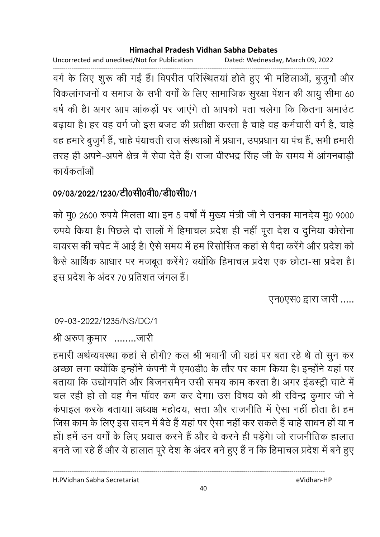Uncorrected and unedited/Not for Publication Dated: Wednesday, March 09, 2022

------------------------------------------------------------------------------------------------------------------------------------ वर्ग के लिए शुरू की गई है। विपरीत परिस्थितया होते हुए भी महिलाओं, बुजुर्गा और विकलांगजनों व समाज के सभी वर्गों के लिए सामाजिक सुरक्षा पेंशन की आयु सीमा 60 वर्ष की है। अगर आप आकड़ों पर जाएंगे तो आपको पता चलेंगा कि कितना अमाउंट बढ़ाया है। हर वह वर्ग जो इस बजट की प्रतीक्षा करता है चाहे वह कर्मचारी वर्ग है, चाहें वह हमारे बुजुर्ग हैं, चाहे पंयाचती राज संस्थाओं में प्रधान, उपप्रधान या पंच हैं, सभी हमारी तरह ही अपने-अपने क्षेत्र में सेवा देते हैं। राजा वीरभद्र सिंह जी के समय में आंगनबाड़ी कार्यकर्ताओं

## 09/03/2022/1230/टी0सी0वी0/डी0सी0/1

को मू0 2600 रुपये मिलता था। इन 5 वर्षों में मुख्य मंत्री जी ने उनका मानदेय मू0 9000 रुपर्य किया है। पिछले दो सालों में हिमाचल प्रदेश ही नहीं पूरा देश व दुनिया कोरोना वायरस की चर्पेंट में आई हैं। ऐसे समय में हम रिसोर्सिज कहा से पैदा करेंगे और प्रदेश को कैसे आर्थिक आधार पर मजबूत करेंगे? क्योंकि हिमाचल प्रदेश एक छोटा-सा प्रदेश हैं। इस प्रदेश के अंदर 70 प्रतिशत जंगल हैं।

एन0एस0 द्वारा जारी .....

09-03-2022/1235/NS/DC/1

श्री अरुण कुमार ........जारी

हमारी अर्थव्यवस्था कहां से होगी? कल श्री भवानी जी यहां पर बता रहे थे तो सून कर अच्छा लगा क्योंकि इन्होंने कंपनी में एम0डी0 के तौर पर काम किया है। इन्होंने यहां पर बताया कि उद्योगपति और बिजनसमैन उसी समय काम करता है। अगर इंडस्ट्री घाटे में चल रही हो तो वह मैन पावर कम कर देगा। उस विषय को श्री रविन्द्र कुमार जी ने कपाइल करके बताया। अध्यक्ष महोदय, सत्ता और राजनीति में ऐसा नहीं होता है। हम जिस काम के लिए इस सदन में बैठे हैं यहां पर ऐसा नहीं कर सकते हैं चाहे साधन हो या न हों। हमें उन वर्गों के लिए प्रयास करने हैं और ये करने ही पड़ेंगे। जो राजनीतिक हालात बनते जा रहे हैं और ये हालात पूरे देश के अंदर बने हुए हैं न कि हिमाचल प्रदेश में बने हुए

H.PVidhan Sabha Secretariat eVidhan-HP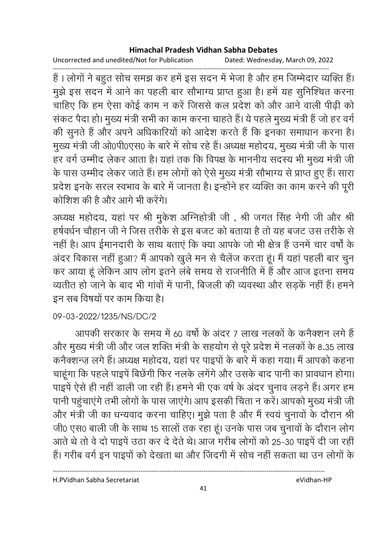Uncorrected and unedited/Not for Publication Dated: Wednesday, March 09, 2022

------------------------------------------------------------------------------------------------------------------------------------ हैं । लोगों ने बहुत सोच समझ कर हमें इस सदन में भेजा है और हम जिम्मेदार व्यक्ति हैं। मुझे इस सदन में आने का पहली बार सौभाग्य प्राप्त हुआ है। हमें यह सुनिश्चित करना चाहिए कि हम ऐसा कोई काम न करें जिससे कल प्रदेश को और आने वाली पीढ़ी को सकट पैदा हो। मुख्य मंत्री सभी का काम करना चाहते हैं। ये पहले मुख्य मंत्री है जो हर वर्ग की सुनते हैं और अपने अधिकारियों को आदेश करते हैं कि इनका समाधान करना है। मुख्य मंत्री जी ओ0पी0एस0 के बारे में सोच रहे हैं। अध्यक्ष महोदय, मुख्य मंत्री जी के पास हर वर्ग उम्मीद लेकर आता है। यहां तक कि विपक्ष के माननीय सदस्य भी मुख्य मंत्री जी के पास उम्मीद लेकर जाते हैं। हम लोगों को ऐसे मुख्य मंत्री सौभाग्य से प्राप्त हुए हैं। सारा प्रदेश इनके सरल स्वभाव के बारे में जानता है। इन्होंने हर व्यक्ति का काम करने की पूरी कोशिश की है और आगे भी करेंगे।

अध्यक्ष महोदय, यहां पर श्री मुकेश अग्निहोत्री जी , श्री जगत सिंह नेगी जी और श्री हर्षवर्धन चौहान जी ने जिस तरीके से इस बजट को बताया है तो यह बजट उस तरीके से नहीं हैं। आप ईमानदारी के साथ बताएं कि क्या आपके जो भी क्षेत्र है उनमें चार वर्षों के अंदर विकास नहीं हुआ? मैं आपको खुले मन से चैलेज करता हूं। मैं यहां पहली बार चुन कर आया हूं लेकिन आप लोग इतने लंबे समय से राजनीति में हैं और आज इतना समय व्यतीत हो जाने के बाद भी गांवों में पानी, बिजली की व्यवस्था और सड़कें नहीं हैं। हमने इन सब विषयों पर काम किया है।

09-03-2022/1235/NS/DC/2

आपकी सरकार के समय में 60 वर्षों के अंदर 7 लाख नलकों के कर्नेक्शन लगे हैं | और मुख्य मंत्री जी और जल शक्ति मंत्री के सहयोग से पूरे प्रदेश में नलकों के 8.35 लाख कनैक्शन्ज़ लगे हैं। अध्यक्ष महोदय, यहां पर पाइपों के बारे में कहा गया। मैं आपको कहना चाहूंगा कि पहले पाइपें बिछेंगी फिर नलके लगेंगे और उसके बाद पानी का प्रावधान होगा। पाइपें ऐसे ही नहीं डाली जा रही हैं। हमने भी एक वर्ष के अंदर चुनाव लड़ने हैं। अगर हम पानी पहुंचाएंगे तभी लोगों के पास जाएंगे। आप इसकी चिंता न करें। आपको मुख्य मंत्री जी और मंत्री जी का धन्यवाद करना चाहिए। मुझे पता है और मैं स्वयं चुनावों के दौरान श्री जी0 एस0 बाली जी के साथ 15 सालों तक रहा हूं। उनके पास जब चुनावों के दौरान लोग आते थे तो वे दो पाइपें उठा कर दे देते थे। आज गरीब लोगों को 25-30 पाइपें दी जा रहीं हैं। गरीब वर्ग इन पाइपों को देखता था और जिंदगी में सोच नहीं सकता था उन लोगों के

H.PVidhan Sabha Secretariat eVidhan-HP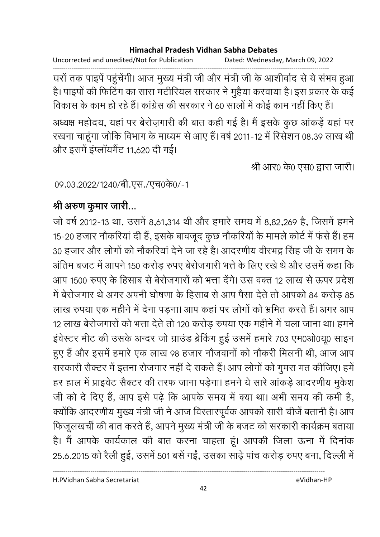Uncorrected and unedited/Not for Publication Dated: Wednesday, March 09, 2022

------------------------------------------------------------------------------------------------------------------------------------ घरों तक पाइपे पहुंचेगी। आज मुख्य मंत्री जी और मंत्री जी के आशीर्वाद से ये संभव हुआ हैं। पाइपों की फिटिंग का सारा मटीरियल सरकार ने मुहैया करवाया है। इस प्रकार के कई विकास के काम हो रहे हैं। कांग्रेस की सरकार ने 60 सालों में कोई काम नहीं किए हैं। अध्यक्ष महोदय, यहां पर बेरोज़गारी की बात कहीं गई है। मैं इसके कुछ आकड़े यहां पर रखना चाहूंगा जोकि विभाग के माध्यम से आए हैं। वर्ष 2011-12 में रिसेशन 08.39 लाख थी और इसमें इंप्लॉयमेंट 11,620 दी गई।

श्री आर0 के0 एस0 द्वारा जारी।

09.03.2022/1240/बी.एस./एच0के0/-1

## श्री अरुण कुमार जारी...

जो वर्ष 2012-13 था, उसमे 8,61,314 थी और हमारे समय में 8,82,269 हैं, जिसमें हमने 15-20 हजार नौकरियां दी हैं, इसके बावजूद कूछ नौकरियों के मामले कोर्ट में फंसे हैं। हम 30 हजार और लोगों को नौकरिया देने जा रहे हैं। आदरणीय वीरभद्र सिंह जी के समम के अंतिम बजट में आपने 150 करोड़ रुपए बेरोजगारी भत्ते के लिए रखे थे और उसमें कहा कि आप 1500 रुपए के हिसाब से बेरोजगारों को भत्ता देंगे। उस वक्त 12 लाख से ऊपर प्रदेश में बेरोजगार थे अगर अपनी घोषणा के हिसाब से आप पैसा देते तो आपको 84 करोड़ 85 लाख रुपया एक महीने में देना पडना। आप कहां पर लोगों को भ्रमित करते हैं। अगर आप 12 लाख बेरोजगारों को भत्ता देते तो 120 करोड़ रुपया एक महीने में चला जाना था। हमने इंवेस्टर मीट की उसके अन्दर जो ग्राउंड ब्रेकिंग हुई उसमें हमारे 703 एम0ओ0यू0 साइन हुए हैं और इसमें हमारे एक लाख 98 हजार नौजवानों को नौकरी मिलनी थी, आज आप सरकारी सैक्टर में इतना रोजगार नहीं दें सकते हैं। आप लोगों को गुमरा मत कीजिए। हमें हर हाल में प्राइवेंट सैक्टर की तरफ जाना पड़ेगा। हमने ये सारे आकड़े आदरणीय मुकेश जी को दें दिए हैं, आप इसे पढ़ें कि आपके समय में क्या था। अभी समय की कमी है, क्योंकि आंदरणीय मुख्य मंत्री जी ने आज विस्तारपूर्वक आपको सारी चीजे बतानी है। आप फिजूलखर्ची की बात करते हैं, आपने मुख्य मंत्री जी के बजट को सरकारी कार्यक्रम बताया हैं। मैं आपके कार्यकाल की बात करना चाहता हूं। आपकी जिला ऊना में दिनाक 25.6.2015 को रैली हुई, उसमें 501 बर्स गई, उसका साढ़ें पांच करोड़ रुपए बना, दिल्ली में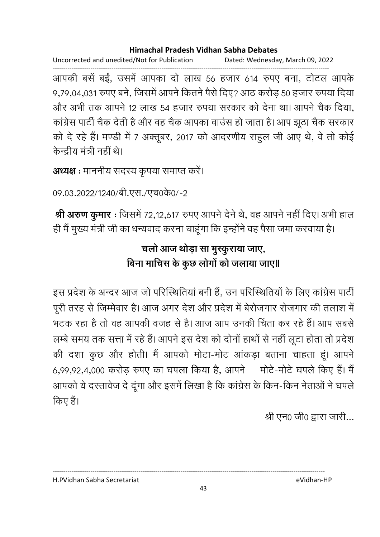Uncorrected and unedited/Not for Publication Dated: Wednesday, March 09, 2022

------------------------------------------------------------------------------------------------------------------------------------ आपकी बसें बईं, उसमें आपका दो लाख 56 हजार 614 रुपए बना, टोटल आपके 9,79,04,031 रुपए बर्ने, जिसमें आपने कितने पैसे दिए? आठ करोड़ 50 हजार रुपया दिया। और अभी तक आपने 12 लाख 54 हजार रुपया सरकार को देना था। आपने चैक दिया, कांग्रेस पार्टी चैक देती है और वह चैक आपका वाउस हो जाता है। आप झूठा चैक सरकार को दे रहे हैं। मण्डी में 7 अक्तूबर, 2017 को आदरणीय राहुल जी आए थे, वे तो कोई केन्दीय मंत्री नहीं थे।

```
अध्यक्ष : माननीय सदस्य कृपया समाप्त करें।
```

```
09.03.2022/1240/बी.एस./एच0के0/-2
```
<mark>श्री अरुण कुमार</mark>: जिसमें 72,12,617 रुपए आपने देने थे, वह आपने नहीं दिए। अभी हाल हीं मैं मुख्य मंत्री जी का धन्यवाद करना चाहूंगा कि इन्होंने वह पैसा जमा करवाया है।

# चलो आज थोड़ा सा मुस्कुराया जाए, बिना माचिस के कुछ लोगों को जलाया जाए॥

इस प्रदेश के अन्दर आज जो परिस्थितियां बनी हैं, उन परिस्थितियों के लिए कांग्रेस पार्टी पूरी तरह से जिम्मेवार है। आज अगर देश और प्रदेश में बेरोजगार रोजगार की तलाश में भटक रहा है तो वह आपकी वजह से हैं। आज आप उनकी चिंता कर रहे हैं। आप सबसे लम्बे समय तक सत्ता में रहे हैं। आपने इस देश को दोनों हाथों से नहीं लूटा होता तो प्रदेश की दशा कुछ और होती। मैं आपको मोटा-मोट आंकड़ा बताना चाहता हूं। आपने 6,99,92,4,000 करोड़ रुपए का घपला किया है, आपने - मोर्ट-मोर्ट घपले किए हैं। मैं -आपको ये दस्तावेज दे दूँगा और इसमें लिखा है कि कांग्रेस के किन-किन नेताओं ने घपले किए हैं।

श्री एन0 जी0 द्वारा जारी...

H.PVidhan Sabha Secretariat eVidhan-HP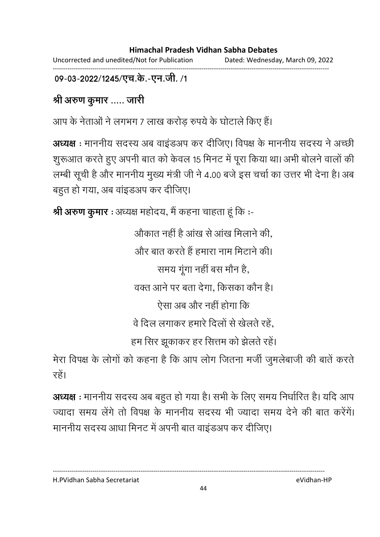Uncorrected and unedited/Not for Publication Dated: Wednesday, March 09, 2022 ------------------------------------------------------------------------------------------------------------------------------------

09-03-2022/1245/एच.के.-एन.जी. /1

श्री अरुण कुमार ..... जारी

आप के नेताओं ने लगभग 7 लाख करोड़ रुपये के घोटाले किए हैं।

**अध्यक्ष**: माननीय सदस्य अब वाइंडअप कर दीजिए। विपक्ष के माननीय सदस्य ने अच्छी शूरूआत करते हुए अपनी बात को केवल 15 मिनट में पूरा किया था। अभी बोलने वालों की लम्बी सूची है और माननीय मुख्य मंत्री जी ने 4.00 बजे इस चर्चा का उत्तर भी देना है। अब बहुत हो गया, अब वांइडअप कर दीजिए।

**श्री अरुण कुमार** : अध्यक्ष महोदय, मैं कहना चाहता हूं कि :-

औकात नहीं है आख से आख मिलाने की, और बात करते हैं हमारा नाम मिटाने की। समय गूगा नहीं बस मौन हैं, वक्त आने पर बता देगा, किसका कौन है। ऐसा अब और नहीं होगा कि वे दिल लगाकर हमारे दिलों से खेलते रहें. हम सिर झूकाकर हर सित्तम को झेलते रहें।

मेरा विपक्ष के लोगों को कहना है कि आप लोग जितना मंजी जुमलेबाजी की बातें करतें रहें।

**अध्यक्ष** : माननीय सदस्य अब बहुत हो गया है। सभी के लिए समय निर्धारित है। यदि आप ज्यादा समय लेंगे तो विपक्ष के माननीय सदस्य भी ज्यादा समय देने की बात करेंगें। माननीय सदस्य आधा मिनट में अपनी बात वाइंडअप कर दीजिए।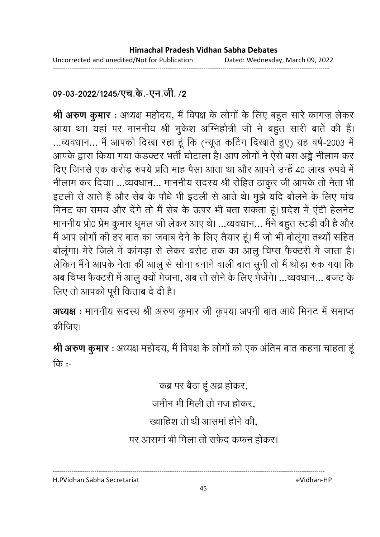### 09-03-2022/1245/एच.के.-एन.जी. /2

**श्री अरुण कुमार** : अध्यक्ष महोदय, मैं विपक्ष के लोगों के लिए बहुत सारे कांगज़ लेकर आया था। यहां पर माननीय श्री मुकेश अग्निहोत्री जी ने बहुत सारी बातें की हैं। ...व्यवधान... मैं आपको दिखा रहा हूं कि (न्यूज़ कटिंग दिखाते हुए) यह वर्ष-2003 में आपके द्वारा किया गया कडक्टर भर्ती घोटाला है। आप लोगों ने ऐसे बस अड्डे नीलाम कर दिए जिनसे एक करोड़ रुपये प्रति माह पैसा आता था और आपने उन्हें 40 लाख रुपये में नीलाम कर दिया। ...व्यवधान... माननीय सदस्य श्री रोहित ठाकुर जी आपके तो नेता भी इटली से आते हैं और सेब के पौधे भी इटली से आते थे। मुझे यदि बोलने के लिए पांच मिनट का समय और देंगे तो मैं सेब के ऊपर भी बता सकता हूं। प्रदेश में एंटी हेलनेट माननीय प्रो0 प्रेम कुमार धूमल जी लेकर आए थे। …व्यवधान… मैंने बहुत स्टर्डी की है और मैं आप लोगों की हर बात का जवाब देने के लिए तैयार हूं। मैं जो भी बोलूगा तथ्यों सहित बोलूगा। मेरे जिले में कांगड़ा से लेकर बरोट तक का आलु चिप्स फैक्टरी में जाता है। लेकिन मैंने आपके नेता की आलु से सोना बनाने वाली बात सुनी तो मैं थोड़ा रुक गया कि अब चिप्स फैक्टरी में आलु क्यों भेजना, अब तो सनि के लिए भेजेंगे। …व्यवधान… बजट के लिए तो आपको पूरी किताब दे दी है।

अध्यक्ष : माननीय सदस्य श्री अरुण कुमार जी कृपया अपनी बात आधे मिनट में समाप्त कीजिए।

**श्री अरुण कुमार** : अध्यक्ष महोदय, मैं विपक्ष के लोगों को एक अतिम बात कहना चाहता हू कि :-

> कब्र पर बैठा हूँ अब्र होकर, जमीन भी मिली तो गज होकर. ख्वाहिश तो थी आसमां होने की. पर आसमां भी मिला तो सफेद कफन होकर।

H.PVidhan Sabha Secretariat eVidhan-HP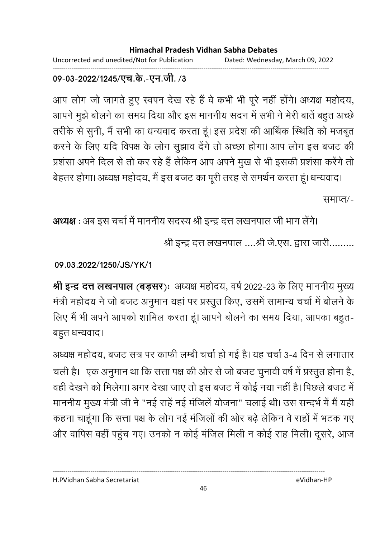Uncorrected and unedited/Not for Publication Dated: Wednesday, March 09, 2022 ------------------------------------------------------------------------------------------------------------------------------------

### 09-03-2022/1245/एच.के.-एन.जी. **/3**

आप लोग जो जागते हुए स्वपन देख रहे हैं वे कभी भी पूरे नहीं होंगे। अध्यक्ष महोदय, आपने मुझे बोलने का समय दिया और इस माननीय सदन में सभी ने मेरी बातें बहुत अच्छे तरीके से सुनी, मैं सभी का धन्यवाद करता हूं। इस प्रदेश की आर्थिक स्थिति को मजबूत करने के लिए यदि विपक्ष के लोग सुझाव देंगे तो अच्छा होगा। आप लोग इस बजट की प्रशंसा अपने दिल से तो कर रहे हैं लेकिन आप अपने मुख से भी इसकी प्रशंसा करेंगे तो

बेहतर होगा। अध्यक्ष महोदय, मैं इस बजट का पूरी तरह से समर्थन करता हूं। धन्यवाद। समाप्त/-

**अध्यक्ष** : अब इस चर्चा में माननीय सदस्य श्री इन्द्र दत्त लखनपाल जी भाग लेंगे।

श्री इन्द्र दत्त लखनपाल ....श्री जे.एस. द्वारा जारी.........

**09.03.2022/1250/JS/YK/1**

**श्री इन्द्र दत्त लखनपाल (बड़सर):** अध्यक्ष महोदय, वर्ष 2022-23 के लिए माननीय मुख्य मंत्री महोदय ने जो बजट अनुमान यहां पर प्रस्तुत किए, उसमें सामान्य चर्चा में बोलने के लिए मैं भी अपने आपको शामिल करता हूं। आपने बोलने का समय दिया, आपका बहुत-बहुत धन्यवाद।

अध्यक्ष महोदय, बजट सत्र पर काफी लम्बी चर्चा हो गई है। यह चर्चा 3-4 दिन से लगातार चली है। एक अनुमान था कि सत्ता पक्ष की ओर से जो बजट चुनावी वर्ष में प्रस्तुत होना है, वहीं देखने को मिलेगा। अगर देखा जाए तो इस बजट में कोई नया नहीं है। पिछले बजट में माननीय मुख्य मंत्री जी ने "नई राहें नई मंजिलें योजना" चलाई थी। उस सन्दर्भ में मैं यही कहना चाहूंगा कि सत्ता पक्ष के लोग नई मंजिलों की ओर बढ़े लेकिन वे राहों में भटक गए और वापिस वहीं पहुंच गए। उनको न कोई मंजिल मिली न कोई राह मिली। दूसरे, आज

----------------------------------------------------------------------------------------------------------------------------------

46

H.PVidhan Sabha Secretariat eVidhan-HP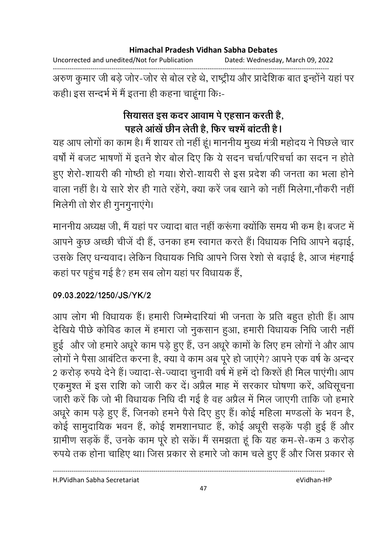Uncorrected and unedited/Not for Publication Dated: Wednesday, March 09, 2022 ------------------------------------------------------------------------------------------------------------------------------------

अरुण कुमार जी बड़े जोर-जोर से बोल रहे थे, राष्ट्रीय और प्रादेशिक बात इन्होंने यहां पर कही। इस सन्दर्भ में मैं इतना ही कहना चाहूंगा कि:-

# सियासत इस कंदर आवाम पे एहसान करती हैं, पहले आंखें छीन लेती है, फिर चश्में बांटती है।

यह आप लोगों का काम है। मैं शायर तो नहीं हूं। माननीय मुख्य मंत्री महोदय ने पिछले चार वर्षों में बजट भाषणों में इतने शेर बोल दिए कि ये सदन चर्चा/परिचर्चा का सदन न होते हुए शेरो-शायरी की गोष्ठी हो गया। शेरो-शायरी से इस प्रदेश की जनता का भला होने वाला नहीं हैं। ये सारे शैर ही गातें रहेंगे, क्या करें जब खाने को नहीं मिलेगा,नौकरी नहीं मिलेगी तो शेर ही गुनगुनाएंगे।

माननीय अध्यक्ष जी, मैं यहां पर ज्यादा बात नहीं करूंगा क्योंकि समय भी कम है। बजट में आपने कुछ अच्छी चीजें दी हैं, उनका हम स्वागत करते हैं। विधायक निधि आपने बढ़ाई, उसके लिए धन्यवाद। लेकिन विधायक निधि आपने जिस रेशों से बढ़ाई है, आज महंगाई कहा पर पहुंच गई है? हम सब लोग यहां पर विधायक है,

## **09.03.2022/1250/JS/YK/2**

आप लोग भी विधायक हैं। हमारी जिम्मेदारियां भी जनता के प्रति बहुत होती हैं। आप देखिये पीछे कोविड काल में हमारा जो नुकसान हुआ, हमारी विधायक निधि जारी नहीं हुई और जो हमारे अधूरे काम पड़े हुए हैं, उन अधूरे कामों के लिए हम लोगों ने और आप लोगों ने पैसा आबंटित करना है, क्या वे काम अब पूरे हो जाएंगे? आपने एक वर्ष के अन्दर 2 करोड़ रुपये देने हैं। ज्यादा-से-ज्यादा चुनावी वर्ष में हमें दो किश्तें ही मिल पाएंगी। आप एकमुश्त में इस राशि को जारी कर दें। अप्रैल माह में सरकार घोषणा करें, अधिसूचना जारी करें कि जो भी विधायक निधि दी गई है वह अप्रैल में मिल जाएंगी ताकि जो हमारें अधूरे काम पड़े हुए हैं, जिनको हमने पैसे दिए हुए हैं। कोई महिला मण्डलों के भवन है, कोई सामुदायिक भवन हैं, कोई शमशानघाट हैं, कोई अधूरी सड़कें पड़ी हुई हैं और ग्रामीण सड़कें हैं, उनके काम पूरे हो सकें। मैं समझता हूं कि यह कम-से-कम 3 करोड़ रुपये तक होना चाहिए था। जिस प्रकार से हमारे जो काम चले हुए हैं और जिस प्रकार से

H.PVidhan Sabha Secretariat eVidhan-HP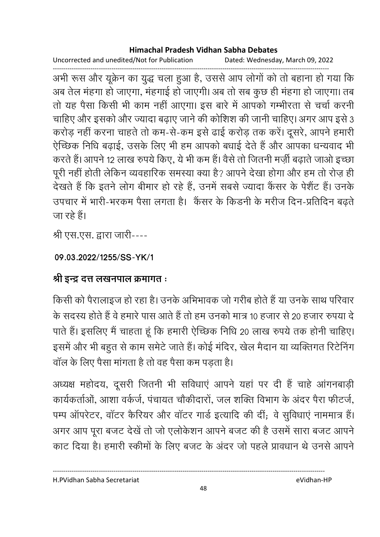Uncorrected and unedited/Not for Publication Dated: Wednesday, March 09, 2022

------------------------------------------------------------------------------------------------------------------------------------ अभी रूस और यूक्रेन का युद्ध चला हुआ है, उससे आप लोगों को तो बहाना हो गया कि अब तेल मंहगा हो जाएगा, मंहगाई हो जाएगी। अब तो सब कुछ ही मंहगा हो जाएगा। तब तों यह पैसा किसी भी काम नहीं आएगा। इस बारे में आपको गम्भीरता से चर्चा करनी चाहिए और इसको और ज्यादा बढ़ाए जाने की कोशिश की जानी चाहिए। अगर आप इसे 3 करोड़ नहीं करना चाहते तो कम-से-कम इसे ढाई करोड़ तक करें। दूसरे, आपने हमारी ऐच्छिक निधि बढ़ाई, उसके लिए भी हम आपको बधाई देते हैं और आपका धन्यवाद भी करते हैं। आपने 12 लाख रुपये किए, ये भी कम हैं। वैसे तो जितनी मज़ी बढ़ाते जाओं इच्छा पूरी नहीं होती लेकिन व्यवहारिक समस्या क्या है? आपने देखा होगा और हम तो रोज़ ही | देखते हैं कि इतने लोग बीमार हो रहे हैं, उनमें सबसे ज्यादा कैंसर के पेशैंट हैं। उनके %" !-! " \$
 ह A   @-P
@ '}
 जा रहे हैं।

श्री एस.एस. द्वारा जारी----

**09.03.2022/1255/SS-YK/1**

## <u>श्री इन्द्र दत्त लखनपाल क्रमागत ः</u>

किसी को पैरालाइज हो रहा है। उनके अभिभावक जो गरीब होते हैं या उनके साथ परिवार के सदस्य होते हैं वे हमारे पास आते हैं तो हम उनको मात्र 10 हजार से 20 हजार रुपया दे पाते हैं। इसलिए मैं चाहता हूं कि हमारी ऐच्छिक निधि 20 लाख रुपये तक होनी चाहिए। इसमें और भी बहुत से काम समेंटे जाते हैं। कोई मंदिर, खेल मैदान या व्यक्तिगत रिटेनिंग वाल के लिए पैसा मांगता है तो वह पैसा कम पड़ता है।

अध्यक्ष महोदय, दूसरी जितनी भी सर्विधाएं आपने यहां पर दी है चाहे आगनबाड़ी कार्यकर्ताओं, आशा वर्कजे, पंचायत चौकीदारों, जल शक्ति विभाग के अंदर पैरा फीटर्ज, पम्प आपरेटर, वाटर कैरियर और वाटर गार्ड इत्यादि की दी; वे सुविधाए नाममात्र है। अगर आप पूरा बजट देखें तो जो एलोकेशन आपने बजट की है उसमें सारा बजट आपने। काट दिया है। हमारी स्कीमों के लिए बजट के अदर जो पहले प्रावधान थे उनसे आपने

H.PVidhan Sabha Secretariat eVidhan-HP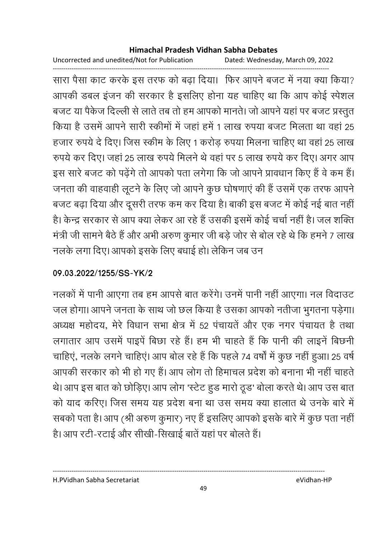Uncorrected and unedited/Not for Publication Dated: Wednesday, March 09, 2022

------------------------------------------------------------------------------------------------------------------------------------ सारा पैसा काट करके इस तरफ को बढ़ा दिया। फिर आपने बजट में नया क्या किया? आपकी डबल इजन की सरकार है इसलिए होना यह चाहिए था कि आप कोई स्पेशल बजट या पैकेज दिल्ली से लाते तब तो हम आपको मानते। जो आपने यहां पर बजट प्रस्तुत | किया है उसमें आपने सारी स्कीमों में जहां हमें 1 लाख रुपया बजट मिलता था वहां 25 हजार रुपये दे दिए। जिस स्कीम के लिए 1 करोड़ रुपया मिलना चाहिए था वहां 25 लाख रुपये कर दिए। जहां 25 लाख रुपये मिलने थे वहां पर 5 लाख रुपये कर दिए। अगर आप इस सारे बजट को पढ़ेंगे तो आपको पता लगेगा कि जो आपने प्रावधान किए हैं वे कम हैं। जनता की वाहवाही लूटने के लिए जो आपने कुछ घोषणाएं की हैं उसमें एक तरफ आपने बजट बढ़ा दिया और दूसरी तरफ कम कर दिया है। बाकी इस बजट में कोई नई बात नहीं | हैं। केन्द्र सरकार से आप क्या लेकर आ रहे हैं उसकी इसमें कोई चर्चा नहीं है। जल शक्ति मंत्री जी सामने बैठे हैं और अभी अरुण कुमार जी बड़े जोर से बोल रहे थे कि हमने 7 लाख नलके लगा दिए। आपको इसके लिए बधाई हो। लेकिन जब उन

## **09.03.2022/1255/SS-YK/2**

नलकों में पानी आएगा तब हम आपसे बात करेंगे। उनमें पानी नहीं आएगा। नल विदाउट जल होगा। आपने जनता के साथ जो छल किया है उसका आपको नतीजा भुगतना पड़ेगा। अध्यक्ष महोदय, मेरे विधान सभा क्षेत्र में 52 पंचायते और एक नगर पंचायत है तथा लगातार आप उसमें पाइपें बिछा रहे हैं। हम भी चाहते हैं कि पानी की लाइनें बिछनी चाहिएं, नलके लगने चाहिएं। आप बोल रहे हैं कि पहले 74 वर्षों में कुछ नहीं हुआ। 25 वर्ष आपकी सरकार को भी हो गए हैं। आप लोग तो हिमाचल प्रदेश को बनाना भी नहीं चाहते थे। आप इस बात को छोड़िए। आप लोग 'स्टेट हुड मारो ठूड' बोला करते थे। आप उस बात को याद करिए। जिस समय यह प्रदेश बना था उस समय क्या हालात थे उनके बारे में सबको पता है। आप (श्री अरुण कुमार) नए हैं इसलिए आपको इसके बारे में कुछ पता नहीं। है। आप रटी-रटाई और सीखी-सिखाई बातें यहां पर बोलते हैं।

H.PVidhan Sabha Secretariat eVidhan-HP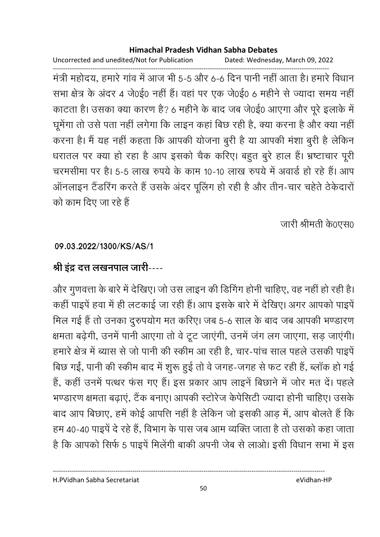Uncorrected and unedited/Not for Publication Dated: Wednesday, March 09, 2022

------------------------------------------------------------------------------------------------------------------------------------ मंत्री महोदय, हमारे गांव में आज भी 5-5 और 6-6 दिन पानी नहीं आता है। हमारे विधान सभा क्षेत्र के अंदर 4 जे0ई0 नहीं हैं। वहां पर एक जे0ई0 6 महीने से ज्यादा समय नहीं काटता है। उसका क्या कारण है? 6 महीने के बाद जब जे0ई0 आएगा और पूरे इलाके में घूमेगा तो उसे पता नहीं लगेगा कि लाइन कहा बिछ रही है, क्या करना है और क्या नहीं | करना है। मैं यह नहीं कहता कि आपकी योजना बुरी है या आपकी मशा बुरी है लेकिन धरातल पर क्या हो रहा है आप इसको चैक करिए। बहुत बुरे हाल है। भ्रष्टाचार पूरी चरमसीमा पर है। 5-5 लाख रुपये के काम 10-10 लाख रुपये में अवार्ड हो रहे हैं। आप आनलाइन टैंडरिंग करते हैं उसके अंदर पूलिंग हो रही है और तीन-चार चहेते ठेकेदारों को काम दिए जा रहे हैं

जारी श्रीमती के0एस0

## **09.03.2022/1300/KS/AS/1**

## <u>श्री इंद्र दत्त लखनपाल जारी----</u>

और गुणवत्ता के बारे में देखिए। जो उस लाइन की डिगिंग होनी चाहिए, वह नहीं हो रही है। कहीं पाइपें हवा में ही लटकाई जा रही हैं। आप इसके बारे में देखिए। अगर आपको पाइपें मिल गई हैं तो उनका दुरुपयोग मत करिए। जब 5-6 साल के बाद जब आपकी भण्डारण क्षमता बढ़ेगी, उनमें पानी आएगा तो वे टूट जाएंगी, उनमें जंग लग जाएगा, सड़ जाएंगी। हमारे क्षेत्र में ब्यास से जो पानी की स्कीम आ रही है, चार-पांच साल पहले उसकी पाइपें बिछ गईं, पानी की स्कीम बाद में शुरू हुई तो वे जगह-जगह से फट रही हैं, ब्लॉक हो गई हैं, कहीं उनमें पत्थर फंस गए हैं। इस प्रकार आप लाइनें बिछाने में जोर मत दें। पहले भण्डारण क्षमता बढाएं, टैंक बनाए। आपकी स्टोरेज केपेसिटी ज्यादा होनी चाहिए। उसके बाद आप बिछाए, हमें कोई आपत्ति नहीं है लेकिन जो इसकी आड़ में, आप बोलते हैं कि हम 40-40 पाइपे दे रहे हैं, विभाग के पास जब आम व्यक्ति जाता है तो उसको कहा जाता है कि आपको सिर्फ 5 पाइपे मिलेगी बाकी अपनी जेब से लाओ। इसी विधान सभा में इस

H.PVidhan Sabha Secretariat eVidhan-HP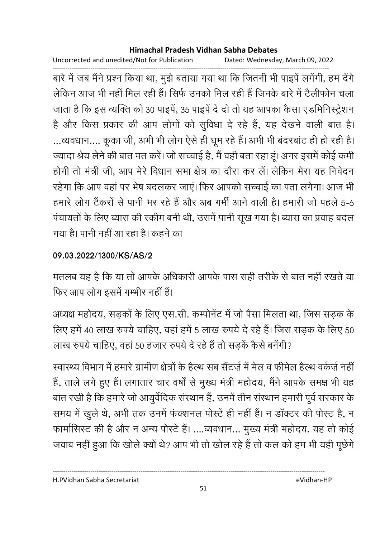Uncorrected and unedited/Not for Publication Dated: Wednesday, March 09, 2022

------------------------------------------------------------------------------------------------------------------------------------ बारे में जब मैंने प्रश्न किया था, मुझे बताया गया था कि जितनी भी पाइपें लगेंगी, हम देंगे लेकिन आज भी नहीं मिल रही है। सिर्फ उनको मिल रही है जिनके बारे में टैलीफोन चला जाता है कि इस व्यक्ति को 30 पाइपे, 35 पाइपे दें दो तो यह आपका कैसा एंडमिनिस्ट्रेशन है और किस प्रकार की आप लोगों को सुर्विधा दें रहे हैं, यह देखने वाली बात हैं। …व्यवधान…. कूका जी, अभी भी लोग ऐसे ही घूम रहे हैं। अभी भी बदरबाट ही हो रही है। ज्यादा श्रेय लेने की बात मत करें। जो सच्चाई हैं, मैं वहीं बता रहा हूं। अगर इसमें कोई कर्मी होगी तो मंत्री जी. आप मेरे विधान सभा क्षेत्र का दौरा कर लें। लेकिन मेरा यह निवेदन रहेगा कि आप वहां पर भेष बदलकर जाएं। फिर आपको सच्चाई का पता लगेगा। आज भी हमारे लोग टैकरों से पानी भर रहे हैं और अब गर्मी आने वाली है। हमारी जो पहले 5-6 पंचायतों के लिए ब्यास की स्कीम बनी थी, उसमें पानी सूख गया है। ब्यास का प्रवाह बदल गया है। पानी नहीं आ रहा है। कहने का

### **09.03.2022/1300/KS/AS/2**

मतलब यह है कि या तो आपके अधिकारी आपके पास सही तरीके से बात नहीं रखते या फिर आप लोग इसमें गम्भीर नहीं हैं।

अध्यक्ष महोदय, सड़कों के लिए एस.सी. कम्पनिट में जो पैसा मिलता था, जिस सड़क के लिए हमें 40 लाख रुपये चाहिए, वहां हमें 5 लाख रुपये दे रहे हैं। जिस सड़क के लिए 50 लाख रुपर्य चाहिए, वहां 50 हजार रुपर्य दे रहे हैं तो सड़के कैसे बनेगी?

रवास्थ्य विभाग में हमारे ग्रामीण क्षेत्रों के हैल्थ सब सैटज़ें में मेल व फीमेल हैल्थ वर्कज़े नहीं। हैं, ताले लगे हुए हैं। लगातार चार वर्षों से मुख्य मंत्री महोदय, मैंने आपके समक्ष भी यह बात रखी है कि हमारे जो आयुर्वदिक संस्थान है, उनमें तीन संस्थान हमारी पूर्व सरकार के समय में खुले थे, अभी तक उनमें फक्शनल पोस्टे ही नहीं है। न डाक्टर की पोस्ट हैं, न फामोसिस्ट की है और न अन्य पोस्टे हैं। ….व्यवधान… मुख्य मंत्री महोदय, यह तो कोई जवाब नहीं हुआ कि खोले क्यों थे? आप भी तो खोल रहे हैं तो कल को हम भी यही पूछेंगे

H.PVidhan Sabha Secretariat eVidhan-HP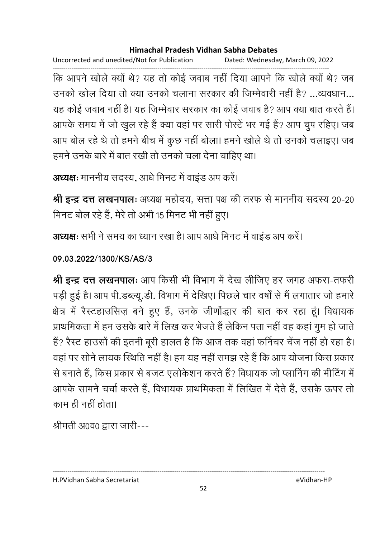Uncorrected and unedited/Not for Publication Dated: Wednesday, March 09, 2022

------------------------------------------------------------------------------------------------------------------------------------ कि आपने खोले क्यों थे? यह तो कोई जवाब नहीं दिया आपने कि खोले क्यों थे? जब उनको खोल दिया तो क्या उनको चलाना सरकार की जिम्मेवारी नहीं है? …व्यवधान… यह कोई जवाब नहीं है। यह जिम्मेवार सरकार का कोई जवाब है? आप क्या बात करते हैं। आपके समय में जो खुल रहे हैं क्या वहां पर सारी पोस्टें भर गई हैं? आप चुप रहिए। जब आप बोल रहे थे तो हमने बीच में कुछ नहीं बोला। हमने खोले थे तो उनको चलाइए। जब हमने उनके बारे में बात रखी तो उनको चला देना चाहिए था।

```
अध्यक्षः माननीय सदस्य, आधे मिनट में वाइंड अप करें।
```
**श्री इन्द्र दत्त लखनपालः** अध्यक्ष महोदय, सत्ता पक्ष की तरफ से माननीय सदस्य 20-20 मिनट बोल रहे हैं, मेरे तो अभी 15 मिनट भी नहीं हुए।

**अध्यक्षः** सभी ने समय का ध्यान रखा है। आप आर्ध मिनट में वाइंड अप करें।

**09.03.2022/1300/KS/AS/3**

**श्री इन्द्र दत्त लखनपालः** आप किसी भी विभाग में देख लीजिए हर जगह अफरा-तफरी पड़ी हुई है। आप पी.डब्ल्यू.डी. विभाग में देखिए। पिछले चार वर्षा से मैं लगातार जो हमारे | क्षेत्र में रैस्टहाउसिज़ बने हुए हैं, उनके जीणोद्धार की बात कर रहा हूं। विधायक प्राथमिकता में हम उसके बारे में लिख कर भेजते हैं लेकिन पता नहीं वह कहां गुम हो जाते हैं? रैस्ट हाउसों की इतनी बूरी हालत है कि आज तक वहां फनिचर चेंज नहीं हो रहा है। वहां पर सोने लायक स्थिति नहीं है। हम यह नहीं समझ रहे हैं कि आप योजना किस प्रकार से बनाते हैं, किस प्रकार से बजट एलोकेशन करते हैं? विधायक जो प्लानिंग की मीटिंग में आपके सामने चर्चा करते हैं, विधायक प्राथमिकता में लिखित में देते हैं, उसके ऊपर तो काम ही नहीं होता।

श्रीमती अ0व0 द्वारा जारी---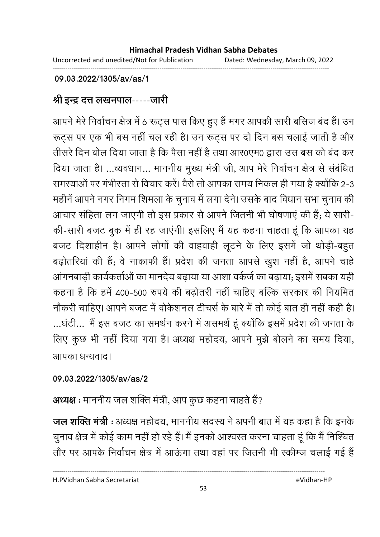------------------------------------------------------------------------------------------------------------------------------------

**09.03.2022/1305/av/as/1**

## श्री इन्द्र दत्त लखनपाल-----जारी

आपने मेरे निर्वाचन क्षेत्र में 6 रूट्स पास किए हुए हैं मगर आपकी सारी बसिज बंद हैं। उन रूट्स पर एक भी बस नहीं चल रही है। उन रूट्स पर दो दिन बस चलाई जाती है और तीसरे दिन बोल दिया जाता है कि पैसा नहीं है तथा आर0एम0 द्वारा उस बस को बंद कर दिया जाता है। …व्यवधान… माननीय मुख्य मंत्री जी, आप मेरे निर्वाचन क्षेत्र से संबंधित समस्याओं पर गंभीरता से विचार करें। वैसे तो आपका समय निकल ही गया है क्योंकि 2-3 महीनें आपने नगर निगम शिमला के चुनाव में लगा देने। उसके बाद विधान सभा चुनाव की आचार संहिता लग जाएगी तो इस प्रकार से आपने जितनी भी घोषणाएं की हैं; ये सारी-की-सारी बजट बुक में ही रह जाएंगी। इसलिए मैं यह कहना चाहता हूं कि आपका यह बजट दिशाहीन है। आपने लोगों की वाहवाही लूटने के लिए इसमें जो थोड़ी-बहुत बढ़ोतरिया की है; वे नाकाफी हैं। प्रदेश की जनता आपसे खुश नहीं है, आपने चाहें आंगनबाड़ी कार्यकर्ताओं का मानदेय बढ़ाया या आशा वर्कर्ज का बढ़ाया; इसमें सबका यही कहना है कि हमें 400-500 रुपये की बढ़ोतरी नहीं चाहिए बल्कि सरकार की नियमित नोंकरी चाहिए। आपने बजट में वर्किशनल टीचर्स के बारे में तो कोई बात ही नहीं कहीं हैं। ...घंटी... मैं इस बजट का समर्थन करने में असमर्थ हूं क्योंकि इसमें प्रदेश की जनता के लिए कुछ भी नहीं दिया गया है। अध्यक्ष महोदय, आपने मुझे बोलने का समय दिया, आपका धन्यवाद।

### **09.03.2022/1305/av/as/2**

**अध्यक्ष** : माननीय जल शक्ति मंत्री, आप कुछ कहना चाहते हैं?

**जल शक्ति मंत्री** : अध्यक्ष महोदय, माननीय सदस्य ने अपनी बात में यह कहा है कि इनके चुनाव क्षेत्र में कोई काम नहीं हो रहे हैं। मैं इनको आश्वस्त करना चाहता हूं कि मैं निश्चित तौर पर आपके निर्वाचन क्षेत्र में आऊंगा तथा वहां पर जितनी भी स्कीम्ज चलाई गई हैं

H.PVidhan Sabha Secretariat eVidhan-HP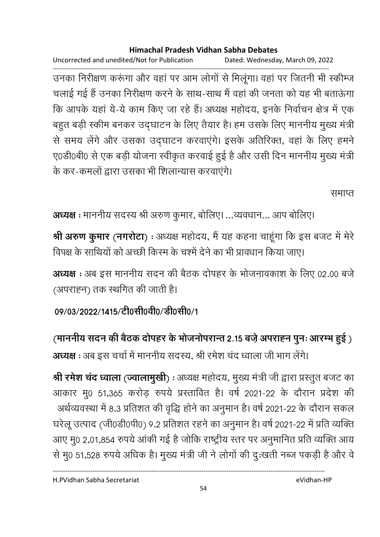Uncorrected and unedited/Not for Publication Dated: Wednesday, March 09, 2022

------------------------------------------------------------------------------------------------------------------------------------ उनका निरीक्षण करूंगा और वहां पर आम लोगों से मिलूंगा। वहां पर जितनी भी स्कीम्ज चलाई गई हैं उनका निरीक्षण करने के साथ-साथ मैं वहां की जनता को यह भी बताऊंगा कि आपके यहां ये-ये काम किए जा रहे हैं। अध्यक्ष महोदय, इनके निर्वाचन क्षेत्र में एक बहुत बड़ी स्कीम बनकर उद्घाटन के लिए तैयार है। हम उसके लिए माननीय मुख्य मंत्री से समय लेंगे और उसका उद्घाटन करवाएंगे। इसके अतिरिक्त, वहां के लिए हमने ए0डी0बी0 से एक बड़ी योजना स्वीकृत करवाई हुई है और उसी दिन माननीय मुख्य मंत्री | के कर-कमलों द्वारा उसका भी शिलान्यास करवाएंगे।

समाप्त

अध्यक्ष : माननीय सदस्य श्री अरुण कुमार, बोलिए। ...व्यवधान... आप बोलिए।

**श्री अरुण कुमार (नगरोटा)** : अध्यक्ष महोदय, मैं यह कहना चाहूगा कि इस बजट में मेरे विपक्ष के साथियों को अच्छी किरम के चश्में देने का भी प्रावधान किया जाए।

**अध्यक्ष** : अब इस माननीय सदन की बैठक दोपहर के भोजनावकाश के लिए 02.00 बजे (अपराह्न) तक स्थगित की जाती है।

09/03/2022/1415/टी0सी0वी0/डी0सी0/1

(माननीय सदन की बैठक दोपहर के भोजनोपरान्त 2.15 बज़े अपराह्न पुनः आरम्भ हुई ) **अध्यक्ष** : अब इस चर्चा में माननीय सदस्य, श्री रमेश चंद ध्वाला जी भाग लेंगे।

**श्री रमेश चंद ध्वाला (ज्वालामुखी) :** अध्यक्ष महोदय, मुख्य मंत्री जी द्वारा प्रस्तुत बजट का आकार मु0 51,365 करोड़ रुपये प्रस्तावित हैं। वर्ष 2021-22 के दौरान प्रदेश की -अर्थव्यवस्था में 8.3 प्रतिशत की वृद्धि होने का अनुमान है। वर्ष 2021-22 के दौरान सकल घरेलू उत्पाद (जी0डी0पी0) 9.2 प्रतिशत रहने का अनुमान है। वर्ष 2021-22 में प्रति व्यक्ति आए मु0 2,01,854 रुपये आकी गई है जोकि राष्ट्रीय स्तर पर अनुमानित प्रति व्यक्ति आय से मु0 51,528 रुपये अधिक है। मुख्य मंत्री जी ने लोगों की दुःखती नब्ज पकड़ी है और वे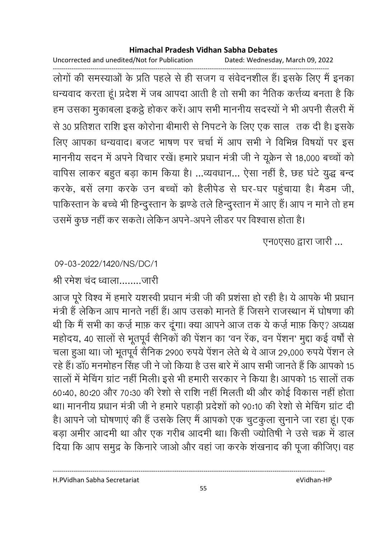Uncorrected and unedited/Not for Publication Dated: Wednesday, March 09, 2022

------------------------------------------------------------------------------------------------------------------------------------ लोगों की समस्याओं के प्रति पहले से ही संजग व सर्वेदनशील हैं। इसके लिए मैं इनका धन्यवाद करता हूं। प्रदेश में जब आपदा आती है तो सभी का नैतिक कर्त्तव्य बनता है कि हम उसका मुकाबला इकट्ठे होकर करें। आप सभी माननीय सदस्यों ने भी अपनी सैलरी में  30 P
>
 > 0 '  "  < < 
 @ ह A 0 लिए आपका धन्यवाद। बजट भाषण पर चर्चा में आप सभी ने विभिन्न विषयों पर इस माननीय सदन में अपने विचार रखें। हमारे प्रधान मंत्री जी ने यूक्रेन से 18,000 बच्चों को वापिस लाकर बहुत बड़ा काम किया है। …व्यवधान… ऐसा नहीं है, छह घंटे युद्ध बन्द करके, बसे लगा करके उन बच्चों को हैलेपिड से घर-घर पहुचाया है। मैडम जी, पाकिस्तान के बच्चे भी हिन्दुस्तान के झण्डे तले हिन्दुस्तान में आए हैं। आप न माने तो हम उसमें कुछ नहीं कर सकते। लेकिन अपने-अपने लेंडिर पर विश्वास होता है।

एन0एस0 द्वारा जारी ...

### 09-03-2022/1420/NS/DC/1

श्री रमेश चंद ध्वाला.........जारी

आज पूरे विश्व में हमारे यशस्वी प्रधान मंत्री जी की प्रशंसा हो रही है। ये आपके भी प्रधान मंत्री हैं लेकिन आप मानते नहीं हैं। आप उसको मानते हैं जिसने राजस्थान में घोषणा की थी कि मैं सभी का कर्ज़ माफ़ कर दूँगा। क्या आपने आज तक ये कर्ज़ माफ़ किए? अध्यक्ष महोदय, 40 सालों से भूतपूर्व सैनिकों की पेशन का 'वन रेक, वन पेशन' मुद्दा कई वर्षों से चला हुआ था। जो भूतपूर्व सैनिक 2900 रुपये पेंशन लेते थे वे आज 29,000 रुपये पेंशन ले रहे हैं। डा0 मनमोहन सिंह जी ने जो किया है उस बारे में आप सभी जानते हैं कि आपको 15 सालों में मेचिंग ग्रांट नहीं मिली। इसे भी हमारी सरकार ने किया है। आपको 15 सालों तक 60:40, 80:20 और 70:30 की रेशो से राशि नहीं मिलती थी और कोई विकास नहीं होता था। माननीय प्रधान मंत्री जी ने हमारे पहाड़ी प्रदेशों को 90:10 की रेशो से मेचिंग ग्रांट दी हैं। आपने जो घोषणाएं की है उसके लिए मैं आपको एक चुटकुला सुनाने जा रहा हूं। एक बड़ा अमीर आदमी था और एक गरीब आदमी था। किसी ज्योतिषी ने उसे चक्र में डाल दिया कि आप समुद्र के किनारे जाओ और वहां जा करके शंखनाद की पूजा कीजिए। वह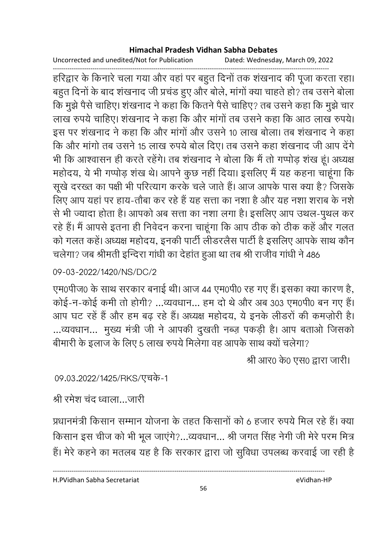Uncorrected and unedited/Not for Publication Dated: Wednesday, March 09, 2022

------------------------------------------------------------------------------------------------------------------------------------ हरिद्वार के किनारे चला गया और वहां पर बहुत दिनों तक शंखनाद की पूजा करता रहा। बहुत दिनों के बाद शंखनाद जी प्रचंड हुए और बोले, मांगों क्या चाहते हो? तब उसने बोला कि मुझे पैसे चाहिए। शखनाद ने कहा कि कितने पैसे चाहिए? तब उसने कहा कि मुझे चार लाख रुपये चाहिए। शंखनाद ने कहा कि और मांगों तब उसने कहा कि आठ लाख रुपये। इस पर शंखनाद ने कहा कि और मांगों और उसने 10 लाख बोला। तब शंखनाद ने कहा कि और मांगो तब उसने 15 लाख रुपये बोल दिए। तब उसने कहा शंखनाद जी आप देंगे भी कि आश्वासन ही करते रहेंगे। तब शखनाद ने बोला कि मैं तो गप्पोड़ शख हूं। अध्यक्ष महोदय, ये भी गप्पोड़ शंख थे। आपने कुछ नहीं दिया। इसलिए मैं यह कहना चाहूंगा कि सूखे दरख्त का पक्षी भी परित्यांग करके चले जाते हैं। आज आपके पास क्या है? जिसके लिए आप यहां पर हाय-तौबा कर रहे हैं यह सत्ता का नशा है और यह नशा शराब के नशे से भी ज्यादा होता है। आपको अब सत्ता का नशा लगा है। इसलिए आप उथल-पुथल कर रहे हैं। मैं आपसे इतना ही निवेदन करना चाहूंगा कि आप ठीक को ठीक कहें और गलत को गलत कहे। अध्यक्ष महोदय, इनकी पार्टी लेडिरलैस पार्टी है इसलिए आपके साथ कौन चलेगा? जब श्रीमती इन्दिरा गांधी का देहांत हुआ था तब श्री राजीव गांधी ने 486

## 09-03-2022/1420/NS/DC/2

एम0पीज0 के साथ सरकार बनाई थी। आज 44 एम0पी0 रह गए हैं। इसका क्या कारण है, कोई-न-कोई कमी तो होगी? ...व्यवधान... हम दो थे और अब 303 एम0पी0 बन गए हैं। आप घंट रहे हैं और हम बढ़ रहे हैं। अध्यक्ष महोदय, ये इनके लेंडिरों की कमज़ोरी हैं। ...व्यवधान... मुख्य मंत्री जी ने आपकी दुखती नब्ज़ पकड़ी है। आप बताओं जिसको बीमारी के इलाज के लिए 5 लाख रुपये मिलेगा वह आपके साथ क्यों चलेगा?

श्री आर0 के0 एस0 द्वारा जारी।

## 09.03.2022/1425/RKS/एचके-1

श्री रमेश चंद ध्वाला…जारी

प्रधानमंत्री किसान सम्मान योजना के तहत किसानों को 6 हजार रुपये मिल रहे हैं। क्या किसान इस चीज को भी भूल जाएंगे?...व्यवधान... श्री जगत सिंह नेगी जी मेरे परम मित्र हैं। मेरे कहने का मतलब यह है कि सरकार द्वारा जो सुर्विधा उपलब्ध करवाई जा रही है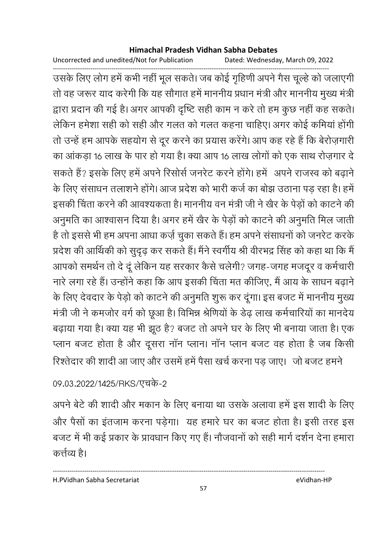Uncorrected and unedited/Not for Publication Dated: Wednesday, March 09, 2022

------------------------------------------------------------------------------------------------------------------------------------ उसके लिए लोग हमें कभी नहीं भूल सकते। जब कोई गृहिणी अपने गैस चूल्हें को जलाएंगी तो वह जरूर याद करेगी कि यह सौगात हमें माननीय प्रधान मंत्री और माननीय मुख्य मंत्री द्वारा प्रदान की गई है। अगर आपकी दृष्टि सही काम न करें तो हम कुछ नहीं कह सकते। लेकिन हमेशा सही को सही और गलत को गलत कहना चाहिए। अगर कोई कमियां होंगी तो उन्हें हम आपके सहयोग से दूर करने का प्रयास करेंगे। आप कह रहे हैं कि बेरोज़गारी का आकड़ा 16 लाख के पार हो गया है। क्या आप 16 लाख लोगों को एक साथ रोज़गार दे सकते हैं? इसके लिए हमें अपने रिसोर्स जनरेट करने होंगे। हमें अपने राजस्व को बढ़ाने के लिए संसाधन तलाशने होंगे। आज प्रदेश को भारी कर्ज का बोझ उठाना पड़ रहा है। हमें इसकी चिंता करने की आवश्यकता है। माननीय वन मंत्री जी ने खैर के पेड़ों को कांटने की अनुमति का आश्वासन दिया है। अगर हमें खैर के पेड़ों को कांटने की अनुमति मिल जाती है तो इससे भी हम अपना आधा कर्ज़ चुका सकते हैं। हम अपने संसाधनों को जनरेट करकें प्रदेश की आर्थिकी को सुदृढ़ कर सकते हैं। मैंने स्वर्गीय श्री वीरभद्र सिंह को कहा था कि मैं आपको समर्थन तो दे दू लेकिन यह सरकार कैसे चलेगी? जगह-जगह मजदूर व कर्मचारी नारे लगा रहे हैं। उन्होंने कहा कि आप इसकी चिंता मत कीजिए, मैं आय के साधन बढाने के लिए देवदार के पेड़ो को काटने की अनुमति शुरू कर दूंगा। इस बजट में माननीय मुख्य मंत्री जी ने कमजोर वर्ग को छूआ है। विभिन्न श्रीणेयों के डेढ़ लाख कर्मचारियों का मानदेय बढ़ाया गया है। क्या यह भी झूठ है? बजट तो अपने घर के लिए भी बनाया जाता है। एक प्लान बजट होता है और दूसरा नान प्लान। नान प्लान बजट वह होता है जब किसी रिश्तेदार की शादी आ जाए और उसमें हमें पैसा खर्च करना पड़ जाए। जो बजट हमने '

## 09.03.2022/1425/RKS/एचके-2

अपने बेटे की शादी और मकान के लिए बनाया था उसके अलावा हमें इस शादी के लिए और पैसों का इतजाम करना पड़ेगा। यह हमारे घर का बजट होता है। इसी तरह इस बजट में भी कई प्रकार के प्रावधान किए गए हैं। नौजवानों को सही मार्ग दर्शन देना हमारा कत्तेव्य है।

H.PVidhan Sabha Secretariat eVidhan-HP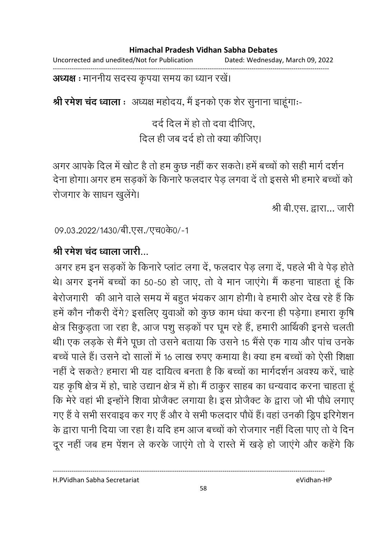#### **Himachal Pradesh Vidhan Sabha Debates**  Uncorrected and unedited/Not for Publication Dated: Wednesday, March 09, 2022

------------------------------------------------------------------------------------------------------------------------------------

### **अध्यक्ष** : माननीय सदस्य कृपया समय का ध्यान रखे।

**श्री रमेश चंद ध्वाला** ः अध्यक्ष महोदय, मैं इनको एक शेर सुनाना चाहूगाः-

दर्द दिल में हो तो दवा दीजिए. <u>दिल ही जब दर्द हो तो क्या कीजिए।</u>

अगर आपके दिल में खोट है तो हम कुछ नहीं कर सकते। हमें बच्चों को सही मार्ग दर्शन देना होगा। अगर हम सड़कों के किनारे फलदार पेड़ लगवा दें तो इससे भी हमारे बच्चों को रोजगार के साधन खुलेंगे।

श्री बी.एस. द्वारा... जारी

09.03.2022/1430/बी.एस./एच0के0/-1

## <u>श्री रमेश चंद ध्वाला जारी…</u>

अगर हम इन सड़कों के किनारे प्लांट लगा दें, फलदार पेड़ लगा दें, पहले भी वे पेड़ होते थे। अगर इनमें बच्चों का 50-50 हो जाए, तो वे मान जाएंगे। मैं कहना चाहता हूं कि बेरोजगारी की आने वाले समय में बहुत भंयकर आग होगी। वे हमारी ओर देख रहे हैं कि हमें कौन नौकरी देंगे? इसलिए युवाओं को कुछ काम धंधा करना ही पड़ेगा। हमारा कृषि क्षेत्र सिकुड़ता जा रहा है, आज पशु सड़कों पर घूम रहे हैं, हमारी आर्थिकी इनसे चलती थी। एक लड़के से मैंने पूछा तो उसने बताया कि उसने 15 भैंसे एक गाय और पांच उनके बच्चे पाले हैं। उसने दो सालों में 16 लाख रुपए कमाया है। क्या हम बच्चों को ऐसी शिक्षा नहीं दे सकते? हमारा भी यह दायित्व बनता है कि बच्चों का मार्गदर्शन अवश्य करे, चाहें यह कृषि क्षेत्र में हो, चाहे उद्यान क्षेत्र में हो। मैं ठाकुर साहब का धन्यवाद करना चाहता हूं कि मेरे वहां भी इन्होंने शिवा प्रजिक्ट लगाया है। इस प्रजिक्ट के द्वारा जो भी पौधे लगाएं गए हैं वे सभी सरवाइव कर गए हैं और वे सभी फलदार पौधें हैं। वहां उनकी ड्रिप इरिगेशन के द्वारा पानी दिया जा रहा है। यदि हम आज बच्चों को रोजगार नहीं दिला पाए तो वे दिन दूर नहीं जब हम पेंशन ले करके जाएंगे तो वे रास्ते में खड़े हो जाएंगे और कहेंगे कि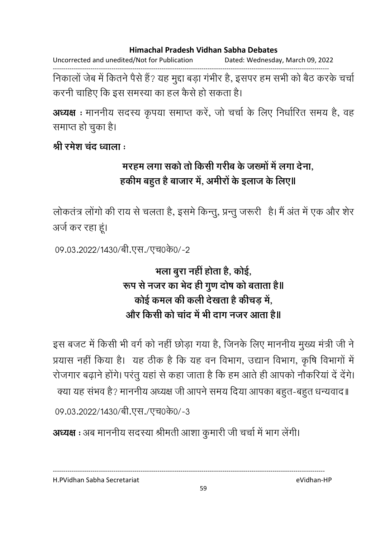Uncorrected and unedited/Not for Publication Dated: Wednesday, March 09, 2022

------------------------------------------------------------------------------------------------------------------------------------ निकालों जेब में कितने पैसे हैं? यह मुद्दा बड़ा गंभीर है, इसपर हम सभी को बैठ करके चर्चा करनी चाहिए कि इस समस्या का हल कैसे हो सकता है।

**अध्यक्ष** : माननीय सदस्य कृपया समाप्त करे, जो चर्चा के लिए निर्धारित समय है, वह समाप्त हो चुका है।

## <u>श्री रमेश चंद ध्वाला</u> :

# <u>मरहम लगा सको तो किसी गरीब के जख्मों में लगा देना, </u> हकीम बहुत है बाजार में, अमीरों के इलाज के लिए॥

लोकतंत्र लोगों की राय से चलता है, इसमें किन्तु, प्रन्तु जरूरी | है। मैं अंत में एक और शेर अर्ज कर रहा हूं।

09.03.2022/1430/बी.एस./एच0के0/-2

# **भला बूरा नहीं होता है, कोई,** रूप से नजर का भेद ही गुण दोष को बताता है॥ कोई कमल की कली देखता है कीचड़ में, और किसी को चांद में भी दाग नजर आता है॥

इस बजट में किसी भी वर्ग को नहीं छोड़ा गया है, जिनके लिए माननीय मुख्य मंत्री जी ने प्रयास नहीं किया है। यह ठीक है कि यह वन विभाग, उद्यान विभाग, कृषि विभागों में रोजगार बढ़ाने होंगे। परंतु यहां से कहा जाता है कि हम आते ही आपको नौकरिया दे देंगे। क्या यह सभव है? माननीय अध्यक्ष जी आपने समय दिया आपका बहुत-बहुत धन्यवाद॥

09.03.2022/1430/बी.एस./एच0के0/-3

**अध्यक्ष** : अब माननीय सदस्या श्रीमती आशा कुमारी जी चर्चा में भाग लेंगी।

H.PVidhan Sabha Secretariat eVidhan-HP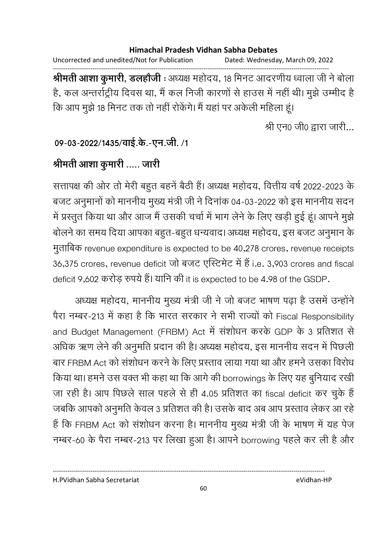Uncorrected and unedited/Not for Publication Dated: Wednesday, March 09, 2022 ------------------------------------------------------------------------------------------------------------------------------------ **श्रीमती आशा कुमारी, डलहोजी** : अध्यक्ष महोदय, 18 मिनट आदरणीय ध्वाला जी ने बोला हैं, कल अन्तर्राट्रीय दिवस था, मैं कल निजी कारणों से हाउस में नहीं थी। मुझे उम्मीद है कि आप मुझे 18 मिनट तक तो नहीं रोकेंगे। मैं यहां पर अकेली महिला हूं।

श्री एन0 जी0 द्वारा जारी...

09-03-2022/1435/वाई.के.-एन.जी. /1

## श्रीमती आशा कुमारी ..... जारी

सत्तापक्ष की ओर तो मेरी बहुत बहने बैठी है। अध्यक्ष महोदय, वित्तीय वर्ष 2022-2023 के बजट अनुमानों को माननीय मुख्य मंत्री जी ने दिनांक 04-03-2022 को इस माननीय सदन में प्रस्तुत किया था और आज मैं उसकी चर्चा में भाग लेने के लिए खड़ी हुई हूं। आपने मुझे बोलने का समय दिया आपका बहुत-बहुत धन्यवाद। अध्यक्ष महोदय, इस बजट अनुमान के मुताबिक revenue expenditure is expected to be 40,278 crores, revenue receipts 36,375 crores, revenue deficit जो बजट एस्टिमेट में हैं i.e. 3,903 crores and fiscal deficit 9,602 करोड़ रुपये हैं। यानि की it is expected to be 4.98 of the GSDP.

अध्यक्ष महोदय, माननीय मुख्य मंत्री जी ने जो बजट भाषण पढ़ा है उसमें उन्होंने पैरा नम्बर-213 में कहा है कि भारत सरकार ने सभी राज्यों को Fiscal Responsibility and Budget Management (FRBM) Act में संशोधन करके GDP के 3 प्रतिशत से आंधेक ऋण लेने की अनुमति प्रदान की है। अध्यक्ष महोदय, इस माननीय सदन में पिछली | बार FRBM Act को संशोधन करने के लिए प्रस्ताव लाया गया था और हमने उसका विरोध किया था। हमने उस वक्त भी कहा था कि आगे की borrowings के लिए यह बुनियाद रखी जा रही है। आप पिछले साल पहले से ही 4.05 प्रतिशत का fiscal deficit कर चुके हैं | जबकि आपको अनुमति केवल 3 प्रतिशत की है। उसके बाद अब आप प्रस्ताव लेकर आ रहे। है कि FRBM Act को संशोधन करना है। माननीय मुख्य मंत्री जी के भाषण में यह पेज नम्बर-60 के पैरा नम्बर-213 पर लिखा हुआ है। आपने borrowing पहले कर ली है और

H.PVidhan Sabha Secretariat eVidhan-HP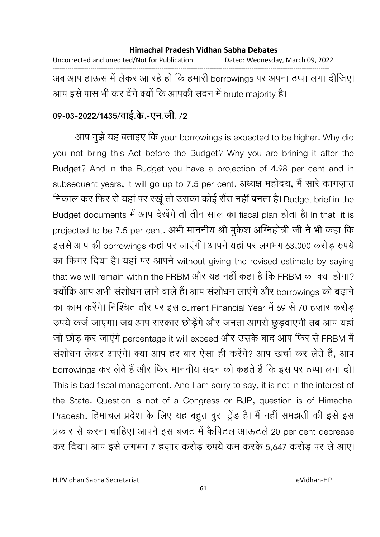#### **Himachal Pradesh Vidhan Sabha Debates**  Uncorrected and unedited/Not for Publication Dated: Wednesday, March 09, 2022 ------------------------------------------------------------------------------------------------------------------------------------

अब आप हाऊस में लेकर आ रहें हो कि हमारी borrowings पर अपना ठप्पा लगा दीजिए। आप इसे पास भी कर देंगे क्यों कि आपकी सदन में brute majority हैं।

## 09-03-2022/1435/वाई.के.-एन.जी. /2

आप मुझे यह बताइए कि your borrowings is expected to be higher. Why did you not bring this Act before the Budget? Why you are brining it after the Budget? And in the Budget you have a projection of 4.98 per cent and in subsequent years, it will go up to 7.5 per cent. अध्यक्ष महोदय, मैं सारे कांगज़ात निकाल कर फिर से यहां पर रखू तो उसका कोई सैस नहीं बनता है। Budget brief in the Budget documents में आप देखेंगे तो तीन साल का fiscal plan होता है। In that it is projected to be 7.5 per cent. अभी माननीय श्री मुकेश अग्निहोत्री जी ने भी कहा कि इससे आप की borrowings कहां पर जाएंगी। आपने यहां पर लगभग 63,000 करोड़ रुपये का फिगर दिया है। यहां पर आपने without giving the revised estimate by saying that we will remain within the FRBM और यह नहीं कहा है कि FRBM का क्या होगा? क्योंकि आप अभी संशोधन लाने वाले हैं। आप संशोधन लाएंगे और borrowings को बढ़ाने का काम करेंगे। निश्चित तौर पर इस current Financial Year में 69 से 70 हज़ार करोड़ रुपये कर्ज जाएगा। जब आप सरकार छोडेंगे और जनता आपसे छूड़वाएगी तब आप यहां जो छोड़ कर जाएंगे percentage it will exceed और उसके बाद आप फिर से FRBM में संशोधन लेकर आएंगे। क्या आप हर बार ऐसा ही करेंगे? आप खर्चा कर लेते हैं, आप borrowings कर लेते हैं और फिर माननीय सदन को कहते हैं कि इस पर ठप्पा लगा दो। This is bad fiscal management. And I am sorry to say, it is not in the interest of the State. Question is not of a Congress or BJP, question is of Himachal Pradesh. हिमाचल प्रदेश के लिए यह बहुत बुरा ट्रेंड है। मैं नहीं समझती की इसे इस प्रकार से करना चाहिए। आपने इस बजट में कैंपिटल आऊटले 20 per cent decrease कर दिया। आप इसे लगभग 7 हज़ार करोड़ रुपये कम करके 5,647 करोड़ पर ले आए।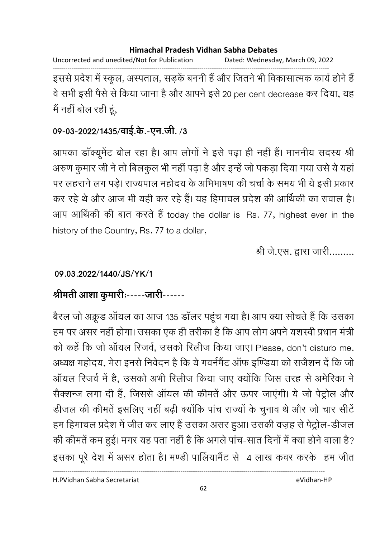Uncorrected and unedited/Not for Publication Dated: Wednesday, March 09, 2022

------------------------------------------------------------------------------------------------------------------------------------ इससे प्रदेश में स्कूल, अस्पताल, सड़के बननी है और जितने भी विकासात्मक कार्य होने हैं | वे सभी इसी पैसे से किया जाना है और आपने इसे 20 per cent decrease कर दिया, यह मैं नहीं बोल रही हूं,

## 09-03-2022/1435/वाई.के.-एन.जी. /3

आपका डाक्यूमेंट बोल रहा है। आप लोगों ने इसे पढ़ा ही नहीं है। माननीय सदस्य श्री अरुण कुमार जी ने तो बिलकुल भी नहीं पढ़ा है और इन्हें जो पकड़ा दिया गया उसे ये यहां पर लहराने लग पड़े। राज्यपाल महोदय के अभिभाषण की चर्चा के समय भी ये इसी प्रकार कर रहे थे और आज भी यही कर रहे हैं। यह हिमाचल प्रदेश की आर्थिकी का सवाल है। आप आर्थिकी की बात करते हैं today the dollar is Rs. 77, highest ever in the history of the Country, Rs. 77 to a dollar,

श्री जे.एस. द्वारा जारी.........

## **09.03.2022/1440/JS/YK/1**

# श्रीमती आशा कुमारीः-----जारी------

बैरल जो अंक्रूड आयल का आज 135 डालर पहूच गया है। आप क्या सोचते हैं कि उसका हम पर असर नहीं होगा। उसका एक ही तरीका है कि आप लोग अपने यशस्वी प्रधान मंत्री | को कहें कि जो ऑयल रिजर्व, उसको रिलीज किया जाए। Please, don't disturb me. अध्यक्ष महोदय, मेरा इनर्स निवेदन है कि ये गवर्नमैंट आफ इण्डिया को सजैशन दें कि जो आयल रिजर्व में हैं, उसको अभी रिलीज किया जाए क्योंकि जिस तरह से अमेरिका ने सैक्शन्ज लगा दी है, जिससे आयल की कीमते और ऊपर जाएगी। ये जो पेट्रोल और डीजल की कीमतें इसलिए नहीं बढ़ी क्योंकि पांच राज्यों के चुनाव थे और जो चार सीटें हम हिमाचल प्रदेश में जीत कर लाए हैं उसका असर हुआ। उसकी वज़ह से पेट्रोल-डीजल की कीमते कम हुई। मगर यह पता नहीं है कि अगले पाच-सात दिनों में क्या होने वाला है? इसका पूरे देश में असर होता है। मण्डी पालियामेंट से 4 लाख कवर करके हम जीत

H.PVidhan Sabha Secretariat eVidhan-HP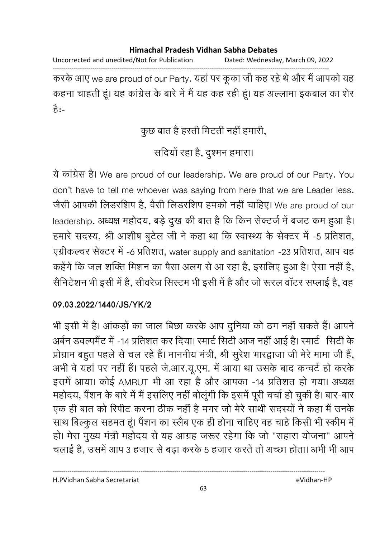Uncorrected and unedited/Not for Publication Dated: Wednesday, March 09, 2022 ------------------------------------------------------------------------------------------------------------------------------------

करके आए we are proud of our Party. यहां पर कूका जी कह रहे थे और मैं आपको यह कहना चाहती हूं। यह कांग्रेस के बारे में मैं यह कह रही हूं। यह अल्लामा इकबाल का शेर हैं:-

## कुछ बात है हस्ती मिटती नहीं हमारी,

# संदियों रहा है, दुश्मन हमारा।

ये कांग्रेस है। We are proud of our leadership. We are proud of our Party. You don't have to tell me whoever was saying from here that we are Leader less. जैसी आपकी लिंडरशिप हैं, वैसी लिंडरशिप हमको नहीं चाहिए। We are proud of our leadership. अध्यक्ष महोदय, बड़े दुख की बात है कि किन सेक्टर्ज में बजट कम हुआ है। हमारे सदस्य, श्री आशीष बुटेल जी ने कहा था कि स्वास्थ्य के सेक्टर में -5 प्रतिशत, एग्रीकल्चर सेक्टर में -6 प्रतिशत, water supply and sanitation -23 प्रतिशत, आप यह कहेंगे कि जल शक्ति मिशन का पैसा अलग से आ रहा है, इसलिए हुआ है। ऐसा नहीं है, सैनिटेशन भी इसी में हैं, सीवरेज सिस्टम भी इसी में हैं और जो रूरल वाटर सप्लाई है, वह

### **09.03.2022/1440/JS/YK/2**

भी इसी में हैं। आकड़ों का जाल बिछा करके आप दुनिया को ठंग नहीं सकते हैं। आपने अबेन डवल्पमेंट में -14 प्रतिशत कर दिया। स्मार्ट सिटी आज नहीं आई है। स्मार्ट 'सिटी के प्रोग्राम बहुत पहले से चल रहे हैं। माननीय मंत्री, श्री सुरेश भारद्वाजा जी मेरे मामा जी हैं, अभी वे यहां पर नहीं हैं। पहले जे.आर.यू.एम. में आया था उसके बाद कन्वर्ट हो करके इसमें आया। कोई AMRUT भी आ रहा है और आपका -14 प्रतिशत हो गया। अध्यक्ष महोदय, पैशन के बारे में मैं इसलिए नहीं बोलूगी कि इसमें पूरी चर्चा हो चुकी हैं। बार-बार एक ही बात को रिपीट करना ठीक नहीं है मगर जो मेरे साथी सदस्यों ने कहा मैं उनके साथ बिल्कुल सहमत हूं। पैशन का स्लैब एक ही होना चाहिए वह चाहे किसी भी स्कीम में हो। मेरा मुख्य मंत्री महोदय से यह आग्रह जरूर रहेगा कि जो "सहारा योजना" आपने चलाई है, उसमें आप 3 हजार से बढ़ा करके 5 हजार करते तो अच्छा होता। अभी भी आप

H.PVidhan Sabha Secretariat eVidhan-HP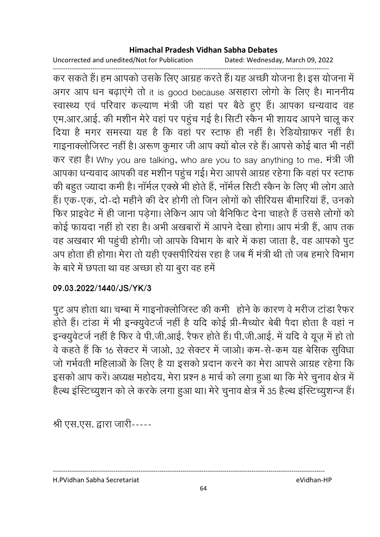Uncorrected and unedited/Not for Publication Dated: Wednesday, March 09, 2022

------------------------------------------------------------------------------------------------------------------------------------ कर सकते हैं। हम आपको उसके लिए आग्रह करते हैं। यह अच्छी योजना है। इस योजना में अगर आप धन बढ़ाएंगे तो it is good because असहारा लोगों के लिए हैं। माननीय स्वास्थ्य एवं परिवार कल्याण मंत्री जी यहां पर बैठे हुए हैं। आपका धन्यवाद वह एम.आर.आई. की मशीन मेरे वहां पर पहुंच गई है। सिटी स्कैन भी शायद आपने चालू कर दिया है मगर समस्या यह है कि वहां पर स्टाफ ही नहीं है। रेडियोग्राफर नहीं हैं। गाइनाक्लोजिस्ट नहीं है। अरूण कुमार जी आप क्यों बोल रहे हैं। आपसे कोई बात भी नहीं | कर रहा है। Why you are talking, who are you to say anything to me. मत्री जी आपका धन्यवाद आपकी वह मशीन पहुंच गई। मेरा आपसे आग्रह रहेगा कि वहां पर स्टाफ की बहुत ज्यादा कर्मी है। नामेल एक्स्ने भी होते हैं, नामेल सिटी स्कैन के लिए भी लोग आते. हैं। एक-एक, दो-दो महीने की देर होगी तो जिन लोगों को सीरियस बीमारियां हैं, उनको फिर प्राइवेंट में ही जाना पड़ेगा। लेकिन आप जो बैनिफिट देना चाहते हैं उससे लोगों को कोई फायदा नहीं हो रहा है। अभी अखबारों में आपने देखा होगा। आप मंत्री हैं, आप तक वह अखबार भी पहुंची होगी। जो आपके विभाग के बारे में कहा जाता है, वह आपको पुट अप होता ही होगा। मेरा तो यही एक्सपीरियस रहा है जब मैं मंत्री थी तो जब हमारे विभाग के बारे में छपता था वह अच्छा हो या बुरा वह हमें

## **09.03.2022/1440/JS/YK/3**

पुट अप होता था। चम्बा में गाइनोक्लोजिस्ट की कर्मी | होने के कारण वे मरीज टांडा रैफर | होते हैं। टाडा में भी इन्क्युवेटर्ज नहीं है यदि कोई प्री-मैच्योर बेबी पैदा होता है वहां न इन्क्युवेटर्ज नहीं है फिर वे पी.जी.आई. रैफर होते हैं। पी.जी.आई. में यदि वे यूज़ में हो तो वे कहते हैं कि 16 सेक्टर में जाओ, 32 सेक्टर में जाओ। कम-से-कम यह बेसिक सुविधा जो गर्भवती महिलाओं के लिए हैं या इसको प्रदान करने का मेरा आपसे आग्रह रहेगा कि इसको आप करें। अध्यक्ष महोदय, मेरा प्रश्न 8 मार्च को लगा हुआ था कि मेरे चुनाव क्षेत्र में हैल्थ इस्टिच्युशन को ले करके लगा हुआ था। मेरे चुनाव क्षेत्र में 35 हैल्थ इस्टिच्युशन्ज है।

श्री एस.एस. द्वारा जारी-----

H.PVidhan Sabha Secretariat eVidhan-HP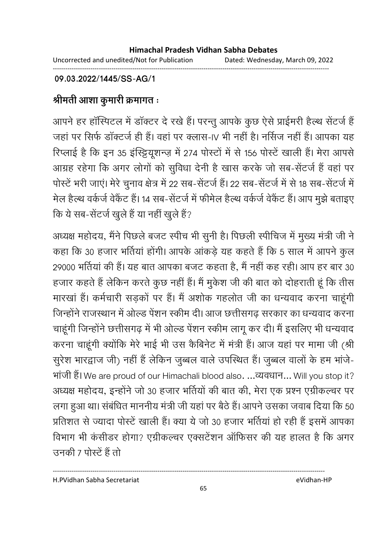Uncorrected and unedited/Not for Publication Dated: Wednesday, March 09, 2022 ------------------------------------------------------------------------------------------------------------------------------------

### **09.03.2022/1445/SS-AG/1**

# श्रीमती आशा कुमारी क्रमागत**ः**

आपने हर हास्पिटल में डाक्टर दे रखे हैं। परन्तु आपके कुछ ऐसे प्राईमरी हैल्थ सेंटर्ज हैं | जहां पर सिर्फ डाक्टर्ज ही है। वहां पर क्लास-IV भी नहीं है। नसिज नहीं है। आपका यह रिप्लाई है कि इन 35 इस्ट्टियूशन्ज़ में 274 पोस्टों में से 156 पोस्टे खाली हैं। मेरा आपसे आग्रह रहेगा कि अगर लोगों को सुविधा देनी है खास करके जो सब-सेंटर्ज है वहां पर पोस्टें भरी जाएं। मेरे चुनाव क्षेत्र में 22 सब-सेंटर्ज हैं। 22 सब-सेंटर्ज में से 18 सब-सेंटर्ज में मेल हैल्थ वर्कजे वेकैट है। 14 सब-सेंटजे में फॉर्मेल हैल्थ वर्कजे वेकैट हैं। आप मुझे बताइए कि ये सब-सेंटर्ज खुले हैं या नहीं खुले हैं?

अध्यक्ष महोदय, मैंने पिछले बजट स्पीच भी सुनी है। पिछली स्पीचिज में मुख्य मंत्री जी ने कहा कि 30 हजार भर्तियां होंगी। आपके आंकड़े यह कहते हैं कि 5 साल में आपने कुल 29000 भीतेया की है। यह बात आपका बजट कहता है, मैं नहीं कह रही। आप हर बार 30  $\,$ हजार कहते हैं लेकिन करते कुछ नहीं हैं। मैं मुकेश जी की बात को दोहराती हूं कि तीस मारखां हैं। कर्मचारी सड़कों पर हैं। मैं अशोक गहलोत जी का धन्यवाद करना चाहूंगी जिन्होंने राजस्थान में ओल्ड पेंशन स्कीम दी। आज छत्तीसगढ सरकार का धन्यवाद करना चाहूंगी जिन्होंने छत्तीसगढ़ में भी ओल्ड पेंशन स्कीम लागू कर दी। मैं इसलिए भी धन्यवाद करना चाहूंगी क्योंकि मेरे भाई भी उस कैबिनेट में मंत्री हैं। आज यहां पर मामा जी (श्री) सुरेश भारद्वाज जी) नहीं हैं लेकिन जुब्बल वाले उपस्थित हैं। जुब्बल वालों के हम भांजे-भांजी हैं। We are proud of our Himachali blood also. ...व्यवधान... Will you stop it? अध्यक्ष महोदय, इन्होंने जो 30 हजार भतियों की बात की, मेरा एक प्रश्न एंग्रेकिल्चर पर लगा हुआ था। संबंधित माननीय मंत्री जी यहां पर बैठे हैं। आपने उसका जवाब दिया कि 50 प्रतिशत से ज्यादा पोस्टें खाली हैं। क्या ये जो 30 हजार भर्तियां हो रही हैं इसमें आपका विभाग भी कसींडर होगा? एंग्रेकिल्वर एक्सटेशन आफिसर की यह हालत है कि अगर उनकी 7 पोस्टें हैं तो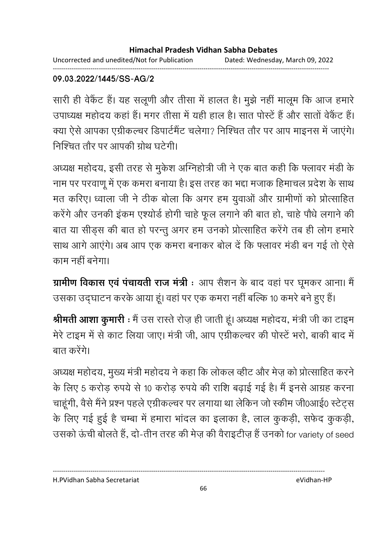Uncorrected and unedited/Not for Publication Dated: Wednesday, March 09, 2022 ------------------------------------------------------------------------------------------------------------------------------------

### **09.03.2022/1445/SS-AG/2**

सारी ही वेकैट है। यह सलूणी और तीसा में हालत है। मुझे नहीं मालूम कि आज हमारे उपाध्यक्ष महोदय कहा है। मगर तीसा में यही हाल है। सात पोस्टे हैं और सातों वेंकैट हैं। क्या ऐसे आपका एग्रीकल्चर डिपार्टमैंट चलेगा? निश्चित तौर पर आप माइनस में जाएंगे। निश्चित तौर पर आपकी ग्रोथ घटेगी।

अध्यक्ष महोदय, इसी तरह से मुकेश अग्निहोत्री जी ने एक बात कहीं कि फ्लावर मर्डी के नाम पर परवाणू में एक कमरा बनाया है। इस तरह का भद्दा मजाक हिमाचल प्रदेश के साथ मत करिए। ध्वाला जी ने ठीक बोला कि अगर हम युवाओं और ग्रामीणों को प्रोत्साहित करेंगे और उनकी इंकम एश्योर्ड होगी चाहे फूल लगाने की बात हो, चाहे पौधे लगाने की बात या सीड़स की बात हो परन्तु अगर हम उनको प्रोत्साहित करेंगे तब ही लोग हमारे साथ आगे आएंगे। अब आप एक कमरा बनाकर बोल दें कि फ्लावर मंडी बन गई तो ऐसे काम नहीं बनेगा।

**ग्रामीण विकास एवं पचायती राज मंत्री** : आप सैशन के बाद वहां पर घूमकर आना। मैं | उसका उद्घाटन करके आया हूं। वहां पर एक कमरा नहीं बल्कि 10 कमरे बने हुए हैं।

**श्रीमती आशा कुमारी** : मैं उस रास्तें रोज़ ही जाती हूं। अध्यक्ष महोदय, मंत्री जी का टाइम मेरे टाइम में से काट लिया जाए। मंत्री जी, आप एग्रीकल्चर की पोस्टें भरो, बाकी बाद में बात करेंगे।

अध्यक्ष महोदय, मुख्य मंत्री महोदय ने कहा कि लोकल व्हीट और मेज़ को प्रोत्साहित करने। के लिए 5 करोड़ रुपये से 10 करोड़ रुपये की राशि बढ़ाई गई है। मैं इनसे आग्रह करना चाहूंगी, वैसे मैंने प्रश्न पहले एंग्रीकल्चर पर लगाया था लेकिन जो स्कीम जी0आई0 स्टेट्स के लिए गई हुई है चम्बा में हमारा भादल का इलाका है, लाल कुकड़ी, सफेंद कुकड़ी, उसको ऊंची बोलते हैं, दो-तीन तरह की मेज़ की वैराइटीज़ है उनको for variety of seed

H.PVidhan Sabha Secretariat eVidhan-HP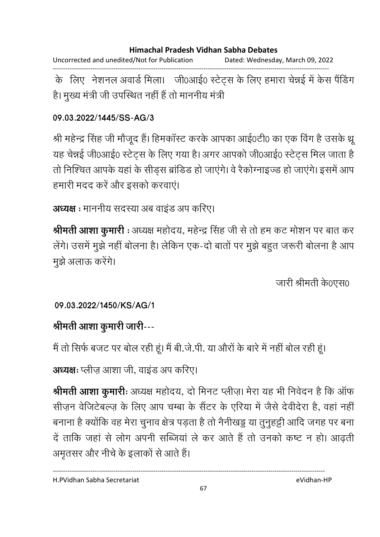Uncorrected and unedited/Not for Publication Dated: Wednesday, March 09, 2022 ------------------------------------------------------------------------------------------------------------------------------------

के लिए नेशनल अवार्ड मिला। जी0आई0 स्टेट्स के लिए हमारा चेन्नई में केस पैंडिंग है। मुख्य मंत्री जी उपस्थित नहीं है तो माननीय मंत्री।

### **09.03.2022/1445/SS-AG/3**

श्री महेन्द्र सिंह जी मौजूद है। हिमकास्ट करके आपका आई0टी0 का एक विग है उसके थ्रू यह चेन्नई जी0आई0 स्टेट्स के लिए गया है। अगर आपको जी0आई0 स्टेट्स मिल जाता हैं। तो निश्चित आपके यहां के सींड्स ब्राडिड हो जाएंगे। वे रैकोंग्नाइज्ड हो जाएंगे। इसमें आप हमारी मदद करें और इसको करवाएं।

```
अध्यक्ष : माननीय सदस्या अब वाइंड अप करिए।
```
**श्रीमती आशा कुमारी** : अध्यक्ष महोदय, महेन्द्र सिंह जी से तो हम कट मोशन पर बात कर लेगे। उसमें मुझे नहीं बोलना है। लेकिन एक-दो बातों पर मुझे बहुत जरूरी बोलना है आप मुझे अलाऊ करेंगे।

जारी श्रीमती के0एस0

**09.03.2022/1450/KS/AG/1**

# श्रीमती आशा कुमारी जारी---

मैं तो सिर्फ बजट पर बोल रही हूं। मैं बी.जे.पी. या औरों के बारे में नहीं बोल रही हूं।

**अध्यक्षः** प्लीज़ आशा जी, वाइंड अप करिए।

**श्रीमती आशा कुमारीः** अध्यक्ष महोदय, दो मिनट प्लीज़। मेरा यह भी निवेदन है कि आफ सीज़न वेजिटेबल्ज़ के लिए आप चम्बा के सैटर के एरिया में जैसे देवीदेरा है, वहां नहीं बनाना है क्योंकि वह मेरा चुनाव क्षेत्र पड़ता है तो नैनीखड्ड या तुनुहट्टी आदि जगह पर बना दें ताकि जहां से लोग अपनी सब्जियां ले कर आते हैं तो उनको कष्ट न हो। आढ़ती अमृतसर और नीचे के इलाकों से आते हैं।

----------------------------------------------------------------------------------------------------------------------------------

H.PVidhan Sabha Secretariat eVidhan-HP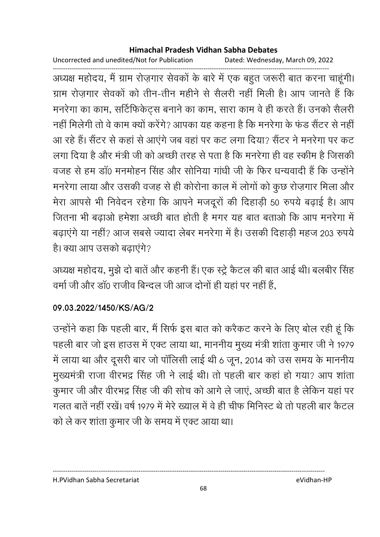Uncorrected and unedited/Not for Publication Dated: Wednesday, March 09, 2022

------------------------------------------------------------------------------------------------------------------------------------ अध्यक्ष महोदय, मैं ग्राम रोज़गार सेवकों के बारे में एक बहुत जरूरी बात करना चाहूंगी। ग्राम रोज़गार सेवकों को तीन-तीन महीने से सैलरी नहीं मिली हैं। आप जानते हैं कि मनरेगा का काम, सर्टिफिर्केट्स बनाने का काम, सारा काम वे ही करते हैं। उनको सैलरी नहीं मिलेगी तो वे काम क्यों करेंगे? आपका यह कहना है कि मनरेगा के फंड सैंटर से नहीं। आ रहे हैं। सैंटर से कहां से आएंगे जब वहां पर कट लगा दिया? सैंटर ने मनरेगा पर कट लगा दिया है और मंत्री जी को अच्छी तरह से पता है कि मनरेगा ही वह स्कीम है जिसकी वजह से हम डॉ0 मनमोहन सिंह और सोनिया गांधी जी के फिर धन्यवादी हैं कि उन्होंने मनरेगा लाया और उसकी वजह से ही कोरोना काल में लोगों को कुछ रोज़गार मिला और मेरा आपसे भी निवेदन रहेगा कि आपने मजदूरों की दिहाड़ी 50 रुपये बढ़ाई हैं। आप जितना भी बढ़ाओं हमेशा अच्छी बात होती है मगर यह बात बताओं कि आप मनरेगा में बढ़ाएंगे या नहीं? आज सबसे ज्यादा लेबर मनरेगा में हैं। उसकी दिहाड़ी महज 203 रुपये है। क्या आप उसको बढ़ाएगे?

अध्यक्ष महोदय, मुझे दो बाते और कहनी है। एक स्ट्रे कैटल की बात आई थी। बलबीर सिंह वर्मा जी और डॉ0 राजीव बिन्दल जी आज दोनों ही यहां पर नहीं हैं.

### **09.03.2022/1450/KS/AG/2**

उन्होंने कहा कि पहली बार, मैं सिर्फ इस बात को करैकट करने के लिए बोल रही हूं कि पहली बार जो इस हाउस में एक्ट लाया था, माननीय मुख्य मंत्री शांता कुमार जी ने 1979 में लाया था और दूसरी बार जो पॉलिसी लाई थी 6 जून, 2014 को उस समय के माननीय मुख्यमंत्री राजा वीरभद्र सिंह जी ने लाई थी। तो पहली बार कहां हो गया? आप शांता कुमार जी और वीरभंद्र सिंह जी की सोच को आगे ले जाए, अच्छी बात है लेकिन यहां पर गलत बातें नहीं रखे। वर्ष 1979 में मेरे ख्याल में वे ही चीफ मिनिस्ट थे तो पहली बार कैटल को ले कर शांता कुमार जी के समय में एक्ट आया था।

H.PVidhan Sabha Secretariat eVidhan-HP

68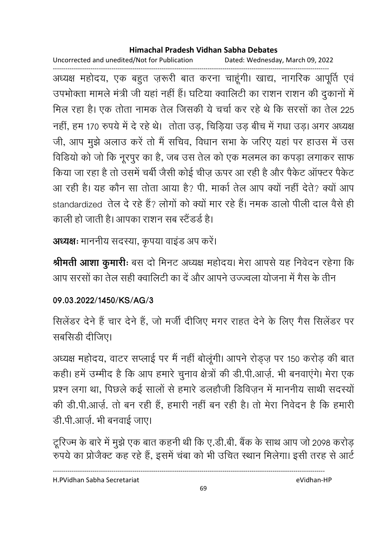Uncorrected and unedited/Not for Publication Dated: Wednesday, March 09, 2022

------------------------------------------------------------------------------------------------------------------------------------ अध्यक्ष महोदय, एक बहुत ज़रूरी बात करना चाहूंगी। खाद्य, नागरिक आपूर्ति एवं उपभोक्ता मामले मंत्री जी यहां नहीं हैं। घटिया क्वालिटी का राशन राशन की दुकानों में मिल रहा है। एक तोता नामक तेल जिसकी ये चर्चा कर रहे थे कि सरसों का तेल 225 नहीं, हम 170 रुपये में दे रहे थे। तोता उड़, चिड़िया उड़ बीच में गंधा उड़। अगर अध्यक्ष जी, आप मूझे अलाउ करें तो मैं सचिव, विधान सभा के जरिए यहां पर हाउस में उस विडियों को जो कि नूरपुर का है, जब उस तेल को एक मलमल का कंपड़ा लगाकर साफ किया जा रहा है तो उसमें चबी जैसी कोई चीज़ ऊपर आ रही है और पैकेट आफ्टर पैकेंट आ रही है। यह कौन सा तोता आया है? पी. मार्का तेल आप क्यों नहीं देते? क्यों आप standardized तेल दे रहे है? लोगों को क्यों मार रहे हैं। नमक डालों पीली दाल वैसे ही काली हो जाती है। आपका राशन सब स्टैंडर्ड है।

**अध्यक्षः** माननीय सदस्या, कृपया वाइंड अप करें।

**श्रीमती आशा कुमारीः** बस दो मिनट अध्यक्ष महोदय। मेरा आपसे यह निर्वेदन रहेगा कि आप सरसों का तेल सही क्वालिटी का दें और आपने उज्ज्वला योजना में गैस के तीन

### **09.03.2022/1450/KS/AG/3**

सिलेंडर देने हैं चार देने हैं, जो मर्जी दीजिए मगर राहत देने के लिए गैस सिलेंडर पर सबसिडी दीजिए।

अध्यक्ष महोदय, वाटर सप्लाई पर मैं नहीं बोलूगी। आपने रोड्ज़ पर 150 करोड़ की बात कही। हमें उम्मीद है कि आप हमारे चुनाव क्षेत्रों की डी.पी.आज़े. भी बनवाएंगे। मेरा एक प्रश्न लगा था, पिछले कई सालों से हमारे डलहौजी डिविज़न में माननीय साथी सदस्यों की डी.पी.आज़े. तो बन रही है, हमारी नहीं बन रही है। तो मेरा निवेदन है कि हमारी डी.पी.आर्ज़. भी बनवाई जाए।

टूरिज्म के बारे में मुझे एक बात कहनी थी कि ए.डी.बी. बैंक के साथ आप जो 2098 करोड़ रुपर्य का प्रजिक्ट कह रहे हैं, इसमें चबा को भी उचित स्थान मिलेगा। इसी तरह से आर्ट

----------------------------------------------------------------------------------------------------------------------------------

H.PVidhan Sabha Secretariat eVidhan-HP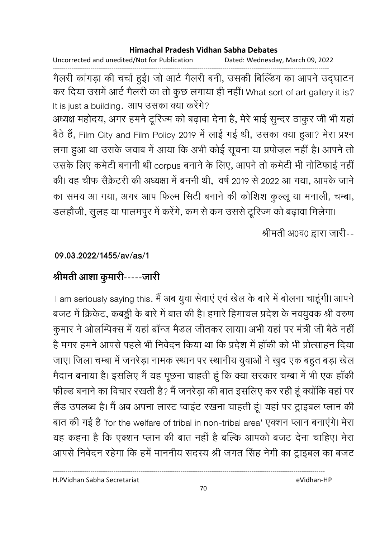Uncorrected and unedited/Not for Publication Dated: Wednesday, March 09, 2022

------------------------------------------------------------------------------------------------------------------------------------ गैलरी कांगड़ा की चर्चा हुई। जो आर्ट गैलरी बनी, उसकी बिल्डिंग का आपने उद्घाटन कर दिया उसमें आर्ट गैलरी का तो कुछ लगाया ही नहीं। What sort of art gallery it is? It is just a building. आप उसका क्या करेंगे?

अध्यक्ष महोदय, अगर हमने टूरिज्म को बढ़ावा देना है, मेरे भाई सुन्दर ठाकुर जी भी यहाँ बैठे हैं, Film City and Film Policy 2019 में लाई गई थी, उसका क्या हुआ? मेरा प्रश्न लगा हुआ था उसके जवाब में आया कि अभी कोई सूचना या प्रपोज़ल नहीं है। आपने तो उसके लिए कमेटी बनानी थी corpus बनाने के लिए, आपने तो कमेटी भी नोटिफाई नहीं की। वह चीफ सैक्रेटरी की अध्यक्षा में बननी थी, वर्ष 2019 से 2022 आ गया, आपके जाने का समय आ गया, अगर आप फिल्म सिटी बनाने की कोशिश कुल्लू या मनाली, चम्बा,

डलहौजी, सुलह या पालमपुर में करेंगे, कम से कम उससे टूरिज्म को बढ़ावा मिलेगा।

श्रीमती अ0व0 द्वारा जारी--

### **09.03.2022/1455/av/as/1**

## श्रीमती आशा कुमारी-----जारी

I am seriously saying this. मैं अब युवा सेवाएं एवं खेल के बारे में बोलना चाहूंगी। आपने बजट में क्रिकेट, कबड्डी के बारे में बात की है। हमारे हिमाचल प्रदेश के नवयुवक श्री वरुण कुमार ने ओलोम्पेक्स में यहाँ ब्रान्ज मैंडल जीतकर लाया। अभी यहाँ पर मंत्री जी बैठे नहीं है मगर हमने आपसे पहले भी निवेदन किया था कि प्रदेश में हाकी को भी प्रोत्साहन दिया। जाए। जिला चम्बा में जनरेड़ा नामक स्थान पर स्थानीय युवाओं ने खुद एक बहुत बड़ा खेल मैदान बनाया है। इसलिए मैं यह पूछना चाहती हूँ कि क्या सरकार चम्बा में भी एक हाकी फील्ड बनाने का विचार रखती है? मैं जनरेड़ा की बात इसलिए कर रही हूं क्योंकि वहां पर लैंड उपलब्ध है। मैं अब अपना लास्ट प्वाइट रखना चाहती हूं। यहां पर ट्राइबल प्लान की बात की गई है 'for the welfare of tribal in non-tribal area' एक्शन प्लान बनाएंगे। मेरा यह कहना है कि एक्शन प्लान की बात नहीं है बल्कि आपको बजट देना चाहिए। मेरा आपसे निवेदन रहेगा कि हमें माननीय सदस्य श्री जगत सिंह नेगी का ट्राइबल का बजट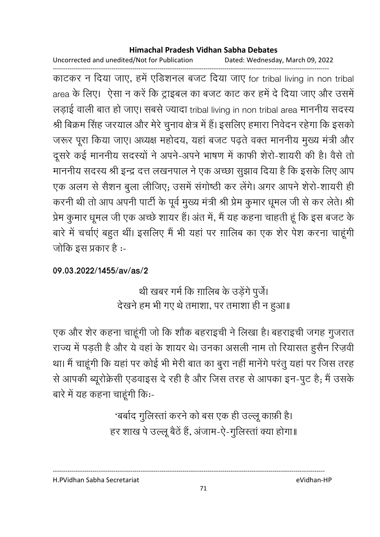Uncorrected and unedited/Not for Publication Dated: Wednesday, March 09, 2022

------------------------------------------------------------------------------------------------------------------------------------ काटकर न दिया जाए, हमें एडिशनल बजट दिया जाए for tribal living in non tribal area के लिए। ऐसा न करें कि ट्राइबल का बजट काट कर हमें दे दिया जाए और उसमें लड़ाई वाली बात हो जाए। सबसे ज्यादा tribal living in non tribal area माननीय सदस्य श्री बिक्रम सिंह जरयाल और मेरे चुनाव क्षेत्र में हैं। इसलिए हमारा निवेदन रहेगा कि इसको जरूर पूरा किया जाए। अध्यक्ष महोदय, यहा बजट पढ़ते वक्त माननीय मुख्य मंत्री और दूसरे कई माननीय सदस्यों ने अपने-अपने भाषण में काफी शैरो-शायरी की हैं। वैसे तो माननीय सदस्य श्री इन्द्र दत्त लखनपाल ने एक अच्छा सुझाव दिया है कि इसके लिए आप एक अलग से सैशन बुला लीजिए; उसमें संगोष्ठी कर लेंगे। अगर आपने शैरी-शायरी ही करनी थी तो आप अपनी पार्टी के पूर्व मुख्य मंत्री श्री प्रेम कुमार धूमल जी से कर लेते। श्री प्रेम कुमार धूमल जी एक अच्छे शायर हैं। अंत में, मैं यह कहना चाहती हूं कि इस बजट के बारे में चर्चाएं बहुत थीं। इसलिए मैं भी यहां पर ग़ालिब का एक शेर पेश करना चाहूंगी जोकि इस प्रकार है :-

### **09.03.2022/1455/av/as/2**

थी खबर गर्म कि ग़ालिब के उड़ेंगे पुर्जे। देखने हम भी गए थे तमाशा, पर तमाशा ही न हुआ॥

एक और शेर कहना चाहूँगी जो कि शौक बहराइची ने लिखा है। बहराइची जगह गुजरात राज्य में पड़ती है और ये वहां के शायर थे। उनका असली नाम तो रियासत हुसैन रिज़र्वी था। मैं चाहूंगी कि यहां पर कोई भी मेरी बात का बुरा नहीं मानेंगे परंतु यहां पर जिस तरह से आपकी ब्यूरक्रिसी एंडवाइस दे रही है और जिस तरह से आपका इन-पुट हैं; मैं उसके बारे में यह कहना चाहूंगी कि:-

> 'बर्बाद गुलिस्ता करने को बस एक ही उल्लू काफ़ी है। हर शाख पे उल्लू बैठे हैं, अजाम-ऐ-गुलिस्ता क्या होगा॥

H.PVidhan Sabha Secretariat eVidhan-HP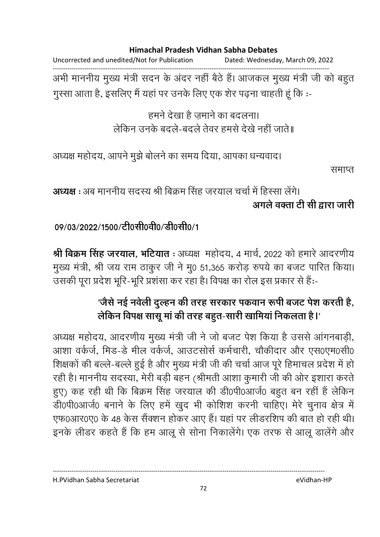Uncorrected and unedited/Not for Publication Dated: Wednesday, March 09, 2022

------------------------------------------------------------------------------------------------------------------------------------ अभी माननीय मुख्य मंत्री सदन के अंदर नहीं बैठे हैं। आजकल मुख्य मंत्री जी को बहुत गुस्सा आता है, इसलिए मैं यहां पर उनके लिए एक शेर पढ़ना चाहती हूं कि :-

> हमने देखा है ज़माने का बदलना। लेकिन उनके बदले-बदले तेवर हमसे देखे नहीं जाते॥

अध्यक्ष महोदय, आपने मुझे बोलने का समय दिया, आपका धन्यवाद।

समाप्त

**अध्यक्ष :** अब माननीय सदस्य श्री बिक्रम सिंह जरयाल चर्चा में हिस्सा लेंगे। अगले वक्ता टी सी द्वारा जारी

09/03/2022/1500/टी0सी0वी0/डी0सी0/1

**श्री बिक्रम सिंह जरयाल, भोर्टयात :** अध्यक्ष महोदय, 4 मार्च, 2022 को हमारे आदरणीय मुख्य मंत्री, श्री जय राम ठाकुर जी ने मु0 51,365 करोड़ रुपये का बजट पारित किया। उसकी पूरा प्रदेश भूरि-भूरि प्रशंसा कर रहा है। विपक्ष का रोल इस प्रकार से हैं:--

# 'जैसे नई नर्वेली दुल्हन की तरह सरकार पकवान रूपी बजट पेश करती है, लेकिन विपक्ष सासू मा की तरह बहुत-सारी खामिया निकलता है l'

अध्यक्ष महोदय, आदरणीय मुख्य मंत्री जी ने जो बजट पेश किया है उससे आगनबाड़ी, आशा वर्कर्ज, मिड-डे मील वर्कर्ज, आउटसोर्स कर्मचारी, चौकीदार और एस0एम0सी0 शिक्षकों की बल्ले-बल्ले हुई है और मुख्य मंत्री जी की चर्चा आज पूरे हिमाचल प्रदेश में हो रही है। माननीय सदस्या, मेरी बड़ी बहन (श्रीमती आशा कुमारी जी की ओर इशारा करते) हुए) कह रही थी कि बिक्रम सिंह जरयाल की डी0पी0आर्ज0 बहुत बन रहीं हैं लेकिन डी0पी0आर्ज0 बनाने के लिए हमें खुद भी कोशिश करनी चाहिए। मेरे चुनाव क्षेत्र में एफ0आर0ए0 के 48 केस सैंक्शन होकर आए हैं। यहां पर लीडरशिप की बात हो रही थी। इनके लीडर कहते हैं कि हम आलू से सोना निकालेंगे। एक तरफ से आलू डालेंगे और

---------------------------------------------------------------------------------------------------------------------------------- H.PVidhan Sabha Secretariat eVidhan-HP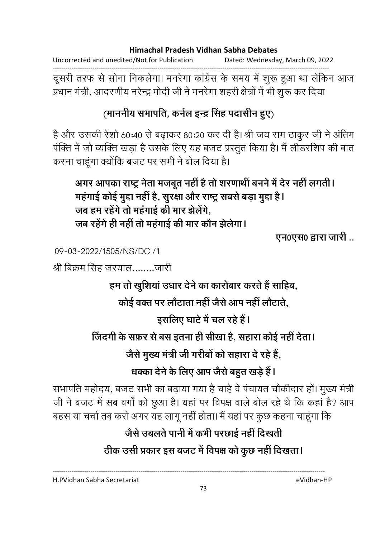Uncorrected and unedited/Not for Publication Dated: Wednesday, March 09, 2022

------------------------------------------------------------------------------------------------------------------------------------ दूसरी तरफ से सोना निकलेगा। मनरेगा कांग्रेस के समय में शुरू हुआ था लेकिन आज प्रधान मंत्री, आदरणीय नरेन्द्र मोदी जी ने मनरेगा शहरी क्षेत्रों में भी शुरू कर दिया

# (माननीय सभापति, कर्नल इन्द्र सिंह पदासीन हुए)

है और उसकी रेशों 60:40 से बढ़ाकर 80:20 कर दी है। श्री जय राम ठाकुर जी ने अतिम पक्ति में जो व्यक्ति खड़ा है उसके लिए यह बजट प्रस्तुत किया है। मैं लेडिरशिप की बात करना चाहूंगा क्योंकि बजट पर सभी ने बोल दिया है।

अगर आपका राष्ट्र नेता मजबूत नहीं है तो शरणार्थी बनने में देर नहीं लगती। महंगाई कोई मुद्दा नहीं है, सुरक्षा और राष्ट्र सबसे बड़ा मुद्दा है। जब हम रहेंगे तो महंगाई की मार झेलेंगे, जब रहेंगे ही नहीं तो महंगाई की मार कौन झेलेगा।

**एन0एस0 द्वारा जारी..** 

09-03-2022/1505/NS/DC /1

श्री बिक्रम सिंह जरयाल........जारी

हम तो खुशिया उधार देने का कारोबार करते हैं साहिब,

<u>कोई वक्त पर लोटाता नहीं जैसे आप नहीं लोटाते,</u>

इसलिए घाटे में चल रहे हैं।

जिंदगी के सफ़र से बस इतना ही सीखा है, सहारा कोई नहीं देता।

जैसे मुख्य मंत्री जी गरीबों को सहारा दे रहे हैं,

धक्का देने के लिए आप जैसे बहुत खड़े हैं।

सभापति महोदय, बजट सभी का बढ़ाया गया है चाहे वे पचायत चौकीदार हो। मुख्य मंत्री जी ने बजट में सब वर्गा को छुआ है। यहां पर विपक्ष वाले बोल रहे थे कि कहा है? आप बहस या चर्चा तब करो अगर यह लागू नहीं होता। मैं यहां पर कुछ कहना चाहूंगा कि

# जैसे उबलते पानी में कभी परछाई नहीं दिखती

ठीक उसी प्रकार इस बजट में विपक्ष को कुछ नहीं दिखता।

----------------------------------------------------------------------------------------------------------------------------------

H.PVidhan Sabha Secretariat eVidhan-HP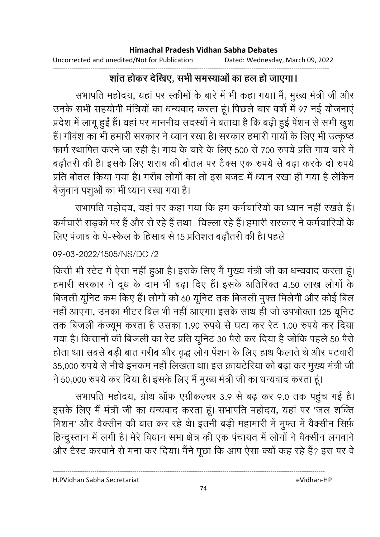#### ------------------------------------------------------------------------------------------------------------------------------------ शांत होकर देखिए, सभी समस्याओं का हल हो जाएगा।

सभापति महोदय, यहां पर स्कीमों के बारे में भी कहा गया। मैं, मूख्य मंत्री जी और उनके सभी सहयोगी मंत्रियों का धन्यवाद करता हूं। पिछले चार वर्षों में 97 नई योजनाएं प्रदेश में लागू हुई है। यहां पर माननीय सदस्यों ने बताया है कि बढ़ी हुई पेशन से सभी खुश हैं। गौवश का भी हमारी सरकार ने ध्यान रखा है। सरकार हमारी गायों के लिए भी उत्कृष्ठ फार्म स्थापित करने जा रही है। गाय के चारे के लिए 500 से 700 रुपये प्रति गाय चारे में बढ़ौतरी की है। इसके लिए शराब की बोतल पर टैक्स एक रुपये से बढ़ा करके दो रुपये प्रति बोतल किया गया है। गरीब लोगों का तो इस बजट में ध्यान रखा ही गया है लेकिन बेजुवान पशुओं का भी ध्यान रखा गया है।

सभापति महोदय, यहां पर कहा गया कि हम कर्मचारियों का ध्यान नहीं रखते हैं। कर्मचारी सड़कों पर हैं और रो रहे हैं तथा किल्ला रहे हैं। हमारी सरकार ने कर्मचारियों के लिए पंजाब के पे-स्केल के हिसाब से 15 प्रतिशत बढ़ौतरी की है। पहले

## 09-03-2022/1505/NS/DC /2

किसी भी स्टेट में ऐसा नहीं हुआ है। इसके लिए मैं मुख्य मंत्री जी का धन्यवाद करता हूं। हमारी सरकार ने दूध के दाम भी बढ़ा दिए हैं। इसके अतिरिक्त 4.50 लाख लोगों के बिजली यूनिट कम किए हैं। लोगों को 60 यूनिट तक बिजली मुफ्त मिलेगी और कोई बिल नहीं आएगा, उनका मीटर बिल भी नहीं आएगा। इसके साथ ही जो उपभोक्ता 125 यूनिट तक बिजली कर्ज्यूम करता है उसका 1.90 रुपये से घटा कर रैट 1.00 रुपये कर दिया गया है। किसानों की बिजली का रेंट प्रति यूनिट 30 पैसे कर दिया है जोकि पहले 50 पैसे होता था। सबसे बड़ी बात गरीब और वृद्ध लोग पेशन के लिए हाथ फैलाते थे और पटवारी 35,000 रुपये से नीचे इनकम नहीं लिखता था। इस क्रायटेरिया को बढ़ा कर मुख्य मंत्री जी ने 50,000 रुपये कर दिया है। इसके लिए मैं मुख्य मंत्री जी का धन्यवाद करता हूं।

सभापति महोदय, ग्रोथ आफ एंग्रीकल्चर 3.9 से बढ़ कर 9.0 तक पहुंच गई है। इसके लिए मैं मंत्री जी का धन्यवाद करता हूं। सभापति महोदय, यहां पर 'जल शक्ति मिशन' और वैक्सीन की बात कर रहे थे। इतनी बड़ी महामारी में मुफ्त में वैक्सीन सिर्फ़ हिन्दुस्तान में लगी है। मेरे विधान सभा क्षेत्र की एक पंचायत में लोगों ने वैक्सीन लगवाने. और टैस्ट करवाने से मना कर दिया। मैंने पूछा कि आप ऐसा क्यों कह रहे हैं? इस पर वे

H.PVidhan Sabha Secretariat eVidhan-HP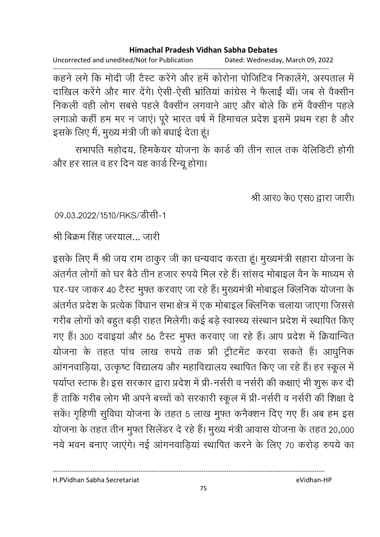Uncorrected and unedited/Not for Publication Dated: Wednesday, March 09, 2022

------------------------------------------------------------------------------------------------------------------------------------ कहने लगे कि मोदी जी टैस्ट करेंगे और हमें कोरोना पोजिटिव निकालेंगे, अस्पताल में दाखिल करेंगे और मार देंगे। ऐसी-ऐसी भ्रातिया कांग्रेस ने फैलाई थी। जब से वैक्सीन निकली वहीं लोग सबसे पहले वैक्सीन लगवाने आए और बोलें कि हमें वैक्सीन पहले लगाओं कहीं हम मर न जाए। पूरे भारत वर्ष में हिमाचल प्रदेश इसमें प्रथम रहा है और इसके लिए में, मुख्य मंत्री जी को बधाई देता हूं।

सभापति महोदय, हिमकेयर योजना के कार्ड की तीन साल तक वेलिडिटी होगी और हर साल व हर दिन यह कार्ड रिन्यू होगा।

श्री आर0 के0 एस0 द्वारा जारी।

09.03.2022/1510/RKS/डीसी-1

श्री बिक्रम सिंह जरयाल... जारी

इसके लिए मैं श्री जय राम ठाकुर जी का धन्यवाद करता हूं। मुख्यमंत्री सहारा योजना के अंतर्गत लोगों को घर बैठे तीन हजार रुपये मिल रहे हैं। सासद मोबाइल वैन के माध्यम से घर-घर जाकर 40 टैस्ट मुफ्त करवाए जा रहे हैं। मुख्यमंत्री मोबाइल क्लिनिक योजना के अंतर्गत प्रदेश के प्रत्येक विधान सभा क्षेत्र में एक मोबाइल क्लिनिक चलाया जाएगा जिससे गरीब लोगों को बहुत बड़ी राहत मिलेगी। कई बड़े स्वास्थ्य संस्थान प्रदेश में स्थापित किए गए हैं। 300 दवाइया और 56 टैस्ट मुफ्त करवाए जा रहे हैं। आप प्रदेश में क्रियान्वित योजना के तहत पांच लाख रुपये तक फ्री ट्रीटमेंट करवा सकते हैं। आधुनिक आंगनवाड़िया, उत्कृष्ट विद्यालय और महाविद्यालय स्थापित किए जा रहे हैं। हर स्कूल में पर्याप्त स्टाफ है। इस सरकार द्वारा प्रदेश में प्री-नर्सरी व नर्सरी की कक्षाएं भी शुरू कर दी हैं ताकि गरीब लोग भी अपने बच्चों को सरकारी स्कूल में प्री-नर्सरी व नर्सरी की शिक्षा दे सके। गृहिणी सुर्विधा योजना के तहत 5 लाख मुफ्त कर्नेक्शन दिए गए हैं। अब हम इस योजना के तहत तीन मुफ्त सिलेंडर दे रहे हैं। मुख्य मंत्री आवास योजना के तहत 20,000 नये भवन बनाए जाएंगे। नई आंगनवाडियां स्थापित करने के लिए 70 करोड़ रुपये का

H.PVidhan Sabha Secretariat eVidhan-HP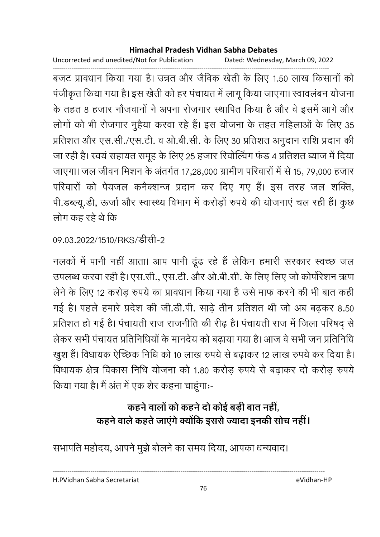Uncorrected and unedited/Not for Publication Dated: Wednesday, March 09, 2022

------------------------------------------------------------------------------------------------------------------------------------ बजट प्रावधान किया गया है। उन्नत और जैविक खेती के लिए 1.50 लाख किसानों को पर्जीकृत किया गया है। इस खेती को हर पंचायत में लागू किया जाएगा। स्वावलबन योजना के तहत 8 हजार नौजवानों ने अपना रोजगार स्थापित किया है और वे इसमें आगे और लोगों को भी रोजगार मुहैया करवा रहे हैं। इस योजना के तहत महिलाओं के लिए 35 प्रतिशत और एस.सी./एस.टी. व ओ.बी.सी. के लिए 30 प्रतिशत अनुदान राशि प्रदान की जा रही है। स्वयं सहायत समूह के लिए 25 हजार रिवोल्विंग फंड 4 प्रतिशत ब्याज में दिया जाएगा। जल जीवन मिशन के अंतर्गत 17,28,000 ग्रामीण परिवारों में से 15, 79,000 हजार परिवारों को पेयजल कर्नेक्शन्ज प्रदान कर दिए गए हैं। इस तरह जल शक्ति, पी.डब्ल्यू.डी, ऊर्जा और स्वास्थ्य विभाग में करोड़ों रुपये की योजनाएं चल रही हैं। कुछ लोग कह रहे थे कि

# 09.03.2022/1510/RKS/डीसी-2

नलकों में पानी नहीं आता। आप पानी ढूंढ रहे हैं लेकिन हमारी सरकार स्वच्छ जल उपलब्ध करवा रही है। एस.सी., एस.टी. और ओ.बी.सी. के लिए लिए जो कोपरिशन ऋण लेने के लिए 12 करोड़ रुपये का प्रावधान किया गया है उसे माफ करने की भी बात कहीं। गई है। पहले हमारे प्रदेश की जी.डी.पी. साढ़े तीन प्रतिशत थी जो अब बढ़कर 8.50 प्रतिशत हो गई है। पंचायती राज राजनीति की रीढ़ है। पंचायती राज में जिला परिषद् से लेकर सभी पंचायत प्रतिनिधियों के मानदेय को बढ़ाया गया है। आज वे सभी जन प्रतिनिधि खुश है। विधायक ऐच्छिक निधि को 10 लाख रुपये से बढ़ाकर 12 लाख रुपये कर दिया है। विधायक क्षेत्र विकास निधि योजना को 1.80 करोड़ रुपये से बढ़ाकर दो करोड़ रुपये किया गया है। मैं अंत में एक शेर कहना चाहूंगाः-

# कहने वालों को कहने दो कोई बड़ी बात नहीं, कहने वाले कहते जाएंगे क्योंकि इससे ज्यादा इनकी सोच नहीं।

सभापति महोदय, आपने मुझे बोलने का समय दिया, आपका धन्यवाद।

H.PVidhan Sabha Secretariat eVidhan-HP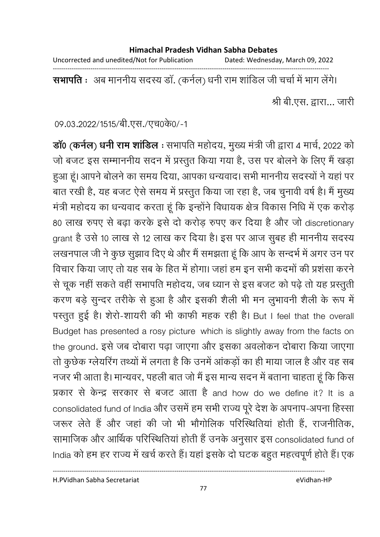Uncorrected and unedited/Not for Publication Dated: Wednesday, March 09, 2022

------------------------------------------------------------------------------------------------------------------------------------

**सभापति** ः अब माननीय सदस्य डा. (कर्नल) धनी राम शाडिल जी चर्चा में भाग लेंगे।

श्री बी.एस. द्वारा... जारी

09.03.2022/1515/बी.एस./एच0के0/-1

**डां0 (कर्नल) धर्नी राम शाडिल** : सभापति महोदय, मुख्य मंत्री जी द्वारा 4 मार्च, 2022 को जो बजट इस सम्माननीय सदन में प्रस्तुत किया गया है, उस पर बोलने के लिए मैं खड़ा हुआ हूं। आपने बोलने का समय दिया, आपका धन्यवाद। सभी माननीय सदस्यों ने यहां पर बात रखी है, यह बजट ऐसे समय में प्रस्तुत किया जा रहा है, जब चुनावी वर्ष है। मैं मुख्य मंत्री महोदय का धन्यवाद करता हूं कि इन्होंने विधायक क्षेत्र विकास निधि में एक करोड़ 80 लाख रुपए से बढ़ा करके इसे दो करोड़ रुपए कर दिया है और जो discretionary grant है उसे 10 लाख से 12 लाख कर दिया है। इस पर आज सुबह ही माननीय सदस्य लखनपाल जी ने कुछ सुझाव दिए थे और मैं समझता हूं कि आप के सन्दर्भ में अगर उन पर विचार किया जाए तो यह सब के हित में होगा। जहां हम इन सभी कदमों की प्रशंसा करने से चूक नहीं सकते वहीं सभापति महोदय, जब ध्यान से इस बजट को पढ़े तो यह प्रस्तुती करण बड़े सुन्दर तरीके से हुआ है और इसकी शैली भी मन लुभावनी शैली के रूप में पस्तुत हुई है। शैरो-शायरी की भी काफी महक रही है। But I feel that the overall Budget has presented a rosy picture which is slightly away from the facts on the ground. इसे जब दोबारा पढ़ा जाएगा और इसका अवलोकन दोबारा किया जाएगा तो कुछेक ग्लेयरिंग तथ्यों में लगता है कि उनमें आकड़ों का ही माया जाल है और वह सब नजर भी आता है। मान्यवर, पहली बात जो मैं इस मान्य सदन में बताना चाहता हूं कि किस प्रकार से केन्द्र सरकार से बजट आता है and how do we define it? It is a consolidated fund of India और उसमें हम सभी राज्य पूरे देश के अपनाप-अपना हिस्सा जरूर लेते हैं और जहां की जो भी भौगोलिक परिस्थितियां होती हैं, राजनीतिक, सामाजिक और आर्थिक परिस्थितियां होती हैं उनके अनुसार इस consolidated fund of India को हम हर राज्य में खर्च करते हैं। यहां इसके दो घटक बहुत महत्वपूर्ण होते हैं। एक

H.PVidhan Sabha Secretariat eVidhan-HP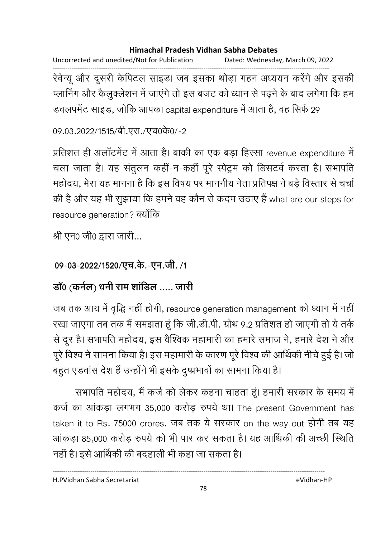Uncorrected and unedited/Not for Publication Dated: Wednesday, March 09, 2022

------------------------------------------------------------------------------------------------------------------------------------ रेवेन्यू और दूसरी केंपिटल साइंड। जब इसका थोड़ा गहन अध्ययन करेंगे और इसकी प्लानिंग और कैलुक्लेशन में जाएंगे तो इस बजट को ध्यान से पढ़ने के बाद लगेगा कि हम डवलपर्मेंट साइंड, जोकि आपका capital expenditure में आता है, वह सिर्फ 29

09.03.2022/1515/बी.एस./एच0के0/-2

प्रतिशत ही अलाटमेंट में आता है। बाकी का एक बड़ा हिस्सा revenue expenditure में चला जाता है। यह सतुलन कही-न-कहीं पूरे स्पेंट्रम को डिसटवें करता है। सभापति महोदय, मेरा यह मानना है कि इस विषय पर माननीय नेता प्रतिपक्ष ने बड़े विस्तार से चर्चा की है और यह भी सुझाया कि हमने वह कौन से कदम उठाए हैं what are our steps for resource generation? क्योंकि

श्री एन0 जी0 द्वारा जारी...

# 09-03-2022/1520/एच.के.-एन.जी. /1

# **डाॅ0 (कर्नल) धर्नी राम शाडिल ..... जारी**

जब तक आय में वृद्धि नहीं होगी, resource generation management को ध्यान में नहीं | रखा जाएगा तब तक मैं समझता हूं कि जी.डी.पी. ग्रोथ 9.2 प्रतिशत हो जाएगी तो ये तर्क से दूर है। सभापति महोदय, इस वैश्विक महामारी का हमारे समाज ने, हमारे देश ने और पूरे विश्व ने सामना किया है। इस महामारी के कारण पूरे विश्व की आर्थिकी नीचे हुई है। जो बहुत एंडवास देश है उन्होंने भी इसके दुष्प्रभावों का सामना किया है।

सभापति महोदय, मैं कर्ज को लेकर कहना चाहता हूं। हमारी सरकार के समय में कर्ज का आंकड़ा लगभग 35,000 करोड़ रुपये था। The present Government has taken it to Rs. 75000 crores. जब तक ये सरकार on the way out होगी तब यह आकड़ा 85,000 करोड़ रुपये को भी पार कर सकता है। यह आर्थिकी की अच्छी स्थिति नहीं हैं। इसे आर्थिकी की बदहाली भी कहा जा सकता है।

H.PVidhan Sabha Secretariat eVidhan-HP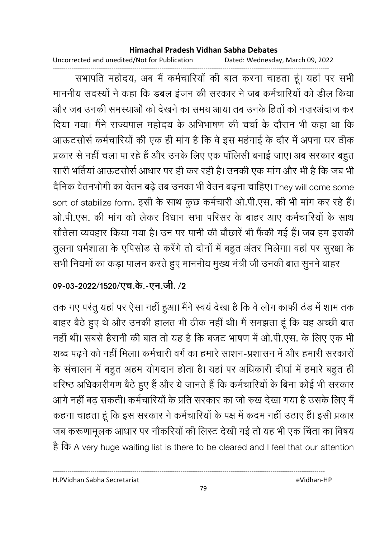Uncorrected and unedited/Not for Publication Dated: Wednesday, March 09, 2022

------------------------------------------------------------------------------------------------------------------------------------ सभापति महोदय, अब मैं कर्मचारियों की बात करना चाहता हूं। यहां पर सभी माननीय सदस्यों ने कहा कि डबल इंजन की सरकार ने जब कर्मचारियों को डील किया और जब उनकी समस्याओं को देखने का समय आया तब उनके हितों को नजरअंदाज कर दिया गया। मैंने राज्यपाल महोदय के अभिभाषण की चर्चा के दौरान भी कहा था कि आऊटसोर्स कर्मचारियों की एक ही मांग है कि वे इस महंगाई के दौर में अपना घर ठीक प्रकार से नहीं चला पा रहे हैं और उनके लिए एक पॉलिसी बनाई जाए। अब सरकार बहुत सारी भतिया आऊटसोर्स आधार पर ही कर रही है। उनकी एक मांग और भी है कि जब भी दैनिक वैतनभोगी का वेतन बढ़े तब उनका भी वेतन बढ़ना चाहिए। They will come some sort of stabilize form. इसी के साथ कुछ कर्मचारी ओ.पी.एस. की भी मांग कर रहे हैं। ओ.पी.एस. की मांग को लेकर विधान सभा परिसर के बाहर आए कर्मचारियों के साथ सौतेला व्यवहार किया गया है। उन पर पानी की बोछारे भी फैकी गई है। जब हम इसकी तुलना धर्मशाला के एपिसोड से करेंगे तो दोनों में बहुत अंतर मिलेगा। वहां पर सुरक्षा के सभी नियमों का कड़ा पालन करते हुए माननीय मुख्य मंत्री जी उनकी बात सुनने बाहर

# 09-03-2022/1520/एच.के.-एन.जी. **/2**

तक गए परंतु यहां पर ऐसा नहीं हुआ। मैंने स्वयं देखा है कि वे लोग काफी ठंड में शाम तक बाहर बैठे हुए थे और उनकी हालत भी ठीक नहीं थी। मैं समझता हूं कि यह अच्छी बात नहीं थीं। सबसे हैरानी की बात तो यह है कि बजट भाषण में ओ.पी.एस. के लिए एक भी शब्द पढ़ने को नहीं मिला। कर्मचारी वर्ग का हमारे साशन-प्रशासन में और हमारी सरकारों के सचालन में बहुत अहम योगदान होता है। यहां पर अधिकारी दीर्घा में हमारे बहुत ही वरिष्ठ अधिकारीगण बैठे हुए हैं और ये जानते हैं कि कर्मचारियों के बिना कोई भी सरकार आगे नहीं बढ़ सकती। कर्मचारियों के प्रति सरकार का जो रुख देखा गया है उसके लिए मैं कहना चाहता हूं कि इस सरकार ने कर्मचारियों के पक्ष में कदम नहीं उठाए हैं। इसी प्रकार जब करूणामूलक आधार पर नौकरियों की लिस्ट देखी गई तो यह भी एक चिंता का विषय है कि A very huge waiting list is there to be cleared and I feel that our attention

H.PVidhan Sabha Secretariat eVidhan-HP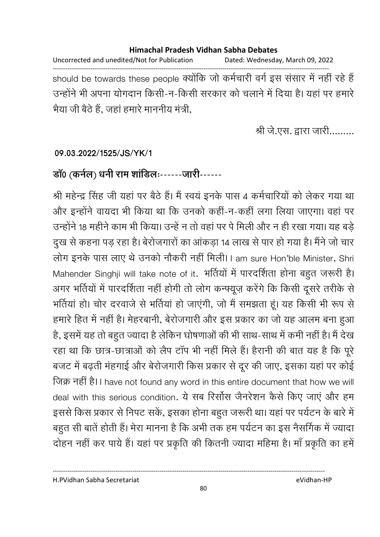Uncorrected and unedited/Not for Publication Dated: Wednesday, March 09, 2022 ----------------------------------------------------------------------------------------------------------------------------------- should be towards these people क्योंकि जो कर्मचारी वर्ग इस ससार में नहीं रहे हैं उन्होंने भी अपना योगदान किसी-न-किसी सरकार को चलाने में दिया है। यहां पर हमारे | भैया जी बैठे हैं, जहां हमारे माननीय मंत्री,

श्री जे.एस. द्वारा जारी.........

### **09.03.2022/1525/JS/YK/1**

## **डाॅ0 (कर्नल) धर्नी राम शाडिलः------जारी**------

श्री महेन्द्र सिंह जी यहां पर बैठे हैं। मैं स्वयं इनके पास 4 कर्मचारियों को लेकर गया था और इन्होंने वायदा भी किया था कि उनको कहीं-न-कहीं लगा लिया जाएगा। वहां पर उन्होंने 18 महीने काम भी किया। उन्हें न तो वहां पर पे मिली और न ही रखा गया। यह बड़े दुख से कहना पड़ रहा है। बेरोजगारों का आकड़ा 14 लाख से पार हो गया है। मैंने जो चार लोग इनके पास लाए थे उनको नौकरी नहीं मिली। I am sure Hon'ble Minister, Shri Mahender Singhji will take note of it. भीतेयो में पारदर्शिता होना बहुत जरूरी है। अगर भर्तियों में पारदर्शिता नहीं होगी तो लोग कन्फ्यूज़ करेंगे कि किसी दूसरे तरीके से भर्तियां हो। चोर दरवाजे से भर्तियां हो जाएंगी, जो मैं समझता हूं। यह किसी भी रूप से हमारे हित में नहीं हैं। मेहरबानी, बेरोजगारी और इस प्रकार का जो यह आलम बना हुआ हैं, इसमें यह तो बहुत ज्यादा है लेकिन घोषणाओं की भी साथ-साथ में कमी नहीं हैं। मैं देख रहा था कि छात्र-छात्राओं को लैप टाप भी नहीं मिले हैं। हैरानी की बात यह है कि पूरे बजट में बढ़ती मंहगाई और बेरोजगारी किस प्रकार से दूर की जाए, इसका यहां पर कोई जिक्र नहीं है। I have not found any word in this entire document that how we will deal with this serious condition. ये सब रिसोस जैनरेशन कैसे किए जाए और हम इससे किस प्रकार से निपट सकें, इसका होना बहुत जरूरी था। यहां पर पर्यटन के बारे में बहुत सी बातें होती है। मेरा मानना है कि अभी तक हम पर्यटन का इस नैसर्गिक में ज्यादा दोहन नहीं कर पायें हैं। यहां पर प्रकृति की कितनी ज्यादा महिमा है। मां प्रकृति का हमें

H.PVidhan Sabha Secretariat eVidhan-HP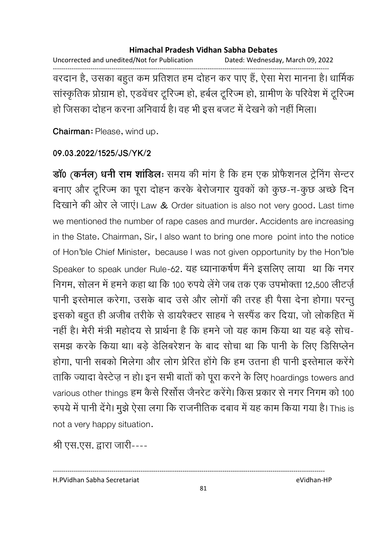Uncorrected and unedited/Not for Publication Dated: Wednesday, March 09, 2022 ------------------------------------------------------------------------------------------------------------------------------------ वरदान है, उसका बहुत कम प्रतिशत हम दोहन कर पाए है, ऐसा मेरा मानना है। धार्मिक सांस्कृतिक प्रोग्राम हो, एडवेंचर टूरिज्म हो, हर्बल टूरिज्म हो, ग्रामीण के परिवेश में टूरिज्म हों जिसका दोहन करना अनिवार्य है। वह भी इस बजट में देखने को नहीं मिला।

**Chairman**: Please, wind up.

#### **09.03.2022/1525/JS/YK/2**

**डां0 (कर्नल) धर्नी राम शाडिलः** समय की मांग है कि हम एक प्रफिशनल ट्रेनिंग सेन्टर बनाए और टूरिज्म का पूरा दोहन करके बेरोजगार युवकों को कुछ-न-कुछ अच्छे दिन दिखाने की ओर ले जाएं। Law & Order situation is also not very good. Last time we mentioned the number of rape cases and murder. Accidents are increasing in the State. Chairman, Sir, I also want to bring one more point into the notice of Hon'ble Chief Minister, because I was not given opportunity by the Hon'ble Speaker to speak under Rule-62. यह ध्यानाकर्षण मैर्ने इसलिए लाया था कि नगर निगम, सोलन में हमने कहा था कि 100 रुपये लेंगे जब तक एक उपभोक्ता 12,500 लीटर्ज़ पानी इस्तेमाल करेगा, उसके बाद उसे और लोगों की तरह ही पैसा देना होगा। परन्तु इसको बहुत ही अजीब तरीके से डायरेक्टर साहब ने संस्पेंड कर दिया, जो लोकहित में नहीं हैं। मेरी मंत्री महोदय से प्रार्थना है कि हमने जो यह काम किया था यह बड़े सोच-समझ करके किया था। बड़े डेलिबरेशन के बाद सोचा था कि पानी के लिए डिसिप्लेन होगा, पानी सबको मिलेगा और लोग प्रेरित होंगे कि हम उतना ही पानी इस्तेमाल करेंगे ताकि ज्यादा वेस्टेज़ न हो। इन सभी बातों को पूरा करने के लिए hoardings towers and various other things हम कैसे रिसोस जैनरेंट करेंगे। किस प्रकार से नगर निगम को 100 रुपर्य में पानी देंगे। मुझे ऐसा लगा कि राजनीतिक दबाव में यह काम किया गया है। This is not a very happy situation.

श्री एस.एस. द्वारा जारी----

H.PVidhan Sabha Secretariat eVidhan-HP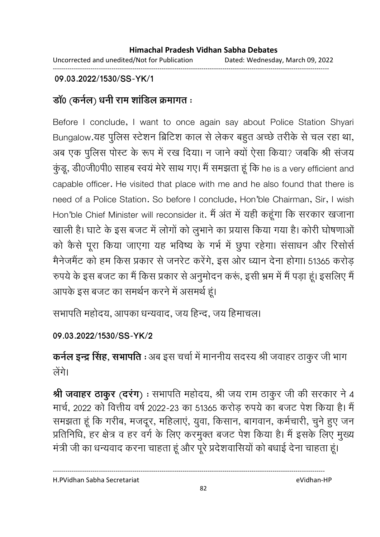Uncorrected and unedited/Not for Publication Dated: Wednesday, March 09, 2022 ------------------------------------------------------------------------------------------------------------------------------------

## **09.03.2022/1530/SS-YK/1**

# **डाँ0 (कर्नल) धर्नी राम शाडिल क्रमागत** :

Before I conclude, I want to once again say about Police Station Shyari Bungalow.यह पुलिस स्टेशन ब्रिटिश काल से लेकर बहुत अच्छे तरीके से चल रहा था, अब एक पुलिस पोस्ट के रूप में रख दिया। न जाने क्यों ऐसा किया? जबकि श्री संजय कुंडू, डी0जी0पी0 साहब स्वयं मेरे साथ गए। मैं समझता हूं कि he is a very efficient and capable officer. He visited that place with me and he also found that there is need of a Police Station. So before I conclude, Hon'ble Chairman, Sir, I wish Hon'ble Chief Minister will reconsider it. मैं अंत में यही कहूंगा कि सरकार खजाना खाली है। घाटे के इस बजट में लोगों को लुभाने का प्रयास किया गया है। कोरी घोषणाओं को कैसे पूरा किया जाएगा यह भविष्य के गर्भ में छुपा रहेगा। संसाधन और रिसोर्स मैनेजमैंट को हम किस प्रकार से जनरेंट करेंगे, इस ओर ध्यान देना होगा। 51365 करोड़ रुपये के इस बजट का मैं किस प्रकार से अनुमोदन करूं, इसी भ्रम में मैं पड़ा हूं। इसलिए मैं आपके इस बजट का समर्थन करने में असमर्थ हूं।

सभापति महोदय, आपका धन्यवाद, जय हिन्द, जय हिमाचल।

**09.03.2022/1530/SS-YK/2**

**कर्नल इन्द्र सिंह, सभापति** : अब इस चर्चा में माननीय सदस्य श्री जवाहर ठाकुर जी भाग त्नेंगे।

श्री जवाहर ठाकुर (दरंग) : सभापति महोदय, श्री जय राम ठाकुर जी की सरकार ने 4 मार्च, 2022 को वित्तीय वर्ष 2022-23 का 51365 करोड़ रुपये का बजट पेश किया है। मैं समझता हूं कि गरीब, मजदूर, महिलाएं, युवा, किसान, बागवान, कर्मचारी, चुने हुए जन प्रतिनिधि, हर क्षेत्र व हर वर्ग के लिए करमुक्त बजट पेश किया है। मैं इसके लिए मुख्य मंत्री जी का धन्यवाद करना चाहता हूं और पूरे प्रदेशवासियों को बधाई देना चाहता हूं।

H.PVidhan Sabha Secretariat eVidhan-HP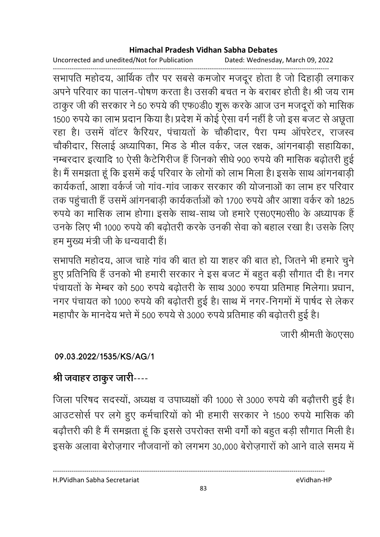Uncorrected and unedited/Not for Publication Dated: Wednesday, March 09, 2022

------------------------------------------------------------------------------------------------------------------------------------ सभापति महोदय, आर्थिक तौर पर सबसे कमजोर मजदूर होता है जो दिहाड़ी लगाकर अपने परिवार का पालन-पोषण करता है। उसकी बचत न के बराबर होती है। श्री जय राम ठाकुर जी की सरकार ने 50 रुपये की एफ0डी0 शुरू करके आज उन मजदूरों को मासिक 1500 रुपर्य का लाभ प्रदान किया है। प्रदेश में कोई ऐसा वर्ग नहीं है जो इस बजट से अछूता रहा है। उसमें वाटर कैरियर, पंचायतों के चौंकीदार, पैरा पम्प आपरेटर, राजस्व चौकीदार, सिलाई अध्यापिका, मिंड डे मील वर्कर, जल रक्षक, आगनबाड़ी सहायिका, नम्बरदार इत्यादि 10 ऐसी कैटेगिरीज है जिनको सीधे 900 रुपये की मासिक बढ़ोतरी हुई | हैं। मैं समझता हूं कि इसमें कई परिवार के लोगों को लाभ मिला है। इसके साथ आगनबाड़ी कार्यकर्ता, आशा वर्कर्ज जो गांव-गांव जाकर सरकार की योजनाओं का लाभ हर परिवार तक पहुंचाती हैं उसमें आंगनबाड़ी कार्यकर्ताओं को 1700 रुपये और आशा वर्कर को 1825 रुपर्य का मासिक लाभ होगा। इसके साथ-साथ जो हमारे एस0एम0सी0 के अध्यापक हैं | उनके लिए भी 1000 रुपये की बढ़ोतरी करके उनकी सेवा को बहाल रखा है। उसके लिए हम मुख्य मंत्री जी के धन्यवादी हैं।

सभापति महोदय, आज चाहे गांव की बात हो या शहर की बात हो, जितने भी हमारे चुने हुए प्रतिनिधि है उनको भी हमारी सरकार ने इस बजट में बहुत बड़ी सौगात दी है। नगर .<br>पंचायतों के मेम्बर को 500 रुपये बढ़ोतरी के साथ 3000 रुपया प्रतिमाह मिलेगा। प्रधान, नगर पंचायत को 1000 रुपये की बढ़ोतरी हुई है। साथ में नगर-निगमों में पार्षद से लेकर

महापोर के मानदेय भत्ते में 500 रुपये से 3000 रुपये प्रतिमाह की बढ़ोतरी हुई है। जारी श्रीमती के0एस0

# **09.03.2022/1535/KS/AG/1**

# श्री जवाहर ठाकुर जारी----

जिला परिषद सदस्यों, अध्यक्ष व उपाध्यक्षों की 1000 से 3000 रुपये की बढ़ौत्तरी हुई हैं। आउटसोर्स पर लगे हुए कर्मचारियों को भी हमारी सरकार ने 1500 रुपये मासिक की बढ़ौत्तरी की है मैं समझता हूं कि इससे उपरोक्त सभी वर्गा को बहुत बड़ी सौगात मिली है। इसके अलावा बेरोज़गार नौजवानों को लगभग 30,000 बेरोज़गारों को आने वाले समय में

H.PVidhan Sabha Secretariat eVidhan-HP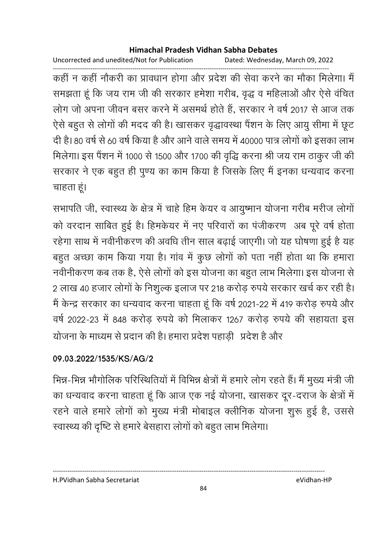Uncorrected and unedited/Not for Publication Dated: Wednesday, March 09, 2022

------------------------------------------------------------------------------------------------------------------------------------ कहीं न कहीं नौकरी का प्रावधान होगा और प्रदेश की सेवा करने का मौका मिलेगा। मैं समझता हूं कि जय राम जी की सरकार हमेशा गरीब, वृद्ध व महिलाओं और ऐसे वंचित लोग जो अपना जीवन बसर करने में असमर्थ होते हैं, सरकार ने वर्ष 2017 से आज तक ऐसे बहुत से लोगों की मदद की है। खासकर वृद्धावस्था पैशन के लिए आयु सीमा में छूट दी है। 80 वर्ष से 60 वर्ष किया है और आने वाले समय में 40000 पात्र लोगों को इसका लाभ मिलेगा। इस पैंशन में 1000 से 1500 और 1700 की वृद्धि करना श्री जय राम ठाकुर जी की सरकार ने एक बहुत ही पुण्य का काम किया है जिसके लिए मैं इनका धन्यवाद करना चाहता हूं।

सभापति जी, स्वास्थ्य के क्षेत्र में चाहे हिम केयर व आयुष्मान योजना गरीब मरीज लोगों को वरदान साबित हुई है। हिमकेयर में नए परिवारों का पंजीकरण अब पूरे वर्ष होता रहेगा साथ में नवीनीकरण की अवधि तीन साल बढ़ाई जाएगी। जो यह घोषणा हुई है यह बहुत अच्छा काम किया गया है। गाव में कुछ लोगों को पता नहीं होता था कि हमारा नवीनीकरण कब तक है, ऐसे लोगों को इस योजना का बहुत लाभ मिलेगा। इस योजना से 2 लाख 40 हजार लोगों के निशुल्क इलाज पर 218 करोड़ रुपये सरकार खर्च कर रही है। मैं केन्द्र सरकार का धन्यवाद करना चाहता हूं कि वर्ष 2021-22 में 419 करोड़ रुपये और वर्ष 2022-23 में 848 करोड़ रुपये को मिलाकर 1267 करोड़ रुपये की सहायता इस योजना के माध्यम से प्रदान की है। हमारा प्रदेश पहाड़ी प्रदेश है और

## **09.03.2022/1535/KS/AG/2**

भिन्न-भिन्न भौगोलिक परिस्थितियों में विभिन्न क्षेत्रों में हमारे लोग रहते हैं। मैं मुख्य मंत्री जी का धन्यवाद करना चाहता हूं कि आज एक नई योजना, खासकर दूर-दराज के क्षेत्रों में रहने वाले हमारे लोगों को मुख्य मंत्री मोबाइल क्लीनिक योजना शुरू हुई है, उससे स्वास्थ्य की दृष्टि से हमारे बेसहारा लोगों को बहुत लाभ मिलेगा।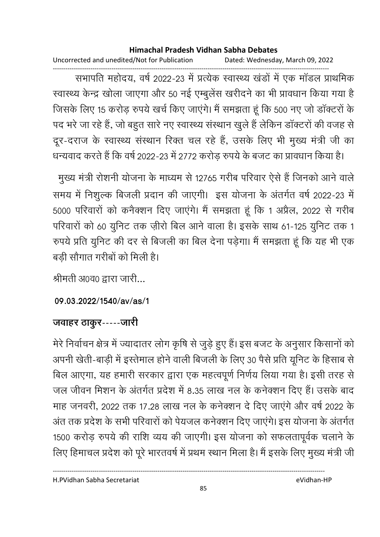Uncorrected and unedited/Not for Publication Dated: Wednesday, March 09, 2022

------------------------------------------------------------------------------------------------------------------------------------ सभापति महोदय, वर्ष 2022-23 में प्रत्येक स्वास्थ्य खंडों में एक मांडल प्राथमिक स्वास्थ्य केन्द्र खोला जाएगा और 50 नई एम्बुलेस खरीदने का भी प्रावधान किया गया है जिसके लिए 15 करोड़ रुपये खर्च किए जाएंगे। मैं समझता हूं कि 500 नए जो डॉक्टरों के पद भरे जा रहे हैं, जो बहुत सारे नए स्वास्थ्य संस्थान खुले हैं लेकिन डॉक्टरों की वजह से दूर-दराज के स्वास्थ्य संस्थान रिक्त चल रहे हैं, उसके लिए भी मुख्य मंत्री जी का धन्यवाद करते हैं कि वर्ष 2022-23 में 2772 करोड़ रुपये के बजट का प्रावधान किया है।

-मुख्य मंत्री रोशनी योजना के माध्यम से 12765 गरीब परिवार ऐसे हैं जिनको आने वाले समय में निशुल्क बिजली प्रदान की जाएगी। इस योजना के अंतर्गत वर्ष 2022-23 में 5000 परिवारों को कर्नेक्शन दिए जाएंगे। मैं समझता हूँ कि 1 अप्रैल, 2022 से गरीब परिवारों को 60 युनिट तक ज़ीरों बिल आने वाला है। इसके साथ 61-125 युनिट तक 1 रुपये प्रति युनिट की दर से बिजली का बिल देना पड़ेगा। मैं समझता हूं कि यह भी एक बड़ी सोगात गरीबों को मिली हैं।

श्रीमती अ0व0 द्वारा जारी...

**09.03.2022/1540/av/as/1**

## जवाहर ठाकुर-----जारी

मेरे निर्वाचन क्षेत्र में ज्यादातर लोग कृषि से जुड़े हुए हैं। इस बजट के अनुसार किसानों को अपनी खेती-बाड़ी में इस्तेमाल होने वाली बिजली के लिए 30 पैसे प्रति यूनिट के हिसाब से बिल आएगा, यह हमारी सरकार द्वारा एक महत्वपूर्ण निर्णय लिया गया है। इसी तरह से जल जीवन मिशन के अंतर्गत प्रदेश में 8.35 लाख नल के कनेक्शन दिए हैं। उसके बाद माह जनवरी, 2022 तक 17.28 लाख नल के कनेक्शन दे दिए जाएंगे और वर्ष 2022 के अंत तक प्रदेश के सभी परिवारों को पेयजल कनेक्शन दिए जाएंगे। इस योजना के अंतर्गत 1500 करोड़ रुपये की राशि व्यय की जाएगी। इस योजना को सफलतापूर्वक चलाने के लिए हिमाचल प्रदेश को पूरे भारतवर्ष में प्रथम स्थान मिला है। मैं इसके लिए मुख्य मंत्री जी

H.PVidhan Sabha Secretariat eVidhan-HP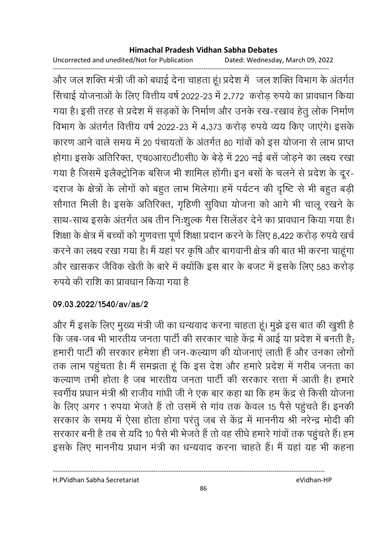Uncorrected and unedited/Not for Publication Dated: Wednesday, March 09, 2022

------------------------------------------------------------------------------------------------------------------------------------

और जल शक्ति मंत्री जी को बधाई देना चाहता हूं। प्रदेश में जल शक्ति विभाग के अंतर्गत सिंचाई योजनाओं के लिए वित्तीय वर्ष 2022-23 में 2,772 करोड़ रुपये का प्रावधान किया गया है। इसी तरह से प्रदेश में सड़कों के निर्माण और उनके रख-रखाव हेतु लोक निर्माण विभाग के अंतर्गत वित्तीय वर्ष 2022-23 में 4,373 करोड़ रुपये व्यय किए जाएंगे। इसके कारण आने वाले समय में 20 पंचायतों के अंतर्गत 80 गांवों को इस योजना से लाभ प्राप्त होगा। इसके अतिरिक्त, एच0आर0टी0सी0 के बेडे में 220 नई बसें जोड़ने का लक्ष्य रखा गया है जिसमें इलैक्ट्रोनिक बर्सिज भी शामिल होगी। इन बसों के चलने से प्रदेश के दूर-दराज के क्षेत्रों के लोगों को बहुत लाभ मिलेगा। हमें पर्यटन की दृष्टि से भी बहुत बड़ी सोंगात मिली है। इसके अतिरिक्त, गृहिणी सुर्विधा योजना को आगे भी चालू रखने के साथ-साथ इसके अंतर्गत अब तीन निःशुल्क गैस सिलेंडर देने का प्रावधान किया गया है। शिक्षा के क्षेत्र में बच्चों को गुणवत्ता पूर्ण शिक्षा प्रदान करने के लिए 8,422 करोड़ रुपये खर्च करने का लक्ष्य रखा गया है। मैं यहां पर कृषि और बागवानी क्षेत्र की बात भी करना चाहूंगा और खासकर जैविक खेती के बारे में क्योंकि इस बार के बजट में इसके लिए 583 करोड़ रुपर्य की राशि का प्रावधान किया गया है।

## **09.03.2022/1540/av/as/2**

और मैं इसके लिए मुख्य मंत्री जी का धन्यवाद करना चाहता हूं। मुझे इस बात की खुशी हैं | कि जब-जब भी भारतीय जनता पार्टी की सरकार चाहे केंद्र में आई या प्रदेश में बनती है; हमारी पार्टी की सरकार हमेशा ही जन-कल्याण की योजनाएं लाती हैं और उनका लोगों तक लाभ पहुंचता है। मैं समझता हूं कि इस देश और हमारे प्रदेश में गरीब जनता का कल्याण तभी होता है जब भारतीय जनता पार्टी की सरकार सत्ता में आती है। हमारे स्वर्गीय प्रधान मंत्री श्री राजीव गांधी जी ने एक बार कहा था कि हम केंद्र से किसी योजना के लिए अगर 1 रुपया भेजते हैं तो उसमें से गांव तक केवल 15 पैसे पहुंचते हैं। इनकी सरकार के समय में ऐसा होता होगा परंतु जब से केंद्र में माननीय श्री नरेन्द्र मोदी की सरकार बनी है तब से यदि 10 पैसे भी भेजते हैं तो वह सीधें हमारे गांवों तक पहुंचते हैं। हम इसके लिए माननीय प्रधान मंत्री का धन्यवाद करना चाहते हैं। मैं यहां यह भी कहना

----------------------------------------------------------------------------------------------------------------------------------

86

H.PVidhan Sabha Secretariat eVidhan-HP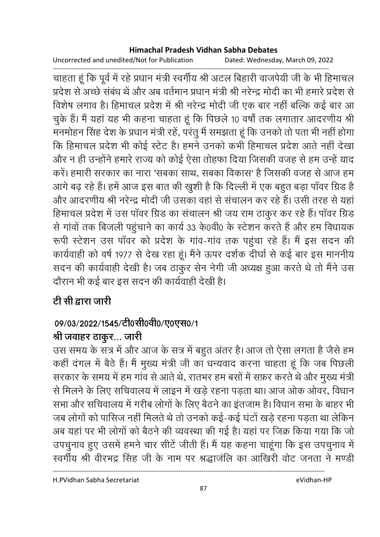Uncorrected and unedited/Not for Publication Dated: Wednesday, March 09, 2022

------------------------------------------------------------------------------------------------------------------------------------ चाहता हूँ कि पूर्व में रहे प्रधान मंत्री स्वर्गीय श्री अटल बिहारी वाजपेयी जी के भी हिमाचल प्रदेश से अच्छे संबंध थें और अब वर्तमान प्रधान मंत्री श्री नरेन्द्र मोदी का भी हमारे प्रदेश से विशेष लगाव है। हिमाचल प्रदेश में श्री नरेन्द्र मोदी जी एक बार नहीं बल्कि कई बार आ चुके हैं। मैं यहां यह भी कहना चाहता हूं कि पिछले 10 वर्षों तक लगातार आदरणीय श्री मनमोहन सिंह देश के प्रधान मंत्री रहें, परंतु मैं समझता हूं कि उनको तो पता भी नहीं होगा कि हिमाचल प्रदेश भी कोई स्टेट हैं। हमने उनको कभी हिमाचल प्रदेश आते नहीं देखा और न ही उन्होंने हमारे राज्य को कोई ऐसा तोहफा दिया जिसकी वजह से हम उन्हें याद करें। हमारी सरकार का नारा 'सबका साथ, सबका विकास' है जिसकी वजह से आज हम आगे बढ़ रहे हैं। हमें आज इस बात की खुशी है कि दिल्ली में एक बहुत बड़ा पावर ग्रिड हैं। और आदरणीय श्री नरेन्द्र मोदी जी उसका वहां से संचालन कर रहे हैं। उसी तरह से यहां हिमाचल प्रदेश में उस पॉवर ग्रिड का संचालन श्री जय राम ठाकुर कर रहे हैं। पॉवर ग्रिड से गांवों तक बिजली पहुंचाने का कार्य 33 के0वी0 के स्टेशन करते हैं और हम विधायक रूपी स्टेशन उस पॉवर को प्रदेश के गांव-गांव तक पहुंचा रहे हैं। मैं इस सदन की कार्यवाही को वर्ष 1977 से देख रहा हूं। मैंने ऊपर दर्शक दीर्घा से कई बार इस माननीय सदन की कार्यवाही देखी है। जब ठाकुर सेन नेगी जी अध्यक्ष हुआ करते थे तो मैंने उस दौरान भी कई बार इस सदन की कार्यवाही देखी है।

# टी सी द्वारा जारी

# 09/03/2022/1545/टी0सी0वी0/ए0एस0/1

# श्री जवाहर ठाकूर... जारी

उस समय के सत्र में और आज के सत्र में बहुत अंतर हैं। आज तो ऐसा लगता है जैसे हम कही दगल में बैठे हैं। मैं मुख्य मंत्री जी का धन्यवाद करना चाहता हूं कि जब पिछली सरकार के समय में हम गांव से आते थे, रातभर हम बसों में सफ़र करते थे और मुख्य मंत्री से मिलने के लिए सचिवालय में लाइन में खड़े रहना पड़ता था। आज ओक ओवर, विधान सभा और सर्चिवालय में गरीब लोगों के लिए बैठने का इतजाम है। विधान सभा के बाहर भी जब लोगों को पासिज नहीं मिलते थे तो उनको कई-कई घंटों खड़े रहना पड़ता था लेकिन अब यहां पर भी लोगों को बैठने की व्यवस्था की गई है। यहां पर जिक्र किया गया कि जो उपचुनाव हुए उसमें हमने चार सीटें जीती हैं। मैं यह कहना चाहूंगा कि इस उपचुनाव में स्वर्गीय श्री वीरभद्र सिंह जी के नाम पर श्रद्धाजंलि का आखिरी वोट जनता ने मण्डी

H.PVidhan Sabha Secretariat eVidhan-HP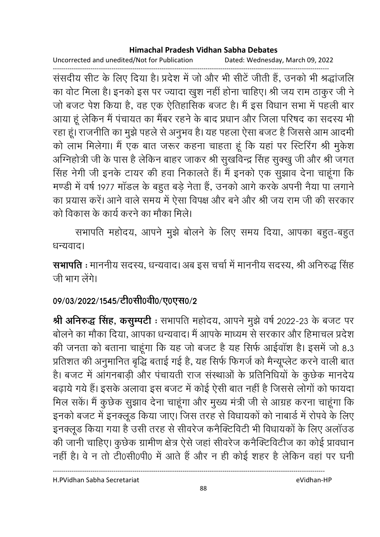Uncorrected and unedited/Not for Publication Dated: Wednesday, March 09, 2022

------------------------------------------------------------------------------------------------------------------------------------ संसदीय सीट के लिए दिया है। प्रदेश में जो और भी सीटे जीती है, उनकों भी श्रद्धाजलि का वोट मिला है। इनको इस पर ज्यादा खुश नहीं होना चाहिए। श्री जय राम ठाकुर जी ने जो बजट पेश किया है, वह एक ऐतिहासिक बजट है। मैं इस विधान सभा में पहली बार आया हूं लेकिन मैं पंचायत का मैंबर रहने के बाद प्रधान और जिला परिषद का सदस्य भी रहा हूं। राजनीति का मुझे पहले से अनुभव है। यह पहला ऐसा बजट है जिससे आम आदमी | को लाभ मिलेगा। मैं एक बात जरूर कहना चाहता हूं कि यहां पर स्टिरिंग श्री मुकेश आग्नेहोत्री जी के पास है लेकिन बाहर जाकर श्री सुखविन्द्र सिंह सुक्खु जी और श्री जगत-सिंह नेगी जी इनके टायर की हवा निकालते हैं। मैं इनको एक सुझाव देना चाहूंगा कि मण्डी में वर्ष 1977 मांडल के बहुत बड़े नेता है, उनको आगे करके अपनी नैया पा लगाने. का प्रयास करें। आने वाले समय में ऐसा विपक्ष और बने और श्री जय राम जी की सरकार को विकास के कार्य करने का मौका मिले।

सभापति महोदय, आपने मुझे बोलने के लिए समय दिया, आपका बहुत-बहुत धन्यवाद।

**सभापति :** माननीय सदस्य, धन्यवाद। अब इस चर्चा में माननीय सदस्य, श्री अनिरुद्ध सिंह जी भाग लेंगे।

# 09/03/2022/1545/टी0सी0वी0/ए0एस0/2

**श्री अनिरुद्ध सिंह, कंसुम्पर्टी** : सभापति महोदय, आपने मुझे वर्ष 2022-23 के बजट पर बोलने का मौका दिया, आपका धन्यवाद। मैं आपके माध्यम से सरकार और हिमाचल प्रदेश की जनता को बताना चाहूँगा कि यह जो बजट है यह सिर्फ आईवाश है। इसमें जो 8.3 प्रतिशत की अनुमानित बृद्धि बताई गई है, यह सिर्फ फिंगजे को मैन्यूप्लेट करने वाली बात है। बजट में आगनबाड़ी और पचायती राज संस्थाओं के प्रतिनिधियों के कुछेक मानदेय बढ़ाये गये हैं। इसके अलावा इस बजट में कोई ऐसी बात नहीं है जिससे लोगों को फायदा मिल सकें। मैं कुछेक सुझाव देना चाहूंगा और मुख्य मंत्री जी से आग्रह करना चाहूंगा कि इनको बजट में इनक्लूड किया जाए। जिस तरह से विधायकों को नाबार्ड में रोपवे के लिए इनक्लूड किया गया है उसी तरह से सीवरेज कनैक्टिविटी भी विधायकों के लिए अलाउड की जानी चाहिए। कुछेक ग्रामीण क्षेत्र ऐसे जहां सीवरेज कनैक्टिविटीज का कोई प्रावधान नहीं हैं। वे न तो टी0सी0पी0 में आते हैं और न ही कोई शहर है लेकिन वहां पर घनी

H.PVidhan Sabha Secretariat eVidhan-HP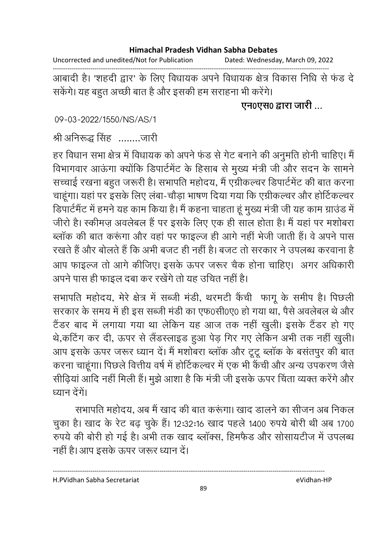Uncorrected and unedited/Not for Publication Dated: Wednesday, March 09, 2022

------------------------------------------------------------------------------------------------------------------------------------ आबादी है। 'शहदी द्वार' के लिए विधायक अपने विधायक क्षेत्र विकास निधि से फंड दे सकेंगे। यह बहुत अच्छी बात है और इसकी हम सराहना भी करेंगे।

## <u>एन0एस0 द्वारा जारी ...</u>

09-03-2022/1550/NS/AS/1

## श्री अनिरूद्ध सिंह ........जारी

हर विधान सभा क्षेत्र में विधायक को अपने फंड से गेट बनाने की अनुमति होनी चाहिए। मैं विभागवार आऊंगा क्योंकि डिपार्टमेंट के हिसाब से मुख्य मंत्री जी और सदन के सामने सच्चाई रखना बहुत जरूरी है। सभापति महोदय, मैं एंग्रीकल्चर डिपार्टमेंट की बात करना चाहूंगा। यहां पर इसके लिए लंबा-चौड़ा भाषण दिया गया कि एग्रीकल्चर और होर्टिकल्चर डिपार्टमैंट में हमने यह काम किया है। मैं कहना चाहता हूं मुख्य मंत्री जी यह काम ग्राउंड में जीरों हैं। स्कीमज़ अवलेबल हैं पर इसके लिए एक ही साल होता है। मैं यहां पर मशोबरा ब्लॉक की बात करूंगा और वहां पर फाइल्ज ही आगे नहीं भेजी जाती हैं। वे अपने पास रखते हैं और बोलते हैं कि अभी बजट ही नहीं है। बजट तो सरकार ने उपलब्ध करवाना है आप फाइल्ज तो आगे कीजिए। इसके ऊपर जरूर चैक होना चाहिए। अगर अधिकारी अपने पास ही फाइल दबा कर रखेंगे तो यह उचित नहीं है।

सभापति महोदय, मेरे क्षेत्र में सब्जी मर्डी, थरमटी कैची फांगू के समीप हैं। पिछली सरकार के समय में ही इस सब्जी मंडी का एफ0सी0ए0 हो गया था, पैसे अवलेबल थे और टैंडर बाद में लगाया गया था लेकिन यह आज तक नहीं खुली। इसके टैंडर हो गए थे,कटिंग कर दी, ऊपर से लैंडस्लाइड हुआ पेड़ गिर गए लेकिन अभी तक नहीं खुली। आप इसके ऊपर जरूर ध्यान दें। मैं मशोबरा ब्लाक और टूटू ब्लाक के बसतपुर की बात करना चाहूगा। पिछले वित्तीय वर्ष में होटिकल्चर में एक भी कैची और अन्य उपकरण जैसे सीढ़िया आदि नहीं मिली है। मुझे आशा है कि मंत्री जी इसके ऊपर चिंता व्यक्त करेंगे और ध्यान देंगे।

सभापति महोदय, अब मैं खाद की बात करूंगा। खाद डालने का सीजन अब निकल चुका है। खाद के रेट बढ़ चुके हैं। 12:32:16 खाद पहले 1400 रुपये बोरी थी अब 1700 रुपर्य की बोरी हो गई है। अभी तक खाद ब्लाक्स, हिमफैंड और सोसायटीज में उपलब्ध नहीं है। आप इसके ऊपर जरूर ध्यान दें।

H.PVidhan Sabha Secretariat eVidhan-HP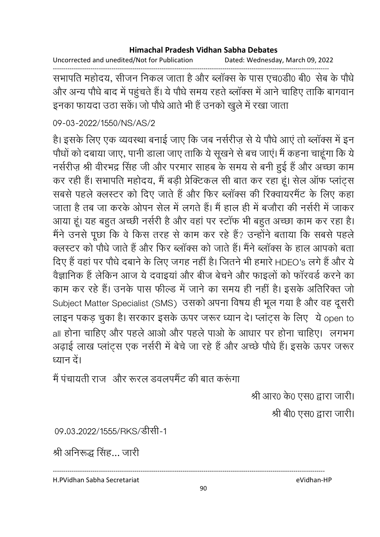Uncorrected and unedited/Not for Publication Dated: Wednesday, March 09, 2022

------------------------------------------------------------------------------------------------------------------------------------ सभापति महोदय, सीजन निकल जाता है और ब्लाक्स के पास एच0डी0 बी0 सेब के पौधे और अन्य पौधे बाद में पहुंचते हैं। ये पौधे समय रहते ब्लॉक्स में आने चाहिए ताकि बागवान इनका फायदा उठा सकें। जो पौधे आते भी हैं उनको खुले में रखा जाता

## 09-03-2022/1550/NS/AS/2

हैं। इसके लिए एक व्यवस्था बनाई जाए कि जब नर्सरीज़ से ये पौधे आए तो ब्लाक्स में इन पौधों को दबाया जाए, पानी डाला जाए ताकि ये सूखने से बच जाएं। मैं कहना चाहूंगा कि ये नर्सरीज़ श्री वीरभद्र सिंह जी और परमार साहब के समय से बनी हुई हैं और अच्छा काम कर रही हैं। सभापति महोदय, मैं बड़ी प्रेक्टिकल सी बात कर रहा हूं। सेल ऑफ प्लांट्स सबसे पहले क्लस्टर को दिए जाते हैं और फिर ब्लॉक्स की रिक्वायरमैंट के लिए कहा जाता है तब जा करके ओपन सेल में लगते हैं। मैं हाल ही में बजौरा की नर्सरी में जाकर आया हूं। यह बहुत अच्छी नर्सरी है और वहां पर स्टाफ भी बहुत अच्छा काम कर रहा है। मैंने उनसे पूछा कि वे किस तरह से काम कर रहे हैं? उन्होंने बताया कि सबसे पहले क्लस्टर को पौधे जाते हैं और फिर ब्लॉक्स को जाते हैं। मैंने ब्लॉक्स के हाल आपको बता दिए हैं वहां पर पौधे दबाने के लिए जगह नहीं हैं। जितने भी हमारे HDEO's लगे हैं और ये वैज्ञानिक है लेकिन आज ये दवाइया और बीज बेचने और फाइलों को फारवर्ड करने का काम कर रहे हैं। उनके पास फौल्ड में जाने का समय ही नहीं है। इसके अतिरिक्त जो Subject Matter Specialist (SMS) उसको अपना विषय ही भूल गया है और वह दूसरी लाइन पंकड़ चुका है। सरकार इसके ऊपर जरूर ध्यान दें। प्लाट्स के लिए ये open to ' all होना चाहिए और पहले आओ और पहले पाओ के आधार पर होना चाहिए। लगभग अढ़ाई लाख प्लांट्स एक नर्सरी में बेचे जा रहे हैं और अच्छे पौधे हैं। इसके ऊपर जरूर ध्यान दें।

मैं पंचायती राज*्* और रूरल डवलपमैंट की बात करूंगा

श्री आर0 के0 एस0 द्वारा जारी।

श्री बी0 एस0 द्वारा जारी।

09.03.2022/1555/RKS/डीसी-1

श्री अनिरूद्ध सिंह... जारी

H.PVidhan Sabha Secretariat eVidhan-HP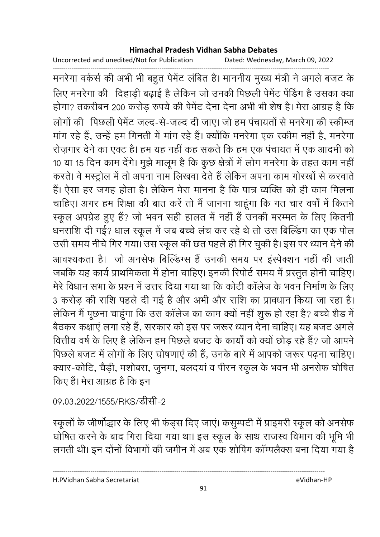Uncorrected and unedited/Not for Publication Dated: Wednesday, March 09, 2022

------------------------------------------------------------------------------------------------------------------------------------ मनरेगा वर्कसे की अभी भी बहुत पेमेंट लंबित है। माननीय मुख्य मंत्री ने अगले बजट के लिए मनरेगा की दिहाड़ी बढ़ाई है लेकिन जो उनकी पिछली पेमेंट पेंडिंग है उसका क्या होगा? तकरीबन 200 करोड़ रुपये की पेमेंट देना देना अभी भी शेष हैं। मेरा आग्रह है कि लोगों की पिछली पेमेंट जल्द-से-जल्द दी जाए। जो हम पंचायतों से मनरेगा की स्कीम्ज मांग रहे हैं, उन्हें हम गिनती में मांग रहे हैं। क्योंकि मनरेगा एक स्कीम नहीं हैं, मनरेगा रोज़गार देने का एक्ट है। हम यह नहीं कह सकते कि हम एक पचायत में एक आदमी को 10 या 15 दिन काम देंगे। मुझे मालूम है कि कुछ क्षेत्रों में लोग मनरेगा के तहत काम नहीं | करते। वे मस्ट्रोल में तो अपना नाम लिखवा देते हैं लेकिन अपना काम गोरखों से करवाते हैं। ऐसा हर जगह होता है। लेकिन मेरा मानना है कि पात्र व्यक्ति को ही काम मिलना चाहिए। अगर हम शिक्षा की बात करें तो मैं जानना चाहूंगा कि गत चार वर्षों में कितने स्कूल अपग्रेड हुए हैं? जो भवन सही हालत में नहीं हैं उनकी मरम्मत के लिए कितनी धनराशि दी गई? धाल स्कूल में जब बच्चे लंच कर रहे थे तो उस बिल्डिंग का एक पोल उसी समय नीचे गिर गया। उस स्कूल की छत पहले ही गिर चुकी है। इस पर ध्यान देने की आवश्यकता है। जो अनसेफ बिल्डिंग्स है उनकी समय पर इस्पेक्शन नहीं की जाती जबकि यह कार्य प्राथमिकता में होना चाहिए। इनकी रिपोर्ट समय में प्रस्तूत होनी चाहिए। मेरे विधान सभा के प्रश्न में उत्तर दिया गया था कि कोटी कॉलेज के भवन निर्माण के लिए 3 करोड़ की राशि पहले दी गई है और अभी और राशि का प्रावधान किया जा रहा है। लेकिन में पूछना चाहूँगा कि उस कार्लेज का काम क्यों नहीं शुरू हो रहा है? बच्चे शैंड में बैठकर कक्षाएं लगा रहे हैं, सरकार को इस पर जरूर ध्यान देना चाहिए। यह बजट अगले वित्तीय वर्ष के लिए हैं लेकिन हम पिछले बजट के कार्यों को क्यों छोड़ रहे हैं? जो आपने पिछले बजट में लोगों के लिए घोषणाएं की हैं, उनके बारे में आपको जरूर पढना चाहिए। क्यार-कोर्टि, चैड़ी, मशोबरा, जुनगा, बलंदया व पेरिन स्कूल के भवन भी अनसेफ घोषित किए हैं। मेरा आग्रह है कि इन

09.03.2022/1555/RKS/डीसी-2

स्कूलों के जीर्णोद्धार के लिए भी फंड्स दिए जाएं। कसुम्पटी में प्राइमरी स्कूल को अनसेफ घोषित करने के बाद गिरा दिया गया था। इस स्कूल के साथ राजस्व विभाग की भूमि भी लगती थी। इन दोनों विभागों की जमीन में अब एक शोपिंग काम्पलैक्स बना दिया गया है

H.PVidhan Sabha Secretariat eVidhan-HP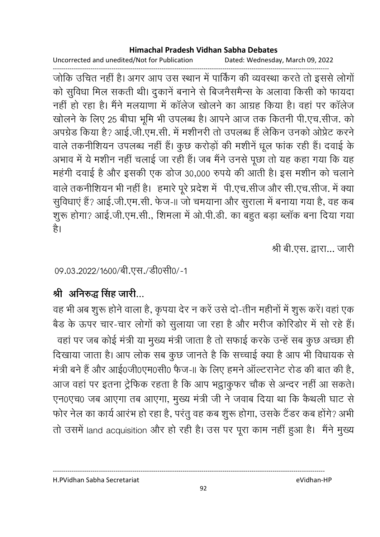Uncorrected and unedited/Not for Publication Dated: Wednesday, March 09, 2022

------------------------------------------------------------------------------------------------------------------------------------ जोंकि उचित नहीं हैं। अगर आप उस स्थान में पाकिंग की व्यवस्था करते तो इससे लोगों को सुविधा मिल सकती थी। दुकाने बनाने से बिजनैसमैन्स के अलावा किसी को फायदा नहीं हो रहा है। मैंने मलयाणा में कार्लेज खोलने का आग्रह किया है। वहां पर कार्लेज खोलने के लिए 25 बीघा भूमि भी उपलब्ध है। आपने आज तक कितनी पी.एच.सीज. को अपग्रेड किया है? आई.जी.एम.सी. में मशीनरी तो उपलब्ध है लेकिन उनको अप्रिट करने वाले तकनीशियन उपलब्ध नहीं हैं। कुछ करोड़ों की मशीनें धूल फांक रही हैं। दवाई के अभाव में ये मशीन नहीं चलाई जा रही हैं। जब मैंने उनसे पूछा तो यह कहा गया कि यह महंगी दवाई है और इसकी एक डोज 30,000 रुपये की आती है। इस मंशीन को चलाने वाले तकनीशियन भी नहीं है। हमारे पूरे प्रदेश में पी.एच.सीज और सी.एच.सीज. में क्या सुविधाएं हैं? आई.जी.एम.सी. फेज-॥ जो चमयाना और सुराला में बनाया गया है, वह कब शुरू होगा? आई.जी.एम.सी., शिमला में ओ.पी.डी. का बहुत बड़ा ब्लॉक बना दिया गया है।

श्री बी.एस. द्वारा... जारी

09.03.2022/1600/बी.एस./डी0सी0/-1

# श्री अनिरुद्ध सिंह जारी...

वह भी अब शुरू होने वाला है, कृपया देर न करें उसे दो-तीन महीनों में शुरू करें। वहां एक बैंड के ऊपर चार-चार लोगों को सुलाया जा रहा है और मरीज कोरिडोर में सो रहे हैं। वहां पर जब कोई मंत्री या मुख्य मंत्री जाता है तो सफाई करके उन्हें सब कुछ अच्छा ही। दिखाया जाता है। आप लोक सब कुछ जानते हैं कि सच्चाई क्या है आप भी विधायक से मंत्री बने हैं और आई0जी0एम0सी0 फैज-11 के लिए हमने आल्टरानेट रोड की बात की है, आज वहां पर इतना ट्रेफिक रहता है कि आप भट्ठाकुफर चौंक से अन्दर नहीं आ सकते। एन0एच0 जब आएगा तब आएगा, मुख्य मंत्री जी ने जवाब दिया था कि कैथली घाट से फोर नेल का कार्य आरंभ हो रहा है, परंतु वह कब शुरू होगा, उसके टैंडर कब होंगे? अभी तो उसमें land acquisition और हो रही है। उस पर पूरा काम नहीं हुआ है। मैंने मुख्य

H.PVidhan Sabha Secretariat eVidhan-HP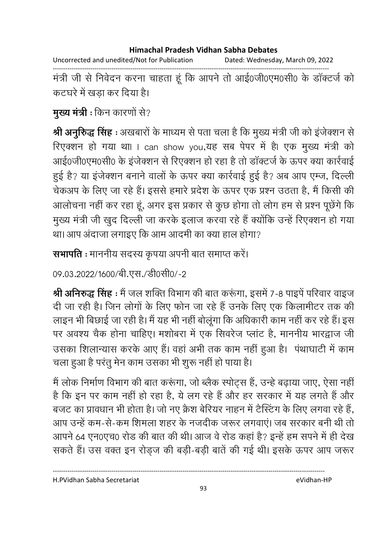Uncorrected and unedited/Not for Publication Dated: Wednesday, March 09, 2022

------------------------------------------------------------------------------------------------------------------------------------ मंत्री जी से निवेदन करना चाहता हूं कि आपने तो आई0जी0एम0सी0 के डाक्टजे को कटघरे में खड़ा कर दिया है।

**मुख्य मंत्री :** किन कारणों से?

**श्री अनुर्रिद्ध सिंह** : अखबारों के माध्यम से पता चला है कि मुख्य मंत्री जी को इजेक्शन से रिएक्शन हो गया था। I can show you,यह सब पेपर में हैं। एक मुख्य मंत्री को आई0जी0एम0सी0 के इर्जेक्शन से रिएक्शन हो रहा है तो डाक्टजे के ऊपर क्या कार्रवाई हुई है? या इंजेक्शन बनाने वालों के ऊपर क्या कार्रवाई हुई है? अब आप एम्ज, दिल्ली चेकअप के लिए जा रहे हैं। इससे हमारे प्रदेश के ऊपर एक प्रश्न उठता है, मैं किसी की आलोचना नहीं कर रहा हूं, अगर इस प्रकार से कुछ होगा तो लोग हम से प्रश्न पूछेंगे कि मुख्य मंत्री जी खुद दिल्ली जा करके इलाज करवा रहे हैं क्योंकि उन्हें रिएक्शन हो गया था। आप अंदाजा लगाइए कि आम आदमी का क्या हाल होगा?

**सभापति :** माननीय सदस्य कृपया अपनी बात समाप्त करें।

09.03.2022/1600/बी.एस./डी0सी0/-2

**श्री अनिरुद्ध सिंह** : मैं जल शक्ति विभाग की बात करूंगा, इसमें 7-8 पाइपे परिवार वाइज दी जा रही है। जिन लोगों के लिए फोन जा रहे हैं उनके लिए एक किलामीटर तक की लाइन भी बिछाई जा रही है। मैं यह भी नहीं बोलूगा कि अधिकारी काम नहीं कर रहे हैं। इस पर अवश्य चैक होना चाहिए। मशोबरा में एक सिवरेज प्लाट हैं, माननीय भारद्वाज जी उसका शिलान्यास करके आए हैं। वहां अभी तक काम नहीं हुआ है। पंथाघाटी में काम चला हुआ है परंतु मेन काम उसका भी शुरू नहीं हो पाया है।

में लोक निर्माण विभाग की बात करूंगा, जो ब्लैक स्पोर्ट्स है, उन्हें बढ़ाया जाए, ऐसा नहीं है कि इन पर काम नहीं हो रहा है, ये लग रहे हैं और हर सरकार में यह लगते हैं और बजट का प्रावधान भी होता है। जो नए क्रैश बेरियर नाहन में टैस्टिंग के लिए लगवा रहे हैं, आप उन्हें कम-से-कम शिमला शहर के नजदीक जरूर लगवाएं। जब सरकार बनी थी तो आपने 64 एन0एच0 रोड की बात की थी। आज वे रोड कहा है? इन्हें हम सपने में ही देख सकते हैं। उस वक्त इन रोड़ज की बड़ी-बड़ी बातें की गई थी। इसके ऊपर आप जरूर

H.PVidhan Sabha Secretariat eVidhan-HP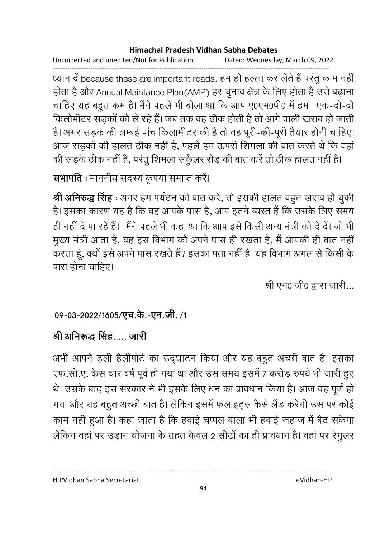Uncorrected and unedited/Not for Publication Dated: Wednesday, March 09, 2022

------------------------------------------------------------------------------------------------------------------------------------ ध्यान दे because these are important roads. हम हो हल्ला कर लेते है परतु काम नहीं | होता है और Annual Maintance Plan(AMP) हर चुनाव क्षेत्र के लिए होता है उसे बढ़ाना चाहिए यह बहुत कम है। मैंने पहले भी बोला था कि आप ए0एम0पी0 में हम ' एक-दो-दो' किलोमीटर सड़कों को ले रहे हैं। जब तक वह ठीक होती है तो आगे वाली खराब हो जाती हैं। अगर सड़क की लम्बई पांच किलामीटर की है तो वह पूरी-की-पूरी तैयार होनी चाहिए। आज सड़कों की हालत ठीक नहीं है, पहले हम ऊपरी शिमला की बात करते थे कि वहां की सड़के ठीक नहीं हैं, परंतु शिमला संकुलर रोड़ की बात करें तो ठीक हालत नहीं हैं।

**सभापति** : माननीय सदस्य कृपया समाप्त करें।

**श्री अनिरुद्ध सिंह** : अगर हम पर्यटन की बात करे, तो इसकी हालत बहुत खराब हो चुकी | हैं। इसका कारण यह है कि वह आपके पास है, आप इतने व्यस्त है कि उसके लिए समय ही नहीं दे पा रहे हैं। मैंने पहले भी कहा था कि आप इसे किसी अन्य मंत्री को दे दें। जो भी मुख्य मंत्री आता है, वह इस विभाग को अपने पास ही रखता है, मैं आपकी ही बात नहीं | करता हूं, क्यों इसे अपने पास रखते हैं? इसका पता नहीं है। यह विभाग अगल से किसी के पास होना चाहिए।

श्री एन0 जी0 द्वारा जारी...

# 09-03-2022/1605/एच.के.-एन.जी. /1

# <u>श्री अनिरूद्ध सिंह….. जारी</u>

अभी आपने ढ़ली हैलीपोर्ट का उद्घाटन किया और यह बहुत अच्छी बात है। इसका एफ.सी.ए. केस चार वर्ष पूर्व हो गया था और उस समय इसमें 7 करोड़ रुपये भी जारी हुए थे। उसके बाद इस सरकार ने भी इसके लिए धन का प्रावधान किया है। आज वह पूर्ण हो गया और यह बहुत अच्छी बात है। लेकिन इसमें फलाइट्स कैसे लैंड करेगी उस पर कोई काम नहीं हुआ है। कहा जाता है कि हवाई चप्पल वाला भी हवाई जहाज में बैठ सकेगा लेकिन वहां पर उड़ान योजना के तहत केवल 2 सीटों का ही प्रावधान है। वहां पर रेंगुलर

H.PVidhan Sabha Secretariat eVidhan-HP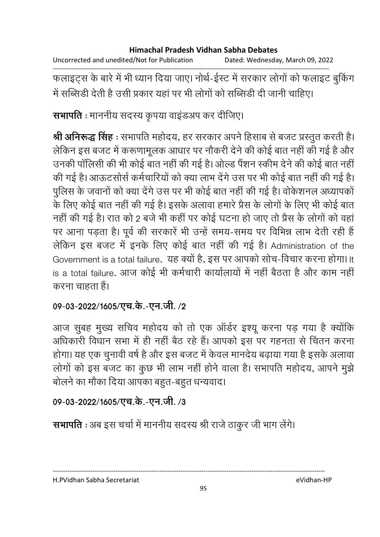| Uncorrected and unedited/Not for Publication | Dated: Wednesday, March 09, 2022 |
|----------------------------------------------|----------------------------------|
|----------------------------------------------|----------------------------------|

------------------------------------------------------------------------------------------------------------------------------------ फलाइट्स के बारे में भी ध्यान दिया जाए। नोथे-ईस्ट में सरकार लोगों को फलाइट बुर्किंग में सब्सिडी देती है उसी प्रकार यहां पर भी लोगों को सब्सिडी दी जानी चाहिए।

**सभापति** : माननीय सदस्य कृपया वाइडअप कर दीजिए।

**श्री अनिरूद्ध सिंह** : सभापति महोदय, हर सरकार अपने हिसाब से बजट प्रस्तुत करती है। लेकिन इस बजट में करूणामूलक आधार पर नौकरी देने की कोई बात नहीं की गई है और उनकी पालिसी की भी कोई बात नहीं की गई है। ओल्ड पैशन स्कीम देने की कोई बात नहीं | की गई है। आऊटससि कर्मचारियों को क्या लाभ देंगे उस पर भी कोई बात नहीं की गई है। पुलिस के जवानों को क्या देंगे उस पर भी कोई बात नहीं की गई है। वर्किशनल अध्यापकों | के लिए कोई बात नहीं की गई है। इसके अलावा हमारे प्रैस के लोगों के लिए भी कोई बात नहीं की गई है। रात को 2 बर्ज भी कहीं पर कोई घटना हो जाए तो प्रैस के लोगों को वहां पर आना पड़ता है। पूर्व की सरकारे भी उन्हें समय-समय पर विभिन्न लाभ देती रही हैं | लेकिन इस बजट में इनके लिए कोई बात नहीं की गई है। Administration of the Government is a total failure. यह क्यों है, इस पर आपको सोच-विचार करना होगा। It is a total failure. आज कोई भी कर्मचारी कार्यालायों में नहीं बैठता है और काम नहीं करना चाहता हैं।

## 09-03-2022/1605/एच.के.-एन.जी. **/2**

आज सुबह मुख्य सचिव महोदय को तो एक आर्डर इश्यू करना पड़ गया है क्योंकि आंधकारी विधान सभा में ही नहीं बैठ रहे हैं। आपको इस पर गहनता से चिंतन करना होगा। यह एक चुनावी वर्ष है और इस बजट में केवल मानदेय बढ़ाया गया है इसके अलावा लोगों को इस बजट का कुछ भी लाभ नहीं होने वाला है। सभापति महोदय, आपने मुझे बोलने का मौका दिया आपका बहुत-बहुत धन्यवाद।

## 09-03-2022/1605/एच.के.-एन.जी. **/3**

**सभापति** : अब इस चर्चा में माननीय सदस्य श्री राजे ठाकुर जी भाग लेंगे।

#### H.PVidhan Sabha Secretariat eVidhan-HP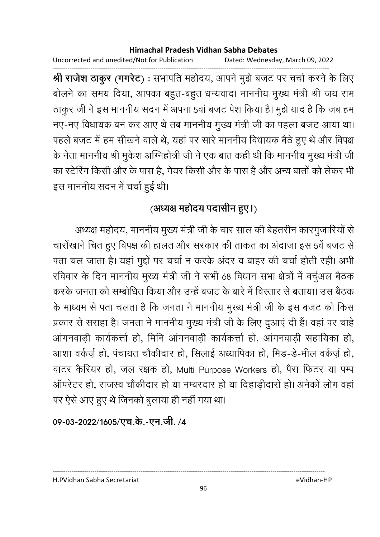Uncorrected and unedited/Not for Publication Dated: Wednesday, March 09, 2022

------------------------------------------------------------------------------------------------------------------------------------ **श्री राजेश ठाकुर (गगरेट)** : सभापति महोदय, आपने मुझे बजट पर चर्चा करने के लिए बोलने का समय दिया, आपका बहूत-बहूत धन्यवाद। माननीय मुख्य मंत्री श्री जय राम ठाकुर जी ने इस माननीय सदन में अपना 5वां बजट पेश किया है। मुझे याद है कि जब हम नए-नए विधायक बन कर आए थे तब माननीय मुख्य मंत्री जी का पहला बजट आया था। पहले बजट में हम सीखने वाले थे, यहां पर सारे माननीय विधायक बैठे हुए थे और विपक्ष के नेता माननीय श्री मुकेश अग्निहोत्री जी ने एक बात कही थी कि माननीय मुख्य मंत्री जी का स्टेरिंग किसी और के पास है, गेयर किसी और के पास है और अन्य बातों को लेकर भी इस माननीय सदन में चर्चा हुई थी।

# (अध्यक्ष महोदय पदासीन हुए।)

अध्यक्ष महोदय, माननीय मुख्य मंत्री जी के चार साल की बेहतरीन कारगुजारियों से चारोंखाने चित हुए विपक्ष की हालत और सरकार की ताकत का अंदाजा इस 5वें बजट से पता चल जाता है। यहां मुद्दों पर चर्चा न करके अंदर व बाहर की चर्चा होती रही। अभी रविवार के दिन माननीय मुख्य मंत्री जी ने सभी 68 विधान सभा क्षेत्रों में वचुंअल बैठक करके जनता को सम्बोधित किया और उन्हें बजट के बारे में विस्तार से बताया। उस बैठक के माध्यम से पता चलता है कि जनता ने माननीय मुख्य मंत्री जी के इस बजट को किस प्रकार से सराहा है। जनता ने माननीय मुख्य मंत्री जी के लिए दुआए दी है। वहां पर चाहें आंगनवाडी कार्यकर्त्ता हो, मिनि आंगनवाड़ी कार्यकर्त्ता हो, आंगनवाड़ी सहायिका हो, आशा वर्कज़े हो, पंचायत चौकीदार हो, सिलाई अध्यापिका हो, मिंड-डे-मील वर्कज़े हो, वाटर कैरियर हो, जल रक्षक हो, Multi Purpose Workers हो, पैरा फिटर या पम्प ऑपरेटर हो, राजस्व चौकीदार हो या नम्बरदार हो या दिहाडीदारों हो। अनेकों लोग वहां पर ऐसे आए हुए थे जिनको बुलाया ही नहीं गया था।

09-03-2022/1605/एच.के.-एन.जी. /4

H.PVidhan Sabha Secretariat eVidhan-HP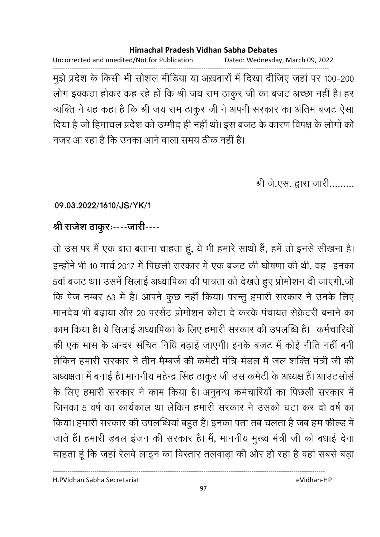Uncorrected and unedited/Not for Publication Dated: Wednesday, March 09, 2022

------------------------------------------------------------------------------------------------------------------------------------ मुझे प्रदेश के किसी भी सोशल मीडिया या अख़बारों में दिखा दीजिए जहां पर 100-200 लोग इक्कठा होकर कह रहे हो कि श्री जय राम ठाकुर जी का बजट अच्छा नहीं है। हर व्यक्ति ने यह कहा है कि श्री जय राम ठाकुर जी ने अपनी सरकार का अतिम बजट ऐसा दिया है जो हिमाचल प्रदेश को उम्मीद ही नहीं थी। इस बजट के कारण विपक्ष के लोगों को नजर आ रहा है कि उनका आने वाला समय ठीक नहीं है।

श्री जे.एस. द्वारा जारी.........

## **09.03.2022/1610/JS/YK/1**

# श्री राजेश ठाकुरः----जारी----

तो उस पर मैं एक बात बताना चाहता हूं, ये भी हमारे साथी है, हमें तो इनसे सीखना है। इन्होंने भी 10 मार्च 2017 में पिछली सरकार में एक बजट की घोषणा की थी, वह इनका 5वा बजट था। उसमें सिलाई अध्यापिका की पात्रता को देखते हुए प्रोमोशन दी जाएगी,जो कि पेज नम्बर 63 में हैं। आपने कुछ नहीं किया। परन्तु हमारी सरकार ने उनके लिए मानदेय भी बढ़ाया और 20 परसेंट प्रोमोशन कोटा दे करके पंचायत सेक्रेटरी बनाने का काम किया है। ये सिलाई अध्यापिका के लिए हमारी सरकार की उपलब्धि हैं। कर्मचारियो की एक मास के अन्दर संचित निधि बढाई जाएगी। इनके बजट में कोई नीति नहीं बनी लेकिन हमारी सरकार ने तीन मैम्बर्ज की कमेटी मंत्रि-मंडल में जल शक्ति मंत्री जी की अध्यक्षता में बनाई है। माननीय महेन्द्र सिंह ठाकुर जी उस कमेटी के अध्यक्ष है। आउटसोर्स के लिए हमारी सरकार ने काम किया है। अनुबन्ध कर्मचारियों का पिछली सरकार में जिनका 5 वर्ष का कार्यकाल था लेकिन हमारी सरकार ने उसको घटा कर दो वर्ष का किया। हमारी सरकार की उपलब्धिया बहुत है। इनका पता तब चलता है जब हम फील्ड में जाते हैं। हमारी डबल इजन की सरकार है। मैं, माननीय मुख्य मंत्री जी को बंधाई देना चाहता हूँ कि जहाँ रैलवे लाइन का विस्तार तलवाड़ा की ओर हो रहा है वहाँ सबसे बड़ा

H.PVidhan Sabha Secretariat eVidhan-HP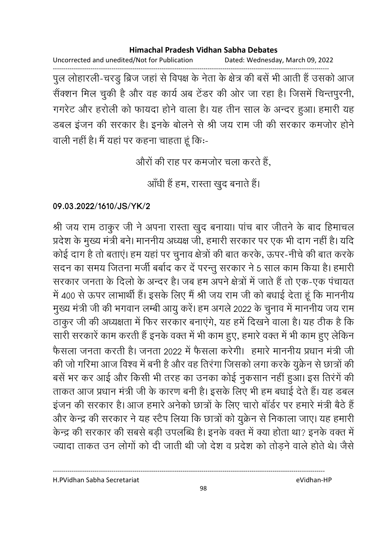Uncorrected and unedited/Not for Publication Dated: Wednesday, March 09, 2022

------------------------------------------------------------------------------------------------------------------------------------ पुल लोहारली-चरडु ब्रिज जहां से विपक्ष के नेता के क्षेत्र की बसें भी आती हैं उसको आज सैक्शन मिल चुकी है और वह कार्य अब टेंडर की ओर जा रहा है। जिसमें चिन्तपुरनी, गगरेट और हरोली को फायदा होने वाला है। यह तीन साल के अन्दर हुआ। हमारी यह डबल इजन की सरकार है। इनके बोलने से श्री जय राम जी की सरकार कमजोर होने वाली नहीं हैं। मैं यहां पर कहना चाहता हूं कि:-

औरों की राह पर कमजोर चला करते हैं.

आँधी हैं हम, रास्ता खुद बनाते हैं।

## **09.03.2022/1610/JS/YK/2**

श्री जय राम ठाकुर जी ने अपना रास्ता खुद बनाया। पांच बार जीतने के बाद हिमाचल प्रदेश के मुख्य मंत्री बने। माननीय अध्यक्ष जी, हमारी सरकार पर एक भी दांग नहीं है। यदि कोई दांग हैं तो बताए। हम यहां पर चुनाव क्षेत्रों की बात करके, ऊपर-नीचे की बात करके सदन का समय जितना मंजी बर्बाद कर दे परन्तु सरकार ने 5 साल काम किया है। हमारी सरकार जनता के दिलों के अन्दर है। जब हम अपने क्षेत्रों में जातें हैं तो एक-एक पंचायत में 400 से ऊपर लाभार्थी हैं। इसके लिए मैं श्री जय राम जी को बधाई देता हूं कि माननीय मुख्य मंत्री जी की भगवान लम्बी आयु करें। हम अगले 2022 के चुनाव में माननीय जय राम ठाकुर जी की अध्यक्षता में फिर सरकार बनाएंगे, यह हमें दिखने वाला है। यह ठीक है कि सारी सरकारें काम करती हैं इनके वक्त में भी काम हुए, हमारे वक्त में भी काम हुए लेकिन फैसला जनता करती है। जनता 2022 में फैसला करेगी। हमारे माननीय प्रधान मंत्री जी की जो गरिमा आज विश्व में बनी है और वह तिरंगा जिसको लगा करके युक्रेन से छात्रों की बसें भर कर आई और किसी भी तरह का उनका कोई नुकसान नहीं हुआ। इस तिरंगें की ताकत आज प्रधान मंत्री जी के कारण बनी है। इसके लिए भी हम बधाई देते हैं। यह डबल इजन की सरकार है। आज हमारे अनेको छात्रों के लिए चारों बार्डर पर हमारे मंत्री बैठे हैं | और केन्द्र की सरकार ने यह स्टैप लिया कि छात्रों को युक्रेन से निकाला जाए। यह हमारी केन्द्र की सरकार की सबसे बड़ी उपलब्धि है। इनके वक्त में क्या होता था? इनके वक्त में ज्यादा ताकत उन लोगों को दी जाती थी जो देश व प्रदेश को तोड़ने वाले होते थे। जैसे

H.PVidhan Sabha Secretariat eVidhan-HP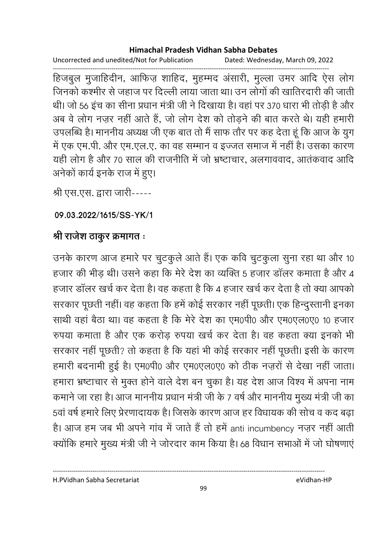Uncorrected and unedited/Not for Publication Dated: Wednesday, March 09, 2022

------------------------------------------------------------------------------------------------------------------------------------ हिजबुल मुजाहिदीन, आफिज़ शाहिद, मुहम्मद अंसारी, मुल्ला उमर आदि ऐस लोग जिनको कश्मीर से जहाज पर दिल्ली लाया जाता था। उन लोगों की खातिरदारी की जाती थी। जो 56 इच का सीना प्रधान मंत्री जी ने दिखाया है। वहां पर 370 धारा भी तोड़ी है और अब वे लोग नज़र नहीं आते हैं, जो लोग देश को तोड़ने की बात करते थे। यही हमारी उपलब्धि है। माननीय अध्यक्ष जी एक बात तो मैं साफ तौर पर कह देता हूं कि आज के युग में एक एम.पी. और एम.एल.ए. का वह सम्मान व इज्जत समाज में नहीं है। उसका कारण यही लोग है और 70 साल की राजनीति में जो भ्रष्टाचार, अलगाववाद, आतंकवाद आदि अनेकों कार्य इनके राज में हुए।

श्री एस.एस. द्वारा जारी-----

**09.03.2022/1615/SS-YK/1**

# श्री राजेश ठाकुर क्रमागत **:**

उनके कारण आज हमारे पर चुटकुले आते हैं। एक कवि चुटकुला सुना रहा था और 10 हजार की भीड़ थी। उसने कहा कि मेरे देश का व्यक्ति 5 हजार डालर कमाता है और 4 हजार डालर खर्च कर देता है। वह कहता है कि 4 हजार खर्च कर देता है तो क्या आपको सरकार पूछती नहीं। वह कहता कि हमें कोई सरकार नहीं पूछती। एक हिन्दुस्तानी इनका साथी वहां बैठा था। वह कहता है कि मेरे देश का एम0पी0 और एम0एल0ए0 10 हजार रुपया कमाता है और एक करोड़ रुपया खर्च कर देता है। वह कहता क्या इनको भी सरकार नहीं पूछती? तो कहता है कि यहां भी कोई सरकार नहीं पूछती। इसी के कारण हमारी बंदनामी हुई है। एम0पी0 और एम0एल0ए0 को ठीक नज़रों से देखा नहीं जाता। हमारा भ्रष्टाचार से मुक्त होने वाले देश बन चुका है। यह देश आज विश्व में अपना नाम कमाने जा रहा है। आज माननीय प्रधान मंत्री जी के 7 वर्ष और माननीय मुख्य मंत्री जी का 5वा वर्ष हमारे लिए प्रेरणादायक है। जिसके कारण आज हर विधायक की सोच व कद बढ़ा हैं। आज हम जब भी अपने गाव में जातें हैं तो हमें anti incumbency नज़र नहीं आती क्योंकि हमारे मुख्य मंत्री जी ने जोरदार काम किया है। 68 विधान सभाओं में जो घोषणाएं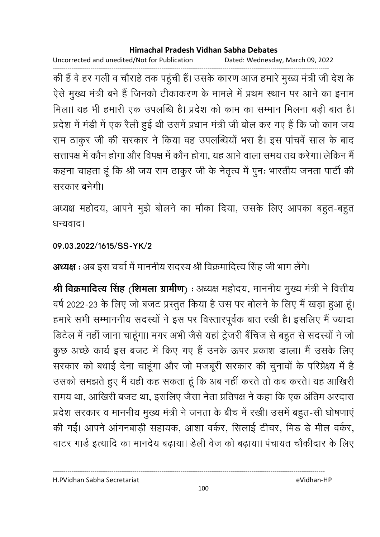Uncorrected and unedited/Not for Publication Dated: Wednesday, March 09, 2022

------------------------------------------------------------------------------------------------------------------------------------ की है वे हर गली व चौराहे तक पहुंची है। उसके कारण आज हमारे मुख्य मंत्री जी देश के ऐसे मुख्य मंत्री बने हैं जिनको टीकाकरण के मामले में प्रथम स्थान पर आने का इनाम मिला। यह भी हमारी एक उपलब्धि है। प्रदेश को काम का सम्मान मिलना बड़ी बात है। प्रदेश में मंडी में एक रैली हुई थी उसमें प्रधान मंत्री जी बोल कर गए हैं कि जो काम जय राम ठाकुर जी की सरकार ने किया वह उपलब्धियों भरा है। इस पाचवें साल के बाद सत्तापक्ष में कौन होगा और विपक्ष में कौन होगा, यह आने वाला समय तय करेगा। लेकिन मैं कहना चाहता हूं कि श्री जय राम ठाकुर जी के नेतृत्व में पुनः भारतीय जनता पार्टी की सरकार बनेगी।

अध्यक्ष महोदय, आपने मुझे बोलने का मौका दिया, उसके लिए आपका बहुत-बहुत धन्यवाद।

## **09.03.2022/1615/SS-YK/2**

**अध्यक्ष** : अब इस चर्चा में माननीय सदस्य श्री विक्रमादित्य सिंह जी भाग लेंगे।

**श्री विक्रमादित्य सिंह (शिमला ग्रामीण) :** अध्यक्ष महोदय, माननीय मुख्य मंत्री ने वित्तीय वर्ष 2022-23 के लिए जो बजट प्रस्तुत किया है उस पर बोलने के लिए मैं खड़ा हुआ हूं। हमारे सभी सम्माननीय सदस्यों ने इस पर विस्तारपूर्वक बात रखी है। इसलिए मैं ज्यादा डिटेल में नहीं जाना चाहूँगा। मगर अभी जैसे यहां ट्रेजरी बैचिज से बहुत से सदस्यों ने जो कुछ अच्छे कार्य इस बजट में किए गए हैं उनके ऊपर प्रकाश डाला। मैं उसके लिए सरकार को बंधाई देना चाहूंगा और जो मजबूरी सरकार की चुनावों के परिप्रेक्ष्य में हैं उसको समझते हुए मैं यही कह सकता हूं कि अब नहीं करते तो कब करते। यह आखिरी समय था, आखिरी बजट था, इसलिए जैसा नेता प्रतिपक्ष ने कहा कि एक अतिम अरदास प्रदेश सरकार व माननीय मुख्य मंत्री ने जनता के बीच में रखी। उसमें बहुत-सी घोषणाएं की गईं। आपने आंगनबाड़ी सहायक, आशा वर्कर, सिलाई टीचर, मिड डे मील वर्कर, वाटर गार्ड इत्यादि का मानदेय बढ़ाया। डेली वेज को बढ़ाया। पंचायत चौकीदार के लिए

H.PVidhan Sabha Secretariat eVidhan-HP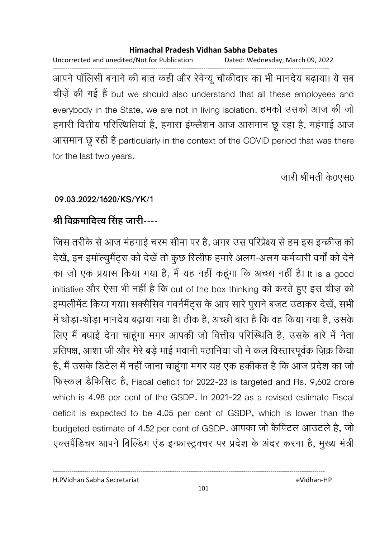Uncorrected and unedited/Not for Publication Dated: Wednesday, March 09, 2022 ------------------------------------------------------------------------------------------------------------------------------------ आपने पालिसी बनाने की बात कहीं और रेवेन्यू चौकीदार का भी मानदेय बढ़ाया। ये सब चीज़ें की गई हैं but we should also understand that all these employees and everybody in the State, we are not in living isolation. हमको उसको आज की जो हमारी वित्तीय परिस्थितिया है, हमारा इफ्लैशन आज आसमान छू रहा है, महगाई आज आसमान छू रही है particularly in the context of the COVID period that was there for the last two years.

जारी श्रीमती के0एस0

## **09.03.2022/1620/KS/YK/1**

# <u>श्री विक्रमादित्य सिंह जारी----</u>

जिस तरीके से आज महंगाई चरम सीमा पर हैं, अगर उस परिप्रेक्ष्य से हम इस इन्क्रीज़ को देखें, इन इमॉल्युमैंट्स को देखें तो कुछ रिलीफ हमारे अलग-अलग कर्मचारी वर्गों को देने का जो एक प्रयास किया गया है, मैं यह नहीं कहूँगा कि अच्छा नहीं है। It is a good initiative और ऐसा भी नहीं है कि out of the box thinking को करते हुए इस चीज़ को इम्पलीमेंट किया गया। सक्सीसेव गवर्नमैट्स के आप सारे पुराने बजट उठाकर देखे, सभी में थोड़ा-थोड़ा मानदेय बढ़ाया गया है। ठीक है, अच्छी बात है कि वह किया गया है, उसके लिए मैं बंधाई देना चाहूँगा मगर आपकी जो वित्तीय परिस्थिति हैं, उसके बारे में नेता प्रतिपक्ष, आशा जी और मेरे बड़े भाई भवानी पठानिया जी ने कल विस्तारपूर्वक ज़िक्र किया हैं, मैं उसके डिटेल में नहीं जाना चाहूंगा मगर यह एक हकीकत है कि आज प्रदेश का जो फिस्कल डैफिसिट है, Fiscal deficit for 2022-23 is targeted and Rs. 9,602 crore which is 4.98 per cent of the GSDP. In 2021-22 as a revised estimate Fiscal deficit is expected to be 4.05 per cent of GSDP, which is lower than the budgeted estimate of 4.52 per cent of GSDP. आपका जो कैंपिटल आउटले हैं, जो एक्सपैंडिचर आपने बिल्डिंग एंड इन्फ्रास्ट्रक्चर पर प्रदेश के अंदर करना है, मुख्य मंत्री

H.PVidhan Sabha Secretariat eVidhan-HP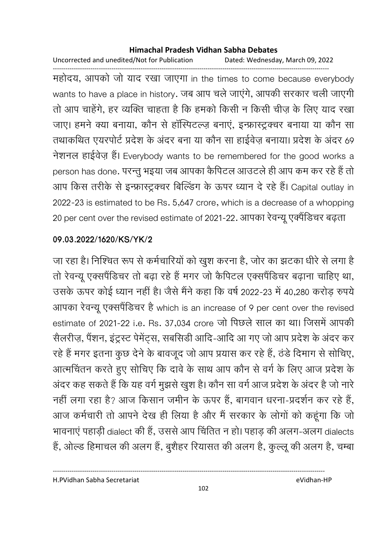Uncorrected and unedited/Not for Publication Dated: Wednesday, March 09, 2022

------------------------------------------------------------------------------------------------------------------------------------ महोदय, आपको जो याद रखा जाएगा in the times to come because everybody wants to have a place in history. जब आप चले जाएंगे, आपकी सरकार चली जाएगी तों आप चाहेंगे, हर व्यक्ति चाहता है कि हमको किसी न किसी चीज़ के लिए याद रखा जाए। हमने क्या बनाया, कौन से हॉस्पिटल्ज़ बनाएं, इन्फ्रास्ट्रक्चर बनाया या कौन सा तथाकथित एयरपोर्ट प्रदेश के अंदर बना या कौन सा हाईवेज़ बनाया। प्रदेश के अंदर 69 नेशनल हाईवेज़ हैं। Everybody wants to be remembered for the good works a person has done. परन्तु भइया जब आपका कैंपिटल आउटले ही आप कम कर रहे हैं तो आप किस तरीके से इन्फ्रास्ट्रक्चर बिल्डिंग के ऊपर ध्यान दे रहे हैं। Capital outlay in 2022-23 is estimated to be Rs. 5,647 crore, which is a decrease of a whopping 20 per cent over the revised estimate of 2021-22. आपका रेवन्यू एक्पैंडिचर बढ़ता

## **09.03.2022/1620/KS/YK/2**

जा रहा है। निश्चित रूप से कर्मचारियों को खुश करना है, जोर का झटका धीरे से लगा है तो रेवन्यू एक्सपैंडिचर तो बढ़ा रहे हैं मगर जो कैंपिटल एक्सपैंडिचर बढ़ाना चाहिए था, उसके ऊपर कोई ध्यान नहीं है। जैसे मैंने कहा कि वर्ष 2022-23 में 40,280 करोड़ रुपये आपका रेवन्यू एक्सपैर्डिचर है which is an increase of 9 per cent over the revised estimate of 2021-22 i.e. Rs. 37,034 crore जो पिछले साल का था। जिसमें आपकी सैलरीज़, पैशन, इंट्रस्ट पेमेंट्स, संबसिडी आदि-आदि आ गए जो आप प्रदेश के अंदर कर रहे हैं मगर इतना कुछ देने के बावजूद जो आप प्रयास कर रहे हैं, ठंडे दिमाग से सोचिए, आत्मचिंतन करते हुए सोचिए कि दावे के साथ आप कौन से वर्ग के लिए आज प्रदेश के अंदर कह सकते हैं कि यह वर्ग मुझसे खुश है। कौन सा वर्ग आज प्रदेश के अंदर हैं जो नारे | नहीं लगा रहा है? आज किसान जमीन के ऊपर है, बागवान धरना-प्रदर्शन कर रहे हैं, आज कर्मचारी तो आपने देख ही लिया है और मैं सरकार के लोगों को कहूंगा कि जो भावनाएं पहाड़ी dialect की हैं, उससे आप चिंतित न हो। पहाड़ की अलग-अलग dialects है, ओल्ड हिमाचल की अलग है, बुशैहर रियासत की अलग है, कुल्लू की अलग है, चम्बा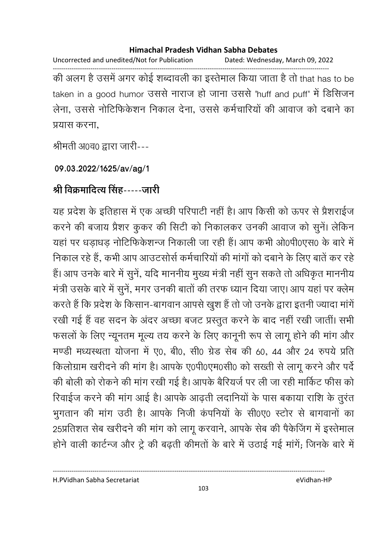Uncorrected and unedited/Not for Publication Dated: Wednesday, March 09, 2022 ------------------------------------------------------------------------------------------------------------------------------------ की अलग है उसमें अगर कोई शब्दावली का इस्तेमाल किया जाता है तो that has to be taken in a good humor उससे नाराज हो जाना उससे 'huff and puff' में डिसिजन लेना, उससे नोटिफिकेशन निकाल देना, उससे कर्मचारियों की आवाज को दबाने का प्रयास करना,

श्रीमती अ0व0 द्वारा जारी---

## **09.03.2022/1625/av/ag/1**

# <u>श्री विक्रमादित्य सिंह-----जारी</u>

यह प्रदेश के इतिहास में एक अच्छी परिपार्टी नहीं है। आप किसी को ऊपर से प्रैशराईज करने की बजाय प्रैशर कुकर की सिटी को निकालकर उनकी आवाज को सुने। लेकिन यहां पर धड़ाधड़ नोटिफिकेशन्ज निकाली जा रही हैं। आप कभी ओ0पी0एस0 के बारे में निकाल रहे हैं, कभी आप आउटसोर्स कर्मचारियों की मांगों को दबाने के लिए बातें कर रहे हैं। आप उनके बारे में सुनें, यदि माननीय मुख्य मंत्री नहीं सुन सकते तो अधिकृत माननीय मंत्री उसके बारे में सुने, मगर उनकी बातों की तरफ ध्यान दिया जाए। आप यहां पर क्लेम करते हैं कि प्रदेश के किसान-बागवान आपसे खुश हैं तो जो उनके द्वारा इतनी ज्यादा मांगें रखी गई हैं वह सदन के अंदर अच्छा बजट प्रस्तुत करने के बाद नहीं रखी जातीं। सभी फसलों के लिए न्यूनतम मूल्य तय करने के लिए कानूनी रूप से लागू होने की मांग और मण्डी मध्यस्थता योजना में ए0, बी0, सी0 ग्रेंड सेब की 60, 44 और 24 रुपयें प्रति किलोग्राम खरीदने की मांग हैं। आपके ए0पी0एम0सी0 को संख्ती से लागू करने और पर्द की बोली को रोकने की मांग रखी गई है। आपके बैरियर्ज पर ली जा रही मार्किट फीस को रिवाईज करने की मांग आई है। आपके आढ़ती लंदानियों के पास बकाया राशि के तुरंत भुगतान की मांग उठी है। आपके निजी कंपनियों के सी0ए0 स्टोर से बांगवानों का 25प्रतिशत सेब खरीदने की मांग को लागू करवाने, आपके सेब की पैकेजिंग में इस्तेमाल होने वाली कार्टन्ज और ट्रे की बढ़ती कीमतों के बारे में उठाई गई मांगें; जिनके बारे में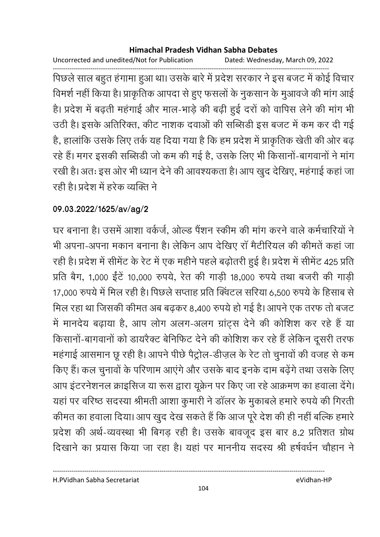Uncorrected and unedited/Not for Publication Dated: Wednesday, March 09, 2022

------------------------------------------------------------------------------------------------------------------------------------ पिछले साल बहुत हंगामा हुआ था। उसके बारे में प्रदेश सरकार ने इस बजट में कोई विचार विमर्श नहीं किया है। प्राकृतिक आपदा से हुए फसलों के नुकसान के मुआवर्ज की मांग आई हैं। प्रदेश में बढ़ती महंगाई और माल-भाड़े की बढ़ी हुई दरों को वापिस लेने की मांग भी उठी है। इसके अतिरिक्त, कीट नाशक दवाओं की सब्सिडी इस बजट में कम कर दी गई हैं, हालांकि उसके लिए तर्क यह दिया गया है कि हम प्रदेश में प्राकृतिक खेती की ओर बढ़ रहे हैं। मगर इसकी सब्सिडी जो कम की गई है, उसके लिए भी किसानो-बागवानों ने मांग रखी है। अतः इस ओर भी ध्यान देने की आवश्यकता है। आप खुद देखिए, महंगाई कहा जा रही है। प्रदेश में हरेक व्यक्ति ने

# **09.03.2022/1625/av/ag/2**

घर बनाना है। उसमें आशा वर्कजे, ओल्ड पैशन स्कीम की मांग करने वाले कर्मचारियों ने भी अपना-अपना मकान बनाना है। लेकिन आप देखिए रा मैटीरियल की कीमते कहा जा रही है। प्रदेश में सीमेंट के रेंट में एक महीने पहले बढ़ोतरी हुई हैं। प्रदेश में सीमेंट 425 प्रति प्रति बैग, 1,000 ईटे 10,000 रुपर्य, रेत की गाड़ी 18,000 रुपर्य तथा बजरी की गाड़ी 17,000 रुपये में मिल रही है। पिछले सप्ताह प्रति क्विटल सरिया 6,500 रुपये के हिसाब से मिल रहा था जिसकी कीमत अब बढ़कर 8,400 रुपये हो गई है। आपने एक तरफ तो बजट में मानदेय बढ़ाया है, आप लोग अलग-अलग ग्राट्स देने की कोशिश कर रहे हैं या किसानो-बागवानों को डायरैक्ट बेनिफिट देने की कोशिश कर रहे हैं लेकिन दूसरी तरफ महंगाई आसमान छू रही है। आपने पेछि पैट्रोल-डीज़ल के रेट तो चुनावों की वजह से कम किए हैं। कल चुनावों के परिणाम आएंगे और उसके बाद इनके दाम बढ़ेंगे तथा उसके लिए आप इंटरनेशनल क्राइसिज या रूस द्वारा यूक्रेन पर किए जा रहे आक्रमण का हवाला देंगे। यहां पर वरिष्ठ सदस्या श्रीमती आशा कुमारी ने डॉलर के मुकाबले हमारे रुपये की गिरती कीमत का हवाला दिया। आप खुद देख सकते हैं कि आज पूरे देश की ही नहीं बल्कि हमारे प्रदेश की अर्थ-व्यवस्था भी बिगड़ रही है। उसके बावजूद इस बार 8.2 प्रतिशत ग्रोथ दिखाने का प्रयास किया जा रहा है। यहां पर माननीय सदस्य श्री हर्षवर्धन चौहान ने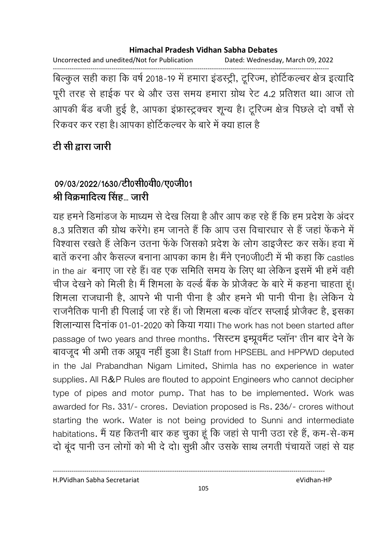Uncorrected and unedited/Not for Publication Dated: Wednesday, March 09, 2022

------------------------------------------------------------------------------------------------------------------------------------ बिल्कुल सही कहा कि वर्ष 2018-19 में हमारा इंडस्ट्री, ट्रूरिज्म, होटिकल्चर क्षेत्र इत्यादि पूरी तरह से हाईक पर थे और उस समय हमारा ग्रोथ रेट 4.2 प्रतिशत था। आज तो आपकी बैंड बजी हुई है, आपका इफ्रास्ट्रक्चर शून्य है। टूरिज्म क्षेत्र पिछले दो वर्षा से रिकवर कर रहा है। आपका होटिकल्चर के बारे में क्या हाल है

# <u>टी सी द्वारा जारी</u>

# 09/03/2022/1630/टी0सी0वी0/ए0जी01 श्री विक्रमादित्य सिंह... जारी

यह हमने डिमांडज के माध्यम से देख लिया है और आप कह रहे हैं कि हम प्रदेश के अंदर 8.3 प्रतिशत की ग्रोथ करेंगे। हम जानते हैं कि आप उस विचारधार से हैं जहां फेंकने में विश्वास रखते हैं लेकिन उतना फेंके जिसको प्रदेश के लोग डाइजैस्ट कर सके। हवा में बातें करना और कैसल्ज बनाना आपका काम है। मैंने एन0जी0टी में भी कहा कि castles in the air बनाए जा रहे हैं। वह एक समिति समय के लिए था लेकिन इसमें भी हमें वही चीज देखने को मिली है। मैं शिमला के वर्ल्ड बैंक के प्रजिक्ट के बारे में कहना चाहता हूं। शिमला राजधानी है, आपने भी पानी पीना है और हमने भी पानी पीना है। लेकिन ये राजनैतिक पानी ही पिलाई जा रहे हैं। जो शिमला बल्क वाटर सप्लाई प्रजिक्ट है, इसका शिलान्यास दिनांक 01-01-2020 को किया गया। The work has not been started after passage of two years and three months. 'सिस्टम इम्प्रूवमैंट प्लॉन' तीन बार देने के बावजूद भी अभी तक अप्रूव नहीं हुआ है। Staff from HPSEBL and HPPWD deputed in the Jal Prabandhan Nigam Limited, Shimla has no experience in water supplies. All R&P Rules are flouted to appoint Engineers who cannot decipher type of pipes and motor pump. That has to be implemented. Work was awarded for Rs. 331/- crores. Deviation proposed is Rs. 236/- crores without starting the work. Water is not being provided to Sunni and intermediate habitations. मैं यह कितनी बार कह चुका हूं कि जहां से पानी उठा रहे हैं, कम-से-कम दो बूंद पानी उन लोगों को भी दे दो। सुन्नी और उसके साथ लगती पंचायतें जहां से यह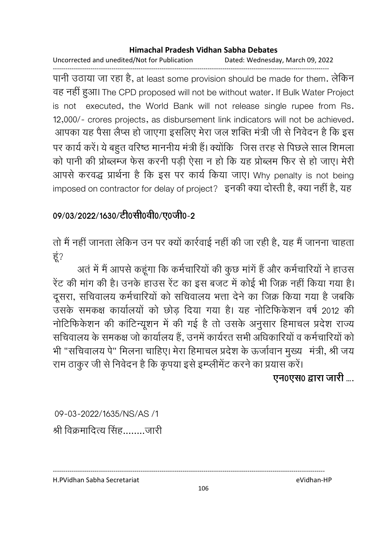Uncorrected and unedited/Not for Publication Dated: Wednesday, March 09, 2022

------------------------------------------------------------------------------------------------------------------------------------ पानी उठाया जा रहा है, at least some provision should be made for them. लेकिन वह नहीं हुआ। The CPD proposed will not be without water. If Bulk Water Project is not executed, the World Bank will not release single rupee from Rs. 12,000/- crores projects, as disbursement link indicators will not be achieved. आपका यह पैसा लैप्स हो जाएगा इसलिए मेरा जल शक्ति मंत्री जी से निवेदन है कि इस पर कार्य करें। ये बहुत वरिष्ठ माननीय मंत्री हैं। क्योंकि जिस तरह से पिछले साल शिमला को पानी की प्रोब्लम्ज फेस करनी पड़ी ऐसा न हो कि यह प्रोब्लम फिर से हो जाए। मेरी आपर्स करवद्ध प्रार्थना है कि इस पर कार्य किया जाए। Why penalty is not being imposed on contractor for delay of project? इनकी क्या दोस्ती है, क्या नहीं है, यह

# 09/03/2022/1630/टी0सी0वी0/ए0जी0-2

तों में नहीं जानता लेकिन उन पर क्यों कार्रवाई नहीं की जा रही हैं, यह मैं जानना चाहता हूं?

अतं में मैं आपसे कहूंगा कि कर्मचारियों की कुछ मांगें हैं और कर्मचारियों ने हाउस रेट की मांग की है। उनके हाउस रेट का इस बजट में कोई भी जिक्र नहीं किया गया है। दूसरा, सर्चिवालय कर्मचारियों को संचिवालय भत्ता देने का जिक्र किया गया है जबकि उसके समकक्ष कार्यालयों को छोड़ दिया गया है। यह नोटिफिकेशन वर्ष 2012 की नोटिफिकेशन की कार्टिन्यूशन में की गई है तो उसके अनुसार हिमाचल प्रदेश राज्य सचिवालय के समकक्ष जो कार्यालय हैं. उनमें कार्यरत सभी अधिकारियों व कर्मचारियों को भी "सचिवालय पे" मिलना चाहिए। मेरा हिमाचल प्रदेश के ऊर्जावान मुख्य मंत्री, श्री जय राम ठाकुर जी से निवेदन हैं कि कृपया इसे इम्प्लीमेंट करने का प्रयास करें।

**एन0एस0 द्वारा जारी ....** 

09-03-2022/1635/NS/AS /1 O t@H xह........

H.PVidhan Sabha Secretariat eVidhan-HP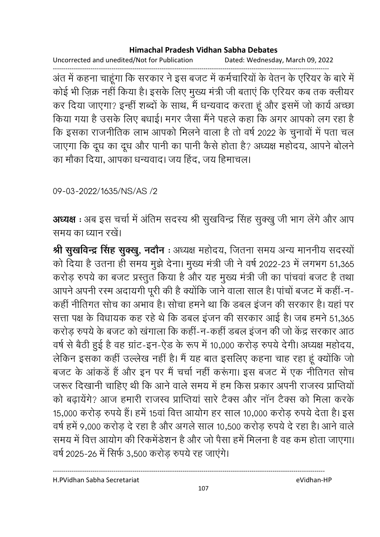Uncorrected and unedited/Not for Publication Dated: Wednesday, March 09, 2022

------------------------------------------------------------------------------------------------------------------------------------ अंत में कहना चाहूँगा कि सरकार ने इस बजट में कर्मचारियों के वेतन के एरियर के बारे में कोई भी ज़िक्र नहीं किया है। इसके लिए मुख्य मंत्री जी बताए कि एरियर कब तक क्लीयर कर दिया जाएगा? इन्हीं शब्दों के साथ, मैं धन्यवाद करता हूं और इसमें जो कार्य अच्छा किया गया है उसके लिए बधाई। मगर जैसा मैंने पहले कहा कि अगर आपको लग रहा है कि इसका राजनीतिक लाभ आपको मिलने वाला है तो वर्ष 2022 के चुनावों में पता चल जाएगा कि दूध का दूध और पानी का पानी कैसे होता है? अध्यक्ष महोदय, आपने बोलने का मौका दिया, आपका धन्यवाद। जय हिंद, जय हिमाचल।

09-03-2022/1635/NS/AS /2

अध्यक्ष : अब इस चर्चा में अंतिम सदस्य श्री सुखविन्द्र सिंह सुक्खु जी भाग लेंगे और आप समय का ध्यान रखे।

**श्री सुखर्विन्द्र सिंह सुक्खु, नदौन** : अध्यक्ष महोदय, जितना समय अन्य माननीय सदस्यो को दिया है उतना ही समय मुझे देना। मुख्य मंत्री जी ने वर्ष 2022-23 में लगभग 51,365 करोड़ रुपये का बजट प्रस्तुत किया है और यह मुख्य मंत्री जी का पाचवा बजट है तथा आपने अपनी रस्म अदायगी पूरी की है क्योंकि जाने वाला साल है। पांचों बजट में कहीं-न-कही नीतिगत सोच का अभाव है। सोचा हमने था कि डबल इजन की सरकार है। यहां पर सत्ता पक्ष के विधायक कह रहे थे कि डबल इजन की सरकार आई है। जब हमने 51,365 करोड़ रुपये के बजट को खंगाला कि कहीं-न-कहीं डबल इंजन की जो केंद्र सरकार आठ वर्ष से बैठी हुई है वह ग्राट-इन-ऐंड के रूप में 10,000 करोड़ रुपये देंगी। अध्यक्ष महोदय, लेकिन इसका कहीं उल्लेख नहीं हैं। मैं यह बात इसलिए कहना चाह रहा हूं क्योंकि जो बजट के आंकड़ें हैं और इन पर मैं चर्चा नहीं करूंगा। इस बजट में एक नीतिगत सोच जरूर दिखानी चाहिए थी कि आने वाले समय में हम किस प्रकार अपनी राजस्व प्राप्तियों को बढ़ायेंगे? आज हमारी राजस्व प्राप्तिया सारे टैक्स और नान टैक्स को मिला करके 15,000 करोड़ रुपर्य है। हमें 15वां वित्त आयोग हर साल 10,000 करोड़ रुपर्य देता है। इस वर्ष हमें 9,000 करोड़ दें रहा है और अगले साल 10,500 करोड़ रुपये दें रहा है। आने वालें समय में वित्त आयोग की रिकर्मेंडेशन है और जो पैसा हमें मिलना है वह कम होता जाएगा। वर्ष 2025-26 में सिर्फ 3,500 करोड़ रुपये रह जाएंगे।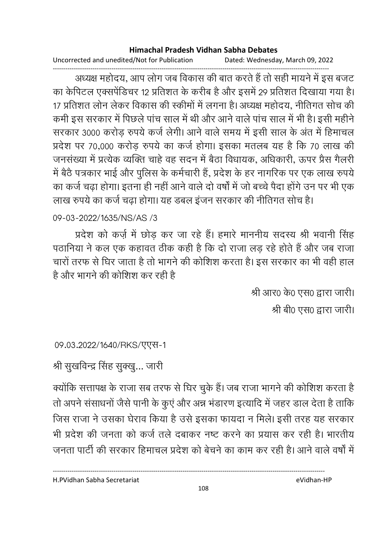Uncorrected and unedited/Not for Publication Dated: Wednesday, March 09, 2022

------------------------------------------------------------------------------------------------------------------------------------ अध्यक्ष महोदय, आप लोग जब विकास की बात करते हैं तो सही मायने में इस बजट का केपिटल एक्सपेडिचर 12 प्रतिशत के करीब है और इसमें 29 प्रतिशत दिखाया गया है। 17 प्रतिशत लोन लेकर विकास की स्कीमों में लगना है। अध्यक्ष महोदय, नीतिगत सोच की कर्मी इस सरकार में पिछले पांच साल में थी और आने वाले पांच साल में भी है। इसी महीने सरकार 3000 करोड़ रुपये कर्ज लेगी। आने वाले समय में इसी साल के अंत में हिमाचल प्रदेश पर 70,000 करोड़ रुपये का कर्ज होगा। इसका मतलब यह है कि 70 लाख की जनसंख्या में प्रत्येक व्यक्ति चाहे वह सदन में बैठा विधायक, अधिकारी, ऊपर प्रैस गैलरी में बैठे पत्रकार भाई और पुलिस के कर्मचारी हैं, प्रदेश के हर नागरिक पर एक लाख रुपयें का कर्ज चढ़ा होगा। इतना ही नहीं आने वाले दो वर्षों में जो बच्चे पैदा होंगे उन पर भी एक लाख रुपर्य का कर्ज चढ़ा होगा। यह डबल इजन सरकार की नीतिगत सोच है।

09-03-2022/1635/NS/AS /3

प्रदेश को कर्ज़ में छोड़ कर जा रहे हैं। हमारे माननीय सदस्य श्री भवानी सिंह पठानिया ने कल एक कहावत ठीक कहीं है कि दो राजा लड़ रहे होते हैं और जब राजा चारों तरफ से घिर जाता है तो भागने की कोशिश करता है। इस सरकार का भी वहीं हाल है और भागने की कोशिश कर रही हैं।

> श्री आर0 के0 एस0 द्वारा जारी। श्री बी0 एस0 द्वारा जारी।

09.03.2022/1640/RKS/TTH-1

श्री सुखविन्द्र सिंह सुक्खु... जारी

क्योंकि सत्तापक्ष के राजा सब तरफ से घिर चुके हैं। जब राजा भागने की कोशिश करता है तो अपने संसाधनों जैसे पानी के कुए और अन्न भंडारण इत्यादि में जहर डाल देता है ताकि जिस राजा ने उसका घेराव किया है उसे इसका फायदा न मिले। इसी तरह यह सरकार भी प्रदेश की जनता को कर्ज तले दबाकर नष्ट करने का प्रयास कर रही है। भारतीय जनता पार्टी की सरकार हिमाचल प्रदेश को बेचने का काम कर रही है। आने वाले वर्षों में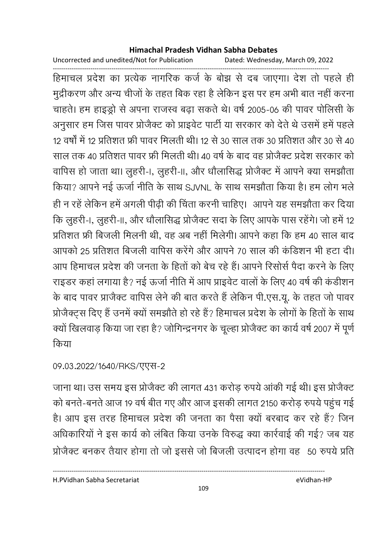Uncorrected and unedited/Not for Publication Dated: Wednesday, March 09, 2022

------------------------------------------------------------------------------------------------------------------------------------ हिमाचल प्रदेश का प्रत्येक नागरिक कर्ज के बोझ से दब जाएगा। देश तो पहले ही मुद्रीकरण और अन्य चीजों के तहत बिक रहा है लेकिन इस पर हम अभी बात नहीं करना चाहते। हम हाइड्रो से अपना राजस्व बढ़ा सकते थे। वर्ष 2005-06 की पावर पोलिसी के अनुसार हम जिस पावर प्रजिक्ट को प्राइवेट पार्टी या सरकार को देते थे उसमें हमें पहले 12 वर्षों में 12 प्रतिशत फ्री पावर मिलती थी। 12 से 30 साल तक 30 प्रतिशत और 30 से 40 साल तक 40 प्रतिशत पावर फ्री मिलती थी। 40 वर्ष के बाद वह प्रजिक्ट प्रदेश सरकार को वापिस हो जाता था। लुहरी-।, लुहरी-॥, और धौलासिद्ध प्रजिक्ट में आपने क्या समझौता किया? आपने नई ऊंजो नीति के साथ SJVNL के साथ समझौता किया है। हम लोग भले ही न रहें लेकिन हमें अगली पीढ़ी की चिंता करनी चाहिए। आपने यह समझौता कर दिया कि लुहरी-।, लुहरी-॥, और धौलासिद्ध प्रजिक्ट सदा के लिए आपके पास रहेंगे। जो हमें 12 प्रतिशत फ्री बिजली मिलनी थी. वह अब नहीं मिलेगी। आपने कहा कि हम 40 साल बाद आपको 25 प्रतिशत बिजली वापिस करेंगे और आपने 70 साल की कंडिशन भी हटा दी। आप हिमाचल प्रदेश की जनता के हिंतों को बेच रहे हैं। आपने रिसोर्स पैदा करने के लिए राइंडर कहा लगाया है? नई ऊंजों नीति में आप प्राइवेट वालों के लिए 40 वर्ष की कडीशन के बाद पावर प्राजैक्ट वार्पिस लेने की बात करते हैं लेकिन पी.एस.यू. के तहत जो पावर प्रजिक्ट्स दिए हैं उनमें क्यों समझौते हो रहे हैं? हिमाचल प्रदेश के लोगों के हिंतों के साथ क्यो खिलवाड़ किया जा रहा है? जोगिन्द्रनगर के चूल्हा प्रजिक्ट का कार्य वर्ष 2007 में पूर्ण किया

09.03.2022/1640/RKS/TTR-2

जाना था। उस समय इस प्रजिक्ट की लागत 431 करोड़ रुपये आकी गई थी। इस प्रजिक्ट को बनते-बनते आज 19 वर्ष बीत गए और आज इसकी लागत 2150 करोड़ रुपये पहुंच गई हैं। आप इस तरह हिमाचल प्रदेश की जनता का पैसा क्यों बरबाद कर रहे हैं? जिन अधिकारियों ने इस कार्य को लंबित किया उनके विरुद्ध क्या कार्रवाई की गई? जब यह प्रजिक्ट बनकर तैयार होगा तो जो इससे जो बिजली उत्पादन होगा वह 50 रुपये प्रति

H.PVidhan Sabha Secretariat eVidhan-HP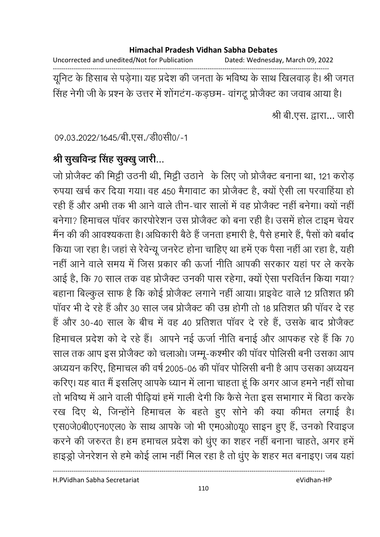Uncorrected and unedited/Not for Publication Dated: Wednesday, March 09, 2022

------------------------------------------------------------------------------------------------------------------------------------ ग्रूनिट के हिसाब से पड़ेगा। यह प्रदेश की जनता के भविष्य के साथ खिलवाड़ है। श्री जगत सिंह नेगी जी के प्रश्न के उत्तर में शोगटंग-कड़छम- वागटू प्रजिक्ट का जवाब आया है।

श्री बी.एस. द्वारा... जारी

09.03.2022/1645/बी.एस./डी0सी0/-1

# श्री सुखर्विन्द्र सिंह सुक्<u>खु</u> जारी...

जो प्रोजैक्ट की मिट्टी उठनी थी, मिट्टी उठाने के लिए जो प्रोजैक्ट बनाना था, 121 करोड़ रुपया खर्च कर दिया गया। वह 450 मैगावाट का प्रजिक्ट है, क्यों ऐसी ला परवाहिया हो रही है और अभी तक भी आने वाले तीन-चार सालों में वह प्रजिक्ट नहीं बनेगा। क्यों नहीं | बनेगा? हिमाचल पावर कारपरिशन उस प्रजिक्ट को बना रही है। उसमें होल टाइम चेयर मैन की की आवश्यकता है। अधिकारी बैठे हैं जनता हमारी हैं, पैसे हमारे हैं, पैसों को बर्बाद किया जा रहा है। जहां से रेवेन्यू जनरेंट होना चाहिए था हमें एक पैसा नहीं आ रहा है, यहीं नहीं आने वाले समय में जिस प्रकार की ऊर्जा नीति आपकी सरकार यहां पर ले करके आई है, कि 70 साल तक वह प्रोजैक्ट उनकी पास रहेगा, क्यों ऐसा परविर्तन किया गया? बहाना बिल्कुल साफ है कि कोई प्रजिक्ट लगाने नहीं आया। प्राइवेट वाले 12 प्रतिशत फ्री पावर भी दे रहे हैं और 30 साल जब प्रजिंक्ट की उम्र होगी तो 18 प्रतिशत फ्री पावर दे रह है और 30-40 साल के बीच में वह 40 प्रतिशत पावर दे रहे हैं, उसके बाद प्रजिक्ट हिमाचल प्रदेश को दे रहे हैं। आपने नई ऊर्जा नीति बनाई और आपकह रहे हैं कि 70 साल तक आप इस प्रोजैक्ट को चलाओ। जम्मू-कश्मीर की पावर पोलिसी बनी उसका आप अध्ययन करिए, हिमाचल की वर्ष 2005-06 की पावर पोलिसी बनी है आप उसका अध्ययन करिए। यह बात मैं इसलिए आपके ध्यान में लाना चाहता हूं कि अगर आज हमने नहीं सोचा तों भविष्य में आने वाली पीढ़िया हमें गाली देंगी कि कैसे नेता इस संभागार में बिठा करके रख दिए थे, जिन्होंने हिमाचल के बहते हुए सनि की क्या कीमत लगाई है। एस0जे0बी0एन0एल0 के साथ आपके जो भी एम0ओ0यू0 साइन हुए हैं, उनको रिवाइज करने की जरुरत है। हम हमाचल प्रदेश को धुए का शहर नहीं बनाना चाहते, अगर हमें हाइड्रो जेनरेशन से हमें कोई लाभ नहीं मिल रहा है तो धुए के शहर मत बनाइए। जब यहां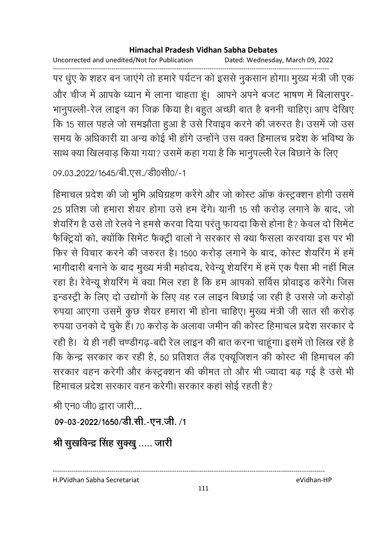Uncorrected and unedited/Not for Publication Dated: Wednesday, March 09, 2022

------------------------------------------------------------------------------------------------------------------------------------ पर धुए के शहर बन जाएंगे तो हमारे पर्यटन को इससे नुकसान होगा। मुख्य मंत्री जी एक और चीज में आपके ध्यान में लाना चाहता हूं। आपने अपने बजट भाषण में बिलासपुर-भानुपल्ली-रेल लाइन का जिक्र किया है। बहुत अच्छी बात है बननी चाहिए। आप देखिए कि 15 साल पहले जो समझौता हुआ है उसे रिवाइव करने की जरुरत है। उसमें जो उस समय के अधिकारी या अन्य कोई भी होंगे उन्होंने उस वक्त हिमालच प्रदेश के भविष्य के साथ क्या खिलवाड़ किया गया? उसमें कहा गया है कि भानुपल्ली रेल बिछाने के लिए

```
09.03.2022/1645/बी.एस./डी0सी0/-1
```
हिमाचल प्रदेश की जो भुमि अधिग्रहण करेंगे और जो कोस्ट ऑफ कंस्ट्रक्शन होगी उसमें 25 प्रतिश जो हमारा शेयर होगा उसे हम देंगे। यानी 15 सौ करोड़ लगाने के बाद, जो शेयरिंग हैं उसे तो रेलवे ने हमसे करवा दिया परंतु फायदा किसे होना है? केवल दो सिमेंट फैक्ट्रियों को, क्योंकि सिमेंट फैक्ट्री वालों ने सरकार से क्या फैसला करवाया इस पर भी फिर से विचार करने की जरुरत है। 1500 करोड़ लगाने के बाद, कोस्ट शेयरिंग में हमें भागीदारी बनाने के बाद मुख्य मंत्री महोदय, रेवेन्यू शैयरिंग में हमें एक पैसा भी नहीं मिल रहा है। रेवेन्यू शेयरिंग में क्या मिल रहा है कि हम आपको सर्विस प्रोवाइंड करेंगे। जिस इन्डस्ट्री के लिए दो उद्योगों के लिए वह रल लाइन बिछाई जा रही है उससे जो करोड़ो रुपया आएगा उसमें कुछ शेयर हमारा भी होना चाहिए। मुख्य मंत्री जी सात सौ करोड़ रुपया उनको दे चुके हैं। 70 करोड़ के अलावा जमीन की कोस्ट हिमाचल प्रदेश सरकार दे रही है। ये ही नहीं चण्डीगढ़-बंदी रेल लाइन की बात करना चाहूगा। इसमें तो लिख रहे हैं कि केन्द्र सरकार कर रही है, 50 प्रतिशत लैंड एक्यूजिशन की कोस्ट भी हिमाचल की सरकार वहन करेगी और कस्ट्रक्शन की कीमत तो और भी ज्यादा बढ़ गई है उसे भी हिमाचल प्रदेश सरकार वहन करेगी। सरकार कहा सोई रहती है?

श्री एन0 जी0 द्वारा जारी...

```
09-03-2022/1650/डी.सी.-एन.जी. /1
```
श्री सुखर्विन्द्र सिंह सुक्<u>खु</u> ….. जारी

H.PVidhan Sabha Secretariat eVidhan-HP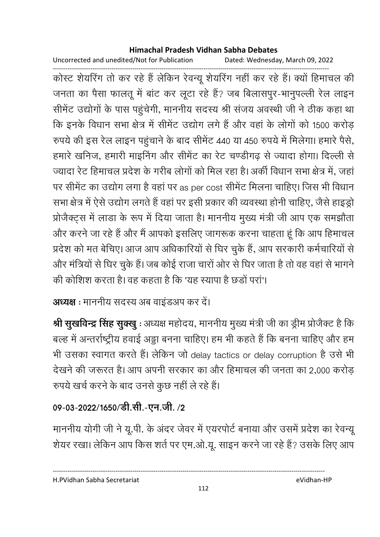Uncorrected and unedited/Not for Publication Dated: Wednesday, March 09, 2022

------------------------------------------------------------------------------------------------------------------------------------ कोस्ट शेयरिंग तो कर रहे हैं लेकिन रेवन्यू शेयरिंग नहीं कर रहे हैं। क्यों हिमाचल की जनता का पैसा फालतू में बाट कर लूटा रहे हैं? जब बिलासपुर-भानुपल्ली रेल लाइन सीमेंट उद्योगों के पास पहुंचेगी, माननीय सदस्य श्री संजय अवस्थी जी ने ठीक कहा था कि इनके विधान सभा क्षेत्र में सीमेंट उद्योग लगे हैं और वहां के लोगों को 1500 करोड़ रुपर्य की इस रैल लाइन पहुंचाने के बाद सेमिट 440 या 450 रुपर्य में मिलेगा। हमारे पैसे, हमारे खनिज, हमारी माइनिंग और सीमेंट का रेट चण्डीगढ़ से ज्यादा होगा। दिल्ली से ज्यादा रेंट हिमाचल प्रदेश के गरीब लोगों को मिल रहा है। अंकी विधान सभा क्षेत्र में, जहां पर सेमिट का उद्योग लगा है वहां पर as per cost सेमिट मिलना चाहिए। जिस भी विधान सभा क्षेत्र में ऐसे उद्योग लगते हैं वहां पर इसी प्रकार की व्यवस्था होनी चाहिए, जैसे हाइड्रो प्रजिक्ट्स में लाडा के रूप में दिया जाता है। माननीय मुख्य मंत्री जी आप एक समझौता और करने जा रहे हैं और मैं आपको इसलिए जागरूक करना चाहता हूं कि आप हिमाचल प्रदेश को मत बेचिए। आज आप अधिकारियों से घिर चुके हैं, आप सरकारी कर्मचारियों से और मंत्रियों से घिर चुके हैं। जब कोई राजा चारों ओर से घिर जाता है तो वह वहां से भागने की कोशिश करता है। वह कहता है कि 'यह स्यापा है छंडो परा'।

अध्यक्ष : माननीय सदस्य अब वाइंडअप कर दें।

**श्री सुखर्विन्द्र सिंह सुक्खु** : अध्यक्ष महोदय, माननीय मुख्य मंत्री जी का ड्रीम प्रजिक्ट है कि बल्ह में अन्तर्राष्ट्रीय हवाई अड्डा बनना चाहिए। हम भी कहते हैं कि बनना चाहिए और हम भी उसका स्वागत करते हैं। लेकिन जो delay tactics or delay corruption है उसे भी देखने की जरूरत है। आप अपनी सरकार का और हिमाचल की जनता का 2,000 करोड़ रुपये खर्च करने के बाद उनसे कुछ नहीं ले रहे हैं।

# 09-03-2022/1650/डी.सी.-एन.जी. /2

माननीय योगी जी ने यू.पी. के अंदर जेवर में एयरपोर्ट बनाया और उसमें प्रदेश का रेवन्यू शेयर रखा। लेकिन आप किस शर्त पर एम.ओ.यू. साइन करने जा रहे हैं? उसके लिए आप

H.PVidhan Sabha Secretariat eVidhan-HP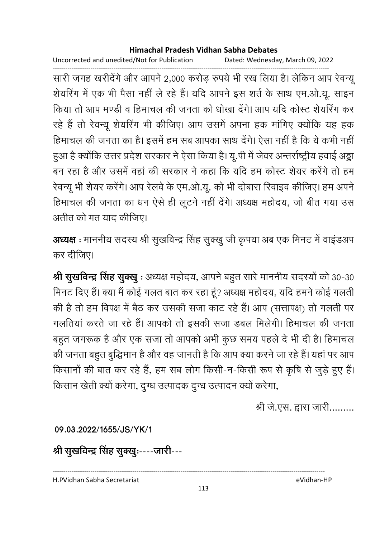Uncorrected and unedited/Not for Publication Dated: Wednesday, March 09, 2022

------------------------------------------------------------------------------------------------------------------------------------ सारी जगह खरीदेंगे और आपने 2,000 करोड़ रुपये भी रख लिया है। लेकिन आप रेवन्यू शेयरिंग में एक भी पैसा नहीं ले रहे हैं। यदि आपने इस शर्त के साथ एम.ओ.यू. साइन किया तो आप मण्डी व हिमाचल की जनता को धोखा देंगे। आप यदि कोस्ट शेयरिंग कर रहे हैं तो रेवन्यू शेयरिंग भी कीजिए। आप उसमें अपना हक मांगिए क्योंकि यह हक हिमाचल की जनता का है। इसमें हम सब आपका साथ देंगे। ऐसा नहीं है कि ये कभी नहीं ! हुआ है क्योंकि उत्तर प्रदेश सरकार ने ऐसा किया है। यू.पी में जेवर अन्तर्राष्ट्रीय हवाई अड्डा बन रहा है और उसमें वहां की सरकार ने कहा कि यदि हम कोस्ट शेयर करेंगे तो हम रेवन्यू भी शेयर करेंगे। आप रेलवे के एम.ओ.यू. को भी दोबारा रिवाइव कीजिए। हम अपने हिमाचल की जनता का धन ऐसे ही लूटने नहीं देंगे। अध्यक्ष महोदय, जो बीत गया उस अतीत को मत याद कीजिए।

**अध्यक्ष** : माननीय सदस्य श्री सुखविन्द्र सिंह सुक्खु जी कृपया अब एक मिनट में वाइंडअप कर दीजिए।

**श्री सुखर्विन्द्र सिंह सुक्खु** : अध्यक्ष महोदय, आपने बहुत सारे माननीय सदस्यों को 30-30 मिनट दिए हैं। क्या मैं कोई गलत बात कर रहा हूँ? अध्यक्ष महोदय, यदि हमने कोई गलती की है तो हम विपक्ष में बैठ कर उसकी सजा काट रहे हैं। आप (सत्तापक्ष) तो गलती पर गलतियां करते जा रहे हैं। आपको तो इसकी सजा डबल मिलेगी। हिमाचल की जनता बहुत जगरूक है और एक सजा तो आपको अभी कुछ समय पहले दें भी दी है। हिमाचल की जनता बहुत बुद्धिमान है और वह जानती है कि आप क्या करने जा रहे हैं। यहां पर आप किसानों की बात कर रहे हैं, हम सब लोग किसी-न-किसी रूप से कृषि से जुड़े हुए हैं। किसान खेती क्यों करेगा, दुग्ध उत्पादक दुग्ध उत्पादन क्यों करेगा,

श्री जे.एस. द्वारा जारी.........

**09.03.2022/1655/JS/YK/1**

श्री सुखर्विन्द्र सिंह सुक्खुः----जारी---

H.PVidhan Sabha Secretariat eVidhan-HP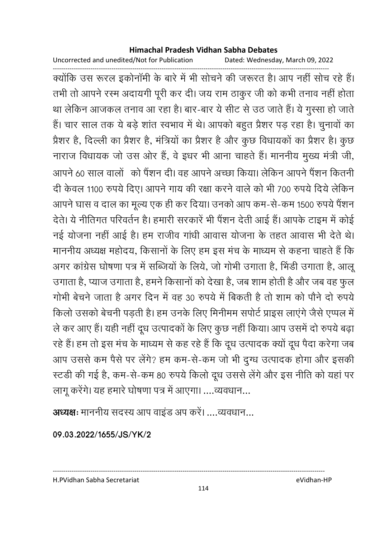Uncorrected and unedited/Not for Publication Dated: Wednesday, March 09, 2022

------------------------------------------------------------------------------------------------------------------------------------ क्योंकि उस रूरल इकोनामी के बारे में भी सोचने की जरूरत है। आप नहीं सोच रहे हैं। तभी तो आपने रस्म अदायगी पूरी कर दी। जय राम ठाकुर जी को कभी तनाव नहीं होता था लेकिन आजकल तनाव आ रहा है। बार-बार ये सीट से उठ जाते हैं। ये गुस्सा हो जातें हैं। चार साल तक ये बड़े शांत स्वभाव में थे। आपको बहुत प्रैशर पड़ रहा है। चुनावों का प्रेशर है, दिल्ली का प्रैशर है, मंत्रियों का प्रैशर है और कुछ विधायकों का प्रैशर है। कुछ नाराज विधायक जो उस ओर हैं, वे इधर भी आना चाहते हैं। माननीय मुख्य मंत्री जी, आपने 60 साल वालों को पैंशन दी। वह आपने अच्छा किया। लेकिन आपने पैंशन कितनी दी केवल 1100 रुपये दिए। आपने गाय की रक्षा करने वाले को भी 700 रुपये दिये लेकिन आपने घास व दाल का मूल्य एक ही कर दिया। उनको आप कम-से-कम 1500 रुपये पैंशन देते। ये नीतिगत परिवर्तन है। हमारी सरकारे भी पैशन देती आई है। आपके टाइम में कोई नई योजना नहीं आई है। हम राजीव गांधी आवास योजना के तहत आवास भी देते थे। माननीय अध्यक्ष महोदय, किसानों के लिए हम इस मंच के माध्यम से कहना चाहते हैं कि अगर कांग्रेस घोषणा पत्र में सब्जियों के लिये, जो गोभी उंगाता है, भिंडी उंगाता है, आलू उगाता है, प्याज उगाता है, हमने किसानों को देखा है, जब शाम होती है और जब वह फुल गोभी बेचने जाता है अगर दिन में वह 30 रुपये में बिकती हैं तो शाम को पौने दो रुपयें किलो उसको बेचनी पड़ती है। हम उनके लिए मिनीमम संपोर्ट प्राइस लाएंगे जैसे एप्पल में ले कर आए हैं। यही नहीं दूध उत्पादकों के लिए कुछ नहीं किया। आप उसमें दो रुपये बढ़ा रहे हैं। हम तो इस मच के माध्यम से कह रहे हैं कि दूध उत्पादक क्यों दूध पैदा करेगा जब आप उससे कम पैसे पर लेंगे? हम कम-से-कम जो भी दुग्ध उत्पादक होगा और इसकी स्टर्डी की गई है, कम-से-कम 80 रुपये किलो दूध उससे लेंगे और इस नीति को यहां पर लागू करेंगे। यह हमारे घोषणा पत्र में आएगा। ....व्यवधान...

अध्यक्षः माननीय सदस्य आप वाइंड अप करें। ....व्यवधान...

**09.03.2022/1655/JS/YK/2**

H.PVidhan Sabha Secretariat eVidhan-HP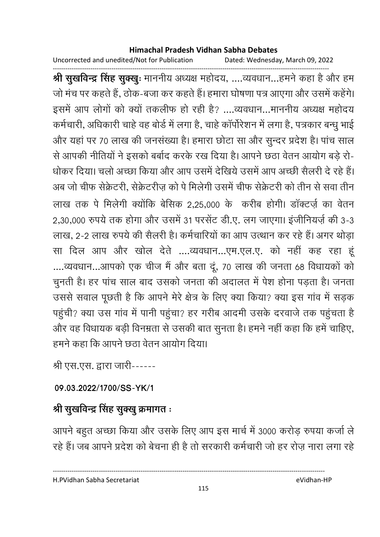Uncorrected and unedited/Not for Publication Dated: Wednesday, March 09, 2022

------------------------------------------------------------------------------------------------------------------------------------ **श्री सुखर्विन्द्र सिंह सुक्खुः** माननीय अध्यक्ष महोदय, ....व्यवधान...हमने कहा है और हम जो मंच पर कहते हैं, ठोक-बजा कर कहते हैं। हमारा घोषणा पत्र आएगा और उसमें कहेंगे। इसमें आप लोगों को क्यों तकलीफ हो रही है? ….व्यवधान…माननीय अध्यक्ष महोदय कर्मचारी, अधिकारी चाहे वह बोर्ड में लगा है, चाहे कापरिशन में लगा है, पत्रकार बन्धु भाई और यहाँ पर 70 लाख की जनसंख्या है। हमारा छोटा सा और सुन्दर प्रदेश हैं। पांच साल से आपकी नीतियों ने इसको बर्बाद करके रख दिया है। आपने छठा वेतन आयोग बड़े रो-धोंकर दिया। चलों अच्छा किया और आप उसमें देखिये उसमें आप अच्छी सैलरी दें रहे हैं। अब जो चीफ सेक्रेटरी. सेक्रेटरीज को पे मिलेगी उसमें चीफ सेक्रेटरी को तीन से सवा तीन लाख तक पे मिलेगी क्योंकि बेसिक 2,25,000 के करीब होगी। डॉक्टर्ज़ का वेतन 2,30,000 रुपये तक होगा और उसमें 31 परसेंट डी.ए. लग जाएगा। इंजीनियर्ज़ की 3-3 लाख, 2-2 लाख रुपये की सैलरी हैं। कर्मचारियों का आप उत्थान कर रहे हैं। अगर थोड़ा सा दिल आप और खोल देते ....व्यवधान...एम.एल.ए. को नहीं कह रहा हूं ....व्यवधान...आपको एक चीज मैं और बता दूं, 70 लाख की जनता 68 विधायकों को चुनती है। हर पांच साल बाद उसको जनता की अदालत में पेश होना पड़ता है। जनता उससे सवाल पूछती है कि आपने मेरे क्षेत्र के लिए क्या किया? क्या इस गांव में सड़क पहुंची? क्या उस गाव में पानी पहुंचा? हर गरीब आदमी उसके दरवाजे तक पहुंचता है और वह विधायक बड़ी विनम्रता से उसकी बात सुनता है। हमने नहीं कहा कि हमें चाहिए, हमने कहा कि आपने छठा वेतन आयोग दिया।

श्री एस.एस. द्वारा जारी------

**09.03.2022/1700/SS-YK/1**

# श्री सुखर्विन्द्र सिंह सुक्खु क्रमागत <del>:</del>

आपने बहुत अच्छा किया और उसके लिए आप इस मार्च में 3000 करोड़ रुपया कर्जा ले रहे हैं। जब आपने प्रदेश को बेचना ही है तो सरकारी कर्मचारी जो हर रोज़ नारा लगा रहे

H.PVidhan Sabha Secretariat eVidhan-HP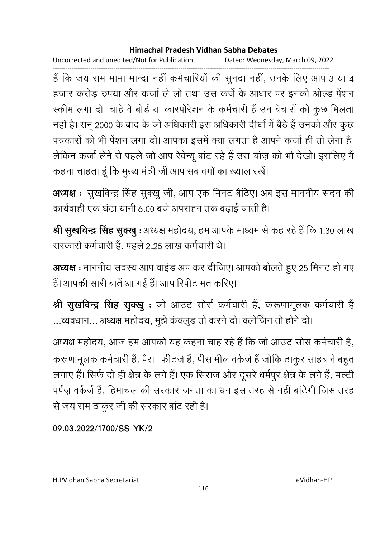Uncorrected and unedited/Not for Publication Dated: Wednesday, March 09, 2022

------------------------------------------------------------------------------------------------------------------------------------ है कि जय राम मामा मान्दा नहीं कर्मचारियों की सुनदा नहीं, उनके लिए आप 3 या 4 हजार करोड़ रुपया और कर्जा ले लो तथा उस कर्जे के आधार पर इनको ओल्ड पेंशन रकीम लगा दो। चाहे वे बोर्ड या कारपोरेशन के कर्मचारी हैं उन बेचारों को कुछ मिलता नहीं हैं। सन् 2000 के बाद के जो अधिकारी इस अधिकारी दीर्घा में बैठे हैं उनको और कुछ पत्रकारों को भी पेशन लगा दो। आपका इसमें क्या लगता है आपने कर्जा ही तो लेना है। लेकिन कर्जा लेने से पहले जो आप रेवेन्यू बांट रहे हैं उस चीज़ को भी देखो। इसलिए मैं कहना चाहता हूं कि मुख्य मंत्री जी आप सब वर्गों का ख्याल रखें।

**अध्यक्ष** : सुखर्विन्द्र सिंह सुक्खु जी, आप एक मिनट बैठिए। अब इस माननीय सदन की कार्यवाही एक घटा यानी 6.00 बजे अपराह्न तक बढ़ाई जाती है।

**श्री सुखविन्द्र सिंह सुक्खु** : अध्यक्ष महोदय, हम आपके माध्यम से कह रहे हैं कि 1.30 लाख सरकारी कर्मचारी हैं. पहले 2.25 लाख कर्मचारी थे।

अध्यक्ष : माननीय सदस्य आप वाइंड अप कर दीजिए। आपको बोलते हुए 25 मिनट हो गए हैं। आपकी सारी बातें आ गई हैं। आप रिपीट मत करिए।

**श्री सुखर्विन्द्र सिंह सुक्खु** : जो आउट सोर्स कर्मचारी है, करूणामूलक कर्मचारी हैं | …व्यवधान… अध्यक्ष महोदय, मुझे कक्लूड तो करने दो। क्लोजिंग तो होने दो।

अध्यक्ष महोदय, आज हम आपको यह कहना चाह रहे हैं कि जो आउट सोर्स कर्मचारी है, करूणामूलक कर्मचारी है, पैरा) फीटर्ज है, पीस मील वर्कजे है जोकि ठाकुर साहब ने बहुत। लगाए हैं। सिर्फ दो ही क्षेत्र के लगे हैं। एक सिराज और दूसरे धर्मपुर क्षेत्र के लगे हैं, मल्टी पर्पज़ वर्कर्ज हैं, हिमाचल की सरकार जनता का धन इस तरह से नहीं बांटेगी जिस तरह से जय राम ठाकुर जी की सरकार बाट रही है।

**09.03.2022/1700/SS-YK/2**

---------------------------------------------------------------------------------------------------------------------------------- H.PVidhan Sabha Secretariat eVidhan-HP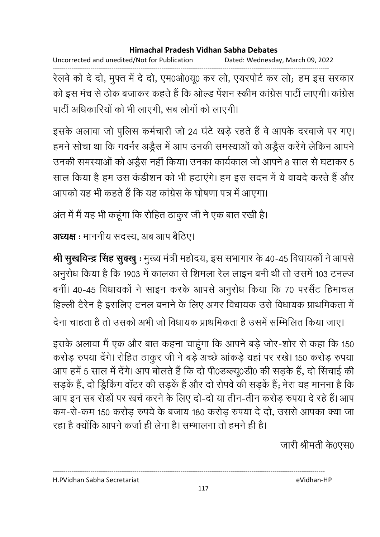Uncorrected and unedited/Not for Publication Dated: Wednesday, March 09, 2022

------------------------------------------------------------------------------------------------------------------------------------ रेलवे को दे दो, मुफ्त में दे दो, एम0ओ0यू0 कर लो, एयरपोर्ट कर लो; हम इस सरकार को इस मंच से ठोक बजाकर कहते हैं कि ओल्ड पेंशन स्कीम कांग्रेस पार्टी लाएगी। कांग्रेस पार्टी अधिकारियों को भी लाएगी. सब लोगों को लाएगी।

इसके अलावा जो पुलिस कर्मचारी जो 24 घंटे खड़े रहते हैं वे आपके दरवाजे पर गए। हमने सोचा था कि गवर्नर अंड्रैस में आप उनकी समस्याओं को अंड्रैस करेंगे लेकिन आपने। उनकी समस्याओं को अंड्रैस नहीं किया। उनका कार्यकाल जो आपने 8 साल से घटाकर 5 साल किया है हम उस कडीशन को भी हटाएंगे। हम इस सदन में ये वायदे करते हैं और आपको यह भी कहते हैं कि यह कांग्रेस के घोषणा पत्र में आएगा।

अंत में मैं यह भी कहूँगा कि रोहित ठाकुर जी ने एक बात रखी है।

**अध्यक्ष** : माननीय सदस्य, अब आप बैठिए।

**श्री सुखर्विन्द्र सिंह सुक्खु** : मुख्य मंत्री महोदय, इस सभागार के 40-45 विधायकों ने आपसे अनुरोध किया है कि 1903 में कालका से शिमला रेल लाइन बनी थी तो उसमें 103 टनल्ज बनीं। 40-45 विधायकों ने साइन करके आपसे अनुरोध किया कि 70 परसैंट हिमाचल हिल्ली टैरेन हैं इसलिए टनल बनाने के लिए अगर विधायक उसे विधायक प्राथमिकता में देना चाहता है तो उसको अभी जो विधायक प्राथमिकता है उसमें सम्मिलित किया जाए।

इसके अलावा मैं एक और बात कहना चाहूंगा कि आपने बड़े जोर-शोर से कहा कि 150 करोड़ रुपया देंगे। रोहित ठाकूर जी ने बड़े अच्छे आंकड़े यहां पर रखे। 150 करोड़ रुपया आप हमें 5 साल में देंगे। आप बोलते हैं कि दो पी0डब्ल्यू0डी0 की सड़के हैं, दो सिंचाई की सड़के हैं, दो ड्रिकिंग वाटर की सड़के हैं और दो रोपर्व की सड़के हैं; मेरा यह मानना है कि आप इन सब रोड़ों पर खर्च करने के लिए दो-दो या तीन-तीन करोड़ रुपया दे रहे हैं। आप कम-से-कम 150 करोड़ रुपये के बजाय 180 करोड़ रुपया दे दो, उससे आपका क्या जा रहा है क्योंकि आपने कर्जा ही लेना है। सम्भालना तो हमने ही है।

जारी श्रीमती के0एस0

H.PVidhan Sabha Secretariat eVidhan-HP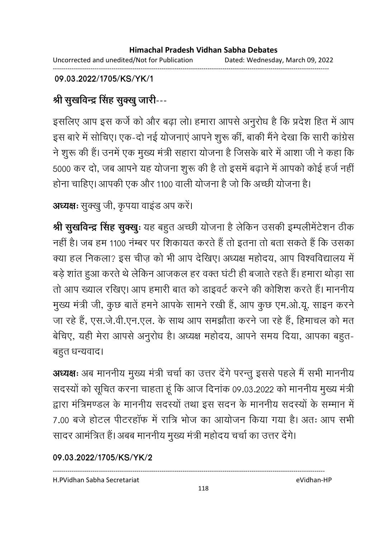Uncorrected and unedited/Not for Publication Dated: Wednesday, March 09, 2022 ------------------------------------------------------------------------------------------------------------------------------------

### **09.03.2022/1705/KS/YK/1**

# श्री सुखर्विन्द्र सिंह सुक्<u>खु</u> जारी---

इसलिए आप इस कर्ज को और बढ़ा लो। हमारा आपसे अनुरोध है कि प्रदेश हित में आप इस बारे में सोचिए। एक-दो नई योजनाएं आपने शुरू कीं, बाकी मैंने देखा कि सारी कांग्रेस ने शुरू की है। उनमें एक मुख्य मंत्री सहारा योजना है जिसके बारे में आशा जी ने कहा कि 5000 कर दो, जब आपने यह योजना शुरू की है तो इसमें बढ़ाने में आपको कोई हर्ज नहीं। होना चाहिए। आपकी एक और 1100 वाली योजना है जो कि अच्छी योजना है।

### **अध्यक्षः** सुक्खु जी, कृपया वाइंड अप करें।

**श्री सुखर्विन्द्र सिंह सुक्खुः** यह बहुत अच्छी योजना है लेकिन उसकी इम्पलेमिटेशन ठीक नहीं हैं। जब हम 1100 नम्बर पर शिकायत करते हैं तो इतना तो बता सकते हैं कि उसका क्या हल निकला? इस चीज़ को भी आप देखिए। अध्यक्ष महोदय, आप विश्वविद्यालय में बड़े शांत हुआ करते थे लेकिन आजकल हर वक्त घंटी ही बजाते रहते हैं। हमारा थोड़ा सा तो आप ख्याल रखिए। आप हमारी बात को डाइवर्ट करने की कोशिश करते हैं। माननीय मुख्य मंत्री जी, कुछ बातें हमने आपके सामने रखी हैं, आप कुछ एम.ओ.यू. साइन करने जा रहे हैं, एस.जे.वी.एन.एल. के साथ आप समझौता करने जा रहे हैं, हिमाचल को मत बेचिए, यही मेरा आपर्स अनुरोध है। अध्यक्ष महोदय, आपर्न समय दिया, आपका बहुत-बहुत धन्यवाद।

अध्यक्षः अब माननीय मुख्य मंत्री चर्चा का उत्तर देंगे परन्तु इससे पहले मैं सभी माननीय सदस्यों को सूचित करना चाहता हूं कि आज दिनांक 09.03.2022 को माननीय मुख्य मंत्री द्वारा मंत्रिमण्डल के माननीय सदस्यों तथा इस सदन के माननीय सदस्यों के सम्मान में 7.00 बर्ज होटल पीटरहाफ में रात्रि भोज का आयोजन किया गया है। अतः आप सभी सादर आमंत्रित हैं। अबब माननीय मुख्य मंत्री महोदय चर्चा का उत्तर देंगे।

### **09.03.2022/1705/KS/YK/2**

H.PVidhan Sabha Secretariat eVidhan-HP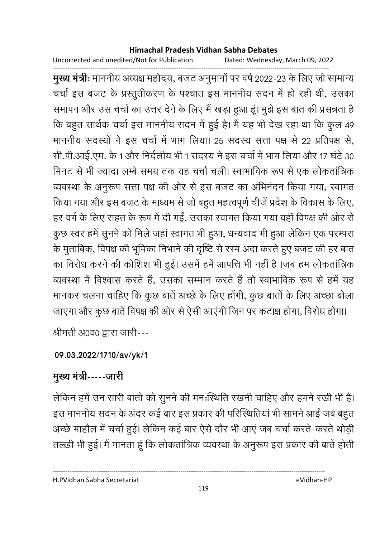Uncorrected and unedited/Not for Publication Dated: Wednesday, March 09, 2022

------------------------------------------------------------------------------------------------------------------------------------ **मुख्य मंत्रीः** माननीय अध्यक्ष महोदय, बजट अनुमानो पर वर्ष 2022-23 के लिए जो सामान्य चर्चा इस बजट के प्रस्तुतीकरण के पश्चात इस माननीय सदन में हो रही थी, उसका समापन और उस चर्चा का उत्तर देने के लिए मैं खड़ा हुआ हूं। मुझे इस बात की प्रसन्नता है कि बहुत सार्थक चर्चा इस माननीय सदन में हुई है। मैं यह भी देख रहा था कि कुल 49 | माननीय सदस्यों ने इस चर्चा में भाग लिया। 25 सदस्य सत्ता पक्ष से 22 प्रतिपक्ष से, सी.पी.आई.एम. के 1 और निर्दलीय भी 1 सदस्य ने इस चर्चा में भाग लिया और 17 घंटे 30 मिनट से भी ज्यादा लम्बे समय तक यह चर्चा चली। स्वाभाविक रूप से एक लोकतांत्रिक व्यवस्था के अनुरूप सत्ता पक्ष की ओर से इस बजट का अभिनंदन किया गया, स्वागत किया गया और इस बजट के माध्यम से जो बहुत महत्वपूर्ण चीजें प्रदेश के विकास के लिए, हर वर्ग के लिए राहत के रूप में दी गईं, उसका स्वागत किया गया वहीं विपक्ष की ओर से कुछ स्वर हमें सूनने को मिले जहां स्वागत भी हुआ, धन्यवाद भी हुआ लेकिन एक परम्परा के मुताबिक, विपक्ष की भूमिका निभाने की दृष्टि से रस्म अदा करते हुए बजट की हर बात का विरोध करने की कोशिश भी हुई। उसमें हमें आपत्ति भी नहीं हैं ।जब हम लोकतात्रिक व्यवस्था में विश्वास करते हैं, उसका सम्मान करते हैं तो स्वाभाविक रूप से हमें यह मानकर चलना चाहिए कि कुछ बातें अच्छे के लिए होंगी, कुछ बातों के लिए अच्छा बोला जाएगा और कुछ बातें विपक्ष की ओर से ऐसी आएंगी जिन पर कटाक्ष होगा, विरोध होगा।

श्रीमती अ0व0 द्वारा जारी---

### **09.03.2022/1710/av/yk/1**

# मुख्य मंत्री-----जारी

लेकिन हमें उन सारी बातों को सुनने की मनःस्थिति रखनी चाहिए और हमने रखी भी हैं। इस माननीय सदन के अंदर कई बार इस प्रकार की परिस्थितियां भी सामने आईं जब बहुत अच्छे माहौल में चर्चा हुई। लेकिन कई बार ऐसे दौर भी आएं जब चर्चा करते-करते थोड़ी तल्ख़ी भी हुई। मैं मानता हूं कि लोकतांत्रिक व्यवस्था के अनुरूप इस प्रकार की बातें होती

H.PVidhan Sabha Secretariat eVidhan-HP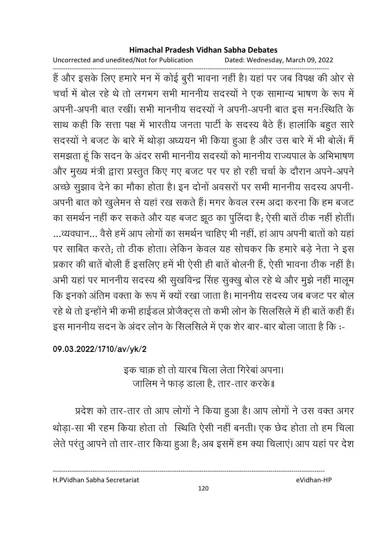Uncorrected and unedited/Not for Publication Dated: Wednesday, March 09, 2022

------------------------------------------------------------------------------------------------------------------------------------ है और इसके लिए हमारे मन में कोई बुरी भावना नहीं है। यहां पर जब विपक्ष की ओर से चर्चा में बोल रहे थे तो लगभग सभी माननीय सदस्यों ने एक सामान्य भाषण के रूप में अपनी-अपनी बात रखीं। सभी माननीय सदस्यों ने अपनी-अपनी बात इस मन:स्थिति के साथ कहीं कि सत्ता पक्ष में भारतीय जनता पार्टी के सदस्य बैठे हैं। हालांकि बहुत सारे सदस्यों ने बजट के बारे में थोड़ा अध्ययन भी किया हुआ है और उस बारे में भी बोलें। मैं समझता हूं कि सदन के अंदर सभी माननीय सदस्यों को माननीय राज्यपाल के अभिभाषण और मुख्य मंत्री द्वारा प्रस्तुत किए गए बजट पर पर हो रही चर्चा के दौरान अपने-अपने अच्छे सुझाव देने का मोंका होता है। इन दोनों अवसरों पर सभी माननीय सदस्य अपनी-अपनी बात को खुलेमन से यहां रख सकते हैं। मगर केवल रस्म अदा करना कि हम बजट का समर्थन नहीं कर सकते और यह बजट झूठ का पुलिदा है; ऐसी बातें ठीक नहीं होती। ...व्यवधान... वैसे हमें आप लोगों का समर्थन चाहिए भी नहीं, हा आप अपनी बातों को यहां पर साबित करते: तो ठीक होता। लेकिन केवल यह सोचकर कि हमारे बड़े नेता ने इस प्रकार की बातें बोली है इसलिए हमें भी ऐसी ही बातें बोलनी हैं, ऐसी भावना ठीक नहीं है। अभी यहां पर माननीय सदस्य श्री सुखविन्द्र सिंह सुक्खु बोल रहे थे और मुझे नहीं मालूम कि इनको अतिम वक्ता के रूप में क्यो रखा जाता है। माननीय सदस्य जब बजट पर बोल रहे थे तो इन्होंने भी कभी हाईडल प्रजिक्ट्स तो कभी लोन के सिलसिले में ही बातें कहीं है। इस माननीय सदन के अंदर लोन के सिलसिले में एक शेर बार-बार बोला जाता है कि :--

### **09.03.2022/1710/av/yk/2**

# इक चाक़ हो तो यारब चिला लेता गिरेबां अपना। जालिम ने फाड़ डाला है, तार-तार करके॥

प्रदेश को तार-तार तो आप लोगों ने किया हुआ है। आप लोगों ने उस वक्त अगर थोड़ा-सा भी रहम किया होता तो स्थिति ऐसी नहीं बनती। एक छेद होता तो हम चिला लेते परंतु आपने तो तार-तार किया हुआ है; अब इसमें हम क्या चिलाए। आप यहां पर देश

H.PVidhan Sabha Secretariat eVidhan-HP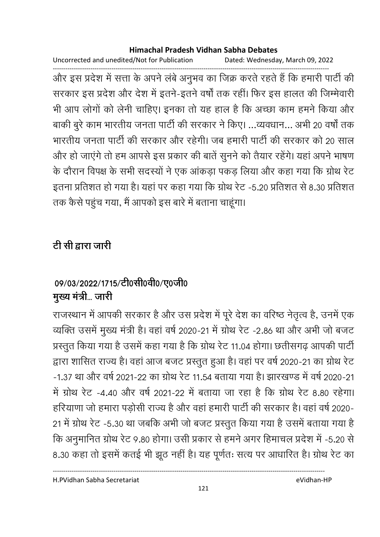Uncorrected and unedited/Not for Publication Dated: Wednesday, March 09, 2022

------------------------------------------------------------------------------------------------------------------------------------ और इस प्रदेश में सत्ता के अपने लबे अनुभव का जिक्र करते रहते हैं कि हमारी पार्टी की सरकार इस प्रदेश और देश में इतने-इतने वर्षों तक रहीं। फिर इस हालत की जिम्मेवारी भी आप लोगों को लेनी चाहिए। इनका तो यह हाल है कि अच्छा काम हमने किया और बाकी बुरे काम भारतीय जनता पार्टी की सरकार ने किए। ...व्यवधान... अभी 20 वर्षों तक भारतीय जनता पार्टी की सरकार और रहेगी। जब हमारी पार्टी की सरकार को 20 साल और हो जाएंगे तो हम आपसे इस प्रकार की बातें सुनने को तैयार रहेंगे। यहां अपने भाषण के दौरान विपक्ष के सभी सदस्यों ने एक आंकड़ा पकड़ लिया और कहा गया कि ग्रोथ रेट इतना प्रतिशत हो गया है। यहां पर कहा गया कि ग्रोथ रेट -5.20 प्रतिशत से 8.30 प्रतिशत तक कैसे पहुंच गया, मैं आपको इस बारे में बताना चाहूंगा।

# <u>टी सी द्वारा जारी</u>

# 09/03/2022/1715/टी0सी0वी0/ए0जी0 मुख्य मंत्री... जारी

राजस्थान में आपकी सरकार है और उस प्रदेश में पूरे देश का वरिष्ठ नेतृत्व है, उनमें एक व्यक्ति उसमें मुख्य मंत्री है। वहां वर्ष 2020-21 में ग्रोथ रेट -2.86 था और अभी जो बजट प्रस्तुत किया गया है उसमें कहा गया है कि ग्रोथ रेट 11.04 होगा। छतीसगढ़ आपकी पार्टी द्वारा शासित राज्य है। वहां आज बजट प्रस्तुत हुआ है। वहां पर वर्ष 2020-21 का ग्रोथ रेट -1.37 था और वर्ष 2021-22 का ग्रोथ रेट 11.54 बताया गया है। झारखण्ड में वर्ष 2020-21 में ग्रोथ रेंट -4.40 और वर्ष 2021-22 में बताया जा रहा है कि ग्रोथ रेंट 8.80 रहेगा। हरियाणा जो हमारा पड़ोसी राज्य है और वहां हमारी पार्टी की सरकार है। वहां वर्ष 2020-21 में ग्रोथ रेट -5.30 था जबकि अभी जो बजट प्रस्तुत किया गया है उसमें बताया गया है कि अनुमानित ग्रोथ रेट 9.80 होगा। उसी प्रकार से हमने अगर हिमाचल प्रदेश में -5.20 से 8.30 कहा तो इसमें कतई भी झूठ नहीं हैं। यह पूर्णतः सत्य पर आधारित हैं। ग्रोथ रेट का

H.PVidhan Sabha Secretariat eVidhan-HP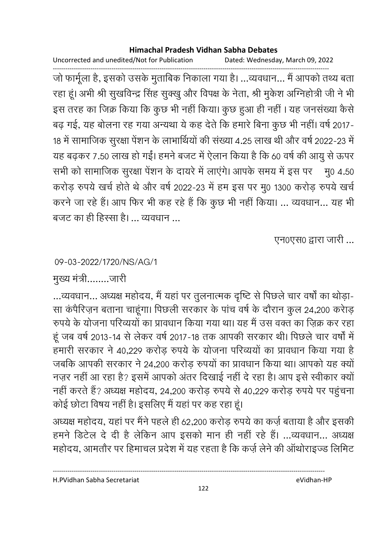Uncorrected and unedited/Not for Publication Dated: Wednesday, March 09, 2022

------------------------------------------------------------------------------------------------------------------------------------ जो फार्मूला है, इसको उसके मुताबिक निकाला गया है। …व्यवधान… मैं आपको तथ्य बता रहा हूं। अभी श्री सुखविन्द्र सिंह सुक्खु और विपक्ष के नेता, श्री मुकेश अग्निहोत्री जी ने भी इस तरह का जिक्र किया कि कुछ भी नहीं किया। कुछ हुआ ही नहीं । यह जनसंख्या कैसे बढ़ गई, यह बोलना रह गया अन्यथा ये कह देते कि हमारे बिना कुछ भी नहीं। वर्ष 2017-18 में सामाजिक सुरक्षा पेंशन के लाभार्थियों की संख्या 4.25 लाख थी और वर्ष 2022-23 में यह बढ़कर 7.50 लाख हो गई। हमने बजट में ऐलान किया है कि 60 वर्ष की आयु से ऊपर सभी को सामाजिक सुरक्षा पेंशन के दायरे में लाएंगे। आपके समय में इस पर मु0 4.50 करोड़ रुपये खर्च होते थे और वर्ष 2022-23 में हम इस पर मु0 1300 करोड़ रुपये खर्च करने जा रहे हैं। आप फिर भी कह रहे हैं कि कुछ भी नहीं किया। ... व्यवधान... यह भी बजट का ही हिस्सा है। ... व्यवधान ...

एन0एस0 द्वारा जारी ...

09-03-2022/1720/NS/AG/1

मुख्य मंत्री ........जारी

…व्यवधान… अध्यक्ष महोदय, मैं यहां पर तुलनात्मक दृष्टि से पिछले चार वर्षों का थोड़ा-सा कपैरिज़न बताना चाहूंगा। पिछली सरकार के पांच वर्ष के दौरान कुल 24,200 करीड़ रुपये के योजना परिव्ययों का प्रावधान किया गया था। यह मैं उस वक्त का ज़िक्र कर रहा हूं जब वर्ष 2013-14 से लेकर वर्ष 2017-18 तक आपकी सरकार थी। पिछले चार वर्षों में हमारी सरकार ने 40,229 करोड़ रुपये के योजना परिव्ययों का प्रावधान किया गया है जबकि आपकी सरकार ने 24,200 करोड़ रुपयों का प्रावधान किया था। आपको यह क्यों नज़र नहीं आ रहा है? इसमें आपको अंतर दिखाई नहीं दे रहा है। आप इसे स्वीकार क्यों नहीं करते हैं? अध्यक्ष महोदय, 24,200 करोड़ रुपये से 40,229 करोड़ रुपये पर पहुंचना कोई छोटा विषय नहीं है। इसलिए मैं यहां पर कह रहा हूं।

अध्यक्ष महोदय, यहां पर मैंने पहले ही 62,200 करोड़ रुपये का कर्ज़ बताया है और इसकी हमने डिटेल दे दी है लेकिन आप इसको मान ही नहीं रहे हैं। ...व्यवधान... अध्यक्ष महोदय, आमतौर पर हिमाचल प्रदेश में यह रहता है कि कर्ज़ लेने की आर्थोराइज्ड लिमिट

H.PVidhan Sabha Secretariat eVidhan-HP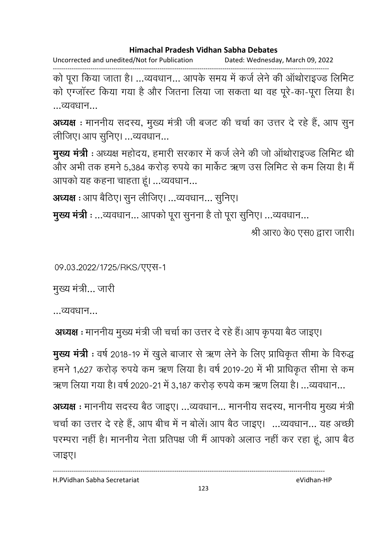Uncorrected and unedited/Not for Publication Dated: Wednesday, March 09, 2022

------------------------------------------------------------------------------------------------------------------------------------ को पूरा किया जाता है। …व्यवधान… आपके समय में कर्ज लेने की आर्थाराइज्ड लिमिट को एंग्जास्ट किया गया है और जितना लिया जा सकता था वह पूरे-का-पूरा लिया है। …व्यवधान…

अध्यक्ष : माननीय सदस्य, मुख्य मंत्री जी बजट की चर्चा का उत्तर दे रहे हैं, आप सुन लीजिए। आप सुनिए। ...व्यवधान...

**मुख्य मंत्री** : अध्यक्ष महोदय, हमारी सरकार में कर्ज लेने की जो आर्थाराइज्ड लिमिट थी और अभी तक हमने 5,384 करोड़ रुपये का मार्केट ऋण उस लिमिट से कम लिया है। मैं आपको यह कहना चाहता हूं। ...व्यवधान...

**अध्यक्ष** : आप बैठिए। सुन लीजिए। ...व्यवधान... सुनिए।

**मुख्य मंत्री :** ...व्यवधान... आपको पूरा सुनना है तो पूरा सुनिए। ...व्यवधान...

श्री आर0 के0 एस0 द्वारा जारी।

09.03.2022/1725/RKS/TTH-1

मुख्य मंत्री... जारी

…व्यवधान…

**अध्यक्ष** : माननीय मुख्य मंत्री जी चर्चा का उत्तर दे रहे है।आप कृपया बैठ जाइए।

मुख्य मंत्री : वर्ष 2018-19 में खुले बाजार से ऋण लेने के लिए प्राधिकृत सीमा के विरुद्ध हमने 1,627 करोड़ रुपये कम ऋण लिया है। वर्ष 2019-20 में भी प्राधिकृत सीमा से कम ऋण लिया गया है। वर्ष 2020-21 में 3,187 करोड़ रुपये कम ऋण लिया है। …व्यवधान…

**अध्यक्ष** : माननीय सदस्य बैठ जाइए। ...व्यवधान... माननीय सदस्य, माननीय मुख्य मंत्री चर्चा का उत्तर दे रहे हैं, आप बीच में न बोले। आप बैठ जाइए। …व्यवधान… यह अच्छी परम्परा नहीं है। माननीय नेता प्रतिपक्ष जी मैं आपको अलाउ नहीं कर रहा हूं, आप बैठ जाइए।

H.PVidhan Sabha Secretariat eVidhan-HP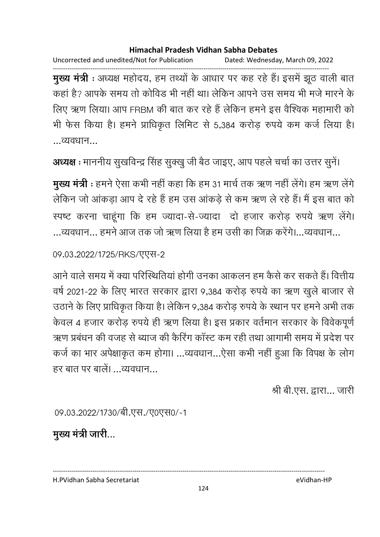Uncorrected and unedited/Not for Publication Dated: Wednesday, March 09, 2022

------------------------------------------------------------------------------------------------------------------------------------ **मुख्य मंत्री** : अध्यक्ष महोदय, हम तथ्यों के आधार पर कह रहे हैं। इसमें झूठ वाली बात कहा है? आपके समय तो कोविड भी नहीं था। लेकिन आपने उस समय भी मर्ज मारने के लिए ऋण लिया। आप FRBM की बात कर रहे हैं लेकिन हमने इस वैश्विक महामारी को भी फैस किया है। हमने प्राधिकृत लिमिट से 5,384 करोड़ रुपये कम कर्ज लिया है। …व्यवधान…

**अध्यक्ष** : माननीय सुखर्विन्द्र सिंह सुक्खु जी बैठ जाइए, आप पहले चर्चा का उत्तर सुने।

मुख्य मंत्री : हमने ऐसा कभी नहीं कहा कि हम 31 मार्च तक ऋण नहीं लेंगे। हम ऋण लेंगे लेकिन जो आंकड़ा आप दे रहे हैं हम उस आंकड़े से कम ऋण ले रहे हैं। मैं इस बात को स्पष्ट करना चाहूंगा कि हम ज्यादा-से-ज्यादा दो हजार करोड़ रुपये ऋण लेंगे। ...व्यवधान... हमने आज तक जो ऋण लिया है हम उसी का जिक्र करेंगे।...व्यवधान...

09.03.2022/1725/RKS/TVT-2

आने वाले समय में क्या परिस्थितिया होगी उनका आकलन हम कैसे कर सकते हैं। वित्तीय वर्ष 2021-22 के लिए भारत सरकार द्वारा 9,384 करोड़ रुपये का ऋण खुले बाजार से उठाने के लिए प्राधिकृत किया है। लेकिन 9,384 करोड़ रुपये के स्थान पर हमने अभी तक केवल 4 हजार करोड़ रुपये ही ऋण लिया है। इस प्रकार वर्तमान सरकार के विवेकपूर्ण ऋण प्रबंधन की वजह से ब्याज की कैरिंग कास्ट कम रही तथा आगामी समय में प्रदेश पर कर्ज का भार अपेक्षाकृत कम होगा। ...व्यवधान...ऐसा कभी नहीं हुआ कि विपक्ष के लोग हर बात पर बालें। व्यवधान

श्री बी.एस. द्वारा... जारी

09.03.2022/1730/बी.एस./ए0एस0/-1

मुख्य मंत्री जारी...

H.PVidhan Sabha Secretariat eVidhan-HP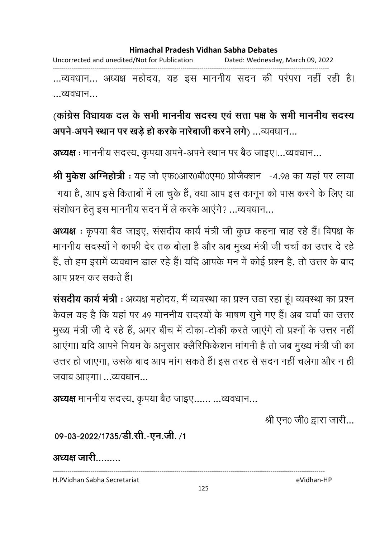Uncorrected and unedited/Not for Publication Dated: Wednesday, March 09, 2022 ------------------------------------------------------------------------------------------------------------------------------------

...व्यवधान... अध्यक्ष महोदय, यह इस माननीय सदन की परपरा नहीं रही हैं। …व्यवधान…

(कांग्रेस विधायक दल के सभी माननीय सदस्य एवं सत्ता पक्ष के सभी माननीय सदस्य **अपने-अपने स्थान पर खड़े हो करके नारेबाजी करने लगे) …व्यवधान…** 

**अध्यक्ष** : माननीय सदस्य, कृपया अपने-अपने स्थान पर बैठ जाइए।…व्यवधान…

**श्री मुकेश अग्निहोत्री** : यह जो एफ0आर0बी0एम0 प्रोजैक्शन -4.98 का यहा पर लाया गया है, आप इसे किताबों में ला चुके हैं, क्या आप इस कानून को पास करने के लिए या संशोधन हेतु इस माननीय सदन में ले करके आएंगे? ...व्यवधान...

**अध्यक्ष** : कृपया बैठ जाइए, संसदीय कार्य मंत्री जी कुछ कहना चाह रहे हैं। विपक्ष के माननीय सदस्यों ने काफी देर तक बोला है और अब मुख्य मंत्री जी चर्चा का उत्तर दे रहें ' हैं, तो हम इसमें व्यवधान डाल रहे हैं। यदि आपके मन में कोई प्रश्न है, तो उत्तर के बाद आप प्रश्न कर सकते हैं।

**ससदीय कार्य मंत्री** : अध्यक्ष महोदय, मै व्यवस्था का प्रश्न उठा रहा हू। व्यवस्था का प्रश्न केवल यह है कि यहां पर 49 माननीय सदस्यों के भाषण सुने गए हैं। अब चर्चा का उत्तर मुख्य मंत्री जी दे रहे हैं, अगर बीच में टोका-टोकी करते जाएंगे तो प्रश्नों के उत्तर नहीं आएगा। यदि आपने नियम के अनुसार क्लैरिफिर्कशन मांगनी है तो जब मुख्य मंत्री जी का उत्तर हो जाएगा, उसके बाद आप मांग सकते हैं। इस तरह से सदन नहीं चलेगा और न ही जवाब आएगा। ...व्यवधान...

**अध्यक्ष** माननीय सदस्य, कृपया बैठ जाइए...... ...व्यवधान...

श्री एन0 जी0 द्वारा जारी...

09-03-2022/1735/<del>डी.सी.-एन.जी.</del> /1

अध्यक्ष जारी.........

H.PVidhan Sabha Secretariat eVidhan-HP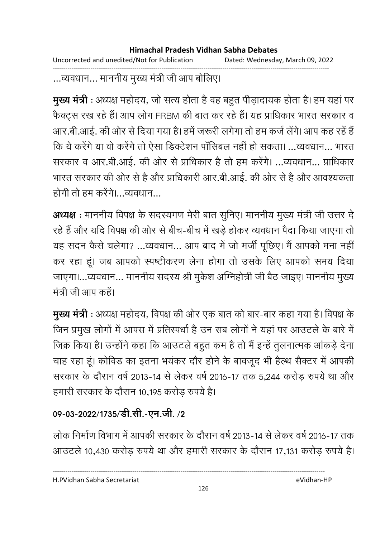Uncorrected and unedited/Not for Publication Dated: Wednesday, March 09, 2022 ------------------------------------------------------------------------------------------------------------------------------------

...व्यवधान... माननीय मुख्य मंत्री जी आप बोलिए।

**मुख्य मंत्री** : अध्यक्ष महोदय, जो सत्य होता है वह बहुत पीड़ादायक होता है। हम यहां पर फैक्ट्स रख रहे हैं। आप लोग FRBM की बात कर रहे हैं। यह प्राधिकार भारत सरकार व आर.बी.आई. की ओर से दिया गया है। हमें जरूरी लगेगा तो हम कर्ज लेगे। आप कह रहे हैं कि ये करेंगे या वो करेंगे तो ऐसा डिक्टेशन पॉसिबल नहीं हो सकता। ...व्यवधान... भारत सरकार व आर.बी.आई. की ओर से प्राधिकार है तो हम करेंगे। …व्यवधान… प्राधिकार भारत सरकार की ओर से हैं और प्राधिकारी आर.बी.आई. की ओर से हैं और आवश्यकता होगी तो हम करेंगे। व्यवधान

अध्यक्ष : माननीय विपक्ष के सदस्यगण मेरी बात सुनिए। माननीय मुख्य मंत्री जी उत्तर दे रहे हैं और यदि विपक्ष की ओर से बीच-बीच में खड़े होकर व्यवधान पैदा किया जाएगा तो यह सदन कैसे चलेगा? …व्यवधान… आप बाद में जो मंजी पूछिए। मैं आपको मना नहीं कर रहा हूं। जब आपको स्पष्टीकरण लेना होगा तो उसके लिए आपको समय दिया जाएगा।…व्यवधान… माननीय सदस्य श्री मुकेश आग्नेहोत्री जी बैठ जाइए। माननीय मुख्य मंत्री जी आप कहें।

**मुख्य मंत्री** : अध्यक्ष महोदय, विपक्ष की ओर एक बात को बार-बार कहा गया है। विपक्ष के जिन प्रमुख लोगों में आपस में प्रतिस्पर्धा है उन सब लोगों ने यहां पर आउटले के बारे में जिक्र किया है। उन्होंने कहा कि आउटले बहुत कम है तो मैं इन्हें तुलनात्मक आकड़े देनां चाह रहा हूं। कोविंड का इतना भयंकर दौर होने के बावजूद भी हैल्थ सैक्टर में आपकी सरकार के दौरान वर्ष 2013-14 से लेकर वर्ष 2016-17 तक 5,244 करोड़ रुपये था और हमारी सरकार के दौरान 10,195 करोड़ रुपये हैं।

## 09-03-2022/1735/डी.सी.-एन.जी. /2

लोक निर्माण विभाग में आपकी सरकार के दौरान वर्ष 2013-14 से लेकर वर्ष 2016-17 तक आउटले 10,430 करोड़ रुपये था और हमारी सरकार के दौरान 17,131 करोड़ रुपये हैं।

H.PVidhan Sabha Secretariat eVidhan-HP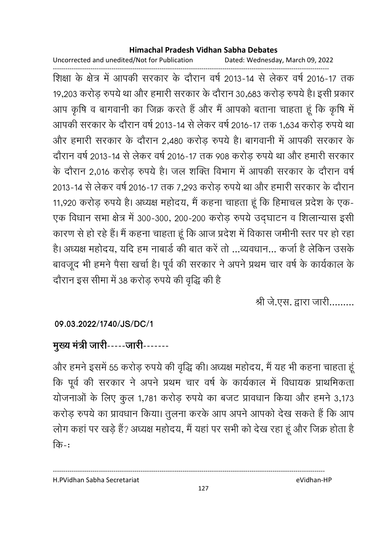Uncorrected and unedited/Not for Publication Dated: Wednesday, March 09, 2022

------------------------------------------------------------------------------------------------------------------------------------ शिक्षा के क्षेत्र में आपकी सरकार के दौरान वर्ष 2013-14 से लेकर वर्ष 2016-17 तक 19,203 करोड़ रुपये था और हमारी सरकार के दौरान 30,683 करोड़ रुपये हैं। इसी प्रकार आप कृषि व बागवानी का जिक्र करते हैं और मैं आपको बताना चाहता हूं कि कृषि में आपकी सरकार के दौरान वर्ष 2013-14 से लेकर वर्ष 2016-17 तक 1,634 करोड़ रुपये था और हमारी सरकार के दौरान 2,480 करोड़ रुपये हैं। बागवानी में आपकी सरकार के दौरान वर्ष 2013-14 से लेकर वर्ष 2016-17 तक 908 करोड़ रुपये था और हमारी सरकार के दौरान 2,016 करोड़ रुपये हैं। जल शक्ति विभाग में आपकी सरकार के दौरान वर्षे 2013-14 से लेकर वर्ष 2016-17 तक 7,293 करोड़ रुपये था और हमारी सरकार के दौरान 11,920 करोड़ रुपये हैं। अध्यक्ष महोदय, मैं कहना चाहता हूं कि हिमाचल प्रदेश के एक-एक विधान सभा क्षेत्र में 300-300, 200-200 करोड़ रुपये उद्घाटन व शिलान्यास इसी कारण से हो रहे हैं। मैं कहना चाहता हूं कि आज प्रदेश में विकास जमीनी स्तर पर हो रहा है। अध्यक्ष महोदय, यदि हम नाबार्ड की बात करें तो …व्यवधान… कर्जा है लेकिन उसके बावजूद भी हमने पैसा खर्चा है। पूर्व की सरकार ने अपने प्रथम चार वर्ष के कार्यकाल के दौरान इस सीमा में 38 करोड़ रुपये की वृद्धि की हैं

श्री जे.एस. द्वारा जारी.........

### **09.03.2022/1740/JS/DC/1**

# मुख्य मंत्री जारी-----जारी-------

और हमने इसमें 55 करोड़ रुपये की वृद्धि की। अध्यक्ष महोदय, मैं यह भी कहना चाहता हू कि पूर्व की सरकार ने अपने प्रथम चार वर्ष के कार्यकाल में विधायक प्राथमिकता योजनाओं के लिए कुल 1,781 करोड़ रुपये का बजट प्रावधान किया और हमने 3,173 करोड़ रुपये का प्रावधान किया। तुलना करके आप अपने आपको देख सकते हैं कि आप लोग कहा पर खड़े है? अध्यक्ष महोदय, मैं यहां पर सभी को देख रहा हूं और जिक्र होता है  $\overline{d} \overline{b}$ -: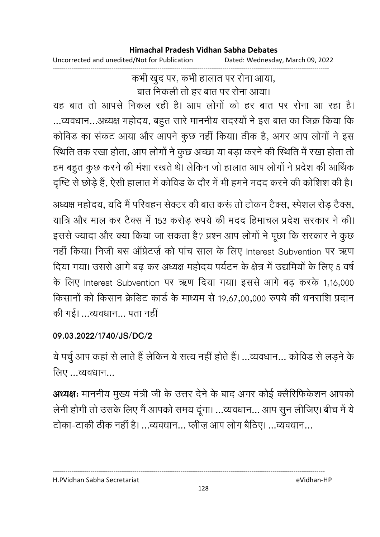Uncorrected and unedited/Not for Publication Dated: Wednesday, March 09, 2022

------------------------------------------------------------------------------------------------------------------------------------ कभी खुद पर, कभी हालात पर रोना आया, बात निकली तो हर बात पर रोना आया।

यह बात तो आपसे निकल रही है। आप लोगों को हर बात पर रोना आ रहा है। …व्यवधान…अध्यक्ष महोदय, बहुत सारे माननीय सदस्यों ने इस बात का जिक्र किया कि कोविड का सकट आया और आपने कुछ नहीं किया। ठीक है, अगर आप लोगों ने इस स्थिति तक रखा होता, आप लोगों ने कुछ अच्छा या बड़ा करने की स्थिति में रखा होता तो हम बहुत कुछ करने की मंशा रखते थे। लेकिन जो हालात आप लोगों ने प्रदेश की आर्थिक दृष्टि से छोड़े हैं, ऐसी हालात में कोविड के दौर में भी हमने मदद करने की कोशिश की है।

अध्यक्ष महोदय, यदि मैं परिवहन सेक्टर की बात करू तो टोकन टैक्स, स्पेशल रोड़ टैक्स, यात्रि और माल कर टैक्स में 153 करोड़ रुपये की मदद हिमाचल प्रदेश सरकार ने की। इससे ज्यादा और क्या किया जा सकता है? प्रश्न आप लोगों ने पूछा कि सरकार ने कुछ नहीं किया। निजी बस ऑप्रेटर्ज़ को पांच साल के लिए Interest Subvention पर ऋण दिया गया। उससे आगे बढ़ कर अध्यक्ष महोदय पर्यटन के क्षेत्र में उद्यमियों के लिए 5 वर्ष के लिए Interest Subvention पर ऋण दिया गया। इससे आगे बढ़ करके 1,16,000 किसानों को किसान क्रैडिट कार्ड के माध्यम से 19,67,00,000 रुपये की धनराशि प्रदान की गई। ...व्यवधान... पता नहीं

### **09.03.2022/1740/JS/DC/2**

ये पर्चु आप कहां से लाते हैं लेकिन ये सत्य नहीं होते हैं। ...व्यवधान... कोविड से लड़ने के लिए ...व्यवधान...

**अध्यक्षः** माननीय मुख्य मंत्री जी के उत्तर देने के बाद अगर कोई क्लैरिफिकेशन आपको लेनी होगी तो उसके लिए मैं आपको समय दूंगा। ...व्यवधान... आप सून लीजिए। बीच में ये टोका-टाकी ठीक नहीं है। …व्यवधान… प्लीज़ आप लोग बैठिए। …व्यवधान…

#### H.PVidhan Sabha Secretariat eVidhan-HP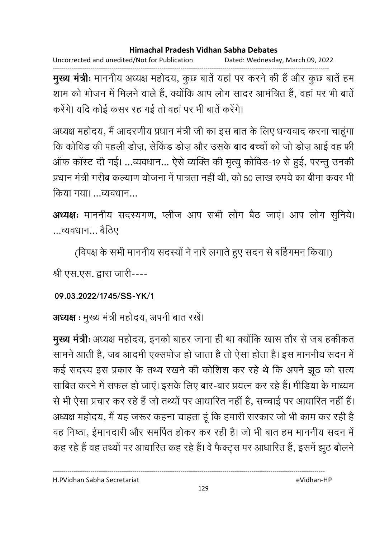Uncorrected and unedited/Not for Publication Dated: Wednesday, March 09, 2022

------------------------------------------------------------------------------------------------------------------------------------ **मुख्य मंत्रीः** माननीय अध्यक्ष महोदय, कुछ बातें यहां पर करने की है और कुछ बातें हम शाम को भोजन में मिलने वाले हैं, क्योंकि आप लोग सादर आमंत्रित हैं, वहां पर भी बातें करेंगे। यदि कोई कसर रह गई तो वहां पर भी बातें करेंगे।

अध्यक्ष महोदय, मैं आदरणीय प्रधान मंत्री जी का इस बात के लिए धन्यवाद करना चाहूंगा कि कोविड की पहली डोज़, सेकिंड डोज़ और उसके बाद बच्चों को जो डोज़ आई वह फ्री ऑफ कॉस्ट दी गई। ...व्यवधान... ऐसे व्यक्ति की मृत्यु कोविड-19 से हुई, परन्तु उनकी प्रधान मंत्री गरीब कल्याण योजना में पात्रता नहीं थी, को 50 लाख रुपये का बीमा कवर भी किया गया। व्यवधान

**अध्यक्षः** माननीय सदस्यगण, प्लीज आप सभी लोग बैठ जाए। आप लोग सुनिये। ...व्यवधान... बैठिए

(विपक्ष के सभी माननीय सदस्यों ने नारे लगाते हुए सदन से बर्हिगमन किया।)

श्री एस.एस. द्वारा जारी----

**09.03.2022/1745/SS-YK/1**

अध्यक्ष : मुख्य मंत्री महोदय, अपनी बात रखें।

**मुख्य मंत्रीः** अध्यक्ष महोदय, इनको बाहर जाना ही था क्योंकि खास तौर से जब हकीकत सामने आती है, जब आदमी एक्सपोज हो जाता है तो ऐसा होता है। इस माननीय सदन में कई सदस्य इस प्रकार के तथ्य रखने की कोशिश कर रहे थे कि अपने झूठ को सत्य साबित करने में सफल हो जाए। इसके लिए बार-बार प्रयत्न कर रहे हैं। मीडिया के माध्यम से भी ऐसा प्रचार कर रहे हैं जो तथ्यों पर आधारित नहीं है, सच्चाई पर आधारित नहीं हैं। अध्यक्ष महोदय, मैं यह जरूर कहना चाहता हूँ कि हमारी सरकार जो भी काम कर रही हैं | वह निष्ठा, ईमानदारी और समर्पित होकर कर रही है। जो भी बात हम माननीय सदन में कह रहे हैं वह तथ्यों पर आधारित कह रहे हैं। वे फैक्ट्स पर आधारित है, इसमें झूठ बोलने

H.PVidhan Sabha Secretariat eVidhan-HP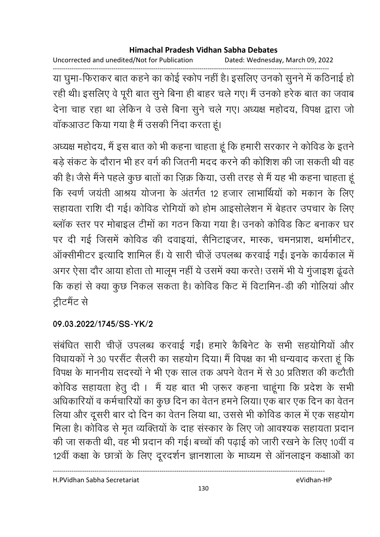Uncorrected and unedited/Not for Publication Dated: Wednesday, March 09, 2022

------------------------------------------------------------------------------------------------------------------------------------ या घुमा-फिराकर बात कहने का कोई स्कोप नहीं है। इसलिए उनको सुनने में कठिनाई हो। रही थी। इसलिए वे पूरी बात सुने बिना ही बाहर चले गए। मैं उनको हरेक बात का जवाब देना चाह रहा था लेकिन वे उसे बिना सुने चले गए। अध्यक्ष महोदय, विपक्ष द्वारा जो वाकआउट किया गया है मैं उसकी निंदा करता हूं।

अध्यक्ष महोदय, मैं इस बात को भी कहना चाहता हूं कि हमारी सरकार ने कोविड के इतने बड़े संकट के दौरान भी हर वर्ग की जितनी मदद करने की कोशिश की जा सकती थी वह की है। जैसे मैंने पहले कुछ बातों का ज़िक्र किया, उसी तरह से मैं यह भी कहना चाहता हू कि स्वर्ण जयंती आश्रय योजना के अंतर्गत 12 हजार लाभार्थियों को मकान के लिए सहायता राशि दी गई। कोविड रोगियों को होम आइसोलेशन में बेहतर उपचार के लिए ब्लाक स्तर पर मोबाइल टीमों का गठन किया गया है। उनको कोविड किट बनाकर घर पर दी गई जिसमें कोविंड की दवाइया, सैनिटाइजर, मास्क, चमनप्राश, थर्मामीटर, ऑक्सीमीटर इत्यादि शामिल हैं। ये सारी चीज़ें उपलब्ध करवाई गईं। इनके कार्यकाल में अगर ऐसा दौर आया होता तो मालूम नहीं ये उसमें क्या करते! उसमें भी ये गुंजाइश ढूंढते कि कहा से क्या कुछ निकल सकता है। कोविड किट में विटामिन-डी की गोलिया और ट्रीटमैंट से

### **09.03.2022/1745/SS-YK/2**

संबंधित सारी चीज़े उपलब्ध करवाई गई। हमारे कैंबिनेट के सभी सहयोगियों और विधायकों ने 30 परसैंट सैलरी का सहयोग दिया। मैं विपक्ष का भी धन्यवाद करता हूं कि विपक्ष के माननीय सदस्यों ने भी एक साल तक अपने वेतन में से 30 प्रतिशत की कटौती कोविड सहायता हेतू दी। मैं यह बात भी ज़रूर कहना चाहूंगा कि प्रदेश के सभी अधिकारियों व कर्मचारियों का कुछ दिन का वेतन हमने लिया। एक बार एक दिन का वेतन लिया और दूसरी बार दो दिन का वेतन लिया था, उससे भी कोविड काल में एक सहयोग मिला है। कोविंड से मृत व्यक्तियों के दाह संस्कार के लिए जो आवश्यक सहायता प्रदान की जा सकती थी, वह भी प्रदान की गई। बच्चों की पढ़ाई को जारी रखने के लिए 10वीं व 12वीं कक्षा के छात्रों के लिए दूरदर्शन ज्ञानशाला के माध्यम से आनलाइन कक्षाओं का

H.PVidhan Sabha Secretariat eVidhan-HP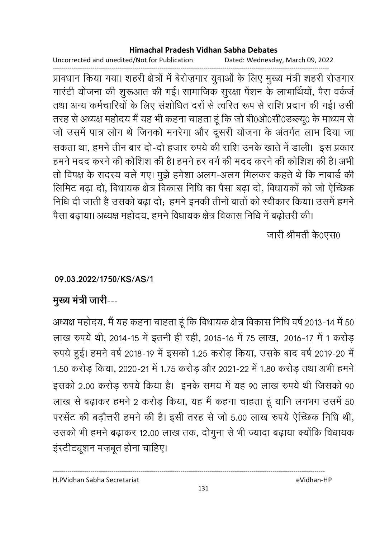Uncorrected and unedited/Not for Publication Dated: Wednesday, March 09, 2022

------------------------------------------------------------------------------------------------------------------------------------ प्रावधान किया गया। शहरी क्षेत्रों में बेरोज़गार युवाओं के लिए मुख्य मंत्री शहरी रोज़गार गारटी योजना की शुरूआत की गई। सामाजिक सुरक्षा पेशन के लाभाथियों, पैरा वर्कजे तथा अन्य कर्मचारियों के लिए संशोधित दरों से त्वरित रूप से राशि प्रदान की गई। उसी तरह से अध्यक्ष महोदय में यह भी कहना चाहता हूं कि जो बी0ओ0सी0डब्ल्यू0 के माध्यम से जो उसमें पात्र लोग थे जिनको मनरेगा और दूसरी योजना के अंतर्गत लाभ दिया जा सकता था, हमने तीन बार दो-दो हजार रुपये की राशि उनके खाते में डाली। इस प्रकार हमने मदद करने की कोशिश की है। हमने हर वर्ग की मदद करने की कोशिश की है। अभी तो विपक्ष के सदस्य चले गए। मुझे हमेशा अलग-अलग मिलकर कहते थे कि नाबार्ड की लिमिट बढ़ा दो, विधायक क्षेत्र विकास निधि का पैसा बढ़ा दो, विधायकों को जो ऐच्छिक निधि दी जाती है उसको बढ़ा दो; हमने इनकी तीनो बातों को स्वीकार किया। उसमें हमने पैसा बढ़ाया। अध्यक्ष महोदय, हमने विधायक क्षेत्र विकास निधि में बढ़ोतरी की।

जारी श्रीमती के∩एस∩

### **09.03.2022/1750/KS/AS/1**

### मुख्य मंत्री जारी---

अध्यक्ष महोदय, मैं यह कहना चाहता हूँ कि विधायक क्षेत्र विकास निधि वर्ष 2013-14 में 50 लाख रुपये थी, 2014-15 में इतनी ही रही, 2015-16 में 75 लाख, 2016-17 में 1 करोड़ रुपये हुई। हमने वर्ष 2018-19 में इसको 1.25 करोड़ किया, उसके बाद वर्ष 2019-20 में 1.50 करोड़ किया, 2020-21 में 1.75 करोड़ और 2021-22 में 1.80 करोड़ तथा अभी हमने इसको 2.00 करोड़ रुपये किया है। इनके समय में यह 90 लाख रुपये थी जिसको 90 लाख से बढ़ाकर हमने 2 करोड़ किया, यह मैं कहना चाहता हूं यानि लगभग उसमें 50 परसेंट की बढ़ौत्तरी हमने की है। इसी तरह से जो 5.00 लाख रुपये ऐच्छिक निधि थी, उसको भी हमने बढ़ाकर 12.00 लाख तक, दोगुना से भी ज्यादा बढ़ाया क्योंकि विधायक इंस्टीट्यूशन मज़बूत होना चाहिए।

H.PVidhan Sabha Secretariat eVidhan-HP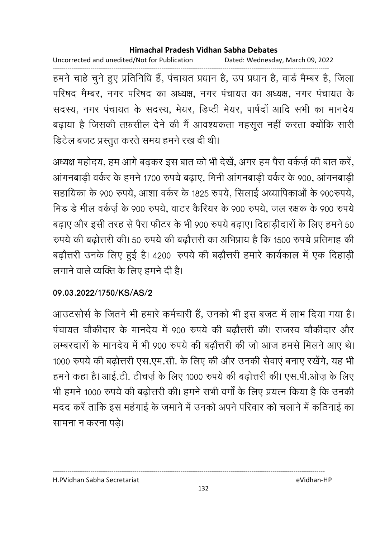Uncorrected and unedited/Not for Publication Dated: Wednesday, March 09, 2022 ------------------------------------------------------------------------------------------------------------------------------------ हमने चाहे चुने हुए प्रतिनिधि है, पचायत प्रधान है, उप प्रधान है, वार्ड मैम्बर है, जिला परिषद मैम्बर, नगर परिषद का अध्यक्ष, नगर पंचायत का अध्यक्ष, नगर पंचायत के सदस्य, नगर पंचायत के सदस्य, मेयर, डिप्टी मेयर, पार्षदों आदि सभी का मानदेय बढ़ाया है जिसकी तफ़सील देने की मैं आवश्यकता महसूस नहीं करता क्योंकि सारी डिटेल बजट प्रस्तुत करते समय हमने रख दी थी।

अध्यक्ष महोदय, हम आगे बढ़कर इस बात को भी देखे, अगर हम पैरा वर्कज़े की बात करे, आंगनबाडी वर्कर के हमने 1700 रुपये बढाए, मिनी आंगनबाडी वर्कर के 900, आंगनबाडी सहायिका के 900 रुपये, आशा वर्कर के 1825 रुपये, सिलाई अध्यापिकाओं के 900रुपये, मिंड डे मील वर्कज़े के 900 रुपये, वाटर कैरियर के 900 रुपये, जल रक्षक के 900 रुपये बढ़ाए और इसी तरह से पैरा फीटर के भी 900 रुपये बढ़ाए। दिहाड़ीदारों के लिए हमने 50 रुपर्य की बढ़ोत्तरी की। 50 रुपर्य की बढ़ौत्तरी का अभिप्राय है कि 1500 रुपर्य प्रतिमाह की बढ़ौत्तरी उनके लिए हुई है। 4200 रुपये की बढ़ौत्तरी हमारे कार्यकाल में एक दिहाड़ी लगाने वाले व्यक्ति के लिए हमने दी है।

### **09.03.2022/1750/KS/AS/2**

आउटसोर्स के जितने भी हमारे कर्मचारी है, उनको भी इस बजट में लाभ दिया गया है। पंचायत चौकीदार के मानदेय में 900 रुपये की बढौत्तरी की। राजस्व चौकीदार और लम्बरदारों के मानदेय में भी 900 रुपये की बढौत्तरी की जो आज हमसे मिलने आए थे। 1000 रुपये की बढोत्तरी एस.एम.सी. के लिए की और उनकी सेवाएं बनाए रखेंगे. यह भी हमने कहा है। आई.टी. टीचज़े के लिए 1000 रुपये की बढ़ोत्तरी की। एस.पी.ओज़ के लिए भी हमने 1000 रुपये की बढ़ोत्तरी की। हमने सभी वर्गा के लिए प्रयत्न किया है कि उनकी मदद करें ताकि इस महंगाई के जमाने में उनको अपने परिवार को चलाने में कठिनाई का सामना न करना पडे।

H.PVidhan Sabha Secretariat eVidhan-HP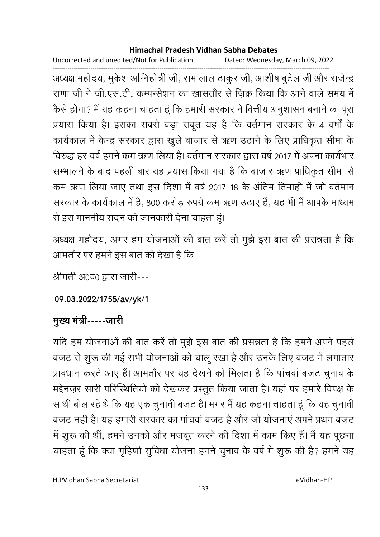Uncorrected and unedited/Not for Publication Dated: Wednesday, March 09, 2022

------------------------------------------------------------------------------------------------------------------------------------ अध्यक्ष महोदय, मुकेश अग्निहोत्री जी, राम लाल ठाकुर जी, आशीष बुटेल जी और राजेन्द्र राणा जी ने जी.एस.टी. कम्पन्सेशन का खासतौर से ज़िक्र किया कि आने वाले समय में कैसे होगा? मैं यह कहना चाहता हूँ कि हमारी सरकार ने वित्तीय अनुशासन बनाने का पूरा प्रयास किया है। इसका सबसे बड़ा सबूत यह है कि वर्तमान सरकार के 4 वर्षों के कार्यकाल में केन्द्र सरकार द्वारा खुले बाजार से ऋण उठाने के लिए प्राधिकृत सीमा के विरुद्ध हर वर्ष हमने कम ऋण लिया है। वर्तमान सरकार द्वारा वर्ष 2017 में अपना कार्यभार सम्भालने के बाद पहली बार यह प्रयास किया गया है कि बाजार ऋण प्राधिकृत सीमा से कम ऋण लिया जाए तथा इस दिशा में वर्ष 2017-18 के अंतिम तिमाही में जो वर्तमान सरकार के कार्यकाल में हैं, 800 करोड़ रुपये कम ऋण उठाए हैं, यह भी मैं आपके माध्यम से इस माननीय सदन को जानकारी देना चाहता हूं।

अध्यक्ष महोदय, अगर हम योजनाओं की बात करें तो मुझे इस बात की प्रसन्नता है कि आमतौर पर हमने इस बात को देखा है कि

श्रीमती अ0व0 द्वारा जारी---

**09.03.2022/1755/av/yk/1**

# <u>मुख्य मंत्री-----जारी</u>

यदि हम योजनाओं की बात करें तो मुझे इस बात की प्रसन्नता है कि हमने अपने पहले बजट से शुरू की गई सभी योजनाओं को चालू रखा है और उनके लिए बजट में लगातार प्रावधान करते आए है। आमतौर पर यह देखने को मिलता है कि पाचवा बजट चुनाव के मद्देनज़र सारी परिस्थितियों को देखकर प्रस्तुत किया जाता है। यहां पर हमारे विपक्ष के साथी बोल रहे थे कि यह एक चुनावी बजट है। मगर मैं यह कहना चाहता हूं कि यह चुनावी बजट नहीं हैं। यह हमारी सरकार का पांचवा बजट है और जो योजनाएं अपने प्रथम बजट में शुरू की थीं, हमने उनको और मजबूत करने की दिशा में काम किए हैं। मैं यह पूछना चाहता हूं कि क्या गृहिणी सुविधा योजना हमने चुनाव के वर्ष में शुरू की है? हमने यह

H.PVidhan Sabha Secretariat eVidhan-HP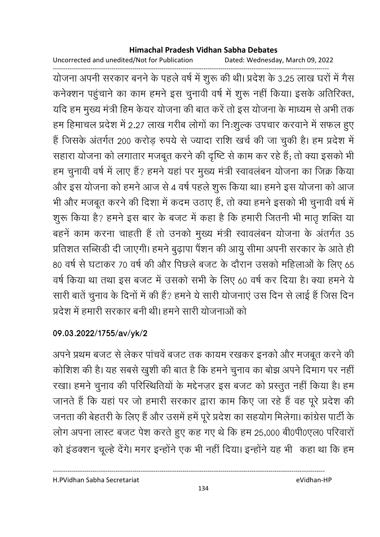Uncorrected and unedited/Not for Publication Dated: Wednesday, March 09, 2022

------------------------------------------------------------------------------------------------------------------------------------ योजना अपनी सरकार बनने के पहले वर्ष में शुरू की थी। प्रदेश के 3.25 लाख घरों में गैस कनेक्शन पहुंचाने का काम हमने इस चुनावी वर्ष में शुरू नहीं किया। इसके अतिरिक्त, यदि हम मुख्य मंत्री हिम केयर योजना की बात करें तो इस योजना के माध्यम से अभी तक हम हिमाचल प्रदेश में 2.27 लाख गरीब लोगों का निःशुल्क उपचार करवाने में सफल हुए है जिसके अंतर्गत 200 करोड़ रुपये से ज्यादा राशि खर्च की जा चुकी है। हम प्रदेश में सहारा योजना को लगातार मजबूत करने की दृष्टि से काम कर रहे हैं; तो क्या इसको भी हम चुनावी वर्ष में लाए हैं? हमने यहां पर मुख्य मंत्री स्वावलंबन योजना का जिक्र किया और इस योजना को हमने आज से 4 वर्ष पहले शुरू किया था। हमने इस योजना को आज भी और मजबूत करने की दिशा में कदम उठाए हैं, तो क्या हमने इसको भी चुनावी वर्ष में शुरू किया है? हमने इस बार के बजट में कहा है कि हमारी जितनी भी मातृ शक्ति या बहनें काम करना चाहती हैं तो उनको मुख्य मंत्री स्वावलंबन योजना के अंतर्गत 35 प्रतिशत सब्सिडी दी जाएगी। हमने बुढ़ापा पैंशन की आयु सीमा अपनी सरकार के आते ही 80 वर्ष से घटाकर 70 वर्ष की और पिछले बजट के दौरान उसको महिलाओं के लिए 65 वर्ष किया था तथा इस बजट में उसको सभी के लिए 60 वर्ष कर दिया है। क्या हमने ये सारी बातें चुनाव के दिनों में की हैं? हमने ये सारी योजनाएं उस दिन से लाई हैं जिस दिन प्रदेश में हमारी सरकार बनी थी। हमने सारी योजनाओं को

### **09.03.2022/1755/av/yk/2**

अपने प्रथम बजट से लेकर पांचवें बजट तक कायम रखकर इनको और मजबूत करने की कोशिश की है। यह सबसे खुशी की बात है कि हमने चुनाव का बोझ अपने दिमांग पर नहीं। रखा। हमने चुनाव की परिस्थितियों के मद्दैनज़र इस बजट को प्रस्तुत नहीं किया है। हम जानते हैं कि यहां पर जो हमारी सरकार द्वारा काम किए जा रहे हैं वह पूरे प्रदेश की जनता की बेहतरी के लिए हैं और उसमें हमें पूरे प्रदेश का सहयोग मिलेगा। कांग्रेस पार्टी के लोग अपना लास्ट बजट पेश करते हुए कह गए थे कि हम 25,000 बी0पी0एल0 परिवारों को इंडक्शन चूल्हे देंगे। मगर इन्होंने एक भी नहीं दिया। इन्होंने यह भी कहा था कि हम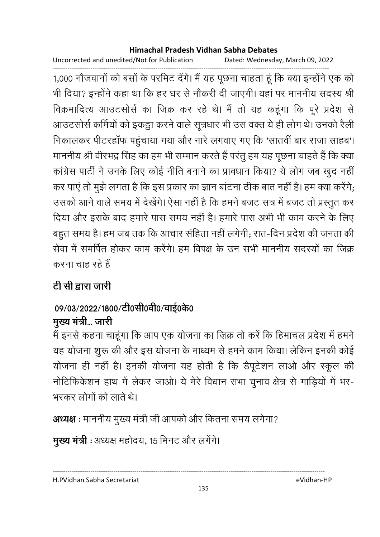Uncorrected and unedited/Not for Publication Dated: Wednesday, March 09, 2022

------------------------------------------------------------------------------------------------------------------------------------ 1,000 नौजवानों को बसों के परमिट देंगे। मैं यह पूछना चाहता हूं कि क्या इन्होंने एक को भी दिया? इन्होंने कहा था कि हर घर से नौकरी दी जाएगी। यहां पर माननीय सदस्य श्री विक्रमादित्य आउटसोर्स का जिक्र कर रहे थे। मैं तो यह कहूंगा कि पूरे प्रदेश से आउटसोर्स कर्मियों को इकट्ठा करने वाले सूत्रधार भी उस वक्त ये ही लोग थे। उनको रैली निकालकर पीटरहॉफ पहुंचाया गया और नारे लगवाए गए कि 'सातवीं बार राजा साहब'। माननीय श्री वीरभद्र सिंह का हम भी सम्मान करते हैं परंतु हम यह पूछना चाहते हैं कि क्या कांग्रेस पार्टी ने उनके लिए कोई नीति बनाने का प्रावधान किया? ये लोग जब खुद नहीं कर पाए तो मुझे लगता है कि इस प्रकार का ज्ञान बाटना ठीक बात नहीं है। हम क्या करेंगे; उसको आने वाले समय में देखेंगे। ऐसा नहीं है कि हमने बजट सत्र में बजट तो प्रस्तुत कर दिया और इसके बाद हमारे पास समय नहीं है। हमारे पास अभी भी काम करने के लिए बहुत समय है। हम जब तक कि आचार सहिता नहीं लगेगी; रात-दिन प्रदेश की जनता की सेवा में समर्पित होकर काम करेंगे। हम विपक्ष के उन सभी माननीय सदस्यों का जिक्र करना चाह रहे हैं

# <u>टी सी द्वारा जारी</u>

# 09/03/2022/1800/टी0सी0वी0/वाई0के0

# मुख्य मंत्री... जारी

मैं इनसे कहना चाहूंगा कि आप एक योजना का ज़िक्र तो करें कि हिमाचल प्रदेश में हमने यह योजना शुरू की और इस योजना के माध्यम से हमने काम किया। लेकिन इनकी कोई योजना ही नहीं हैं। इनकी योजना यह होती है कि डैपूर्टशन लाओं और स्कूल की नोटिफिकेशन हाथ में लेकर जाओ। ये मेरे विधान सभा चुनाव क्षेत्र से गाड़ियों में भर-भरकर लोगों को लाते थे।

**अध्यक्ष** : माननीय मुख्य मंत्री जी आपको और कितना समय लगेगा?

**मुख्य मंत्री** : अध्यक्ष महोदय, 15 मिनट और लगेंगे।

H.PVidhan Sabha Secretariat eVidhan-HP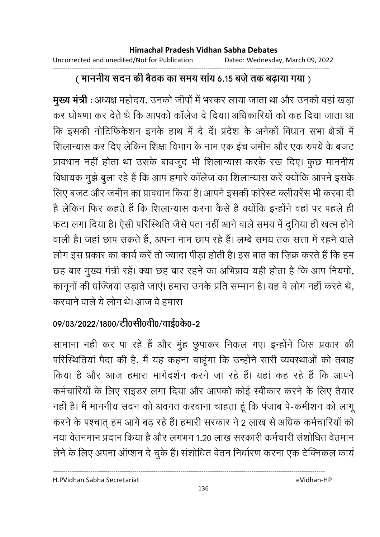#### ------------------------------------------------------------------------------------------------------------------------------------ <u>(</u> माननीय सदन की बैठक का समय साय 6.15 बज़ें तक बढ़ाया गया )

**मुख्य मंत्री** : अध्यक्ष महोदय, उनको जीपो में भरकर लाया जाता था और उनको वहां खड़ा कर घोषणा कर देते थे कि आपको कॉलेज दे दिया। अधिकारियों को कह दिया जाता था कि इसकी नोटिफिकेशन इनके हाथ में दे दें। प्रदेश के अनेकों विधान सभा क्षेत्रों में शिलान्यास कर दिए लेकिन शिक्षा विभाग के नाम एक इंच जमीन और एक रुपये के बजट प्रावधान नहीं होता था उसके बावजूद भी शिलान्यास करके रख दिए। कुछ माननीय विधायक मुझे बुला रहे हैं कि आप हमारे कॉलेज का शिलान्यास करें क्योंकि आपने इसके लिए बजट और जमीन का प्रावधान किया है। आपने इसकी फारेस्ट क्लीयरेस भी करवा दी है लेकिन फिर कहते हैं कि शिलान्यास करना कैसे हैं क्योंकि इन्होंने वहां पर पहले ही फटा लगा दिया है। ऐसी परिस्थिति जैसे पता नहीं आने वाले समय में दुनिया ही खत्म होने। वाली है। जहां छाप सकते हैं, अपना नाम छाप रहे हैं। लम्बे समय तक सत्ता में रहने वाले लोग इस प्रकार का कार्य करें तो ज्यादा पीड़ा होती है। इस बात का ज़िक्र करते हैं कि हम छह बार मुख्य मंत्री रहे। क्या छह बार रहने का अभिप्राय यही होता है कि आप नियमो, कानूनों की धज्जिया उड़ाते जाए। हमारा उनके प्रति सम्मान है। यह वे लोग नहीं करते थे, करवाने वाले ये लोग थे। आज वे हमारा

# 09/03/2022/1800/टी0सी0वी0/वाई0के0-2

सामाना नही कर पा रहे हैं और मुंह छुपाकर निकल गए। इन्होंने जिस प्रकार की परिस्थितिया पैदा की है, मैं यह कहना चाहूंगा कि उन्होंने सारी व्यवस्थाओं को तबाह किया है और आज हमारा मार्गदर्शन करने जा रहे हैं। यहां कह रहे हैं कि आपने कर्मचारियों के लिए राइंडर लगा दिया और आपको कोई स्वीकार करने के लिए तैयार नहीं हैं। मैं माननीय सदन को अवगत करवाना चाहता हूं कि पंजाब पे-कर्माशन को लागू करने के पश्चात् हम आगे बढ़ रहे हैं। हमारी सरकार ने 2 लाख से अधिक कर्मचारियों को नया वेतनमान प्रदान किया है और लगभग 1.20 लाख सरकारी कर्मचारी संशोधित वेतमान लेने के लिए अपना ऑप्शन दे चुके हैं। संशोधित वेतन निर्धारण करना एक टेक्निकल कार्य

H.PVidhan Sabha Secretariat eVidhan-HP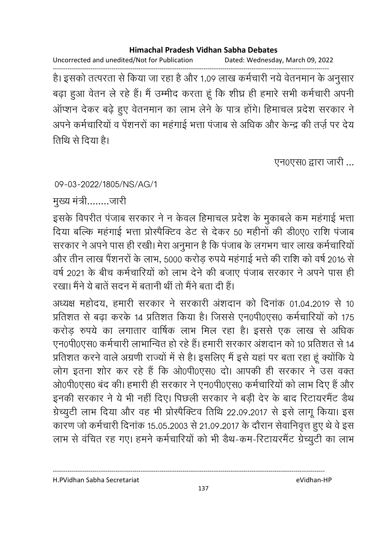Uncorrected and unedited/Not for Publication Dated: Wednesday, March 09, 2022

------------------------------------------------------------------------------------------------------------------------------------ हैं। इसको तत्परता से किया जा रहा है और 1.09 लाख कर्मचारी नये वेतनमान के अनुसार बढ़ा हुआ वेतन ले रहे हैं। मैं उम्मीद करता हूं कि शीघ्र ही हमारे सभी कर्मचारी अपनी आंप्शन देकर बढ़े हुए वेतनमान का लाभ लेने के पात्र होंगे। हिमाचल प्रदेश सरकार ने अपने कर्मचारियों व पेंशनरों का महंगाई भत्ता पंजाब से अधिक और केन्द्र की तर्ज़ पर देय तिथि से दिया है।

एन0एस0 द्वारा जारी ...

### 09-03-2022/1805/NS/AG/1

मुख्य मंत्री ........जारी

इसके विपरीत पंजाब सरकार ने न केवल हिमाचल प्रदेश के मुकाबले कम महंगाई भत्ता दिया बल्कि महंगाई भत्ता प्रस्पिक्टिव डेट से देकर 50 महीनों की डी0ए0 राशि पंजाब सरकार ने अपने पास ही रखी। मेरा अनुमान है कि पंजाब के लगभग चार लाख कर्मचारियों | और तीन लाख पैंशनरों के लाभ, 5000 करोड़ रुपये महंगाई भत्ते की राशि को वर्ष 2016 से वर्ष 2021 के बीच कर्मचारियों को लाभ देने की बजाए पंजाब सरकार ने अपने पास ही रखा। मैंने ये बातें सदन में बतानी थीं तो मैंने बता दी हैं।

अध्यक्ष महोदय, हमारी सरकार ने सरकारी अशदान को दिनाक 01.04.2019 से 10 प्रतिशत से बढ़ा करके 14 प्रतिशत किया है। जिससे एन0पी0एस0 कर्मचारियों को 175 करोड़ रुपये का लगातार वार्षिक लाभ मिल रहा है। इससे एक लाख से अधिक एन0पी0एस0 कर्मचारी लाभान्वित हो रहे हैं। हमारी सरकार अंशदान को 10 प्रतिशत से 14 प्रतिशत करने वाले अंग्रणी राज्यों में से हैं। इसलिए मैं इसे यहां पर बता रहा हूं क्योंकि ये लोग इतना शोर कर रहे हैं कि ओ0पी0एस0 दो। आपकी ही सरकार ने उस वक्त ओ0पी0एस0 बंद की। हमारी ही सरकार ने एन0पी0एस0 कर्मचारियों को लाभ दिए हैं और इनकी सरकार ने ये भी नहीं दिए। पिछली सरकार ने बड़ी देर के बाद रिटायरमैंट डैथ ग्रेच्युटी लाभ दिया और वह भी प्रस्पिक्टिव तिथि 22.09.2017 से इसे लागू किया। इस कारण जो कर्मचारी दिनांक 15.05.2003 से 21.09.2017 के दौरान सेवानिवृत्त हुए थे वे इस लाभ से वर्चित रह गए। हमने कर्मचारियों को भी डैथ-कम-रिटायरमैंट ग्रेच्युटी का लाभ

H.PVidhan Sabha Secretariat eVidhan-HP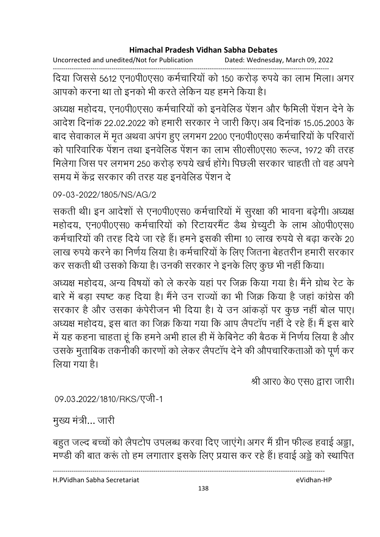Uncorrected and unedited/Not for Publication Dated: Wednesday, March 09, 2022

------------------------------------------------------------------------------------------------------------------------------------ दिया जिससे 5612 एन0पी0एस0 कर्मचारियों को 150 करोड़ रुपये का लाभ मिला। अगर आपको करना था तो इनको भी करते लेकिन यह हमने किया है।

अध्यक्ष महोदय, एन0पी0एस0 कर्मचारियों को इनवेलिंड पेशन और फैर्मिली पेशन देने के आदेश दिनांक 22.02.2022 को हमारी सरकार ने जारी किए। अब दिनांक 15.05.2003 के बाद सेवाकाल में मृत अथवा अपंग हुए लगभग 2200 एन0पी0एस0 कर्मचारियों के परिवारों को पारिवारिक पेंशन तथा इनवेलिड पेंशन का लाभ सी0सी0एस0 रूल्ज, 1972 की तरह मिलेगा जिस पर लगभग 250 करोड़ रुपये खर्च होंगे। पिछली सरकार चाहती तो वह अपने समय में केंद्र सरकार की तरह यह इनवेलिड पेंशन दे

### 09-03-2022/1805/NS/AG/2

सकती थीं। इन आदेशों से एन0पी0एस0 कर्मचारियों में सुरक्षा की भावना बढ़ेगी। अध्यक्ष महोदय, एन0पी0एस0 कर्मचारियों को रिटायरमैंट डैथ ग्रेच्युटी के लाभ ओ0पी0एस0 कर्मचारियों की तरह दिये जा रहे हैं। हमने इसकी सीमा 10 लाख रुपये से बढ़ा करके 20 लाख रुपये करने का निर्णय लिया है। कर्मचारियों के लिए जितना बेहतरीन हमारी सरकार-कर सकती थी उसको किया है। उनकी सरकार ने इनके लिए कुछ भी नहीं किया।

अध्यक्ष महोदय, अन्य विषयों को ले करके यहां पर जिक्र किया गया है। मैंने ग्रोथ रेट के बारे में बड़ा स्पष्ट कह दिया है। मैंने उन राज्यों का भी जिक्र किया है जहां कांग्रेस की सरकार है और उसका कर्परीजन भी दिया है। ये उन आकड़ों पर कुछ नहीं बोल पाएं। अध्यक्ष महोदय, इस बात का जिक्र किया गया कि आप लैपटाप नहीं दे रहे हैं। मैं इस बारें में यह कहना चाहता हूं कि हमने अभी हाल ही में केबिनेट की बैठक में निर्णय लिया है और उसके मुताबिक तकनीकी कारणों को लेकर लैपटाप देने की औपचारिकताओं को पूर्ण कर लिया गया है।

श्री आर0 के0 एस0 द्वारा जारी।

09.03.2022/1810/RKS/एजी-1

मुख्य मंत्री... जारी

बहुत जल्द बच्चों को लैपटोप उपलब्ध करवा दिए जाएंगे। अगर मैं ग्रीन फील्ड हवाई अड्डा, मण्डी की बात करूं तो हम लगातार इसके लिए प्रयास कर रहे हैं। हवाई अड्डे को स्थापित

----------------------------------------------------------------------------------------------------------------------------------

H.PVidhan Sabha Secretariat eVidhan-HP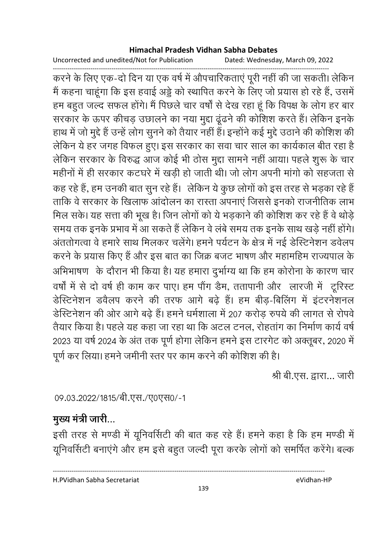Uncorrected and unedited/Not for Publication Dated: Wednesday, March 09, 2022

------------------------------------------------------------------------------------------------------------------------------------ करने के लिए एक-दो दिन या एक वर्ष में औपचारिकताएं पूरी नहीं की जा सकती। लेकिन मैं कहना चाहूंगा कि इस हवाई अड्डे को स्थापित करने के लिए जो प्रयास हो रहे हैं, उसमें हम बहुत जल्द सफल होंगे। मैं पिछले चार वर्षों से देख रहा हूं कि विपक्ष के लोग हर बार सरकार के ऊपर कीचड़ उछालने का नया मुद्दा ढूंढने की कोशिश करते हैं। लेकिन इनके हाथ में जो मुद्दे हैं उन्हें लोग सुनने को तैयार नहीं है। इन्होंने कई मुद्दे उठाने की कोशिश की लेकिन ये हर जगह विफल हुए। इस सरकार का सवा चार साल का कार्यकाल बीत रहा है लेकिन सरकार के विरुद्ध आज कोई भी ठोस मुद्दा सामने नहीं आया। पहले शुरू के चार महीनों में ही सरकार कटघरे में खड़ी हो जाती थी। जो लोग अपनी मांगो को सहजता से कह रहे हैं, हम उनकी बात सून रहे हैं। लेकिन ये कूछ लोगों को इस तरह से भड़का रहे हैं ताकि वे सरकार के खिलाफ आंदोलन का रास्ता अपनाएं जिससे इनको राजनीतिक लाभ मिल सके। यह सत्ता की भूख है। जिन लोगों को ये भड़काने की कोशिश कर रहे हैं वे थोड़ें समय तक इनके प्रभाव में आ सकते हैं लेकिन वे लंबे समय तक इनके साथ खड़े नहीं होंगे। अंततोगत्वा वे हमारे साथ मिलकर चलेंगे। हमने पर्यटन के क्षेत्र में नई डेस्टिनेशन डवेलप करने के प्रयास किए हैं और इस बात का जिक्र बजट भाषण और महामहिम राज्यपाल के आभेभाषण) के दौरान भी किया है। यह हमारा दुर्भाग्य था कि हम कोरोना के कारण चार वर्षा में से दो वर्ष ही काम कर पाए। हम पौग डैम, ततापानी और लारजी में टूरिस्ट डेस्टिनेशन डवैलप करने की तरफ आगे बढ़े हैं। हम बीड़-बिलिंग में इंटरनेशनल डेस्टिनेशन की ओर आगे बढ़े हैं। हमने धर्मशाला में 207 करोड़ रुपये की लागत से रोपवे तैयार किया है। पहले यह कहा जा रहा था कि अटल टनल, रोहताग का निर्माण कार्य वर्षे 2023 या वर्ष 2024 के अंत तक पूर्ण होगा लेकिन हमने इस टारगेट को अक्तूबर, 2020 में पूर्ण कर लिया। हमने जमीनी स्तर पर काम करने की कोशिश की है।

श्री बी.एस. द्वारा... जारी

09.03.2022/1815/बी.एस./ए0एस0/-1

# मुख्य मंत्री जारी...

इसी तरह से मण्डी में यूनिवर्सिटी की बात कह रहे हैं। हमने कहा है कि हम मण्डी में यूनिवर्सिटी बनाएंगे और हम इसे बहुत जल्दी पूरा करके लोगों को समर्पित करेंगे। बल्क

H.PVidhan Sabha Secretariat eVidhan-HP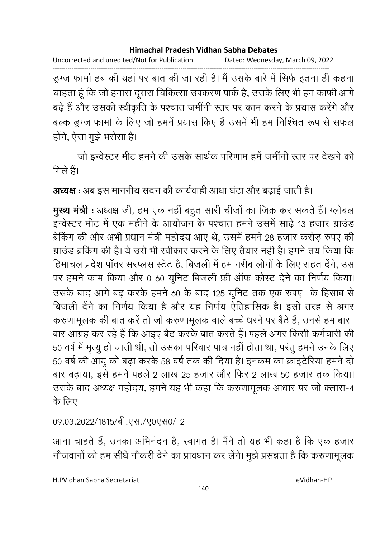Uncorrected and unedited/Not for Publication Dated: Wednesday, March 09, 2022 ------------------------------------------------------------------------------------------------------------------------------------ ड्रग्ज फार्मा हब की यहां पर बात की जा रही है। मैं उसके बारे में सिर्फ इतना ही कहना चाहता हूँ कि जो हमारा दूसरा चिकित्सा उपकरण पार्क है, उसके लिए भी हम काफी आगे बढ़े हैं और उसकी स्वीकृति के पश्चात जमींनी स्तर पर काम करने के प्रयास करेंगे और बल्क ड्रग्ज फार्मा के लिए जो हमनें प्रयास किए हैं उसमें भी हम निश्चित रूप से सफल होंगे, ऐसा मुझे भरोसा है।

जो इन्वेस्टर मीट हमने की उसके सार्थक परिणाम हमें जमींनी स्तर पर देखने को मिले हैं।

**अध्यक्ष** : अब इस माननीय सदन की कार्यवाही आधा घटा और बढ़ाई जाती है।

**मुख्य मंत्री** : अध्यक्ष जी, हम एक नहीं बहुत सारी चीजों का जिक्र कर सकते हैं। ग्लोबल -<br>इन्वेस्टर मीट में एक महीने के आयोजन के पश्चात हमने उसमें साढ़े 13 हजार ग्राउंड ब्रेकिंग की और अभी प्रधान मंत्री महोदय आए थे, उसमें हमने 28 हजार करोड़ रुपए की ग्राउंड ब्रकिंग की है। ये उसे भी स्वीकार करने के लिए तैयार नहीं है। हमने तय किया कि हिमाचल प्रदेश पावर सरप्लस स्टेट हैं, बिजली में हम गरीब लोगों के लिए राहत देंगे, उस पर हमने काम किया और 0-60 यूनिट बिजली फ्री ऑफ कोस्ट देने का निर्णय किया। उसके बाद आगे बढ़ करके हमने 60 के बाद 125 यूनिट तक एक रुपए के हिसाब से बिजली देने का निर्णय किया है और यह निर्णय ऐतिहासिक है। इसी तरह से अगर करुणामूलक की बात करें तो जो करुणामूलक वाले बच्चे धरने पर बैठे हैं, उनसे हम बार-बार आग्रह कर रहे हैं कि आइए बैठ करके बात करते हैं। पहले अगर किसी कर्मचारी की 50 वर्ष में मृत्यू हो जाती थी, तो उसका परिवार पात्र नहीं होता था, परंतु हमने उनके लिए 50 वर्ष की आयु को बढ़ा करके 58 वर्ष तक की दिया है। इनकम का क्राइटेरिया हमने दो बार बढ़ाया, इसे हमने पहले 2 लाख 25 हजार और फिर 2 लाख 50 हजार तक किया। उसके बाद अध्यक्ष महोदय, हमने यह भी कहा कि करुणामूलक आधार पर जो क्लास-4 के लिए

09.03.2022/1815/बी.एस./ए0एस0/-2

आना चाहते हैं, उनका अभिनंदन हैं, स्वागत है। मैंने तो यह भी कहा है कि एक हजार नोंजवानों को हम सीधे नौकरी देने का प्रावधान कर लेगे। मुझे प्रसन्नता है कि करुणामूलक

----------------------------------------------------------------------------------------------------------------------------------

H.PVidhan Sabha Secretariat eVidhan-HP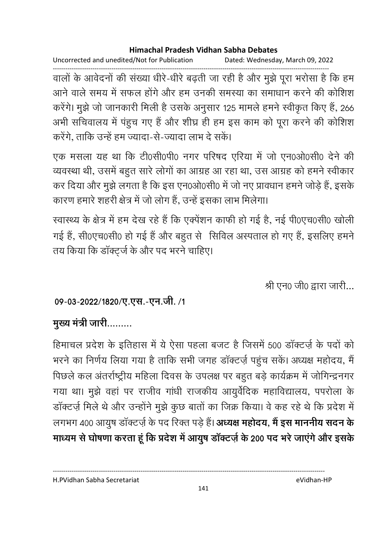Uncorrected and unedited/Not for Publication Dated: Wednesday, March 09, 2022

------------------------------------------------------------------------------------------------------------------------------------ वालों के आवेदनों की संख्या धीरे-धीरे बढ़ती जा रही है और मुझे पूरा भरोसा है कि हम आने वाले समय में सफल होंगे और हम उनकी समस्या का समाधान करने की कोशिश करेंगे। मुझे जो जानकारी मिली है उसके अनुसार 125 मामले हमने स्वीकृत किए हैं, 266 अभी सचिवालय में पंहुच गए हैं और शीघ्र ही हम इस काम को पूरा करने की कोशिश करेंगे, ताकि उन्हें हम ज्यादा-से-ज्यादा लाभ दे सकें।

एक मसला यह था कि टी0सी0पी0 नगर परिषद एरिया में जो एन0ओ0सी0 देने की व्यवस्था थी, उसमें बहुत सारे लोगों का आग्रह आ रहा था, उस आग्रह को हमने स्वीकार कर दिया और मुझे लगता है कि इस एन0ओ0सी0 में जो नए प्रावधान हमने जोड़े हैं, इसके कारण हमारे शहरी क्षेत्र में जो लोग हैं, उन्हें इसका लाभ मिलेगा।

स्वास्थ्य के क्षेत्र में हम देख रहे हैं कि एक्पेशन काफी हो गई है, नई पी0एच0सी0 खोली गई हैं, सी0एच0सी0 हो गई हैं और बहुत से सिविल अस्पताल हो गए हैं, इसलिए हमने तय किया कि डॉक्ट्ज के और पद भरने चाहिए।

श्री एन0 जी0 द्वारा जारी...

### 09-03-2022/1820/ए.एस.-एन.जी. /1

## मुख्य मंत्री जारी.........

हिमाचल प्रदेश के इतिहास में ये ऐसा पहला बजट है जिसमें 500 डाक्टज़ें के पदों को भरने का निर्णय लिया गया है ताकि सभी जगह डाक्टज़े पहुंच सके। अध्यक्ष महोदय, मैं पिछले कल अंतर्राष्ट्रीय महिला दिवस के उपलक्ष पर बहुत बड़े कार्यक्रम में जोगिन्द्रनगर गया था। मुझे वहां पर राजीव गांधी राजकीय आयुर्वेदिक महाविद्यालय, पपरोला के डॉक्टर्ज़ मिले थे और उन्होंने मुझे कुछ बातों का जिक्र किया। वे कह रहे थे कि प्रदेश में लगभग 400 आयुष डाक्टजे के पद रिक्त पड़े हैं। **अध्यक्ष महोदय, मैं इस माननीय सदन के** माध्यम से घोषणा करता हूं कि प्रदेश में आयुष डॉक्टर्ज़ के 200 पद भरे जाएंगे और इसके

---------------------------------------------------------------------------------------------------------------------------------- H.PVidhan Sabha Secretariat eVidhan-HP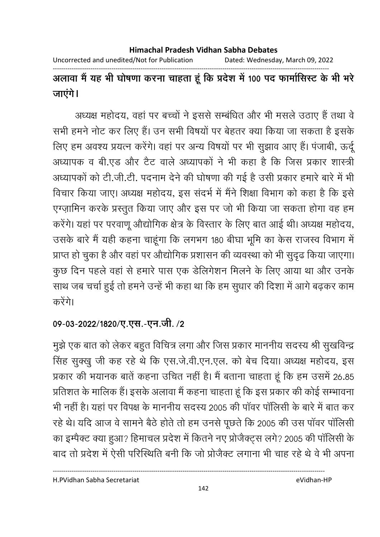Uncorrected and unedited/Not for Publication Dated: Wednesday, March 09, 2022

------------------------------------------------------------------------------------------------------------------------------------

अलावा मैं यह भी घोषणा करना चाहता हूं कि प्रदेश में 100 पद फार्मासिस्ट के भी भरे जाएगे।

अध्यक्ष महोदय, वहां पर बच्चों ने इससे सम्बंधित और भी मसले उठाएं हैं तथा वे सभी हमने नोट कर लिए हैं। उन सभी विषयों पर बेहतर क्या किया जा सकता है इसके लिए हम अवश्य प्रयत्न करेंगे। वहां पर अन्य विषयों पर भी सूझाव आए हैं। पंजाबी, ऊर्दू अध्यापक व बी.एंड और टैट वाले अध्यापकों ने भी कहा है कि जिस प्रकार शास्त्री अध्यापकों को टी.जी.टी. पदनाम देने की घोषणा की गई है उसी प्रकार हमारे बारे में भी विचार किया जाए। अध्यक्ष महोदय, इस सदर्भ में मैंने शिक्षा विभाग को कहा है कि इसे एग्ज़ामिन करके प्रस्तुत किया जाए और इस पर जो भी किया जा सकता होगा वह हम करेंगे। यहां पर परवाणू औद्योगिक क्षेत्र के विस्तार के लिए बात आई थी। अध्यक्ष महोदय, उसके बारे मैं यही कहना चाहूंगा कि लगभग 180 बीघा भूमि का केस राजस्व विभाग में प्राप्त हो चुका है और वहां पर औद्योगिक प्रशासन की व्यवस्था को भी सुदृढ किया जाएगा। कुछ दिन पहले वहां से हमारे पास एक डेलिगेशन मिलने के लिए आया था और उनके साथ जब चर्चा हुई तो हमने उन्हें भी कहा था कि हम सुधार की दिशा में आगे बढ़कर काम करेंगे।

### 09-03-2022/1820/ए.एस.-एन.जी. /2

मुझे एक बात को लेकर बहुत विचित्र लगा और जिस प्रकार माननीय सदस्य श्री सुखविन्द्र सिंह सुक्खु जी कह रहे थे कि एस.जे.वी.एन.एल. को बेच दिया। अध्यक्ष महोदय, इस प्रकार की भयानक बातें कहना उचित नहीं है। मैं बताना चाहता हूं कि हम उसमें 26.85 | प्रतिशत के मालिक हैं। इसके अलावा मैं कहना चाहता हूं कि इस प्रकार की कोई सम्भावना भी नहीं हैं। यहां पर विपक्ष के माननीय सदस्य 2005 की पावर पालिसी के बारे में बात कर रहे थे। यदि आज वे सामने बैठे होते तो हम उनसे पूछते कि 2005 की उस पावर पालिसी का इम्पेक्ट क्या हुआ? हिमाचल प्रदेश में कितने नए प्रजिक्ट्स लगे? 2005 की पालिसी के बाद तो प्रदेश में ऐसी परिस्थिति बनी कि जो प्रजिक्ट लगाना भी चाह रहे थे वे भी अपना

H.PVidhan Sabha Secretariat eVidhan-HP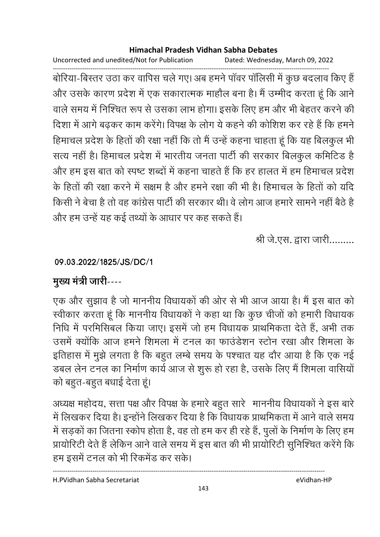Uncorrected and unedited/Not for Publication Dated: Wednesday, March 09, 2022

------------------------------------------------------------------------------------------------------------------------------------ बोरिया-बिस्तर उठा कर वापिस चले गए। अब हमने पावर पालिसी में कुछ बदलाव किए हैं | और उसके कारण प्रदेश में एक सकारात्मक माहौल बना है। मैं उम्मीद करता हूं कि आने वाले समय में निश्चित रूप से उसका लाभ होगा। इसके लिए हम और भी बेहतर करने की दिशा में आगे बढ़कर काम करेंगे। विपक्ष के लोग ये कहने की कोशिश कर रहे हैं कि हमने हिमाचल प्रदेश के हितों की रक्षा नहीं कि तो मैं उन्हें कहना चाहता हूं कि यह बिलकुल भी सत्य नहीं है। हिमाचल प्रदेश में भारतीय जनता पार्टी की सरकार बिलकुल कमिटिड है और हम इस बात को स्पष्ट शब्दों में कहना चाहते हैं कि हर हालत में हम हिमाचल प्रदेश के हिंतों की रक्षा करने में सक्षम है और हमने रक्षा की भी हैं। हिमाचल के हिंतों को यदि किसी ने बेचा है तो वह कांग्रेस पार्टी की सरकार थी। वे लोग आज हमारे सामने नहीं बैठे हैं | और हम उन्हें यह कई तथ्यों के आधार पर कह सकते हैं।

श्री जे.एस. द्वारा जारी.........

### **09.03.2022/1825/JS/DC/1**

# मुख्य मंत्री जारी----

एक और सुझाव है जो माननीय विधायकों की ओर से भी आज आया है। मैं इस बात को स्वीकार करता हूं कि माननीय विधायकों ने कहा था कि कुछ चीजों को हमारी विधायक निधि में परमिसिबल किया जाए। इसमें जो हम विधायक प्राथमिकता देते हैं, अभी तक उसमें क्योंकि आज हमने शिमला में टनल का फाउंडेशन स्टोन रखा और शिमला के इतिहास में मुझे लगता है कि बहुत लम्बे समय के पश्चात यह दौर आया है कि एक नई डबल लेन टनल का निर्माण कार्य आज से शुरू हो रहा है, उसके लिए मैं शिमला वासियों को बहुत-बहुत बधाई देता हूं।

अध्यक्ष महोदय, सत्ता पक्ष और विपक्ष के हमारे बहुत सारे- माननीय विधायकों ने इस बारे-में लिखकर दिया है। इन्होंने लिखकर दिया है कि विधायक प्राथमिकता में आने वाले समय में सड़कों का जितना स्कोप होता है, वह तो हम कर ही रहे हैं, पुलों के निर्माण के लिए हम प्रायोरिटी देते हैं लेकिन आने वाले समय में इस बात की भी प्रायोरिटी सुनिश्चित करेंगे कि हम इसमें टनल को भी रिकमेंड कर सके।

H.PVidhan Sabha Secretariat eVidhan-HP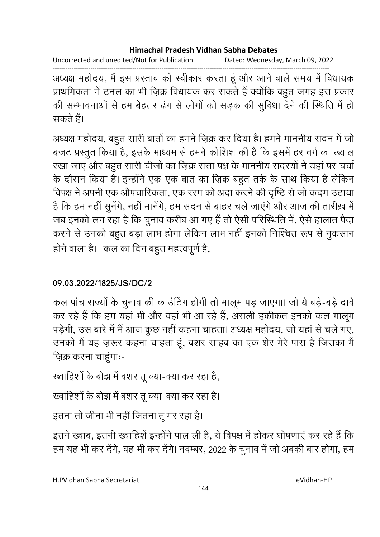Uncorrected and unedited/Not for Publication Dated: Wednesday, March 09, 2022

------------------------------------------------------------------------------------------------------------------------------------ अध्यक्ष महोदय, मैं इस प्रस्ताव को स्वीकार करता हूं और आने वाले समय में विधायक प्राथमिकता में टनल का भी ज़िक्र विधायक कर सकते हैं क्योंकि बहुत जगह इस प्रकार की सम्भावनाओं से हम बेहतर ढंग से लोगों को सड़क की सुविधा देने की स्थिति में हो सकते हैं।

अध्यक्ष महोदय, बहुत सारी बातों का हमने ज़िक्र कर दिया है। हमने माननीय सदन में जो बजट प्रस्तुत किया है, इसके माध्यम से हमने कोशिश की है कि इसमें हर वर्ग का ख्याल रखा जाए और बहुत सारी चीजों का ज़िक्र सत्ता पक्ष के माननीय सदस्यों ने यहां पर चर्चा के दौरान किया है। इन्होंने एक-एक बात का ज़िक्र बहुत तर्क के साथ किया है लेकिन विपक्ष ने अपनी एक औपचारिकता, एक रस्म को अदा करने की दृष्टि से जो कदम उठाया है कि हम नहीं सुनेंगे, नहीं मानेंगे, हम सदन से बाहर चले जाएंगे और आज की तारीख़ में जब इनको लग रहा है कि चुनाव करीब आ गए है तो ऐसी परिस्थिति में, ऐसे हालात पैदा करने से उनको बहुत बड़ा लाभ होगा लेकिन लाभ नहीं इनको निश्चित रूप से नुकसान होने वाला है। कल का दिन बहुत महत्वपूर्ण है,

### **09.03.2022/1825/JS/DC/2**

कल पांच राज्यों के चुनाव की काउंटिंग होगी तो मालूम पड़ जाएगा। जो ये बड़े-बड़े दावे कर रहे हैं कि हम यहां भी और वहां भी आ रहे हैं, असली हकीकत इनको कल मालूम पड़ेगी, उस बारे में मैं आज कुछ नहीं कहना चाहता। अध्यक्ष महोदय, जो यहां से चले गए, उनको मैं यह ज़रूर कहना चाहता हूं, बशर साहब का एक शेर मेरे पास है जिसका मैं ज़िक्र करना चाहूंगाः-

ख्वाहिंशों के बोझ में बशर तू क्या-क्या कर रहा है,

ख्वाहिशों के बोझ में बशर तू क्या-क्या कर रहा है।

इतना तो जीना भी नहीं जितना तू मर रहा है।

इतने ख्वाब, इतनी ख्वाहिशे इन्होंने पाल ली है, ये विपक्ष में होकर घोषणाएं कर रहे हैं कि हम यह भी कर देंगे, वह भी कर देंगे। नवम्बर, 2022 के चुनाव में जो अबकी बार होगा, हम

H.PVidhan Sabha Secretariat eVidhan-HP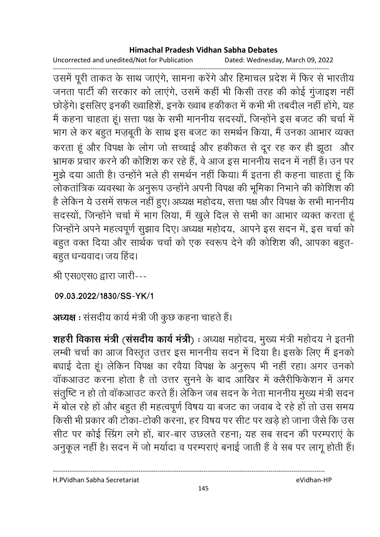## **Himachal Pradesh Vidhan Sabha Debates**

Uncorrected and unedited/Not for Publication Dated: Wednesday, March 09, 2022

------------------------------------------------------------------------------------------------------------------------------------ उसमें पूरी ताकत के साथ जाएंगे, सामना करेंगे और हिमाचल प्रदेश में फिर से भारतीय जनता पार्टी की सरकार को लाएंगे, उसमें कहीं भी किसी तरह की कोई गुंजाइश नहीं छोड़ेंगे। इसलिए इनकी ख्वाहिशें, इनके ख्वाब हकीकत में कभी भी तबदील नहीं होंगे, यह मैं कहना चाहता हूं। सत्ता पक्ष के सभी माननीय सदस्यों, जिन्होंने इस बजट की चर्चा में भाग ले कर बहुत मज़बूती के साथ इस बजट का समर्थन किया, मैं उनका आभार व्यक्त करता हूं और विपक्ष के लोग जो सच्चाई और हकीकत से दूर रह कर ही झूठा और भ्रामक प्रचार करने की कोशिश कर रहे हैं, वे आज इस माननीय सदन में नहीं हैं। उन पर मुझे दया आती है। उन्होंने भले ही समर्थन नहीं किया। मैं इतना ही कहना चाहता हूं कि लोकतांत्रिक व्यवस्था के अनुरूप उन्होंने अपनी विपक्ष की भूमिका निभाने की कोशिश की है लेकिन ये उसमें सफल नहीं हुए। अध्यक्ष महोदय, सत्ता पक्ष और विपक्ष के सभी माननीय सदस्यों, जिन्होंने चर्चा में भाग लिया, मैं खुले दिल से सभी का आभार व्यक्त करता हूं जिन्होंने अपने महत्वपूर्ण सुझाव दिए। अध्यक्ष महोदय, आपने इस सदन में, इस चर्चा को बहुत वक्त दिया और सार्थक चर्चा को एक स्वरूप देने की कोशिश की, आपका बहुत-बहुत धन्यवाद। जय हिंद।

श्री एस0एस0 द्वारा जारी---

**09.03.2022/1830/SS-YK/1**

अध्यक्ष : संसदीय कार्य मंत्री जी कुछ कहना चाहते हैं।

**शहरी विकास मंत्री (संसदीय कार्य मंत्री**) : अध्यक्ष महोदय, मुख्य मंत्री महोदय ने इतनी. लम्बी चर्चा का आज विस्तृत उत्तर इस माननीय सदन में दिया है। इसके लिए मैं इनको बंधाई देता हूं। लेकिन विपक्ष का रवैया विपक्ष के अनुरूप भी नहीं रहा। अगर उनको वाकआउट करना होता है तो उत्तर सुनने के बाद आखिर में क्लैरीफिकेशन में अगर संतुष्टि न हो तो वॉकआउट करते हैं। लेकिन जब सदन के नेता माननीय मुख्य मंत्री सदन में बोल रहे हों और बहुत ही महत्वपूर्ण विषय या बजट का जवाब दे रहे हों तो उस समय किसी भी प्रकार की टोका-टोकी करना, हर विषय पर सीट पर खड़े हो जाना जैसे कि उस सीट पर कोई स्प्रिंग लगे हों, बार-बार उछलते रहना; यह सब सदन की परम्पराएं के अनुकूल नहीं है। सदन में जो मयोदा व परम्पराए बनाई जाती है वे सब पर लागू होती है।

H.PVidhan Sabha Secretariat eVidhan-HP

----------------------------------------------------------------------------------------------------------------------------------